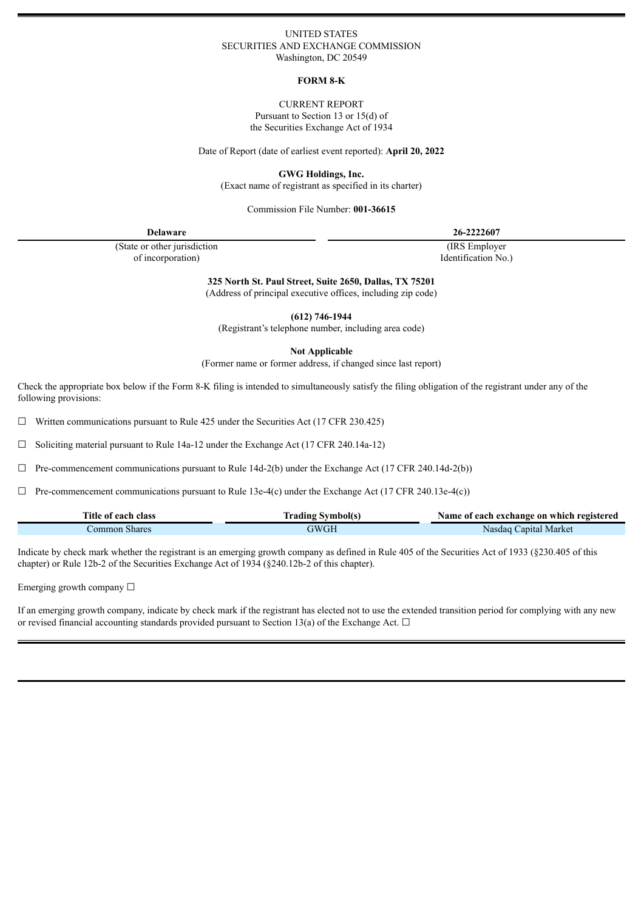## UNITED STATES SECURITIES AND EXCHANGE COMMISSION Washington, DC 20549

## **FORM 8-K**

CURRENT REPORT Pursuant to Section 13 or 15(d) of the Securities Exchange Act of 1934

Date of Report (date of earliest event reported): **April 20, 2022**

**GWG Holdings, Inc.**

(Exact name of registrant as specified in its charter)

Commission File Number: **001-36615**

| <b>Delaware</b>               | 26-2222607          |  |
|-------------------------------|---------------------|--|
| (State or other jurisdiction) | (IRS Employer)      |  |
| of incorporation)             | Identification No.) |  |

**325 North St. Paul Street, Suite 2650, Dallas, TX 75201**

(Address of principal executive offices, including zip code)

**(612) 746-1944**

(Registrant's telephone number, including area code)

**Not Applicable**

(Former name or former address, if changed since last report)

Check the appropriate box below if the Form 8-K filing is intended to simultaneously satisfy the filing obligation of the registrant under any of the following provisions:

 $\Box$  Written communications pursuant to Rule 425 under the Securities Act (17 CFR 230.425)

☐ Soliciting material pursuant to Rule 14a-12 under the Exchange Act (17 CFR 240.14a-12)

 $\Box$  Pre-commencement communications pursuant to Rule 14d-2(b) under the Exchange Act (17 CFR 240.14d-2(b))

 $\Box$  Pre-commencement communications pursuant to Rule 13e-4(c) under the Exchange Act (17 CFR 240.13e-4(c))

| Title of each class | Irading Symbol(s | Name of each exchange on which registered |
|---------------------|------------------|-------------------------------------------|
| Common Shares       | `WGL             | Nasdag Capital Market                     |

Indicate by check mark whether the registrant is an emerging growth company as defined in Rule 405 of the Securities Act of 1933 (§230.405 of this chapter) or Rule 12b-2 of the Securities Exchange Act of 1934 (§240.12b-2 of this chapter).

Emerging growth company ☐

If an emerging growth company, indicate by check mark if the registrant has elected not to use the extended transition period for complying with any new or revised financial accounting standards provided pursuant to Section 13(a) of the Exchange Act.  $\Box$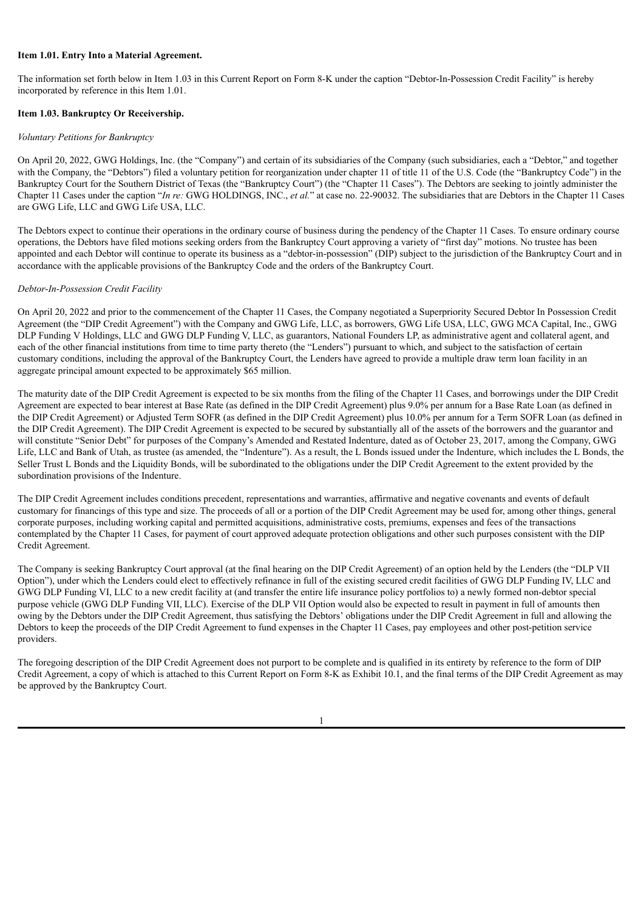## **Item 1.01. Entry Into a Material Agreement.**

The information set forth below in Item 1.03 in this Current Report on Form 8-K under the caption "Debtor-In-Possession Credit Facility" is hereby incorporated by reference in this Item 1.01.

## **Item 1.03. Bankruptcy Or Receivership.**

## *Voluntary Petitions for Bankruptcy*

On April 20, 2022, GWG Holdings, Inc. (the "Company") and certain of its subsidiaries of the Company (such subsidiaries, each a "Debtor," and together with the Company, the "Debtors") filed a voluntary petition for reorganization under chapter 11 of title 11 of the U.S. Code (the "Bankruptcy Code") in the Bankruptcy Court for the Southern District of Texas (the "Bankruptcy Court") (the "Chapter 11 Cases"). The Debtors are seeking to jointly administer the Chapter 11 Cases under the caption "*In re:* GWG HOLDINGS, INC., *et al.*" at case no. 22-90032. The subsidiaries that are Debtors in the Chapter 11 Cases are GWG Life, LLC and GWG Life USA, LLC.

The Debtors expect to continue their operations in the ordinary course of business during the pendency of the Chapter 11 Cases. To ensure ordinary course operations, the Debtors have filed motions seeking orders from the Bankruptcy Court approving a variety of "first day" motions. No trustee has been appointed and each Debtor will continue to operate its business as a "debtor-in-possession" (DIP) subject to the jurisdiction of the Bankruptcy Court and in accordance with the applicable provisions of the Bankruptcy Code and the orders of the Bankruptcy Court.

## *Debtor-In-Possession Credit Facility*

On April 20, 2022 and prior to the commencement of the Chapter 11 Cases, the Company negotiated a Superpriority Secured Debtor In Possession Credit Agreement (the "DIP Credit Agreement") with the Company and GWG Life, LLC, as borrowers, GWG Life USA, LLC, GWG MCA Capital, Inc., GWG DLP Funding V Holdings, LLC and GWG DLP Funding V, LLC, as guarantors, National Founders LP, as administrative agent and collateral agent, and each of the other financial institutions from time to time party thereto (the "Lenders") pursuant to which, and subject to the satisfaction of certain customary conditions, including the approval of the Bankruptcy Court, the Lenders have agreed to provide a multiple draw term loan facility in an aggregate principal amount expected to be approximately \$65 million.

The maturity date of the DIP Credit Agreement is expected to be six months from the filing of the Chapter 11 Cases, and borrowings under the DIP Credit Agreement are expected to bear interest at Base Rate (as defined in the DIP Credit Agreement) plus 9.0% per annum for a Base Rate Loan (as defined in the DIP Credit Agreement) or Adjusted Term SOFR (as defined in the DIP Credit Agreement) plus 10.0% per annum for a Term SOFR Loan (as defined in the DIP Credit Agreement). The DIP Credit Agreement is expected to be secured by substantially all of the assets of the borrowers and the guarantor and will constitute "Senior Debt" for purposes of the Company's Amended and Restated Indenture, dated as of October 23, 2017, among the Company, GWG Life, LLC and Bank of Utah, as trustee (as amended, the "Indenture"). As a result, the L Bonds issued under the Indenture, which includes the L Bonds, the Seller Trust L Bonds and the Liquidity Bonds, will be subordinated to the obligations under the DIP Credit Agreement to the extent provided by the subordination provisions of the Indenture.

The DIP Credit Agreement includes conditions precedent, representations and warranties, affirmative and negative covenants and events of default customary for financings of this type and size. The proceeds of all or a portion of the DIP Credit Agreement may be used for, among other things, general corporate purposes, including working capital and permitted acquisitions, administrative costs, premiums, expenses and fees of the transactions contemplated by the Chapter 11 Cases, for payment of court approved adequate protection obligations and other such purposes consistent with the DIP Credit Agreement.

The Company is seeking Bankruptcy Court approval (at the final hearing on the DIP Credit Agreement) of an option held by the Lenders (the "DLP VII Option"), under which the Lenders could elect to effectively refinance in full of the existing secured credit facilities of GWG DLP Funding IV, LLC and GWG DLP Funding VI, LLC to a new credit facility at (and transfer the entire life insurance policy portfolios to) a newly formed non-debtor special purpose vehicle (GWG DLP Funding VII, LLC). Exercise of the DLP VII Option would also be expected to result in payment in full of amounts then owing by the Debtors under the DIP Credit Agreement, thus satisfying the Debtors' obligations under the DIP Credit Agreement in full and allowing the Debtors to keep the proceeds of the DIP Credit Agreement to fund expenses in the Chapter 11 Cases, pay employees and other post-petition service providers.

The foregoing description of the DIP Credit Agreement does not purport to be complete and is qualified in its entirety by reference to the form of DIP Credit Agreement, a copy of which is attached to this Current Report on Form 8-K as Exhibit 10.1, and the final terms of the DIP Credit Agreement as may be approved by the Bankruptcy Court.

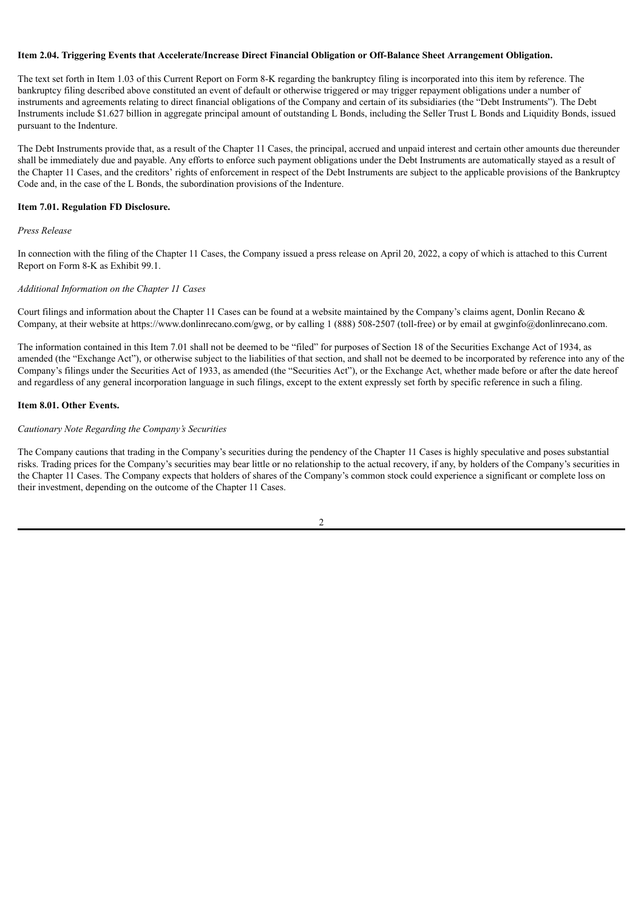## **Item 2.04. Triggering Events that Accelerate/Increase Direct Financial Obligation or Off-Balance Sheet Arrangement Obligation.**

The text set forth in Item 1.03 of this Current Report on Form 8-K regarding the bankruptcy filing is incorporated into this item by reference. The bankruptcy filing described above constituted an event of default or otherwise triggered or may trigger repayment obligations under a number of instruments and agreements relating to direct financial obligations of the Company and certain of its subsidiaries (the "Debt Instruments"). The Debt Instruments include \$1.627 billion in aggregate principal amount of outstanding L Bonds, including the Seller Trust L Bonds and Liquidity Bonds, issued pursuant to the Indenture.

The Debt Instruments provide that, as a result of the Chapter 11 Cases, the principal, accrued and unpaid interest and certain other amounts due thereunder shall be immediately due and payable. Any efforts to enforce such payment obligations under the Debt Instruments are automatically stayed as a result of the Chapter 11 Cases, and the creditors' rights of enforcement in respect of the Debt Instruments are subject to the applicable provisions of the Bankruptcy Code and, in the case of the L Bonds, the subordination provisions of the Indenture.

## **Item 7.01. Regulation FD Disclosure.**

## *Press Release*

In connection with the filing of the Chapter 11 Cases, the Company issued a press release on April 20, 2022, a copy of which is attached to this Current Report on Form 8-K as Exhibit 99.1.

## *Additional Information on the Chapter 11 Cases*

Court filings and information about the Chapter 11 Cases can be found at a website maintained by the Company's claims agent, Donlin Recano & Company, at their website at https://www.donlinrecano.com/gwg, or by calling 1 (888) 508-2507 (toll-free) or by email at gwginfo@donlinrecano.com.

The information contained in this Item 7.01 shall not be deemed to be "filed" for purposes of Section 18 of the Securities Exchange Act of 1934, as amended (the "Exchange Act"), or otherwise subject to the liabilities of that section, and shall not be deemed to be incorporated by reference into any of the Company's filings under the Securities Act of 1933, as amended (the "Securities Act"), or the Exchange Act, whether made before or after the date hereof and regardless of any general incorporation language in such filings, except to the extent expressly set forth by specific reference in such a filing.

## **Item 8.01. Other Events.**

## *Cautionary Note Regarding the Company's Securities*

The Company cautions that trading in the Company's securities during the pendency of the Chapter 11 Cases is highly speculative and poses substantial risks. Trading prices for the Company's securities may bear little or no relationship to the actual recovery, if any, by holders of the Company's securities in the Chapter 11 Cases. The Company expects that holders of shares of the Company's common stock could experience a significant or complete loss on their investment, depending on the outcome of the Chapter 11 Cases.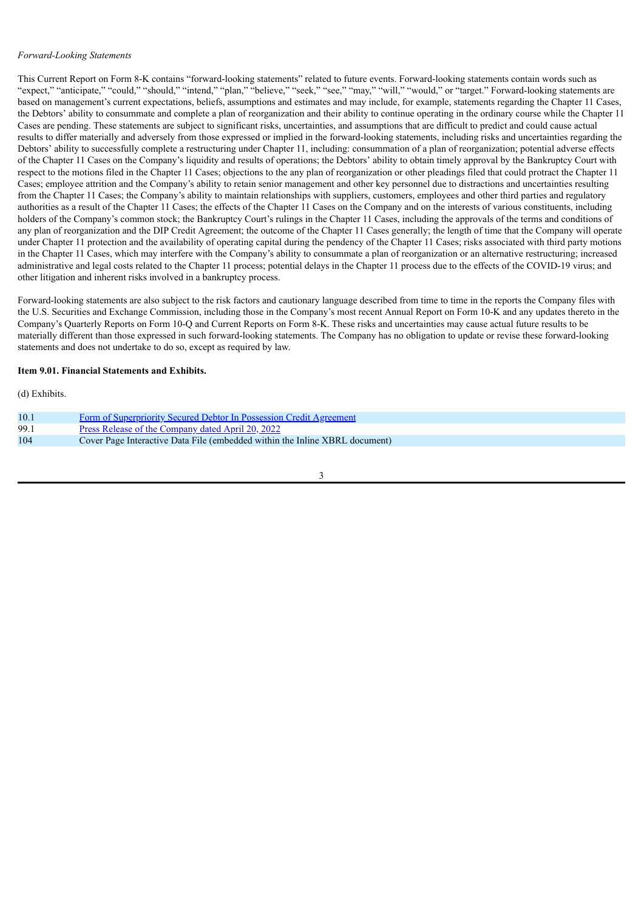## *Forward-Looking Statements*

This Current Report on Form 8-K contains "forward-looking statements" related to future events. Forward-looking statements contain words such as "expect," "anticipate," "could," "should," "intend," "plan," "believe," "seek," "see," "may," "will," "would," or "target." Forward-looking statements are based on management's current expectations, beliefs, assumptions and estimates and may include, for example, statements regarding the Chapter 11 Cases, the Debtors' ability to consummate and complete a plan of reorganization and their ability to continue operating in the ordinary course while the Chapter 11 Cases are pending. These statements are subject to significant risks, uncertainties, and assumptions that are difficult to predict and could cause actual results to differ materially and adversely from those expressed or implied in the forward-looking statements, including risks and uncertainties regarding the Debtors' ability to successfully complete a restructuring under Chapter 11, including: consummation of a plan of reorganization; potential adverse effects of the Chapter 11 Cases on the Company's liquidity and results of operations; the Debtors' ability to obtain timely approval by the Bankruptcy Court with respect to the motions filed in the Chapter 11 Cases; objections to the any plan of reorganization or other pleadings filed that could protract the Chapter 11 Cases; employee attrition and the Company's ability to retain senior management and other key personnel due to distractions and uncertainties resulting from the Chapter 11 Cases; the Company's ability to maintain relationships with suppliers, customers, employees and other third parties and regulatory authorities as a result of the Chapter 11 Cases; the effects of the Chapter 11 Cases on the Company and on the interests of various constituents, including holders of the Company's common stock; the Bankruptcy Court's rulings in the Chapter 11 Cases, including the approvals of the terms and conditions of any plan of reorganization and the DIP Credit Agreement; the outcome of the Chapter 11 Cases generally; the length of time that the Company will operate under Chapter 11 protection and the availability of operating capital during the pendency of the Chapter 11 Cases; risks associated with third party motions in the Chapter 11 Cases, which may interfere with the Company's ability to consummate a plan of reorganization or an alternative restructuring; increased administrative and legal costs related to the Chapter 11 process; potential delays in the Chapter 11 process due to the effects of the COVID-19 virus; and other litigation and inherent risks involved in a bankruptcy process.

Forward-looking statements are also subject to the risk factors and cautionary language described from time to time in the reports the Company files with the U.S. Securities and Exchange Commission, including those in the Company's most recent Annual Report on Form 10-K and any updates thereto in the Company's Quarterly Reports on Form 10-Q and Current Reports on Form 8-K. These risks and uncertainties may cause actual future results to be materially different than those expressed in such forward-looking statements. The Company has no obligation to update or revise these forward-looking statements and does not undertake to do so, except as required by law.

## **Item 9.01. Financial Statements and Exhibits.**

(d) Exhibits.

| 10.1 | <b>Form of Superpriority Secured Debtor In Possession Credit Agreement</b>  |
|------|-----------------------------------------------------------------------------|
| 99.1 | <u>Press Release of the Company dated April 20, 2022</u>                    |
| 104  | Cover Page Interactive Data File (embedded within the Inline XBRL document) |
|      |                                                                             |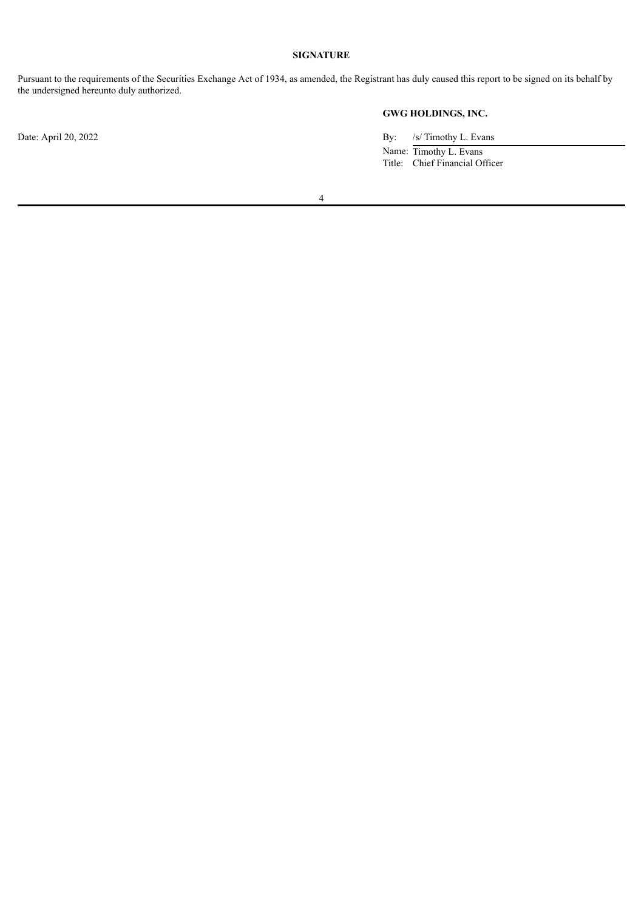## **SIGNATURE**

Pursuant to the requirements of the Securities Exchange Act of 1934, as amended, the Registrant has duly caused this report to be signed on its behalf by the undersigned hereunto duly authorized.

# **GWG HOLDINGS, INC.**

Date: April 20, 2022 By: /s/ Timothy L. Evans Name: Timothy L. Evans

Title: Chief Financial Officer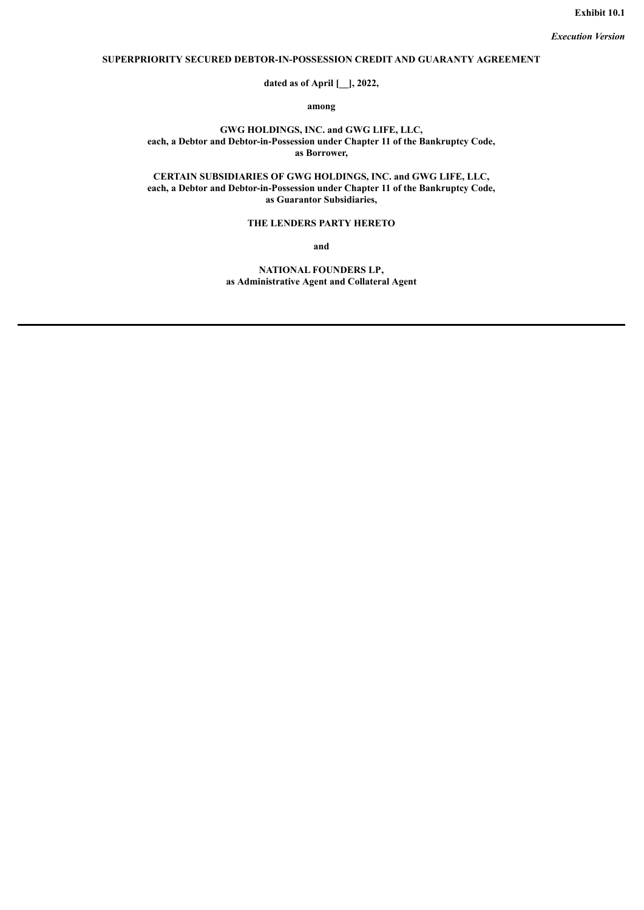# <span id="page-5-0"></span>**SUPERPRIORITY SECURED DEBTOR-IN-POSSESSION CREDIT AND GUARANTY AGREEMENT**

**dated as of April [\_\_], 2022,**

**among**

**GWG HOLDINGS, INC. and GWG LIFE, LLC, each, a Debtor and Debtor-in-Possession under Chapter 11 of the Bankruptcy Code, as Borrower,**

**CERTAIN SUBSIDIARIES OF GWG HOLDINGS, INC. and GWG LIFE, LLC, each, a Debtor and Debtor-in-Possession under Chapter 11 of the Bankruptcy Code, as Guarantor Subsidiaries,**

# **THE LENDERS PARTY HERETO**

**and**

**NATIONAL FOUNDERS LP, as Administrative Agent and Collateral Agent**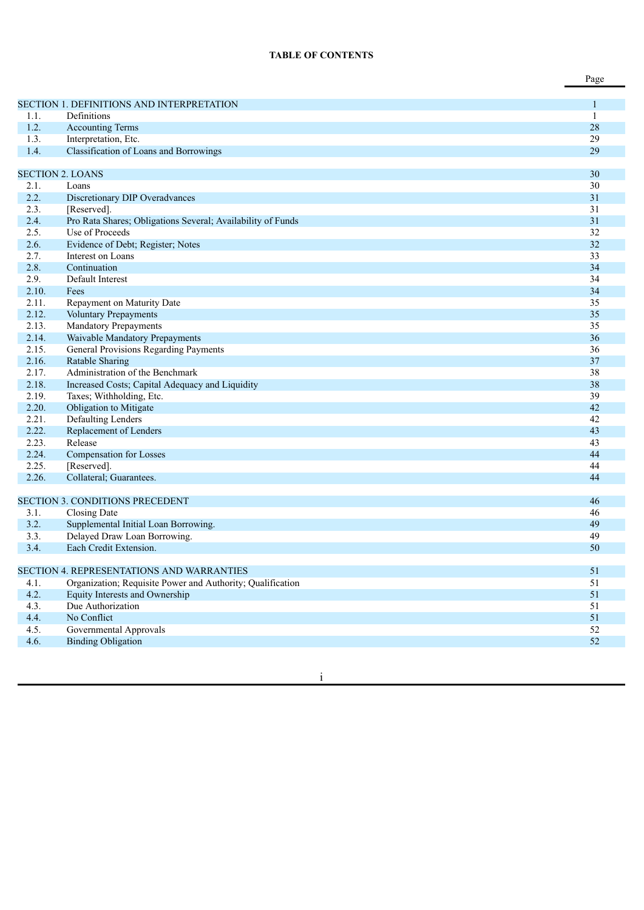# **TABLE OF CONTENTS**

|                |                                                             | Page     |
|----------------|-------------------------------------------------------------|----------|
|                | <b>SECTION 1. DEFINITIONS AND INTERPRETATION</b>            | 1        |
| 1.1.           | Definitions                                                 | 1        |
| 1.2.           | <b>Accounting Terms</b>                                     | 28       |
| 1.3.           | Interpretation, Etc.                                        | 29       |
| 1.4.           | <b>Classification of Loans and Borrowings</b>               | 29       |
|                |                                                             |          |
|                | <b>SECTION 2. LOANS</b>                                     | 30       |
| 2.1.           | Loans                                                       | 30       |
| 2.2.           | Discretionary DIP Overadvances                              | 31       |
| 2.3.           | [Reserved].                                                 | 31       |
| 2.4.           | Pro Rata Shares; Obligations Several; Availability of Funds | 31       |
| 2.5.           | Use of Proceeds                                             | 32       |
| 2.6.           | Evidence of Debt; Register; Notes                           | 32       |
| 2.7.           | Interest on Loans                                           | 33       |
| 2.8.           | Continuation                                                | 34       |
| 2.9.           | Default Interest                                            | 34       |
| 2.10.<br>2.11. | Fees                                                        | 34<br>35 |
| 2.12.          | Repayment on Maturity Date<br>Voluntary Prepayments         | 35       |
| 2.13.          | <b>Mandatory Prepayments</b>                                | 35       |
| 2.14.          | Waivable Mandatory Prepayments                              | 36       |
| 2.15.          | General Provisions Regarding Payments                       | 36       |
| 2.16.          | <b>Ratable Sharing</b>                                      | 37       |
| 2.17.          | Administration of the Benchmark                             | 38       |
| 2.18.          | Increased Costs; Capital Adequacy and Liquidity             | 38       |
| 2.19.          | Taxes; Withholding, Etc.                                    | 39       |
| 2.20.          | Obligation to Mitigate                                      | 42       |
| 2.21.          | Defaulting Lenders                                          | 42       |
| 2.22.          | Replacement of Lenders                                      | 43       |
| 2.23.          | Release                                                     | 43       |
| 2.24.          | <b>Compensation for Losses</b>                              | 44       |
| 2.25.          | [Reserved].                                                 | 44       |
| 2.26.          | Collateral; Guarantees.                                     | 44       |
|                |                                                             |          |
|                | <b>SECTION 3. CONDITIONS PRECEDENT</b>                      | 46       |
| 3.1.           | Closing Date                                                | 46       |
| 3.2.           | Supplemental Initial Loan Borrowing.                        | 49       |
| 3.3.<br>3.4.   | Delayed Draw Loan Borrowing.<br>Each Credit Extension.      | 49<br>50 |
|                |                                                             |          |
|                | <b>SECTION 4. REPRESENTATIONS AND WARRANTIES</b>            | 51       |
| 4.1.           | Organization; Requisite Power and Authority; Qualification  | 51       |
| 4.2.           | <b>Equity Interests and Ownership</b>                       | 51       |
| 4.3.           | Due Authorization                                           | 51       |
| 4.4.           | No Conflict                                                 | 51       |
| 4.5.           | Governmental Approvals                                      | 52       |
| 4.6.           | <b>Binding Obligation</b>                                   | 52       |

in the contract of the contract of the contract of the contract of the contract of the contract of the contract of the contract of the contract of the contract of the contract of the contract of the contract of the contrac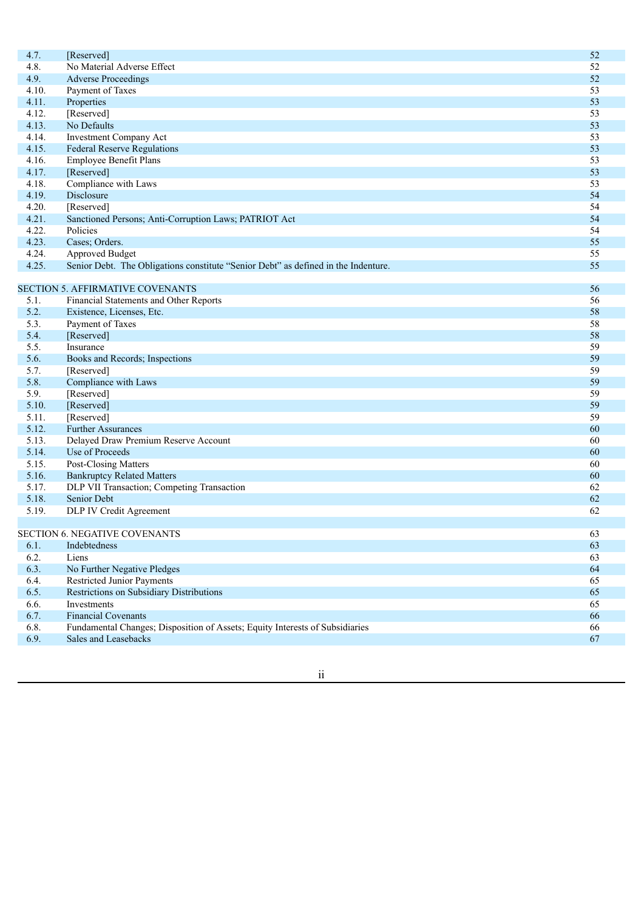| 4.7.  | [Reserved]                                                                                                 | 52 |
|-------|------------------------------------------------------------------------------------------------------------|----|
| 4.8.  | No Material Adverse Effect                                                                                 | 52 |
| 4.9.  | <b>Adverse Proceedings</b>                                                                                 | 52 |
| 4.10. | Payment of Taxes                                                                                           | 53 |
| 4.11. | Properties                                                                                                 | 53 |
| 4.12. | [Reserved]                                                                                                 | 53 |
| 4.13. | No Defaults                                                                                                | 53 |
| 4.14. | <b>Investment Company Act</b>                                                                              | 53 |
| 4.15. | <b>Federal Reserve Regulations</b>                                                                         | 53 |
| 4.16. | Employee Benefit Plans                                                                                     | 53 |
| 4.17. | [Reserved]                                                                                                 | 53 |
| 4.18. | Compliance with Laws                                                                                       | 53 |
| 4.19. | Disclosure                                                                                                 | 54 |
| 4.20. | [Reserved]                                                                                                 | 54 |
| 4.21. | Sanctioned Persons; Anti-Corruption Laws; PATRIOT Act                                                      | 54 |
| 4.22. | Policies                                                                                                   | 54 |
| 4.23. | Cases; Orders.                                                                                             | 55 |
| 4.24. | Approved Budget                                                                                            | 55 |
| 4.25. | Senior Debt. The Obligations constitute "Senior Debt" as defined in the Indenture.                         | 55 |
|       |                                                                                                            |    |
|       | <b>SECTION 5. AFFIRMATIVE COVENANTS</b>                                                                    | 56 |
| 5.1.  | Financial Statements and Other Reports                                                                     | 56 |
| 5.2.  | Existence, Licenses, Etc.                                                                                  | 58 |
| 5.3.  | Payment of Taxes                                                                                           | 58 |
| 5.4.  | [Reserved]                                                                                                 | 58 |
| 5.5.  | Insurance                                                                                                  | 59 |
| 5.6.  | Books and Records; Inspections                                                                             | 59 |
| 5.7.  | [Reserved]                                                                                                 | 59 |
| 5.8.  | Compliance with Laws                                                                                       | 59 |
| 5.9.  | [Reserved]                                                                                                 | 59 |
| 5.10. | [Reserved]                                                                                                 | 59 |
| 5.11. | [Reserved]                                                                                                 | 59 |
| 5.12. | <b>Further Assurances</b>                                                                                  | 60 |
| 5.13. | Delayed Draw Premium Reserve Account                                                                       | 60 |
| 5.14. | Use of Proceeds                                                                                            | 60 |
| 5.15. | Post-Closing Matters                                                                                       | 60 |
| 5.16. | <b>Bankruptcy Related Matters</b>                                                                          | 60 |
| 5.17. | DLP VII Transaction; Competing Transaction                                                                 | 62 |
| 5.18. | Senior Debt                                                                                                | 62 |
| 5.19. | DLP IV Credit Agreement                                                                                    | 62 |
|       |                                                                                                            |    |
|       | <b>SECTION 6. NEGATIVE COVENANTS</b>                                                                       | 63 |
| 6.1.  | Indebtedness                                                                                               | 63 |
| 6.2.  | Liens                                                                                                      | 63 |
| 6.3.  | No Further Negative Pledges                                                                                | 64 |
| 6.4.  | <b>Restricted Junior Payments</b>                                                                          | 65 |
| 6.5.  | Restrictions on Subsidiary Distributions                                                                   | 65 |
|       |                                                                                                            |    |
| 6.6.  | Investments                                                                                                | 65 |
| 6.7.  | <b>Financial Covenants</b><br>Fundamental Changes; Disposition of Assets; Equity Interests of Subsidiaries | 66 |
| 6.8.  |                                                                                                            | 66 |
| 6.9.  | Sales and Leasebacks                                                                                       | 67 |

ii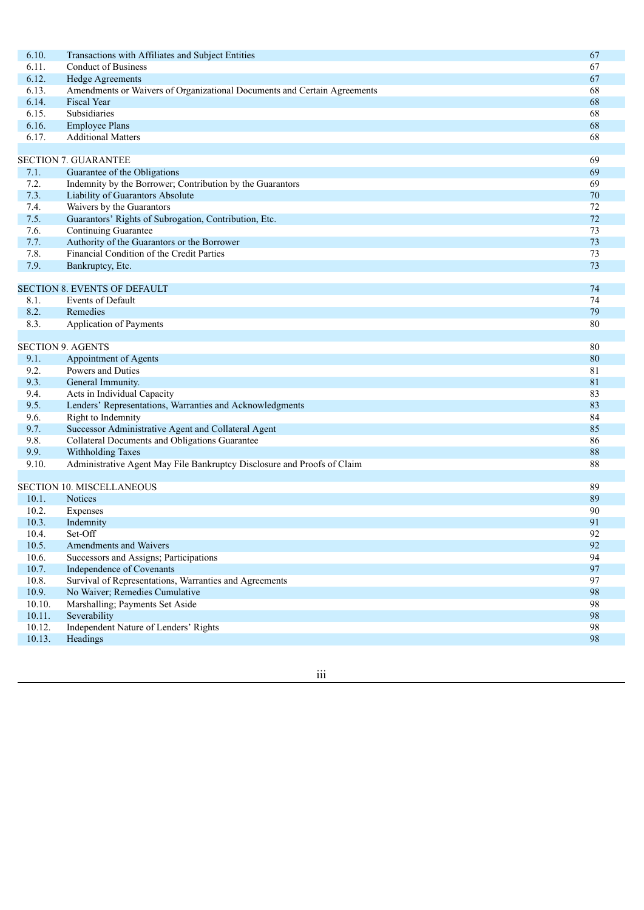| 6.10.  | Transactions with Affiliates and Subject Entities                        | 67 |
|--------|--------------------------------------------------------------------------|----|
| 6.11.  | <b>Conduct of Business</b>                                               | 67 |
| 6.12.  | <b>Hedge Agreements</b>                                                  | 67 |
| 6.13.  | Amendments or Waivers of Organizational Documents and Certain Agreements | 68 |
| 6.14.  | <b>Fiscal Year</b>                                                       | 68 |
| 6.15.  | Subsidiaries                                                             | 68 |
| 6.16.  | <b>Employee Plans</b>                                                    | 68 |
| 6.17.  | <b>Additional Matters</b>                                                | 68 |
|        |                                                                          |    |
|        | <b>SECTION 7. GUARANTEE</b>                                              | 69 |
| 7.1.   | Guarantee of the Obligations                                             | 69 |
| 7.2.   | Indemnity by the Borrower; Contribution by the Guarantors                | 69 |
| 7.3.   | Liability of Guarantors Absolute                                         | 70 |
| 7.4.   | Waivers by the Guarantors                                                | 72 |
| 7.5.   | Guarantors' Rights of Subrogation, Contribution, Etc.                    | 72 |
| 7.6.   | Continuing Guarantee                                                     | 73 |
| 7.7.   | Authority of the Guarantors or the Borrower                              | 73 |
| 7.8.   | Financial Condition of the Credit Parties                                | 73 |
| 7.9.   | Bankruptcy, Etc.                                                         | 73 |
|        |                                                                          |    |
|        | <b>SECTION 8. EVENTS OF DEFAULT</b>                                      | 74 |
| 8.1.   | Events of Default                                                        | 74 |
| 8.2.   | Remedies                                                                 | 79 |
| 8.3.   | Application of Payments                                                  | 80 |
|        |                                                                          |    |
|        | <b>SECTION 9. AGENTS</b>                                                 | 80 |
| 9.1.   | Appointment of Agents                                                    | 80 |
| 9.2.   | Powers and Duties                                                        | 81 |
| 9.3.   | General Immunity.                                                        | 81 |
| 9.4.   | Acts in Individual Capacity                                              | 83 |
| 9.5.   | Lenders' Representations, Warranties and Acknowledgments                 | 83 |
| 9.6.   | Right to Indemnity                                                       | 84 |
| 9.7.   | Successor Administrative Agent and Collateral Agent                      | 85 |
| 9.8.   | Collateral Documents and Obligations Guarantee                           | 86 |
| 9.9.   | Withholding Taxes                                                        | 88 |
| 9.10.  | Administrative Agent May File Bankruptcy Disclosure and Proofs of Claim  | 88 |
|        |                                                                          |    |
|        | SECTION 10. MISCELLANEOUS                                                | 89 |
| 10.1.  | <b>Notices</b>                                                           | 89 |
| 10.2.  | Expenses                                                                 | 90 |
| 10.3.  | Indemnity                                                                | 91 |
| 10.4.  | Set-Off                                                                  | 92 |
| 10.5.  | Amendments and Waivers                                                   | 92 |
| 10.6.  | Successors and Assigns; Participations                                   | 94 |
| 10.7.  | Independence of Covenants                                                | 97 |
| 10.8.  | Survival of Representations, Warranties and Agreements                   | 97 |
| 10.9.  | No Waiver; Remedies Cumulative                                           | 98 |
| 10.10. | Marshalling; Payments Set Aside                                          | 98 |
| 10.11. | Severability                                                             | 98 |
| 10.12. | Independent Nature of Lenders' Rights                                    | 98 |
| 10.13. | Headings                                                                 | 98 |
|        |                                                                          |    |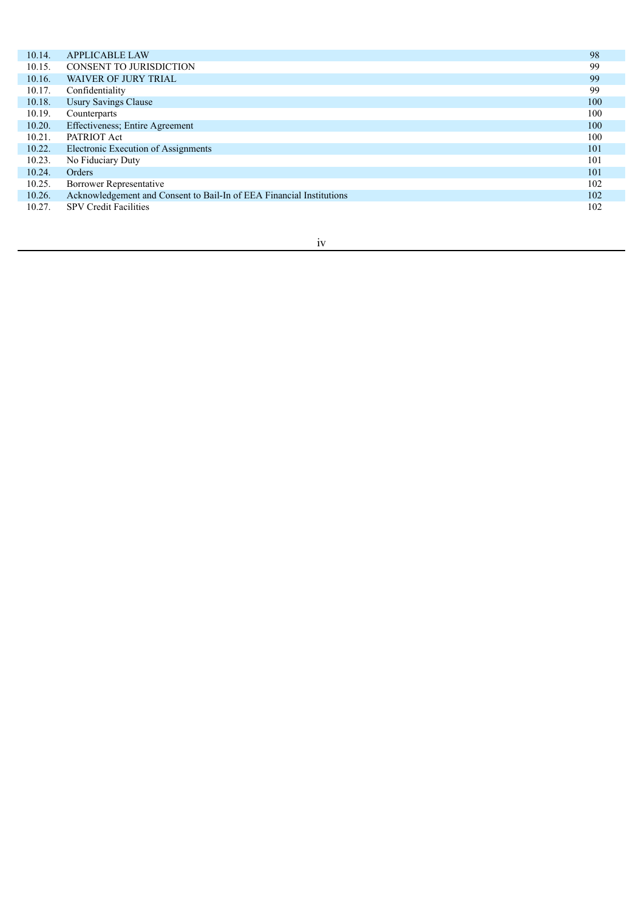| 10.14. | <b>APPLICABLE LAW</b>                                                | 98  |
|--------|----------------------------------------------------------------------|-----|
| 10.15. | <b>CONSENT TO JURISDICTION</b>                                       | 99  |
| 10.16. | <b>WAIVER OF JURY TRIAL</b>                                          | 99  |
| 10.17. | Confidentiality                                                      | 99  |
| 10.18. | <b>Usury Savings Clause</b>                                          | 100 |
| 10.19. | Counterparts                                                         | 100 |
| 10.20. | Effectiveness; Entire Agreement                                      | 100 |
| 10.21. | PATRIOT Act                                                          | 100 |
| 10.22. | Electronic Execution of Assignments                                  | 101 |
| 10.23. | No Fiduciary Duty                                                    | 101 |
| 10.24. | Orders                                                               | 101 |
| 10.25. | <b>Borrower Representative</b>                                       | 102 |
| 10.26. | Acknowledgement and Consent to Bail-In of EEA Financial Institutions | 102 |
| 10.27. | <b>SPV Credit Facilities</b>                                         | 102 |
|        |                                                                      |     |

# iv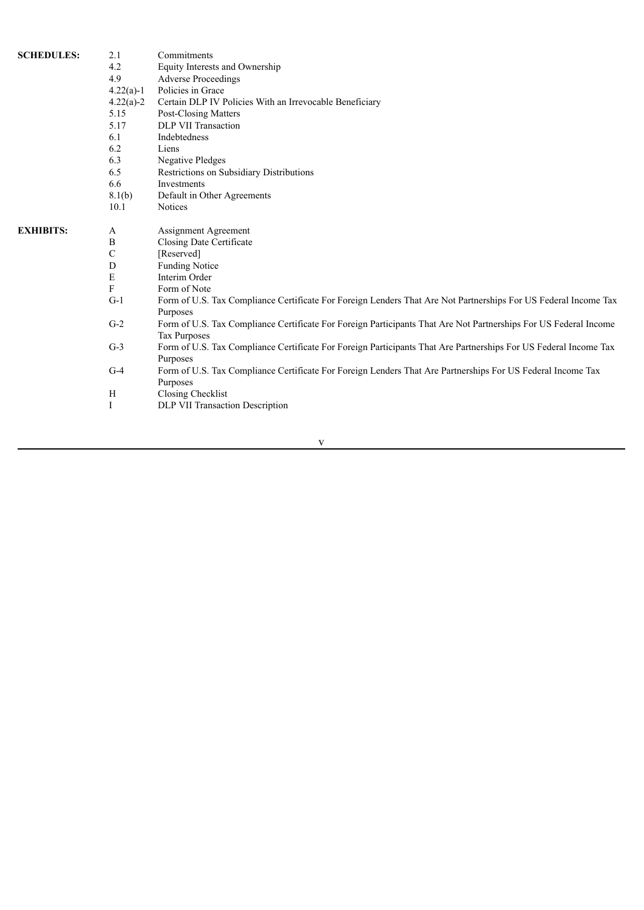| <b>SCHEDULES:</b> | 2.1         | Commitments                                                                                                                             |
|-------------------|-------------|-----------------------------------------------------------------------------------------------------------------------------------------|
|                   | 4.2         | Equity Interests and Ownership                                                                                                          |
|                   | 4.9         | <b>Adverse Proceedings</b>                                                                                                              |
|                   | $4.22(a)-1$ | Policies in Grace                                                                                                                       |
|                   | $4.22(a)-2$ | Certain DLP IV Policies With an Irrevocable Beneficiary                                                                                 |
|                   | 5.15        | Post-Closing Matters                                                                                                                    |
|                   | 5.17        | DLP VII Transaction                                                                                                                     |
|                   | 6.1         | Indebtedness                                                                                                                            |
|                   | 6.2         | Liens                                                                                                                                   |
|                   | 6.3         | <b>Negative Pledges</b>                                                                                                                 |
|                   | 6.5         | Restrictions on Subsidiary Distributions                                                                                                |
|                   | 6.6         | Investments                                                                                                                             |
|                   | 8.1(b)      | Default in Other Agreements                                                                                                             |
|                   | 10.1        | <b>Notices</b>                                                                                                                          |
| <b>EXHIBITS:</b>  | A           | Assignment Agreement                                                                                                                    |
|                   | B           | Closing Date Certificate                                                                                                                |
|                   | $\mathbf C$ | [Reserved]                                                                                                                              |
|                   | $\mathbf D$ | <b>Funding Notice</b>                                                                                                                   |
|                   | E           | Interim Order                                                                                                                           |
|                   | F           | Form of Note                                                                                                                            |
|                   | $G-1$       | Form of U.S. Tax Compliance Certificate For Foreign Lenders That Are Not Partnerships For US Federal Income Tax<br>Purposes             |
|                   | $G-2$       | Form of U.S. Tax Compliance Certificate For Foreign Participants That Are Not Partnerships For US Federal Income<br><b>Tax Purposes</b> |
|                   | $G-3$       | Form of U.S. Tax Compliance Certificate For Foreign Participants That Are Partnerships For US Federal Income Tax<br>Purposes            |
|                   | $G-4$       | Form of U.S. Tax Compliance Certificate For Foreign Lenders That Are Partnerships For US Federal Income Tax<br>Purposes                 |
|                   | H           | Closing Checklist                                                                                                                       |
|                   | I           | DLP VII Transaction Description                                                                                                         |
|                   |             |                                                                                                                                         |

v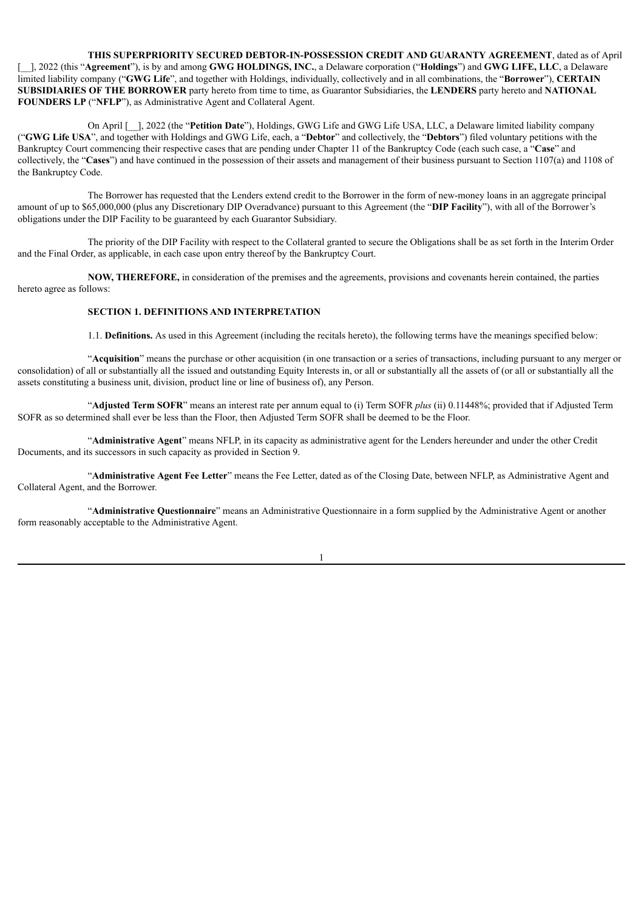**THIS SUPERPRIORITY SECURED DEBTOR-IN-POSSESSION CREDIT AND GUARANTY AGREEMENT**, dated as of April [\_\_], 2022 (this "**Agreement**"), is by and among **GWG HOLDINGS, INC.**, a Delaware corporation ("**Holdings**") and **GWG LIFE, LLC**, a Delaware limited liability company ("**GWG Life**", and together with Holdings, individually, collectively and in all combinations, the "**Borrower**"), **CERTAIN SUBSIDIARIES OF THE BORROWER** party hereto from time to time, as Guarantor Subsidiaries, the **LENDERS** party hereto and **NATIONAL FOUNDERS LP** ("**NFLP**"), as Administrative Agent and Collateral Agent.

On April [\_\_], 2022 (the "**Petition Date**"), Holdings, GWG Life and GWG Life USA, LLC, a Delaware limited liability company ("**GWG Life USA**", and together with Holdings and GWG Life, each, a "**Debtor**" and collectively, the "**Debtors**") filed voluntary petitions with the Bankruptcy Court commencing their respective cases that are pending under Chapter 11 of the Bankruptcy Code (each such case, a "**Case**" and collectively, the "**Cases**") and have continued in the possession of their assets and management of their business pursuant to Section 1107(a) and 1108 of the Bankruptcy Code.

The Borrower has requested that the Lenders extend credit to the Borrower in the form of new-money loans in an aggregate principal amount of up to \$65,000,000 (plus any Discretionary DIP Overadvance) pursuant to this Agreement (the "**DIP Facility**"), with all of the Borrower's obligations under the DIP Facility to be guaranteed by each Guarantor Subsidiary.

The priority of the DIP Facility with respect to the Collateral granted to secure the Obligations shall be as set forth in the Interim Order and the Final Order, as applicable, in each case upon entry thereof by the Bankruptcy Court.

**NOW, THEREFORE,** in consideration of the premises and the agreements, provisions and covenants herein contained, the parties hereto agree as follows:

## **SECTION 1. DEFINITIONS AND INTERPRETATION**

1.1. **Definitions.** As used in this Agreement (including the recitals hereto), the following terms have the meanings specified below:

"**Acquisition**" means the purchase or other acquisition (in one transaction or a series of transactions, including pursuant to any merger or consolidation) of all or substantially all the issued and outstanding Equity Interests in, or all or substantially all the assets of (or all or substantially all the assets constituting a business unit, division, product line or line of business of), any Person.

"**Adjusted Term SOFR**" means an interest rate per annum equal to (i) Term SOFR *plus* (ii) 0.11448%; provided that if Adjusted Term SOFR as so determined shall ever be less than the Floor, then Adjusted Term SOFR shall be deemed to be the Floor.

"**Administrative Agent**" means NFLP, in its capacity as administrative agent for the Lenders hereunder and under the other Credit Documents, and its successors in such capacity as provided in Section 9.

"**Administrative Agent Fee Letter**" means the Fee Letter, dated as of the Closing Date, between NFLP, as Administrative Agent and Collateral Agent, and the Borrower.

"**Administrative Questionnaire**" means an Administrative Questionnaire in a form supplied by the Administrative Agent or another form reasonably acceptable to the Administrative Agent.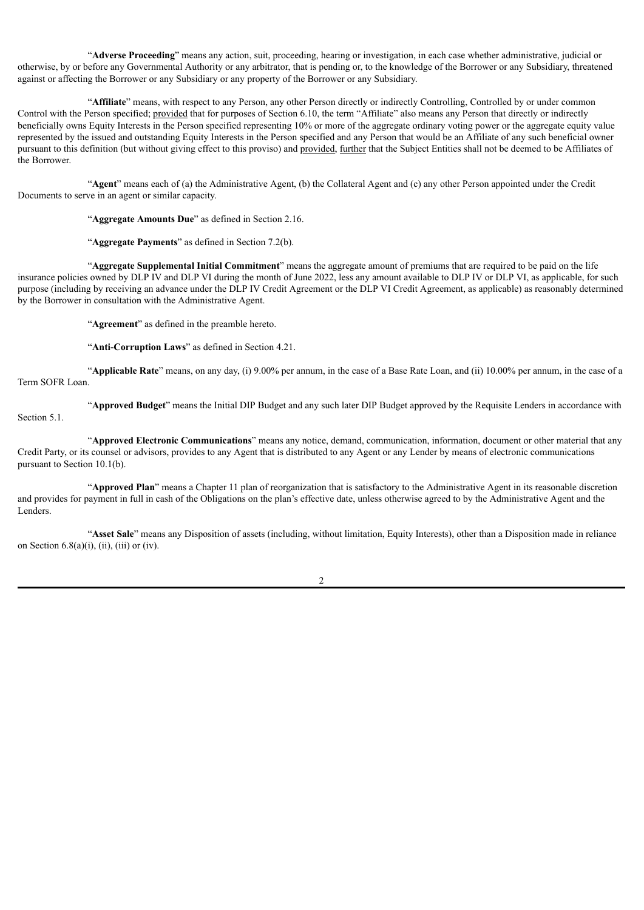"**Adverse Proceeding**" means any action, suit, proceeding, hearing or investigation, in each case whether administrative, judicial or otherwise, by or before any Governmental Authority or any arbitrator, that is pending or, to the knowledge of the Borrower or any Subsidiary, threatened against or affecting the Borrower or any Subsidiary or any property of the Borrower or any Subsidiary.

"**Affiliate**" means, with respect to any Person, any other Person directly or indirectly Controlling, Controlled by or under common Control with the Person specified; provided that for purposes of Section 6.10, the term "Affiliate" also means any Person that directly or indirectly beneficially owns Equity Interests in the Person specified representing 10% or more of the aggregate ordinary voting power or the aggregate equity value represented by the issued and outstanding Equity Interests in the Person specified and any Person that would be an Affiliate of any such beneficial owner pursuant to this definition (but without giving effect to this proviso) and provided, further that the Subject Entities shall not be deemed to be Affiliates of the Borrower.

"**Agent**" means each of (a) the Administrative Agent, (b) the Collateral Agent and (c) any other Person appointed under the Credit Documents to serve in an agent or similar capacity.

"**Aggregate Amounts Due**" as defined in Section 2.16.

"**Aggregate Payments**" as defined in Section 7.2(b).

"**Aggregate Supplemental Initial Commitment**" means the aggregate amount of premiums that are required to be paid on the life insurance policies owned by DLP IV and DLP VI during the month of June 2022, less any amount available to DLP IV or DLP VI, as applicable, for such purpose (including by receiving an advance under the DLP IV Credit Agreement or the DLP VI Credit Agreement, as applicable) as reasonably determined by the Borrower in consultation with the Administrative Agent.

"**Agreement**" as defined in the preamble hereto.

"**Anti-Corruption Laws**" as defined in Section 4.21.

"**Applicable Rate**" means, on any day, (i) 9.00% per annum, in the case of a Base Rate Loan, and (ii) 10.00% per annum, in the case of a Term SOFR Loan.

"**Approved Budget**" means the Initial DIP Budget and any such later DIP Budget approved by the Requisite Lenders in accordance with Section 5.1.

"**Approved Electronic Communications**" means any notice, demand, communication, information, document or other material that any Credit Party, or its counsel or advisors, provides to any Agent that is distributed to any Agent or any Lender by means of electronic communications pursuant to Section 10.1(b).

"**Approved Plan**" means a Chapter 11 plan of reorganization that is satisfactory to the Administrative Agent in its reasonable discretion and provides for payment in full in cash of the Obligations on the plan's effective date, unless otherwise agreed to by the Administrative Agent and the Lenders.

"**Asset Sale**" means any Disposition of assets (including, without limitation, Equity Interests), other than a Disposition made in reliance on Section  $6.8(a)(i)$ , (ii), (iii) or (iv).

 $\mathfrak{D}$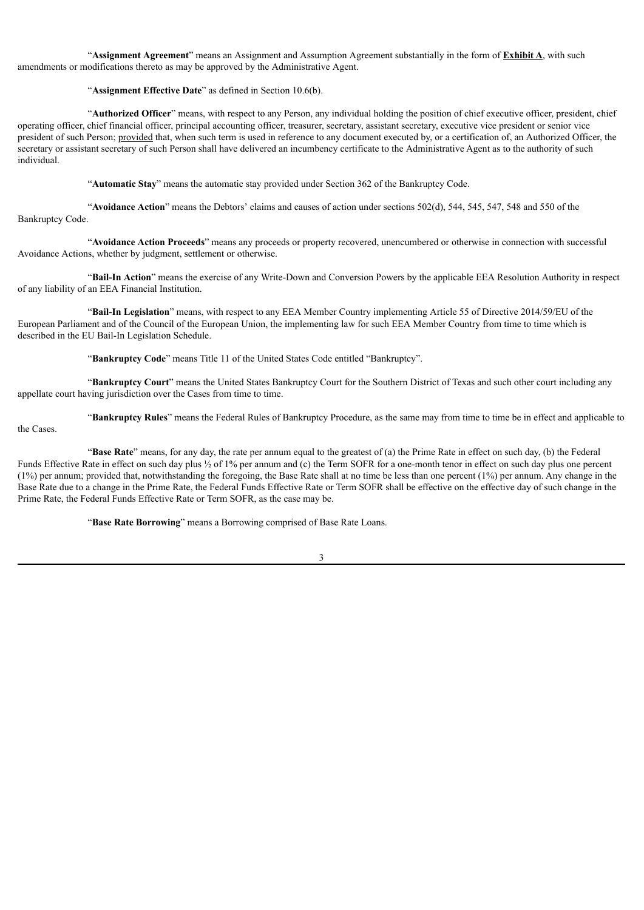"**Assignment Agreement**" means an Assignment and Assumption Agreement substantially in the form of **Exhibit A**, with such amendments or modifications thereto as may be approved by the Administrative Agent.

## "**Assignment Effective Date**" as defined in Section 10.6(b).

"**Authorized Officer**" means, with respect to any Person, any individual holding the position of chief executive officer, president, chief operating officer, chief financial officer, principal accounting officer, treasurer, secretary, assistant secretary, executive vice president or senior vice president of such Person; provided that, when such term is used in reference to any document executed by, or a certification of, an Authorized Officer, the secretary or assistant secretary of such Person shall have delivered an incumbency certificate to the Administrative Agent as to the authority of such individual.

"**Automatic Stay**" means the automatic stay provided under Section 362 of the Bankruptcy Code.

"**Avoidance Action**" means the Debtors' claims and causes of action under sections 502(d), 544, 545, 547, 548 and 550 of the Bankruptcy Code.

"**Avoidance Action Proceeds**" means any proceeds or property recovered, unencumbered or otherwise in connection with successful Avoidance Actions, whether by judgment, settlement or otherwise.

"**Bail-In Action**" means the exercise of any Write-Down and Conversion Powers by the applicable EEA Resolution Authority in respect of any liability of an EEA Financial Institution.

"**Bail-In Legislation**" means, with respect to any EEA Member Country implementing Article 55 of Directive 2014/59/EU of the European Parliament and of the Council of the European Union, the implementing law for such EEA Member Country from time to time which is described in the EU Bail-In Legislation Schedule.

"**Bankruptcy Code**" means Title 11 of the United States Code entitled "Bankruptcy".

"**Bankruptcy Court**" means the United States Bankruptcy Court for the Southern District of Texas and such other court including any appellate court having jurisdiction over the Cases from time to time.

"**Bankruptcy Rules**" means the Federal Rules of Bankruptcy Procedure, as the same may from time to time be in effect and applicable to

the Cases.

"**Base Rate**" means, for any day, the rate per annum equal to the greatest of (a) the Prime Rate in effect on such day, (b) the Federal Funds Effective Rate in effect on such day plus  $\frac{1}{2}$  of 1% per annum and (c) the Term SOFR for a one-month tenor in effect on such day plus one percent (1%) per annum; provided that, notwithstanding the foregoing, the Base Rate shall at no time be less than one percent (1%) per annum. Any change in the Base Rate due to a change in the Prime Rate, the Federal Funds Effective Rate or Term SOFR shall be effective on the effective day of such change in the Prime Rate, the Federal Funds Effective Rate or Term SOFR, as the case may be.

"**Base Rate Borrowing**" means a Borrowing comprised of Base Rate Loans.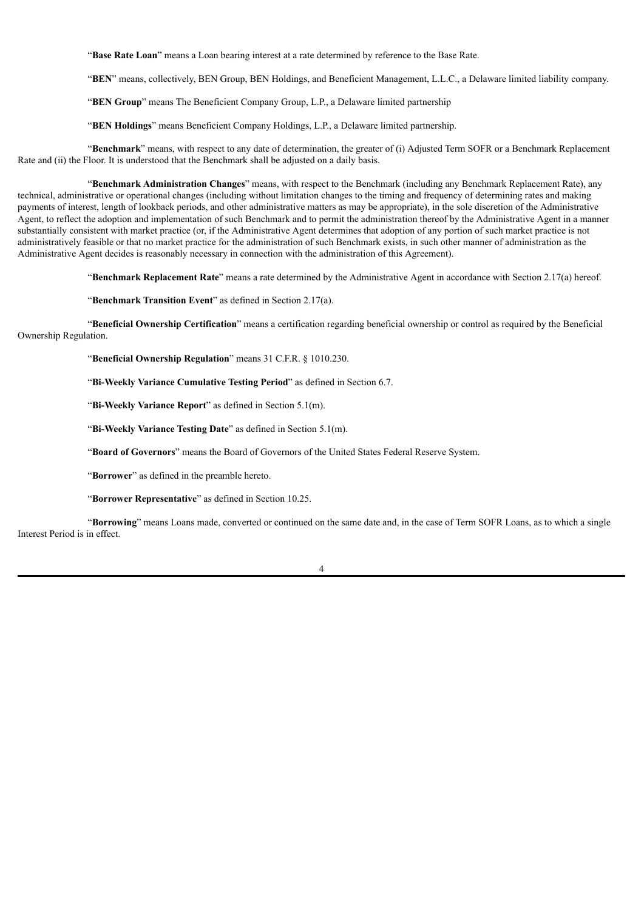"**Base Rate Loan**" means a Loan bearing interest at a rate determined by reference to the Base Rate.

"**BEN**" means, collectively, BEN Group, BEN Holdings, and Beneficient Management, L.L.C., a Delaware limited liability company.

"**BEN Group**" means The Beneficient Company Group, L.P., a Delaware limited partnership

"**BEN Holdings**" means Beneficient Company Holdings, L.P., a Delaware limited partnership.

"**Benchmark**" means, with respect to any date of determination, the greater of (i) Adjusted Term SOFR or a Benchmark Replacement Rate and (ii) the Floor. It is understood that the Benchmark shall be adjusted on a daily basis.

"**Benchmark Administration Changes**" means, with respect to the Benchmark (including any Benchmark Replacement Rate), any technical, administrative or operational changes (including without limitation changes to the timing and frequency of determining rates and making payments of interest, length of lookback periods, and other administrative matters as may be appropriate), in the sole discretion of the Administrative Agent, to reflect the adoption and implementation of such Benchmark and to permit the administration thereof by the Administrative Agent in a manner substantially consistent with market practice (or, if the Administrative Agent determines that adoption of any portion of such market practice is not administratively feasible or that no market practice for the administration of such Benchmark exists, in such other manner of administration as the Administrative Agent decides is reasonably necessary in connection with the administration of this Agreement).

"**Benchmark Replacement Rate**" means a rate determined by the Administrative Agent in accordance with Section 2.17(a) hereof.

"**Benchmark Transition Event**" as defined in Section 2.17(a).

"**Beneficial Ownership Certification**" means a certification regarding beneficial ownership or control as required by the Beneficial Ownership Regulation.

"**Beneficial Ownership Regulation**" means 31 C.F.R. § 1010.230.

"**Bi-Weekly Variance Cumulative Testing Period**" as defined in Section 6.7.

"**Bi-Weekly Variance Report**" as defined in Section 5.1(m).

"**Bi-Weekly Variance Testing Date**" as defined in Section 5.1(m).

"**Board of Governors**" means the Board of Governors of the United States Federal Reserve System.

"**Borrower**" as defined in the preamble hereto.

"**Borrower Representative**" as defined in Section 10.25.

"**Borrowing**" means Loans made, converted or continued on the same date and, in the case of Term SOFR Loans, as to which a single Interest Period is in effect.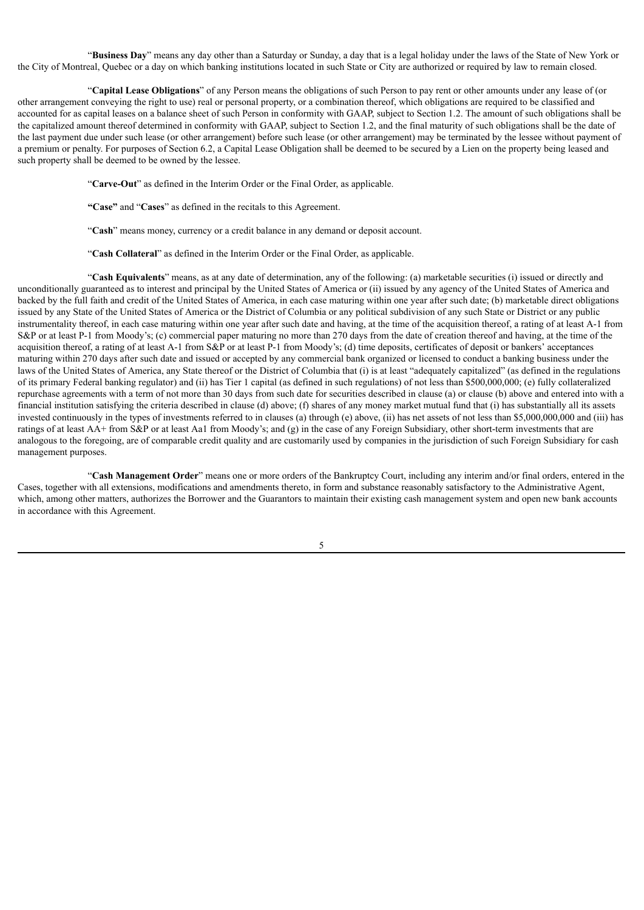"**Business Day**" means any day other than a Saturday or Sunday, a day that is a legal holiday under the laws of the State of New York or the City of Montreal, Quebec or a day on which banking institutions located in such State or City are authorized or required by law to remain closed.

"**Capital Lease Obligations**" of any Person means the obligations of such Person to pay rent or other amounts under any lease of (or other arrangement conveying the right to use) real or personal property, or a combination thereof, which obligations are required to be classified and accounted for as capital leases on a balance sheet of such Person in conformity with GAAP, subject to Section 1.2. The amount of such obligations shall be the capitalized amount thereof determined in conformity with GAAP, subject to Section 1.2, and the final maturity of such obligations shall be the date of the last payment due under such lease (or other arrangement) before such lease (or other arrangement) may be terminated by the lessee without payment of a premium or penalty. For purposes of Section 6.2, a Capital Lease Obligation shall be deemed to be secured by a Lien on the property being leased and such property shall be deemed to be owned by the lessee.

"**Carve-Out**" as defined in the Interim Order or the Final Order, as applicable.

**"Case"** and "**Cases**" as defined in the recitals to this Agreement.

"**Cash**" means money, currency or a credit balance in any demand or deposit account.

"**Cash Collateral**" as defined in the Interim Order or the Final Order, as applicable.

"**Cash Equivalents**" means, as at any date of determination, any of the following: (a) marketable securities (i) issued or directly and unconditionally guaranteed as to interest and principal by the United States of America or (ii) issued by any agency of the United States of America and backed by the full faith and credit of the United States of America, in each case maturing within one year after such date; (b) marketable direct obligations issued by any State of the United States of America or the District of Columbia or any political subdivision of any such State or District or any public instrumentality thereof, in each case maturing within one year after such date and having, at the time of the acquisition thereof, a rating of at least A-1 from S&P or at least P-1 from Moody's; (c) commercial paper maturing no more than 270 days from the date of creation thereof and having, at the time of the acquisition thereof, a rating of at least A-1 from S&P or at least P-1 from Moody's; (d) time deposits, certificates of deposit or bankers' acceptances maturing within 270 days after such date and issued or accepted by any commercial bank organized or licensed to conduct a banking business under the laws of the United States of America, any State thereof or the District of Columbia that (i) is at least "adequately capitalized" (as defined in the regulations of its primary Federal banking regulator) and (ii) has Tier 1 capital (as defined in such regulations) of not less than \$500,000,000; (e) fully collateralized repurchase agreements with a term of not more than 30 days from such date for securities described in clause (a) or clause (b) above and entered into with a financial institution satisfying the criteria described in clause (d) above; (f) shares of any money market mutual fund that (i) has substantially all its assets invested continuously in the types of investments referred to in clauses (a) through (e) above, (ii) has net assets of not less than \$5,000,000,000 and (iii) has ratings of at least AA+ from S&P or at least Aa1 from Moody's; and (g) in the case of any Foreign Subsidiary, other short-term investments that are analogous to the foregoing, are of comparable credit quality and are customarily used by companies in the jurisdiction of such Foreign Subsidiary for cash management purposes.

"**Cash Management Order**" means one or more orders of the Bankruptcy Court, including any interim and/or final orders, entered in the Cases, together with all extensions, modifications and amendments thereto, in form and substance reasonably satisfactory to the Administrative Agent, which, among other matters, authorizes the Borrower and the Guarantors to maintain their existing cash management system and open new bank accounts in accordance with this Agreement.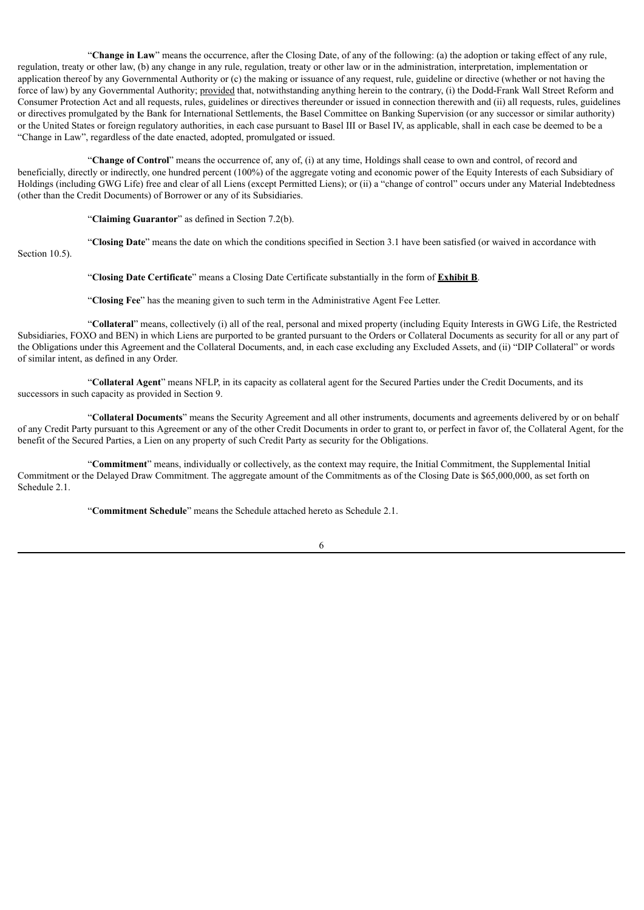"**Change in Law**" means the occurrence, after the Closing Date, of any of the following: (a) the adoption or taking effect of any rule, regulation, treaty or other law, (b) any change in any rule, regulation, treaty or other law or in the administration, interpretation, implementation or application thereof by any Governmental Authority or (c) the making or issuance of any request, rule, guideline or directive (whether or not having the force of law) by any Governmental Authority; provided that, notwithstanding anything herein to the contrary, (i) the Dodd-Frank Wall Street Reform and Consumer Protection Act and all requests, rules, guidelines or directives thereunder or issued in connection therewith and (ii) all requests, rules, guidelines or directives promulgated by the Bank for International Settlements, the Basel Committee on Banking Supervision (or any successor or similar authority) or the United States or foreign regulatory authorities, in each case pursuant to Basel III or Basel IV, as applicable, shall in each case be deemed to be a "Change in Law", regardless of the date enacted, adopted, promulgated or issued.

"**Change of Control**" means the occurrence of, any of, (i) at any time, Holdings shall cease to own and control, of record and beneficially, directly or indirectly, one hundred percent (100%) of the aggregate voting and economic power of the Equity Interests of each Subsidiary of Holdings (including GWG Life) free and clear of all Liens (except Permitted Liens); or (ii) a "change of control" occurs under any Material Indebtedness (other than the Credit Documents) of Borrower or any of its Subsidiaries.

"**Claiming Guarantor**" as defined in Section 7.2(b).

Section 10.5).

"**Closing Date**" means the date on which the conditions specified in Section 3.1 have been satisfied (or waived in accordance with

"**Closing Date Certificate**" means a Closing Date Certificate substantially in the form of **Exhibit B**.

"**Closing Fee**" has the meaning given to such term in the Administrative Agent Fee Letter.

"**Collateral**" means, collectively (i) all of the real, personal and mixed property (including Equity Interests in GWG Life, the Restricted Subsidiaries, FOXO and BEN) in which Liens are purported to be granted pursuant to the Orders or Collateral Documents as security for all or any part of the Obligations under this Agreement and the Collateral Documents, and, in each case excluding any Excluded Assets, and (ii) "DIP Collateral" or words of similar intent, as defined in any Order.

"**Collateral Agent**" means NFLP, in its capacity as collateral agent for the Secured Parties under the Credit Documents, and its successors in such capacity as provided in Section 9.

"**Collateral Documents**" means the Security Agreement and all other instruments, documents and agreements delivered by or on behalf of any Credit Party pursuant to this Agreement or any of the other Credit Documents in order to grant to, or perfect in favor of, the Collateral Agent, for the benefit of the Secured Parties, a Lien on any property of such Credit Party as security for the Obligations.

"**Commitment**" means, individually or collectively, as the context may require, the Initial Commitment, the Supplemental Initial Commitment or the Delayed Draw Commitment. The aggregate amount of the Commitments as of the Closing Date is \$65,000,000, as set forth on Schedule 2.1.

"**Commitment Schedule**" means the Schedule attached hereto as Schedule 2.1.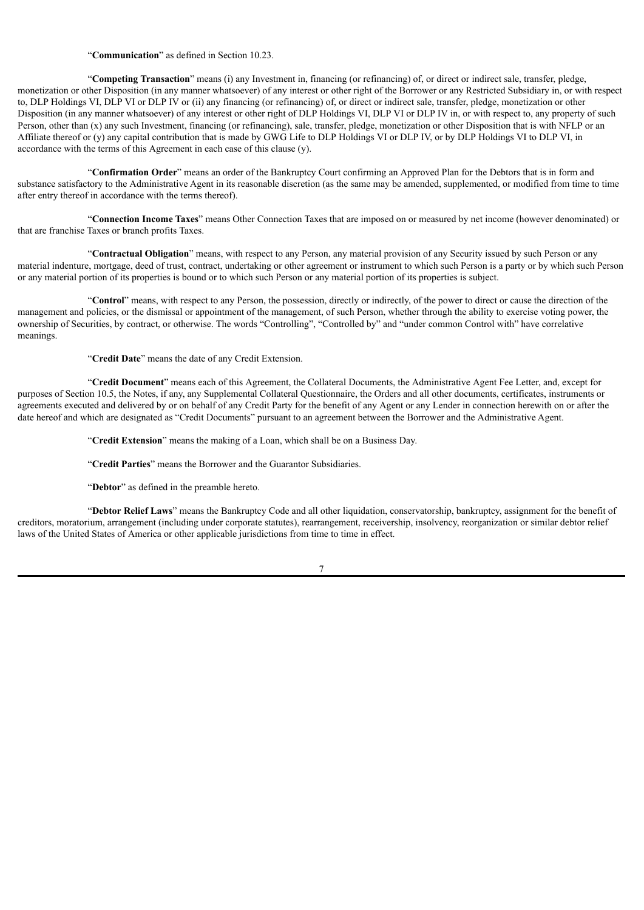"**Communication**" as defined in Section 10.23.

"**Competing Transaction**" means (i) any Investment in, financing (or refinancing) of, or direct or indirect sale, transfer, pledge, monetization or other Disposition (in any manner whatsoever) of any interest or other right of the Borrower or any Restricted Subsidiary in, or with respect to, DLP Holdings VI, DLP VI or DLP IV or (ii) any financing (or refinancing) of, or direct or indirect sale, transfer, pledge, monetization or other Disposition (in any manner whatsoever) of any interest or other right of DLP Holdings VI, DLP VI or DLP IV in, or with respect to, any property of such Person, other than (x) any such Investment, financing (or refinancing), sale, transfer, pledge, monetization or other Disposition that is with NFLP or an Affiliate thereof or (y) any capital contribution that is made by GWG Life to DLP Holdings VI or DLP IV, or by DLP Holdings VI to DLP VI, in accordance with the terms of this Agreement in each case of this clause (y).

"**Confirmation Order**" means an order of the Bankruptcy Court confirming an Approved Plan for the Debtors that is in form and substance satisfactory to the Administrative Agent in its reasonable discretion (as the same may be amended, supplemented, or modified from time to time after entry thereof in accordance with the terms thereof).

"**Connection Income Taxes**" means Other Connection Taxes that are imposed on or measured by net income (however denominated) or that are franchise Taxes or branch profits Taxes.

"**Contractual Obligation**" means, with respect to any Person, any material provision of any Security issued by such Person or any material indenture, mortgage, deed of trust, contract, undertaking or other agreement or instrument to which such Person is a party or by which such Person or any material portion of its properties is bound or to which such Person or any material portion of its properties is subject.

"**Control**" means, with respect to any Person, the possession, directly or indirectly, of the power to direct or cause the direction of the management and policies, or the dismissal or appointment of the management, of such Person, whether through the ability to exercise voting power, the ownership of Securities, by contract, or otherwise. The words "Controlling", "Controlled by" and "under common Control with" have correlative meanings.

"**Credit Date**" means the date of any Credit Extension.

"**Credit Document**" means each of this Agreement, the Collateral Documents, the Administrative Agent Fee Letter, and, except for purposes of Section 10.5, the Notes, if any, any Supplemental Collateral Questionnaire, the Orders and all other documents, certificates, instruments or agreements executed and delivered by or on behalf of any Credit Party for the benefit of any Agent or any Lender in connection herewith on or after the date hereof and which are designated as "Credit Documents" pursuant to an agreement between the Borrower and the Administrative Agent.

"**Credit Extension**" means the making of a Loan, which shall be on a Business Day.

"**Credit Parties**" means the Borrower and the Guarantor Subsidiaries.

"**Debtor**" as defined in the preamble hereto.

"**Debtor Relief Laws**" means the Bankruptcy Code and all other liquidation, conservatorship, bankruptcy, assignment for the benefit of creditors, moratorium, arrangement (including under corporate statutes), rearrangement, receivership, insolvency, reorganization or similar debtor relief laws of the United States of America or other applicable jurisdictions from time to time in effect.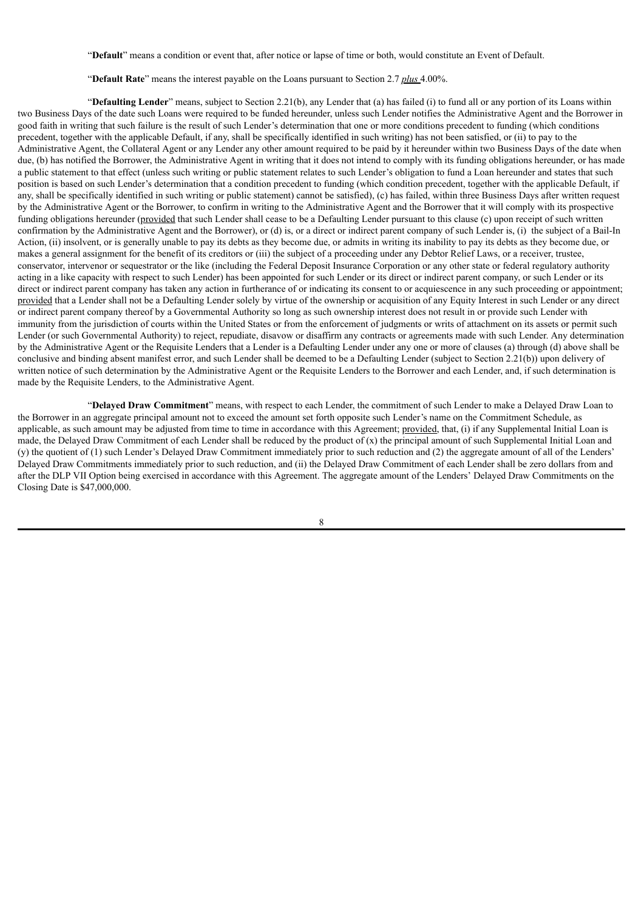"**Default**" means a condition or event that, after notice or lapse of time or both, would constitute an Event of Default.

"**Default Rate**" means the interest payable on the Loans pursuant to Section 2.7 *plus* 4.00%.

"**Defaulting Lender**" means, subject to Section 2.21(b), any Lender that (a) has failed (i) to fund all or any portion of its Loans within two Business Days of the date such Loans were required to be funded hereunder, unless such Lender notifies the Administrative Agent and the Borrower in good faith in writing that such failure is the result of such Lender's determination that one or more conditions precedent to funding (which conditions precedent, together with the applicable Default, if any, shall be specifically identified in such writing) has not been satisfied, or (ii) to pay to the Administrative Agent, the Collateral Agent or any Lender any other amount required to be paid by it hereunder within two Business Days of the date when due, (b) has notified the Borrower, the Administrative Agent in writing that it does not intend to comply with its funding obligations hereunder, or has made a public statement to that effect (unless such writing or public statement relates to such Lender's obligation to fund a Loan hereunder and states that such position is based on such Lender's determination that a condition precedent to funding (which condition precedent, together with the applicable Default, if any, shall be specifically identified in such writing or public statement) cannot be satisfied), (c) has failed, within three Business Days after written request by the Administrative Agent or the Borrower, to confirm in writing to the Administrative Agent and the Borrower that it will comply with its prospective funding obligations hereunder (provided that such Lender shall cease to be a Defaulting Lender pursuant to this clause (c) upon receipt of such written confirmation by the Administrative Agent and the Borrower), or (d) is, or a direct or indirect parent company of such Lender is, (i) the subject of a Bail-In Action, (ii) insolvent, or is generally unable to pay its debts as they become due, or admits in writing its inability to pay its debts as they become due, or makes a general assignment for the benefit of its creditors or (iii) the subject of a proceeding under any Debtor Relief Laws, or a receiver, trustee, conservator, intervenor or sequestrator or the like (including the Federal Deposit Insurance Corporation or any other state or federal regulatory authority acting in a like capacity with respect to such Lender) has been appointed for such Lender or its direct or indirect parent company, or such Lender or its direct or indirect parent company has taken any action in furtherance of or indicating its consent to or acquiescence in any such proceeding or appointment; provided that a Lender shall not be a Defaulting Lender solely by virtue of the ownership or acquisition of any Equity Interest in such Lender or any direct or indirect parent company thereof by a Governmental Authority so long as such ownership interest does not result in or provide such Lender with immunity from the jurisdiction of courts within the United States or from the enforcement of judgments or writs of attachment on its assets or permit such Lender (or such Governmental Authority) to reject, repudiate, disavow or disaffirm any contracts or agreements made with such Lender. Any determination by the Administrative Agent or the Requisite Lenders that a Lender is a Defaulting Lender under any one or more of clauses (a) through (d) above shall be conclusive and binding absent manifest error, and such Lender shall be deemed to be a Defaulting Lender (subject to Section 2.21(b)) upon delivery of written notice of such determination by the Administrative Agent or the Requisite Lenders to the Borrower and each Lender, and, if such determination is made by the Requisite Lenders, to the Administrative Agent.

"**Delayed Draw Commitment**" means, with respect to each Lender, the commitment of such Lender to make a Delayed Draw Loan to the Borrower in an aggregate principal amount not to exceed the amount set forth opposite such Lender's name on the Commitment Schedule, as applicable, as such amount may be adjusted from time to time in accordance with this Agreement; provided, that, (i) if any Supplemental Initial Loan is made, the Delayed Draw Commitment of each Lender shall be reduced by the product of  $(x)$  the principal amount of such Supplemental Initial Loan and (y) the quotient of (1) such Lender's Delayed Draw Commitment immediately prior to such reduction and (2) the aggregate amount of all of the Lenders' Delayed Draw Commitments immediately prior to such reduction, and (ii) the Delayed Draw Commitment of each Lender shall be zero dollars from and after the DLP VII Option being exercised in accordance with this Agreement. The aggregate amount of the Lenders' Delayed Draw Commitments on the Closing Date is \$47,000,000.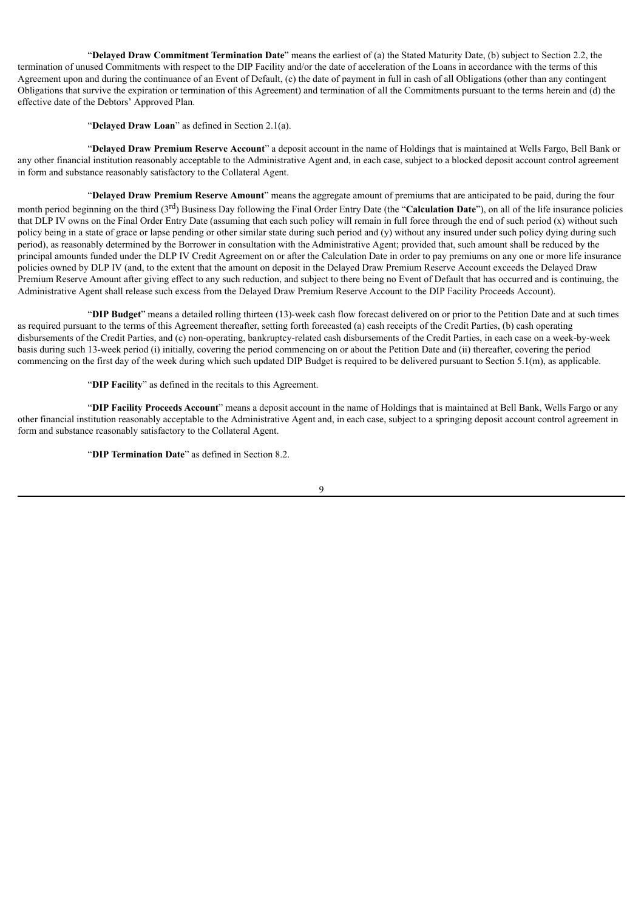"**Delayed Draw Commitment Termination Date**" means the earliest of (a) the Stated Maturity Date, (b) subject to Section 2.2, the termination of unused Commitments with respect to the DIP Facility and/or the date of acceleration of the Loans in accordance with the terms of this Agreement upon and during the continuance of an Event of Default, (c) the date of payment in full in cash of all Obligations (other than any contingent Obligations that survive the expiration or termination of this Agreement) and termination of all the Commitments pursuant to the terms herein and (d) the effective date of the Debtors' Approved Plan.

"**Delayed Draw Loan**" as defined in Section 2.1(a).

"**Delayed Draw Premium Reserve Account**" a deposit account in the name of Holdings that is maintained at Wells Fargo, Bell Bank or any other financial institution reasonably acceptable to the Administrative Agent and, in each case, subject to a blocked deposit account control agreement in form and substance reasonably satisfactory to the Collateral Agent.

"**Delayed Draw Premium Reserve Amount**" means the aggregate amount of premiums that are anticipated to be paid, during the four month period beginning on the third (3<sup>rd</sup>) Business Day following the Final Order Entry Date (the "**Calculation Date**"), on all of the life insurance policies that DLP IV owns on the Final Order Entry Date (assuming that each such policy will remain in full force through the end of such period (x) without such policy being in a state of grace or lapse pending or other similar state during such period and (y) without any insured under such policy dying during such period), as reasonably determined by the Borrower in consultation with the Administrative Agent; provided that, such amount shall be reduced by the principal amounts funded under the DLP IV Credit Agreement on or after the Calculation Date in order to pay premiums on any one or more life insurance policies owned by DLP IV (and, to the extent that the amount on deposit in the Delayed Draw Premium Reserve Account exceeds the Delayed Draw Premium Reserve Amount after giving effect to any such reduction, and subject to there being no Event of Default that has occurred and is continuing, the Administrative Agent shall release such excess from the Delayed Draw Premium Reserve Account to the DIP Facility Proceeds Account).

"**DIP Budget**" means a detailed rolling thirteen (13)-week cash flow forecast delivered on or prior to the Petition Date and at such times as required pursuant to the terms of this Agreement thereafter, setting forth forecasted (a) cash receipts of the Credit Parties, (b) cash operating disbursements of the Credit Parties, and (c) non-operating, bankruptcy-related cash disbursements of the Credit Parties, in each case on a week-by-week basis during such 13-week period (i) initially, covering the period commencing on or about the Petition Date and (ii) thereafter, covering the period commencing on the first day of the week during which such updated DIP Budget is required to be delivered pursuant to Section 5.1(m), as applicable.

"**DIP Facility**" as defined in the recitals to this Agreement.

"**DIP Facility Proceeds Account**" means a deposit account in the name of Holdings that is maintained at Bell Bank, Wells Fargo or any other financial institution reasonably acceptable to the Administrative Agent and, in each case, subject to a springing deposit account control agreement in form and substance reasonably satisfactory to the Collateral Agent.

"**DIP Termination Date**" as defined in Section 8.2.

 $\overline{Q}$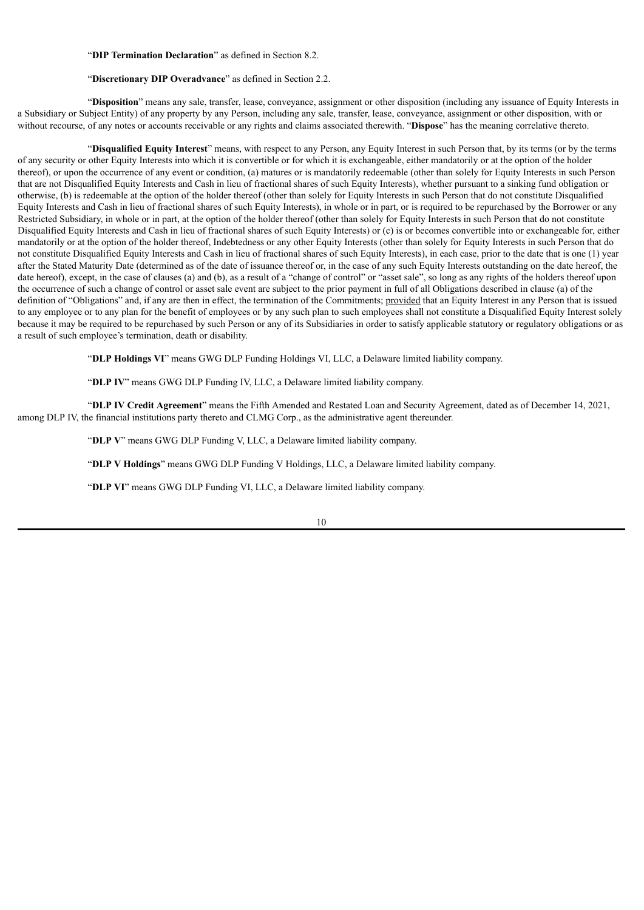## "**DIP Termination Declaration**" as defined in Section 8.2.

## "**Discretionary DIP Overadvance**" as defined in Section 2.2.

"**Disposition**" means any sale, transfer, lease, conveyance, assignment or other disposition (including any issuance of Equity Interests in a Subsidiary or Subject Entity) of any property by any Person, including any sale, transfer, lease, conveyance, assignment or other disposition, with or without recourse, of any notes or accounts receivable or any rights and claims associated therewith. "**Dispose**" has the meaning correlative thereto.

"**Disqualified Equity Interest**" means, with respect to any Person, any Equity Interest in such Person that, by its terms (or by the terms of any security or other Equity Interests into which it is convertible or for which it is exchangeable, either mandatorily or at the option of the holder thereof), or upon the occurrence of any event or condition, (a) matures or is mandatorily redeemable (other than solely for Equity Interests in such Person that are not Disqualified Equity Interests and Cash in lieu of fractional shares of such Equity Interests), whether pursuant to a sinking fund obligation or otherwise, (b) is redeemable at the option of the holder thereof (other than solely for Equity Interests in such Person that do not constitute Disqualified Equity Interests and Cash in lieu of fractional shares of such Equity Interests), in whole or in part, or is required to be repurchased by the Borrower or any Restricted Subsidiary, in whole or in part, at the option of the holder thereof (other than solely for Equity Interests in such Person that do not constitute Disqualified Equity Interests and Cash in lieu of fractional shares of such Equity Interests) or (c) is or becomes convertible into or exchangeable for, either mandatorily or at the option of the holder thereof, Indebtedness or any other Equity Interests (other than solely for Equity Interests in such Person that do not constitute Disqualified Equity Interests and Cash in lieu of fractional shares of such Equity Interests), in each case, prior to the date that is one (1) year after the Stated Maturity Date (determined as of the date of issuance thereof or, in the case of any such Equity Interests outstanding on the date hereof, the date hereof), except, in the case of clauses (a) and (b), as a result of a "change of control" or "asset sale", so long as any rights of the holders thereof upon the occurrence of such a change of control or asset sale event are subject to the prior payment in full of all Obligations described in clause (a) of the definition of "Obligations" and, if any are then in effect, the termination of the Commitments; provided that an Equity Interest in any Person that is issued to any employee or to any plan for the benefit of employees or by any such plan to such employees shall not constitute a Disqualified Equity Interest solely because it may be required to be repurchased by such Person or any of its Subsidiaries in order to satisfy applicable statutory or regulatory obligations or as a result of such employee's termination, death or disability.

"**DLP Holdings VI**" means GWG DLP Funding Holdings VI, LLC, a Delaware limited liability company.

"**DLP IV**" means GWG DLP Funding IV, LLC, a Delaware limited liability company.

"**DLP IV Credit Agreement**" means the Fifth Amended and Restated Loan and Security Agreement, dated as of December 14, 2021, among DLP IV, the financial institutions party thereto and CLMG Corp., as the administrative agent thereunder.

"**DLP V**" means GWG DLP Funding V, LLC, a Delaware limited liability company.

"**DLP V Holdings**" means GWG DLP Funding V Holdings, LLC, a Delaware limited liability company.

"**DLP VI**" means GWG DLP Funding VI, LLC, a Delaware limited liability company.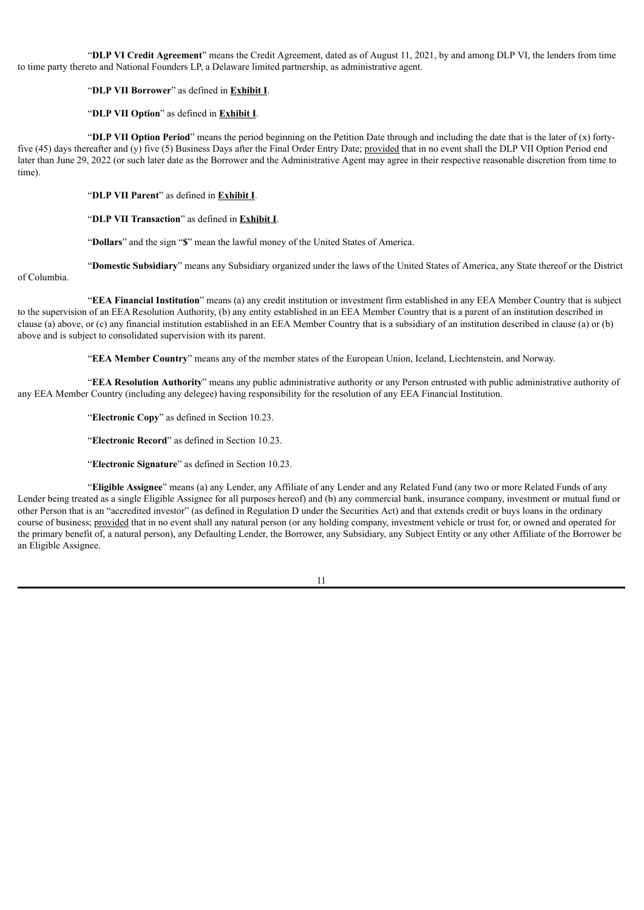"**DLP VI Credit Agreement**" means the Credit Agreement, dated as of August 11, 2021, by and among DLP VI, the lenders from time to time party thereto and National Founders LP, a Delaware limited partnership, as administrative agent.

## "**DLP VII Borrower**" as defined in **Exhibit I**.

## "**DLP VII Option**" as defined in **Exhibit I**.

"**DLP VII Option Period**" means the period beginning on the Petition Date through and including the date that is the later of (x) fortyfive (45) days thereafter and (y) five (5) Business Days after the Final Order Entry Date; provided that in no event shall the DLP VII Option Period end later than June 29, 2022 (or such later date as the Borrower and the Administrative Agent may agree in their respective reasonable discretion from time to time).

"**DLP VII Parent**" as defined in **Exhibit I**.

"**DLP VII Transaction**" as defined in **Exhibit I**.

"**Dollars**" and the sign "**\$**" mean the lawful money of the United States of America.

"**Domestic Subsidiary**" means any Subsidiary organized under the laws of the United States of America, any State thereof or the District

of Columbia.

"**EEA Financial Institution**" means (a) any credit institution or investment firm established in any EEA Member Country that is subject to the supervision of an EEA Resolution Authority, (b) any entity established in an EEA Member Country that is a parent of an institution described in clause (a) above, or (c) any financial institution established in an EEA Member Country that is a subsidiary of an institution described in clause (a) or (b) above and is subject to consolidated supervision with its parent.

"**EEA Member Country**" means any of the member states of the European Union, Iceland, Liechtenstein, and Norway.

"**EEA Resolution Authority**" means any public administrative authority or any Person entrusted with public administrative authority of any EEA Member Country (including any delegee) having responsibility for the resolution of any EEA Financial Institution.

"**Electronic Copy**" as defined in Section 10.23.

"**Electronic Record**" as defined in Section 10.23.

"**Electronic Signature**" as defined in Section 10.23.

"**Eligible Assignee**" means (a) any Lender, any Affiliate of any Lender and any Related Fund (any two or more Related Funds of any Lender being treated as a single Eligible Assignee for all purposes hereof) and (b) any commercial bank, insurance company, investment or mutual fund or other Person that is an "accredited investor" (as defined in Regulation D under the Securities Act) and that extends credit or buys loans in the ordinary course of business; provided that in no event shall any natural person (or any holding company, investment vehicle or trust for, or owned and operated for the primary benefit of, a natural person), any Defaulting Lender, the Borrower, any Subsidiary, any Subject Entity or any other Affiliate of the Borrower be an Eligible Assignee.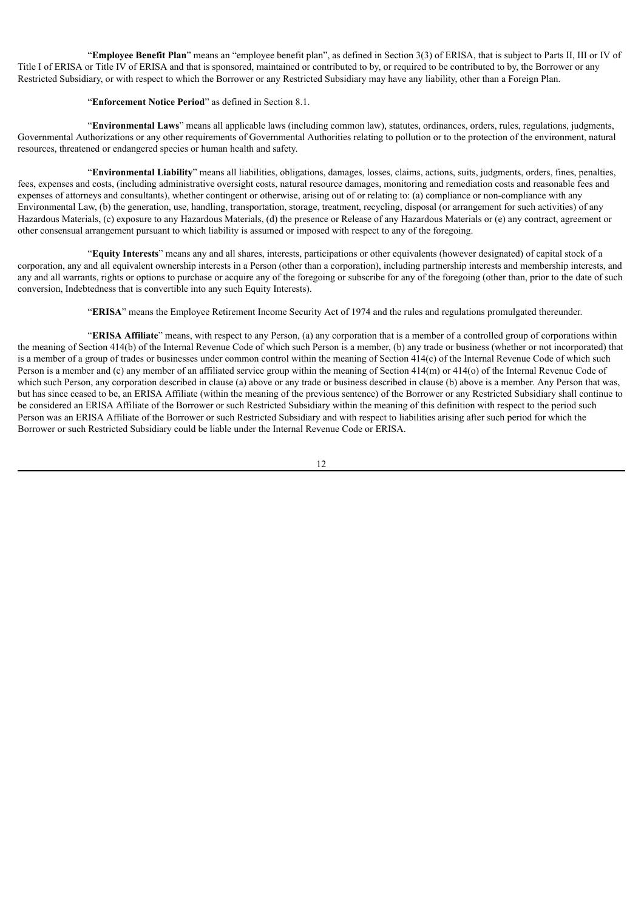"**Employee Benefit Plan**" means an "employee benefit plan", as defined in Section 3(3) of ERISA, that is subject to Parts II, III or IV of Title I of ERISA or Title IV of ERISA and that is sponsored, maintained or contributed to by, or required to be contributed to by, the Borrower or any Restricted Subsidiary, or with respect to which the Borrower or any Restricted Subsidiary may have any liability, other than a Foreign Plan.

## "**Enforcement Notice Period**" as defined in Section 8.1.

"**Environmental Laws**" means all applicable laws (including common law), statutes, ordinances, orders, rules, regulations, judgments, Governmental Authorizations or any other requirements of Governmental Authorities relating to pollution or to the protection of the environment, natural resources, threatened or endangered species or human health and safety.

"**Environmental Liability**" means all liabilities, obligations, damages, losses, claims, actions, suits, judgments, orders, fines, penalties, fees, expenses and costs, (including administrative oversight costs, natural resource damages, monitoring and remediation costs and reasonable fees and expenses of attorneys and consultants), whether contingent or otherwise, arising out of or relating to: (a) compliance or non-compliance with any Environmental Law, (b) the generation, use, handling, transportation, storage, treatment, recycling, disposal (or arrangement for such activities) of any Hazardous Materials, (c) exposure to any Hazardous Materials, (d) the presence or Release of any Hazardous Materials or (e) any contract, agreement or other consensual arrangement pursuant to which liability is assumed or imposed with respect to any of the foregoing.

"**Equity Interests**" means any and all shares, interests, participations or other equivalents (however designated) of capital stock of a corporation, any and all equivalent ownership interests in a Person (other than a corporation), including partnership interests and membership interests, and any and all warrants, rights or options to purchase or acquire any of the foregoing or subscribe for any of the foregoing (other than, prior to the date of such conversion, Indebtedness that is convertible into any such Equity Interests).

"**ERISA**" means the Employee Retirement Income Security Act of 1974 and the rules and regulations promulgated thereunder.

"**ERISA Affiliate**" means, with respect to any Person, (a) any corporation that is a member of a controlled group of corporations within the meaning of Section 414(b) of the Internal Revenue Code of which such Person is a member, (b) any trade or business (whether or not incorporated) that is a member of a group of trades or businesses under common control within the meaning of Section 414(c) of the Internal Revenue Code of which such Person is a member and (c) any member of an affiliated service group within the meaning of Section 414(m) or 414(o) of the Internal Revenue Code of which such Person, any corporation described in clause (a) above or any trade or business described in clause (b) above is a member. Any Person that was, but has since ceased to be, an ERISA Affiliate (within the meaning of the previous sentence) of the Borrower or any Restricted Subsidiary shall continue to be considered an ERISA Affiliate of the Borrower or such Restricted Subsidiary within the meaning of this definition with respect to the period such Person was an ERISA Affiliate of the Borrower or such Restricted Subsidiary and with respect to liabilities arising after such period for which the Borrower or such Restricted Subsidiary could be liable under the Internal Revenue Code or ERISA.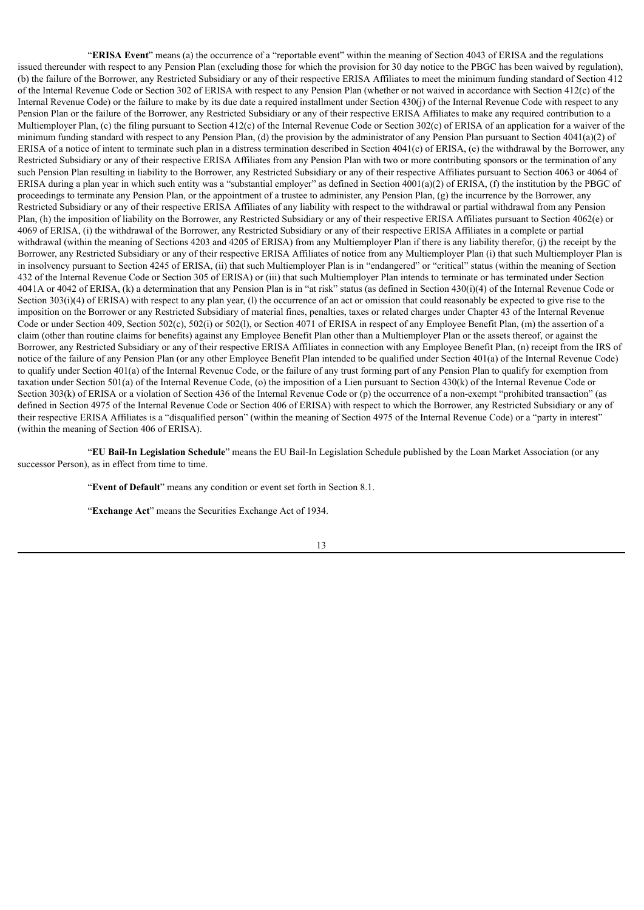"**ERISA Event**" means (a) the occurrence of a "reportable event" within the meaning of Section 4043 of ERISA and the regulations issued thereunder with respect to any Pension Plan (excluding those for which the provision for 30 day notice to the PBGC has been waived by regulation), (b) the failure of the Borrower, any Restricted Subsidiary or any of their respective ERISA Affiliates to meet the minimum funding standard of Section 412 of the Internal Revenue Code or Section 302 of ERISA with respect to any Pension Plan (whether or not waived in accordance with Section 412(c) of the Internal Revenue Code) or the failure to make by its due date a required installment under Section 430(j) of the Internal Revenue Code with respect to any Pension Plan or the failure of the Borrower, any Restricted Subsidiary or any of their respective ERISA Affiliates to make any required contribution to a Multiemployer Plan, (c) the filing pursuant to Section 412(c) of the Internal Revenue Code or Section 302(c) of ERISA of an application for a waiver of the minimum funding standard with respect to any Pension Plan, (d) the provision by the administrator of any Pension Plan pursuant to Section 4041(a)(2) of ERISA of a notice of intent to terminate such plan in a distress termination described in Section 4041(c) of ERISA, (e) the withdrawal by the Borrower, any Restricted Subsidiary or any of their respective ERISA Affiliates from any Pension Plan with two or more contributing sponsors or the termination of any such Pension Plan resulting in liability to the Borrower, any Restricted Subsidiary or any of their respective Affiliates pursuant to Section 4063 or 4064 of ERISA during a plan year in which such entity was a "substantial employer" as defined in Section 4001(a)(2) of ERISA, (f) the institution by the PBGC of proceedings to terminate any Pension Plan, or the appointment of a trustee to administer, any Pension Plan, (g) the incurrence by the Borrower, any Restricted Subsidiary or any of their respective ERISA Affiliates of any liability with respect to the withdrawal or partial withdrawal from any Pension Plan, (h) the imposition of liability on the Borrower, any Restricted Subsidiary or any of their respective ERISA Affiliates pursuant to Section 4062(e) or 4069 of ERISA, (i) the withdrawal of the Borrower, any Restricted Subsidiary or any of their respective ERISA Affiliates in a complete or partial withdrawal (within the meaning of Sections 4203 and 4205 of ERISA) from any Multiemployer Plan if there is any liability therefor, (j) the receipt by the Borrower, any Restricted Subsidiary or any of their respective ERISA Affiliates of notice from any Multiemployer Plan (i) that such Multiemployer Plan is in insolvency pursuant to Section 4245 of ERISA, (ii) that such Multiemployer Plan is in "endangered" or "critical" status (within the meaning of Section 432 of the Internal Revenue Code or Section 305 of ERISA) or (iii) that such Multiemployer Plan intends to terminate or has terminated under Section 4041A or 4042 of ERISA, (k) a determination that any Pension Plan is in "at risk" status (as defined in Section 430(i)(4) of the Internal Revenue Code or Section 303(i)(4) of ERISA) with respect to any plan year, (1) the occurrence of an act or omission that could reasonably be expected to give rise to the imposition on the Borrower or any Restricted Subsidiary of material fines, penalties, taxes or related charges under Chapter 43 of the Internal Revenue Code or under Section 409, Section 502(c), 502(i) or 502(l), or Section 4071 of ERISA in respect of any Employee Benefit Plan, (m) the assertion of a claim (other than routine claims for benefits) against any Employee Benefit Plan other than a Multiemployer Plan or the assets thereof, or against the Borrower, any Restricted Subsidiary or any of their respective ERISA Affiliates in connection with any Employee Benefit Plan, (n) receipt from the IRS of notice of the failure of any Pension Plan (or any other Employee Benefit Plan intended to be qualified under Section 401(a) of the Internal Revenue Code) to qualify under Section 401(a) of the Internal Revenue Code, or the failure of any trust forming part of any Pension Plan to qualify for exemption from taxation under Section 501(a) of the Internal Revenue Code, (o) the imposition of a Lien pursuant to Section 430(k) of the Internal Revenue Code or Section 303(k) of ERISA or a violation of Section 436 of the Internal Revenue Code or (p) the occurrence of a non-exempt "prohibited transaction" (as defined in Section 4975 of the Internal Revenue Code or Section 406 of ERISA) with respect to which the Borrower, any Restricted Subsidiary or any of their respective ERISA Affiliates is a "disqualified person" (within the meaning of Section 4975 of the Internal Revenue Code) or a "party in interest" (within the meaning of Section 406 of ERISA).

"**EU Bail-In Legislation Schedule**" means the EU Bail-In Legislation Schedule published by the Loan Market Association (or any successor Person), as in effect from time to time.

"**Event of Default**" means any condition or event set forth in Section 8.1.

"**Exchange Act**" means the Securities Exchange Act of 1934.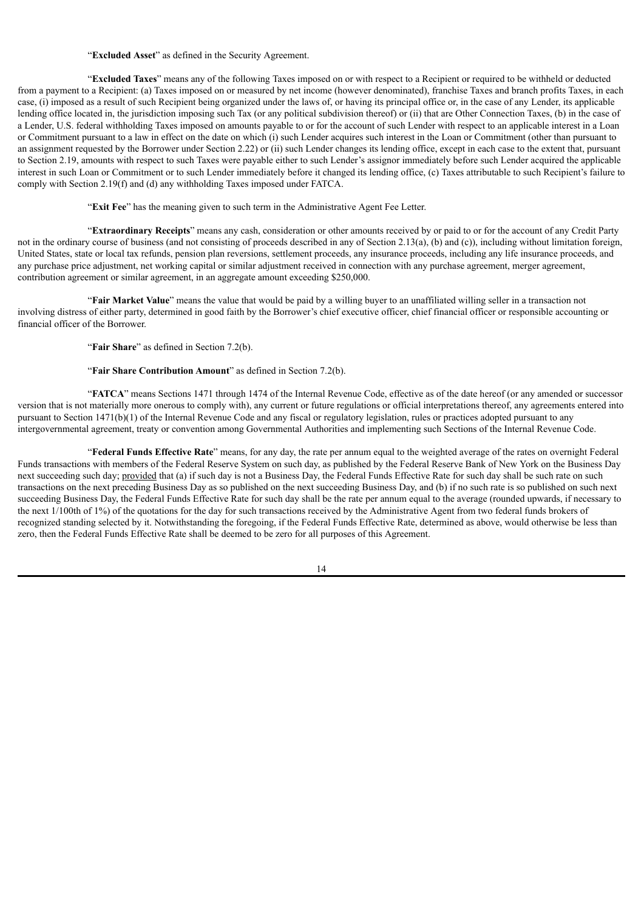## "**Excluded Asset**" as defined in the Security Agreement.

"**Excluded Taxes**" means any of the following Taxes imposed on or with respect to a Recipient or required to be withheld or deducted from a payment to a Recipient: (a) Taxes imposed on or measured by net income (however denominated), franchise Taxes and branch profits Taxes, in each case, (i) imposed as a result of such Recipient being organized under the laws of, or having its principal office or, in the case of any Lender, its applicable lending office located in, the jurisdiction imposing such Tax (or any political subdivision thereof) or (ii) that are Other Connection Taxes, (b) in the case of a Lender, U.S. federal withholding Taxes imposed on amounts payable to or for the account of such Lender with respect to an applicable interest in a Loan or Commitment pursuant to a law in effect on the date on which (i) such Lender acquires such interest in the Loan or Commitment (other than pursuant to an assignment requested by the Borrower under Section 2.22) or (ii) such Lender changes its lending office, except in each case to the extent that, pursuant to Section 2.19, amounts with respect to such Taxes were payable either to such Lender's assignor immediately before such Lender acquired the applicable interest in such Loan or Commitment or to such Lender immediately before it changed its lending office, (c) Taxes attributable to such Recipient's failure to comply with Section 2.19(f) and (d) any withholding Taxes imposed under FATCA.

"**Exit Fee**" has the meaning given to such term in the Administrative Agent Fee Letter.

"**Extraordinary Receipts**" means any cash, consideration or other amounts received by or paid to or for the account of any Credit Party not in the ordinary course of business (and not consisting of proceeds described in any of Section 2.13(a), (b) and (c)), including without limitation foreign, United States, state or local tax refunds, pension plan reversions, settlement proceeds, any insurance proceeds, including any life insurance proceeds, and any purchase price adjustment, net working capital or similar adjustment received in connection with any purchase agreement, merger agreement, contribution agreement or similar agreement, in an aggregate amount exceeding \$250,000.

"**Fair Market Value**" means the value that would be paid by a willing buyer to an unaffiliated willing seller in a transaction not involving distress of either party, determined in good faith by the Borrower's chief executive officer, chief financial officer or responsible accounting or financial officer of the Borrower.

"**Fair Share**" as defined in Section 7.2(b).

## "**Fair Share Contribution Amount**" as defined in Section 7.2(b).

"**FATCA**" means Sections 1471 through 1474 of the Internal Revenue Code, effective as of the date hereof (or any amended or successor version that is not materially more onerous to comply with), any current or future regulations or official interpretations thereof, any agreements entered into pursuant to Section 1471(b)(1) of the Internal Revenue Code and any fiscal or regulatory legislation, rules or practices adopted pursuant to any intergovernmental agreement, treaty or convention among Governmental Authorities and implementing such Sections of the Internal Revenue Code.

"**Federal Funds Effective Rate**" means, for any day, the rate per annum equal to the weighted average of the rates on overnight Federal Funds transactions with members of the Federal Reserve System on such day, as published by the Federal Reserve Bank of New York on the Business Day next succeeding such day; provided that (a) if such day is not a Business Day, the Federal Funds Effective Rate for such day shall be such rate on such transactions on the next preceding Business Day as so published on the next succeeding Business Day, and (b) if no such rate is so published on such next succeeding Business Day, the Federal Funds Effective Rate for such day shall be the rate per annum equal to the average (rounded upwards, if necessary to the next 1/100th of 1%) of the quotations for the day for such transactions received by the Administrative Agent from two federal funds brokers of recognized standing selected by it. Notwithstanding the foregoing, if the Federal Funds Effective Rate, determined as above, would otherwise be less than zero, then the Federal Funds Effective Rate shall be deemed to be zero for all purposes of this Agreement.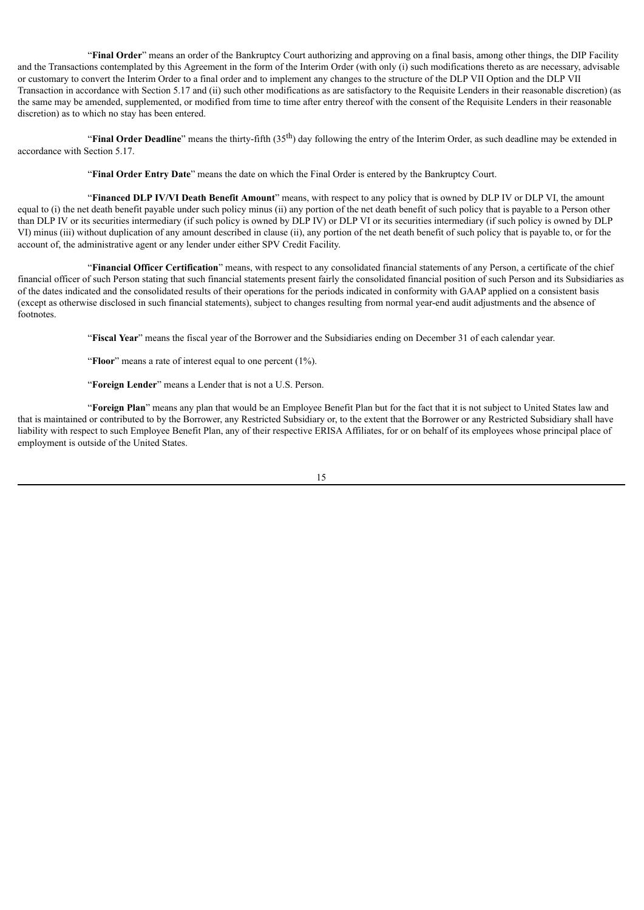"**Final Order**" means an order of the Bankruptcy Court authorizing and approving on a final basis, among other things, the DIP Facility and the Transactions contemplated by this Agreement in the form of the Interim Order (with only (i) such modifications thereto as are necessary, advisable or customary to convert the Interim Order to a final order and to implement any changes to the structure of the DLP VII Option and the DLP VII Transaction in accordance with Section 5.17 and (ii) such other modifications as are satisfactory to the Requisite Lenders in their reasonable discretion) (as the same may be amended, supplemented, or modified from time to time after entry thereof with the consent of the Requisite Lenders in their reasonable discretion) as to which no stay has been entered.

"**Final Order Deadline**" means the thirty-fifth (35<sup>th</sup>) day following the entry of the Interim Order, as such deadline may be extended in accordance with Section 5.17.

"**Final Order Entry Date**" means the date on which the Final Order is entered by the Bankruptcy Court.

"**Financed DLP IV/VI Death Benefit Amount**" means, with respect to any policy that is owned by DLP IV or DLP VI, the amount equal to (i) the net death benefit payable under such policy minus (ii) any portion of the net death benefit of such policy that is payable to a Person other than DLP IV or its securities intermediary (if such policy is owned by DLP IV) or DLP VI or its securities intermediary (if such policy is owned by DLP VI) minus (iii) without duplication of any amount described in clause (ii), any portion of the net death benefit of such policy that is payable to, or for the account of, the administrative agent or any lender under either SPV Credit Facility.

"**Financial Officer Certification**" means, with respect to any consolidated financial statements of any Person, a certificate of the chief financial officer of such Person stating that such financial statements present fairly the consolidated financial position of such Person and its Subsidiaries as of the dates indicated and the consolidated results of their operations for the periods indicated in conformity with GAAP applied on a consistent basis (except as otherwise disclosed in such financial statements), subject to changes resulting from normal year-end audit adjustments and the absence of footnotes.

"**Fiscal Year**" means the fiscal year of the Borrower and the Subsidiaries ending on December 31 of each calendar year.

"**Floor**" means a rate of interest equal to one percent (1%).

"**Foreign Lender**" means a Lender that is not a U.S. Person.

"**Foreign Plan**" means any plan that would be an Employee Benefit Plan but for the fact that it is not subject to United States law and that is maintained or contributed to by the Borrower, any Restricted Subsidiary or, to the extent that the Borrower or any Restricted Subsidiary shall have liability with respect to such Employee Benefit Plan, any of their respective ERISA Affiliates, for or on behalf of its employees whose principal place of employment is outside of the United States.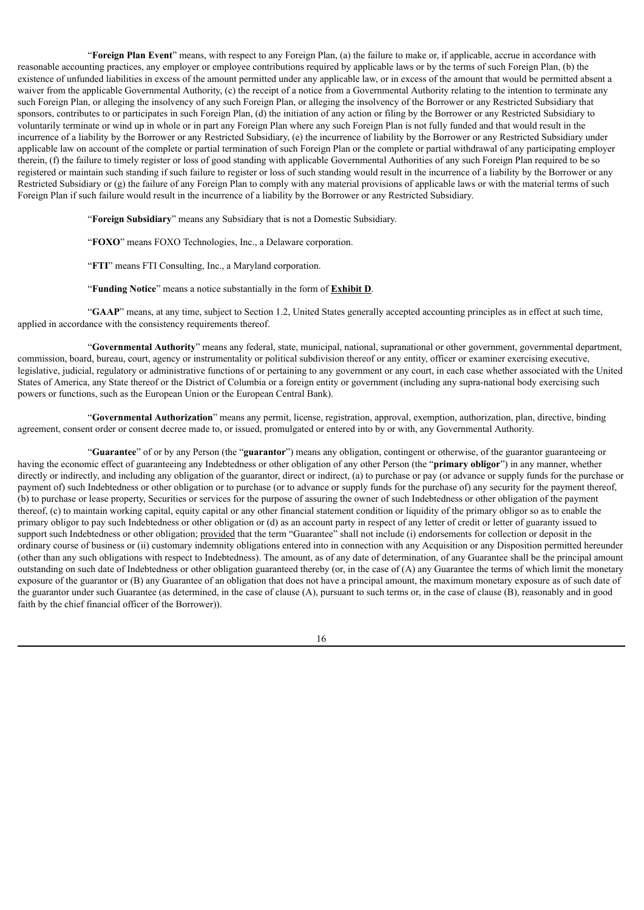"**Foreign Plan Event**" means, with respect to any Foreign Plan, (a) the failure to make or, if applicable, accrue in accordance with reasonable accounting practices, any employer or employee contributions required by applicable laws or by the terms of such Foreign Plan, (b) the existence of unfunded liabilities in excess of the amount permitted under any applicable law, or in excess of the amount that would be permitted absent a waiver from the applicable Governmental Authority, (c) the receipt of a notice from a Governmental Authority relating to the intention to terminate any such Foreign Plan, or alleging the insolvency of any such Foreign Plan, or alleging the insolvency of the Borrower or any Restricted Subsidiary that sponsors, contributes to or participates in such Foreign Plan, (d) the initiation of any action or filing by the Borrower or any Restricted Subsidiary to voluntarily terminate or wind up in whole or in part any Foreign Plan where any such Foreign Plan is not fully funded and that would result in the incurrence of a liability by the Borrower or any Restricted Subsidiary, (e) the incurrence of liability by the Borrower or any Restricted Subsidiary under applicable law on account of the complete or partial termination of such Foreign Plan or the complete or partial withdrawal of any participating employer therein, (f) the failure to timely register or loss of good standing with applicable Governmental Authorities of any such Foreign Plan required to be so registered or maintain such standing if such failure to register or loss of such standing would result in the incurrence of a liability by the Borrower or any Restricted Subsidiary or (g) the failure of any Foreign Plan to comply with any material provisions of applicable laws or with the material terms of such Foreign Plan if such failure would result in the incurrence of a liability by the Borrower or any Restricted Subsidiary.

"**Foreign Subsidiary**" means any Subsidiary that is not a Domestic Subsidiary.

"**FOXO**" means FOXO Technologies, Inc., a Delaware corporation.

"**FTI**" means FTI Consulting, Inc., a Maryland corporation.

"**Funding Notice**" means a notice substantially in the form of **Exhibit D**.

"**GAAP**" means, at any time, subject to Section 1.2, United States generally accepted accounting principles as in effect at such time, applied in accordance with the consistency requirements thereof.

"**Governmental Authority**" means any federal, state, municipal, national, supranational or other government, governmental department, commission, board, bureau, court, agency or instrumentality or political subdivision thereof or any entity, officer or examiner exercising executive, legislative, judicial, regulatory or administrative functions of or pertaining to any government or any court, in each case whether associated with the United States of America, any State thereof or the District of Columbia or a foreign entity or government (including any supra-national body exercising such powers or functions, such as the European Union or the European Central Bank).

"**Governmental Authorization**" means any permit, license, registration, approval, exemption, authorization, plan, directive, binding agreement, consent order or consent decree made to, or issued, promulgated or entered into by or with, any Governmental Authority.

"**Guarantee**" of or by any Person (the "**guarantor**") means any obligation, contingent or otherwise, of the guarantor guaranteeing or having the economic effect of guaranteeing any Indebtedness or other obligation of any other Person (the "**primary obligor**") in any manner, whether directly or indirectly, and including any obligation of the guarantor, direct or indirect, (a) to purchase or pay (or advance or supply funds for the purchase or payment of) such Indebtedness or other obligation or to purchase (or to advance or supply funds for the purchase of) any security for the payment thereof, (b) to purchase or lease property, Securities or services for the purpose of assuring the owner of such Indebtedness or other obligation of the payment thereof, (c) to maintain working capital, equity capital or any other financial statement condition or liquidity of the primary obligor so as to enable the primary obligor to pay such Indebtedness or other obligation or (d) as an account party in respect of any letter of credit or letter of guaranty issued to support such Indebtedness or other obligation; provided that the term "Guarantee" shall not include (i) endorsements for collection or deposit in the ordinary course of business or (ii) customary indemnity obligations entered into in connection with any Acquisition or any Disposition permitted hereunder (other than any such obligations with respect to Indebtedness). The amount, as of any date of determination, of any Guarantee shall be the principal amount outstanding on such date of Indebtedness or other obligation guaranteed thereby (or, in the case of (A) any Guarantee the terms of which limit the monetary exposure of the guarantor or (B) any Guarantee of an obligation that does not have a principal amount, the maximum monetary exposure as of such date of the guarantor under such Guarantee (as determined, in the case of clause (A), pursuant to such terms or, in the case of clause (B), reasonably and in good faith by the chief financial officer of the Borrower)).

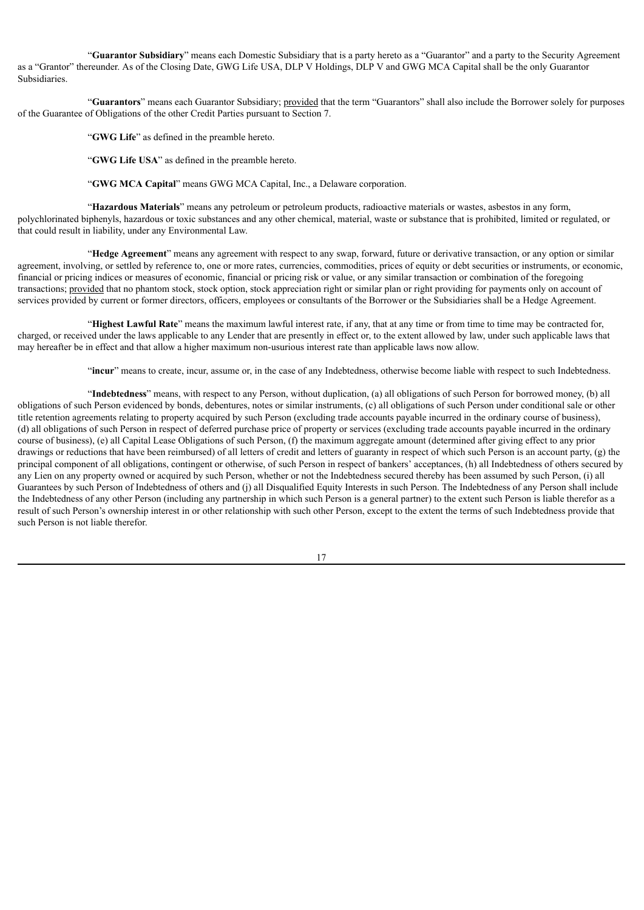"**Guarantor Subsidiary**" means each Domestic Subsidiary that is a party hereto as a "Guarantor" and a party to the Security Agreement as a "Grantor" thereunder. As of the Closing Date, GWG Life USA, DLP V Holdings, DLP V and GWG MCA Capital shall be the only Guarantor Subsidiaries.

"**Guarantors**" means each Guarantor Subsidiary; provided that the term "Guarantors" shall also include the Borrower solely for purposes of the Guarantee of Obligations of the other Credit Parties pursuant to Section 7.

"**GWG Life**" as defined in the preamble hereto.

"**GWG Life USA**" as defined in the preamble hereto.

"**GWG MCA Capital**" means GWG MCA Capital, Inc., a Delaware corporation.

"**Hazardous Materials**" means any petroleum or petroleum products, radioactive materials or wastes, asbestos in any form, polychlorinated biphenyls, hazardous or toxic substances and any other chemical, material, waste or substance that is prohibited, limited or regulated, or that could result in liability, under any Environmental Law.

"**Hedge Agreement**" means any agreement with respect to any swap, forward, future or derivative transaction, or any option or similar agreement, involving, or settled by reference to, one or more rates, currencies, commodities, prices of equity or debt securities or instruments, or economic, financial or pricing indices or measures of economic, financial or pricing risk or value, or any similar transaction or combination of the foregoing transactions; provided that no phantom stock, stock option, stock appreciation right or similar plan or right providing for payments only on account of services provided by current or former directors, officers, employees or consultants of the Borrower or the Subsidiaries shall be a Hedge Agreement.

"**Highest Lawful Rate**" means the maximum lawful interest rate, if any, that at any time or from time to time may be contracted for, charged, or received under the laws applicable to any Lender that are presently in effect or, to the extent allowed by law, under such applicable laws that may hereafter be in effect and that allow a higher maximum non-usurious interest rate than applicable laws now allow.

"**incur**" means to create, incur, assume or, in the case of any Indebtedness, otherwise become liable with respect to such Indebtedness.

"**Indebtedness**" means, with respect to any Person, without duplication, (a) all obligations of such Person for borrowed money, (b) all obligations of such Person evidenced by bonds, debentures, notes or similar instruments, (c) all obligations of such Person under conditional sale or other title retention agreements relating to property acquired by such Person (excluding trade accounts payable incurred in the ordinary course of business), (d) all obligations of such Person in respect of deferred purchase price of property or services (excluding trade accounts payable incurred in the ordinary course of business), (e) all Capital Lease Obligations of such Person, (f) the maximum aggregate amount (determined after giving effect to any prior drawings or reductions that have been reimbursed) of all letters of credit and letters of guaranty in respect of which such Person is an account party, (g) the principal component of all obligations, contingent or otherwise, of such Person in respect of bankers' acceptances, (h) all Indebtedness of others secured by any Lien on any property owned or acquired by such Person, whether or not the Indebtedness secured thereby has been assumed by such Person, (i) all Guarantees by such Person of Indebtedness of others and (j) all Disqualified Equity Interests in such Person. The Indebtedness of any Person shall include the Indebtedness of any other Person (including any partnership in which such Person is a general partner) to the extent such Person is liable therefor as a result of such Person's ownership interest in or other relationship with such other Person, except to the extent the terms of such Indebtedness provide that such Person is not liable therefor.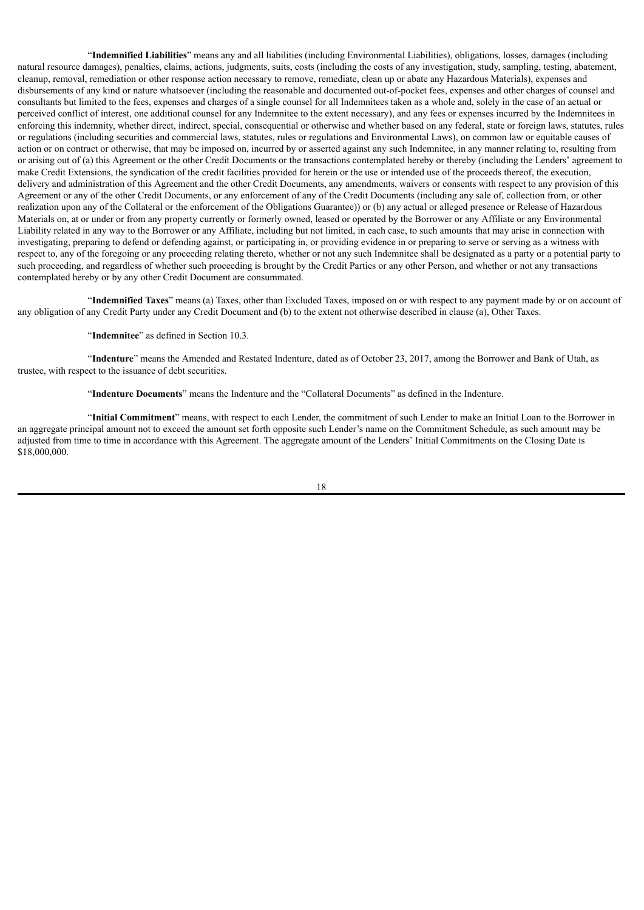"**Indemnified Liabilities**" means any and all liabilities (including Environmental Liabilities), obligations, losses, damages (including natural resource damages), penalties, claims, actions, judgments, suits, costs (including the costs of any investigation, study, sampling, testing, abatement, cleanup, removal, remediation or other response action necessary to remove, remediate, clean up or abate any Hazardous Materials), expenses and disbursements of any kind or nature whatsoever (including the reasonable and documented out-of-pocket fees, expenses and other charges of counsel and consultants but limited to the fees, expenses and charges of a single counsel for all Indemnitees taken as a whole and, solely in the case of an actual or perceived conflict of interest, one additional counsel for any Indemnitee to the extent necessary), and any fees or expenses incurred by the Indemnitees in enforcing this indemnity, whether direct, indirect, special, consequential or otherwise and whether based on any federal, state or foreign laws, statutes, rules or regulations (including securities and commercial laws, statutes, rules or regulations and Environmental Laws), on common law or equitable causes of action or on contract or otherwise, that may be imposed on, incurred by or asserted against any such Indemnitee, in any manner relating to, resulting from or arising out of (a) this Agreement or the other Credit Documents or the transactions contemplated hereby or thereby (including the Lenders' agreement to make Credit Extensions, the syndication of the credit facilities provided for herein or the use or intended use of the proceeds thereof, the execution, delivery and administration of this Agreement and the other Credit Documents, any amendments, waivers or consents with respect to any provision of this Agreement or any of the other Credit Documents, or any enforcement of any of the Credit Documents (including any sale of, collection from, or other realization upon any of the Collateral or the enforcement of the Obligations Guarantee)) or (b) any actual or alleged presence or Release of Hazardous Materials on, at or under or from any property currently or formerly owned, leased or operated by the Borrower or any Affiliate or any Environmental Liability related in any way to the Borrower or any Affiliate, including but not limited, in each case, to such amounts that may arise in connection with investigating, preparing to defend or defending against, or participating in, or providing evidence in or preparing to serve or serving as a witness with respect to, any of the foregoing or any proceeding relating thereto, whether or not any such Indemnitee shall be designated as a party or a potential party to such proceeding, and regardless of whether such proceeding is brought by the Credit Parties or any other Person, and whether or not any transactions contemplated hereby or by any other Credit Document are consummated.

"**Indemnified Taxes**" means (a) Taxes, other than Excluded Taxes, imposed on or with respect to any payment made by or on account of any obligation of any Credit Party under any Credit Document and (b) to the extent not otherwise described in clause (a), Other Taxes.

## "**Indemnitee**" as defined in Section 10.3.

"**Indenture**" means the Amended and Restated Indenture, dated as of October 23, 2017, among the Borrower and Bank of Utah, as trustee, with respect to the issuance of debt securities.

"**Indenture Documents**" means the Indenture and the "Collateral Documents" as defined in the Indenture.

"**Initial Commitment**" means, with respect to each Lender, the commitment of such Lender to make an Initial Loan to the Borrower in an aggregate principal amount not to exceed the amount set forth opposite such Lender's name on the Commitment Schedule, as such amount may be adjusted from time to time in accordance with this Agreement. The aggregate amount of the Lenders' Initial Commitments on the Closing Date is \$18,000,000.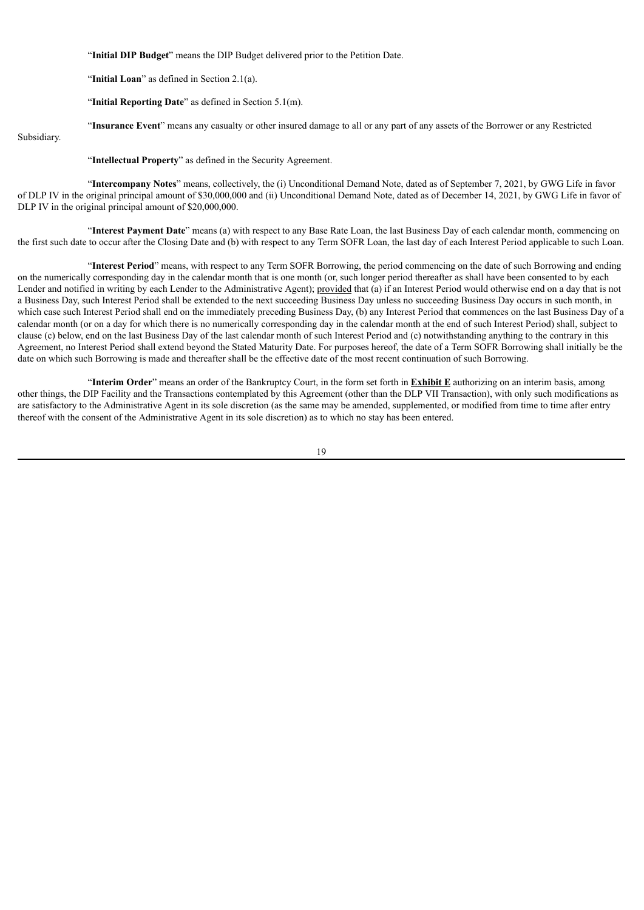"**Initial DIP Budget**" means the DIP Budget delivered prior to the Petition Date.

"**Initial Loan**" as defined in Section 2.1(a).

"**Initial Reporting Date**" as defined in Section 5.1(m).

"**Insurance Event**" means any casualty or other insured damage to all or any part of any assets of the Borrower or any Restricted

Subsidiary.

"**Intellectual Property**" as defined in the Security Agreement.

"**Intercompany Notes**" means, collectively, the (i) Unconditional Demand Note, dated as of September 7, 2021, by GWG Life in favor of DLP IV in the original principal amount of \$30,000,000 and (ii) Unconditional Demand Note, dated as of December 14, 2021, by GWG Life in favor of DLP IV in the original principal amount of \$20,000,000.

"**Interest Payment Date**" means (a) with respect to any Base Rate Loan, the last Business Day of each calendar month, commencing on the first such date to occur after the Closing Date and (b) with respect to any Term SOFR Loan, the last day of each Interest Period applicable to such Loan.

"**Interest Period**" means, with respect to any Term SOFR Borrowing, the period commencing on the date of such Borrowing and ending on the numerically corresponding day in the calendar month that is one month (or, such longer period thereafter as shall have been consented to by each Lender and notified in writing by each Lender to the Administrative Agent); provided that (a) if an Interest Period would otherwise end on a day that is not a Business Day, such Interest Period shall be extended to the next succeeding Business Day unless no succeeding Business Day occurs in such month, in which case such Interest Period shall end on the immediately preceding Business Day, (b) any Interest Period that commences on the last Business Day of a calendar month (or on a day for which there is no numerically corresponding day in the calendar month at the end of such Interest Period) shall, subject to clause (c) below, end on the last Business Day of the last calendar month of such Interest Period and (c) notwithstanding anything to the contrary in this Agreement, no Interest Period shall extend beyond the Stated Maturity Date. For purposes hereof, the date of a Term SOFR Borrowing shall initially be the date on which such Borrowing is made and thereafter shall be the effective date of the most recent continuation of such Borrowing.

"**Interim Order**" means an order of the Bankruptcy Court, in the form set forth in **Exhibit E** authorizing on an interim basis, among other things, the DIP Facility and the Transactions contemplated by this Agreement (other than the DLP VII Transaction), with only such modifications as are satisfactory to the Administrative Agent in its sole discretion (as the same may be amended, supplemented, or modified from time to time after entry thereof with the consent of the Administrative Agent in its sole discretion) as to which no stay has been entered.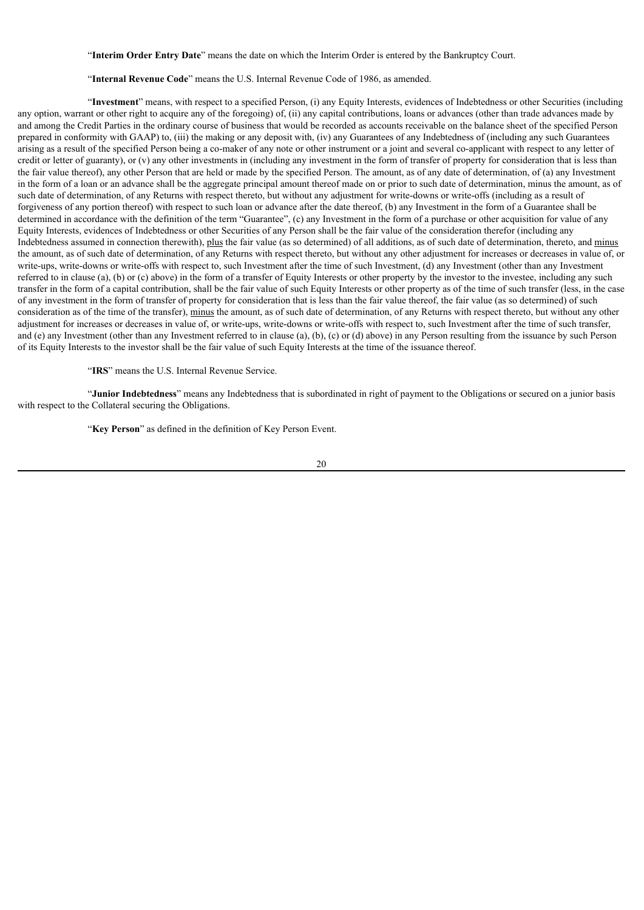"**Interim Order Entry Date**" means the date on which the Interim Order is entered by the Bankruptcy Court.

#### "**Internal Revenue Code**" means the U.S. Internal Revenue Code of 1986, as amended.

"**Investment**" means, with respect to a specified Person, (i) any Equity Interests, evidences of Indebtedness or other Securities (including any option, warrant or other right to acquire any of the foregoing) of, (ii) any capital contributions, loans or advances (other than trade advances made by and among the Credit Parties in the ordinary course of business that would be recorded as accounts receivable on the balance sheet of the specified Person prepared in conformity with GAAP) to, (iii) the making or any deposit with, (iv) any Guarantees of any Indebtedness of (including any such Guarantees arising as a result of the specified Person being a co-maker of any note or other instrument or a joint and several co-applicant with respect to any letter of credit or letter of guaranty), or  $(v)$  any other investments in (including any investment in the form of transfer of property for consideration that is less than the fair value thereof), any other Person that are held or made by the specified Person. The amount, as of any date of determination, of (a) any Investment in the form of a loan or an advance shall be the aggregate principal amount thereof made on or prior to such date of determination, minus the amount, as of such date of determination, of any Returns with respect thereto, but without any adjustment for write-downs or write-offs (including as a result of forgiveness of any portion thereof) with respect to such loan or advance after the date thereof, (b) any Investment in the form of a Guarantee shall be determined in accordance with the definition of the term "Guarantee", (c) any Investment in the form of a purchase or other acquisition for value of any Equity Interests, evidences of Indebtedness or other Securities of any Person shall be the fair value of the consideration therefor (including any Indebtedness assumed in connection therewith), plus the fair value (as so determined) of all additions, as of such date of determination, thereto, and minus the amount, as of such date of determination, of any Returns with respect thereto, but without any other adjustment for increases or decreases in value of, or write-ups, write-downs or write-offs with respect to, such Investment after the time of such Investment, (d) any Investment (other than any Investment referred to in clause (a), (b) or (c) above) in the form of a transfer of Equity Interests or other property by the investor to the investee, including any such transfer in the form of a capital contribution, shall be the fair value of such Equity Interests or other property as of the time of such transfer (less, in the case of any investment in the form of transfer of property for consideration that is less than the fair value thereof, the fair value (as so determined) of such consideration as of the time of the transfer), minus the amount, as of such date of determination, of any Returns with respect thereto, but without any other adjustment for increases or decreases in value of, or write-ups, write-downs or write-offs with respect to, such Investment after the time of such transfer, and (e) any Investment (other than any Investment referred to in clause (a), (b), (c) or (d) above) in any Person resulting from the issuance by such Person of its Equity Interests to the investor shall be the fair value of such Equity Interests at the time of the issuance thereof.

"**IRS**" means the U.S. Internal Revenue Service.

"**Junior Indebtedness**" means any Indebtedness that is subordinated in right of payment to the Obligations or secured on a junior basis with respect to the Collateral securing the Obligations.

"**Key Person**" as defined in the definition of Key Person Event.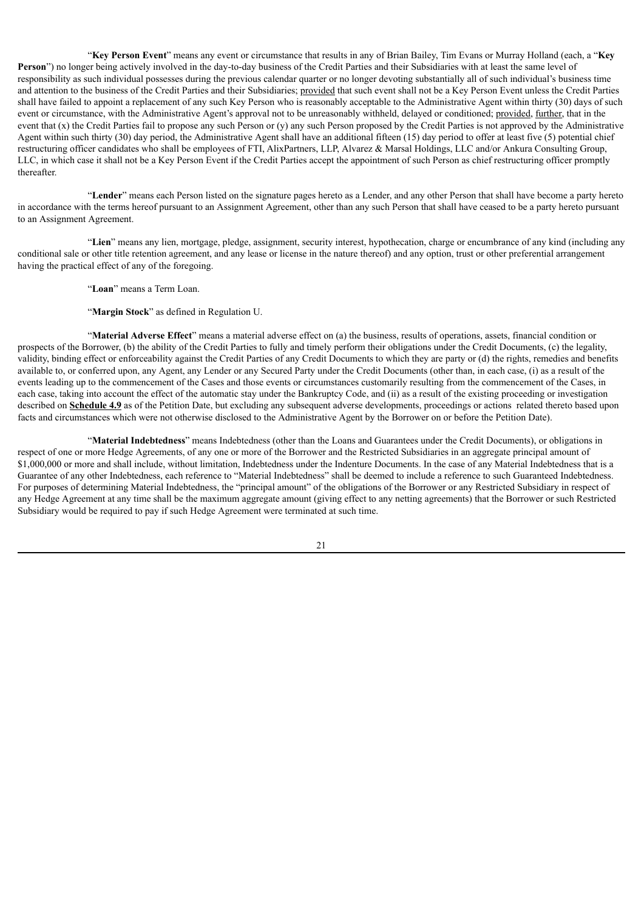"**Key Person Event**" means any event or circumstance that results in any of Brian Bailey, Tim Evans or Murray Holland (each, a "**Key Person**") no longer being actively involved in the day-to-day business of the Credit Parties and their Subsidiaries with at least the same level of responsibility as such individual possesses during the previous calendar quarter or no longer devoting substantially all of such individual's business time and attention to the business of the Credit Parties and their Subsidiaries; provided that such event shall not be a Key Person Event unless the Credit Parties shall have failed to appoint a replacement of any such Key Person who is reasonably acceptable to the Administrative Agent within thirty (30) days of such event or circumstance, with the Administrative Agent's approval not to be unreasonably withheld, delayed or conditioned; provided, further, that in the event that  $(x)$  the Credit Parties fail to propose any such Person or  $(y)$  any such Person proposed by the Credit Parties is not approved by the Administrative Agent within such thirty (30) day period, the Administrative Agent shall have an additional fifteen (15) day period to offer at least five (5) potential chief restructuring officer candidates who shall be employees of FTI, AlixPartners, LLP, Alvarez & Marsal Holdings, LLC and/or Ankura Consulting Group, LLC, in which case it shall not be a Key Person Event if the Credit Parties accept the appointment of such Person as chief restructuring officer promptly thereafter.

"**Lender**" means each Person listed on the signature pages hereto as a Lender, and any other Person that shall have become a party hereto in accordance with the terms hereof pursuant to an Assignment Agreement, other than any such Person that shall have ceased to be a party hereto pursuant to an Assignment Agreement.

"**Lien**" means any lien, mortgage, pledge, assignment, security interest, hypothecation, charge or encumbrance of any kind (including any conditional sale or other title retention agreement, and any lease or license in the nature thereof) and any option, trust or other preferential arrangement having the practical effect of any of the foregoing.

"**Loan**" means a Term Loan.

"**Margin Stock**" as defined in Regulation U.

"**Material Adverse Effect**" means a material adverse effect on (a) the business, results of operations, assets, financial condition or prospects of the Borrower, (b) the ability of the Credit Parties to fully and timely perform their obligations under the Credit Documents, (c) the legality, validity, binding effect or enforceability against the Credit Parties of any Credit Documents to which they are party or (d) the rights, remedies and benefits available to, or conferred upon, any Agent, any Lender or any Secured Party under the Credit Documents (other than, in each case, (i) as a result of the events leading up to the commencement of the Cases and those events or circumstances customarily resulting from the commencement of the Cases, in each case, taking into account the effect of the automatic stay under the Bankruptcy Code, and (ii) as a result of the existing proceeding or investigation described on **Schedule 4.9** as of the Petition Date, but excluding any subsequent adverse developments, proceedings or actions related thereto based upon facts and circumstances which were not otherwise disclosed to the Administrative Agent by the Borrower on or before the Petition Date).

"**Material Indebtedness**" means Indebtedness (other than the Loans and Guarantees under the Credit Documents), or obligations in respect of one or more Hedge Agreements, of any one or more of the Borrower and the Restricted Subsidiaries in an aggregate principal amount of \$1,000,000 or more and shall include, without limitation, Indebtedness under the Indenture Documents. In the case of any Material Indebtedness that is a Guarantee of any other Indebtedness, each reference to "Material Indebtedness" shall be deemed to include a reference to such Guaranteed Indebtedness. For purposes of determining Material Indebtedness, the "principal amount" of the obligations of the Borrower or any Restricted Subsidiary in respect of any Hedge Agreement at any time shall be the maximum aggregate amount (giving effect to any netting agreements) that the Borrower or such Restricted Subsidiary would be required to pay if such Hedge Agreement were terminated at such time.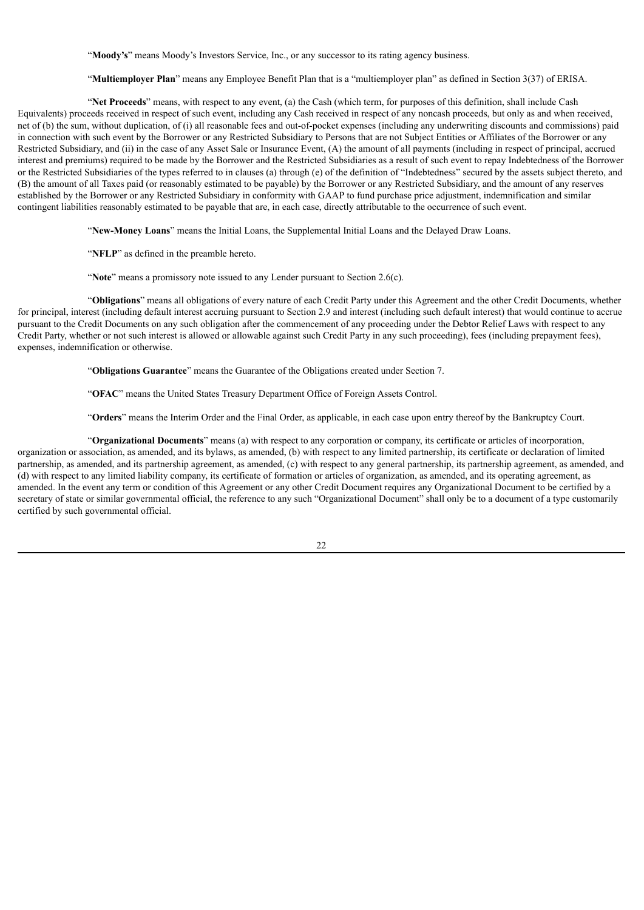"**Moody's**" means Moody's Investors Service, Inc., or any successor to its rating agency business.

"**Multiemployer Plan**" means any Employee Benefit Plan that is a "multiemployer plan" as defined in Section 3(37) of ERISA.

"**Net Proceeds**" means, with respect to any event, (a) the Cash (which term, for purposes of this definition, shall include Cash Equivalents) proceeds received in respect of such event, including any Cash received in respect of any noncash proceeds, but only as and when received, net of (b) the sum, without duplication, of (i) all reasonable fees and out-of-pocket expenses (including any underwriting discounts and commissions) paid in connection with such event by the Borrower or any Restricted Subsidiary to Persons that are not Subject Entities or Affiliates of the Borrower or any Restricted Subsidiary, and (ii) in the case of any Asset Sale or Insurance Event, (A) the amount of all payments (including in respect of principal, accrued interest and premiums) required to be made by the Borrower and the Restricted Subsidiaries as a result of such event to repay Indebtedness of the Borrower or the Restricted Subsidiaries of the types referred to in clauses (a) through (e) of the definition of "Indebtedness" secured by the assets subject thereto, and (B) the amount of all Taxes paid (or reasonably estimated to be payable) by the Borrower or any Restricted Subsidiary, and the amount of any reserves established by the Borrower or any Restricted Subsidiary in conformity with GAAP to fund purchase price adjustment, indemnification and similar contingent liabilities reasonably estimated to be payable that are, in each case, directly attributable to the occurrence of such event.

"**New-Money Loans**" means the Initial Loans, the Supplemental Initial Loans and the Delayed Draw Loans.

"**NFLP**" as defined in the preamble hereto.

"Note" means a promissory note issued to any Lender pursuant to Section 2.6(c).

"**Obligations**" means all obligations of every nature of each Credit Party under this Agreement and the other Credit Documents, whether for principal, interest (including default interest accruing pursuant to Section 2.9 and interest (including such default interest) that would continue to accrue pursuant to the Credit Documents on any such obligation after the commencement of any proceeding under the Debtor Relief Laws with respect to any Credit Party, whether or not such interest is allowed or allowable against such Credit Party in any such proceeding), fees (including prepayment fees), expenses, indemnification or otherwise.

"**Obligations Guarantee**" means the Guarantee of the Obligations created under Section 7.

"**OFAC**" means the United States Treasury Department Office of Foreign Assets Control.

"**Orders**" means the Interim Order and the Final Order, as applicable, in each case upon entry thereof by the Bankruptcy Court.

"**Organizational Documents**" means (a) with respect to any corporation or company, its certificate or articles of incorporation, organization or association, as amended, and its bylaws, as amended, (b) with respect to any limited partnership, its certificate or declaration of limited partnership, as amended, and its partnership agreement, as amended, (c) with respect to any general partnership, its partnership agreement, as amended, and (d) with respect to any limited liability company, its certificate of formation or articles of organization, as amended, and its operating agreement, as amended. In the event any term or condition of this Agreement or any other Credit Document requires any Organizational Document to be certified by a secretary of state or similar governmental official, the reference to any such "Organizational Document" shall only be to a document of a type customarily certified by such governmental official.

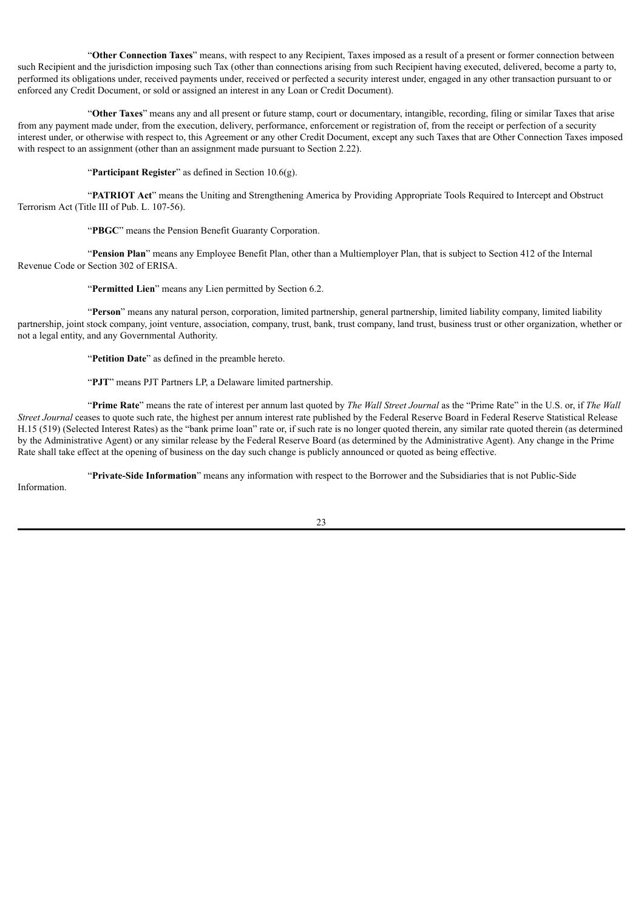"**Other Connection Taxes**" means, with respect to any Recipient, Taxes imposed as a result of a present or former connection between such Recipient and the jurisdiction imposing such Tax (other than connections arising from such Recipient having executed, delivered, become a party to, performed its obligations under, received payments under, received or perfected a security interest under, engaged in any other transaction pursuant to or enforced any Credit Document, or sold or assigned an interest in any Loan or Credit Document).

"**Other Taxes**" means any and all present or future stamp, court or documentary, intangible, recording, filing or similar Taxes that arise from any payment made under, from the execution, delivery, performance, enforcement or registration of, from the receipt or perfection of a security interest under, or otherwise with respect to, this Agreement or any other Credit Document, except any such Taxes that are Other Connection Taxes imposed with respect to an assignment (other than an assignment made pursuant to Section 2.22).

"**Participant Register**" as defined in Section 10.6(g).

"**PATRIOT Act**" means the Uniting and Strengthening America by Providing Appropriate Tools Required to Intercept and Obstruct Terrorism Act (Title III of Pub. L. 107-56).

"**PBGC**" means the Pension Benefit Guaranty Corporation.

"**Pension Plan**" means any Employee Benefit Plan, other than a Multiemployer Plan, that is subject to Section 412 of the Internal Revenue Code or Section 302 of ERISA.

"**Permitted Lien**" means any Lien permitted by Section 6.2.

"**Person**" means any natural person, corporation, limited partnership, general partnership, limited liability company, limited liability partnership, joint stock company, joint venture, association, company, trust, bank, trust company, land trust, business trust or other organization, whether or not a legal entity, and any Governmental Authority.

"**Petition Date**" as defined in the preamble hereto.

"**PJT**" means PJT Partners LP, a Delaware limited partnership.

"**Prime Rate**" means the rate of interest per annum last quoted by *The Wall Street Journal* as the "Prime Rate" in the U.S. or, if *The Wall Street Journal* ceases to quote such rate, the highest per annum interest rate published by the Federal Reserve Board in Federal Reserve Statistical Release H.15 (519) (Selected Interest Rates) as the "bank prime loan" rate or, if such rate is no longer quoted therein, any similar rate quoted therein (as determined by the Administrative Agent) or any similar release by the Federal Reserve Board (as determined by the Administrative Agent). Any change in the Prime Rate shall take effect at the opening of business on the day such change is publicly announced or quoted as being effective.

"**Private-Side Information**" means any information with respect to the Borrower and the Subsidiaries that is not Public-Side Information.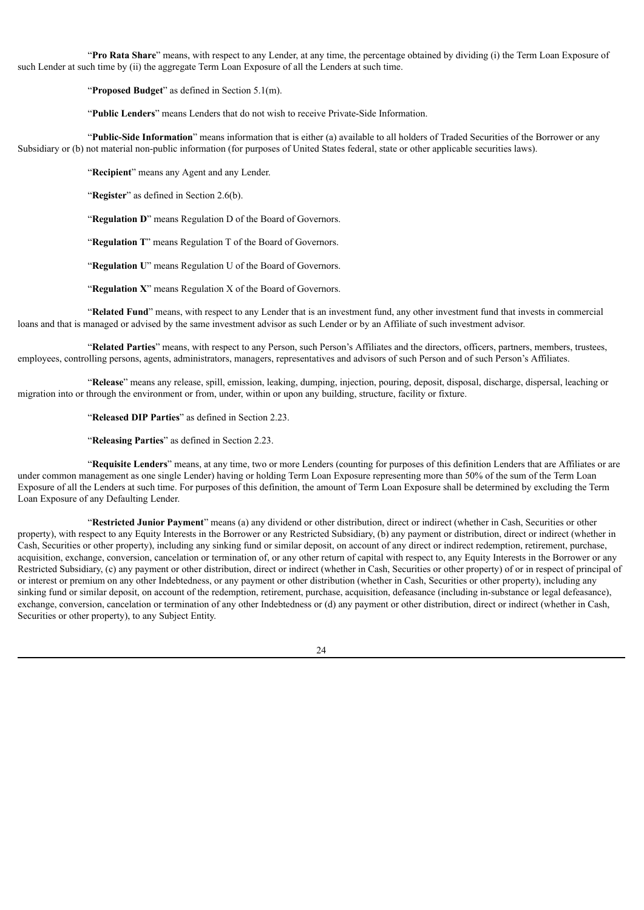"**Pro Rata Share**" means, with respect to any Lender, at any time, the percentage obtained by dividing (i) the Term Loan Exposure of such Lender at such time by (ii) the aggregate Term Loan Exposure of all the Lenders at such time.

"**Proposed Budget**" as defined in Section 5.1(m).

"**Public Lenders**" means Lenders that do not wish to receive Private-Side Information.

"**Public-Side Information**" means information that is either (a) available to all holders of Traded Securities of the Borrower or any Subsidiary or (b) not material non-public information (for purposes of United States federal, state or other applicable securities laws).

"**Recipient**" means any Agent and any Lender.

"**Register**" as defined in Section 2.6(b).

"**Regulation D**" means Regulation D of the Board of Governors.

"**Regulation T**" means Regulation T of the Board of Governors.

"**Regulation U**" means Regulation U of the Board of Governors.

"**Regulation X**" means Regulation X of the Board of Governors.

"**Related Fund**" means, with respect to any Lender that is an investment fund, any other investment fund that invests in commercial loans and that is managed or advised by the same investment advisor as such Lender or by an Affiliate of such investment advisor.

"**Related Parties**" means, with respect to any Person, such Person's Affiliates and the directors, officers, partners, members, trustees, employees, controlling persons, agents, administrators, managers, representatives and advisors of such Person and of such Person's Affiliates.

"**Release**" means any release, spill, emission, leaking, dumping, injection, pouring, deposit, disposal, discharge, dispersal, leaching or migration into or through the environment or from, under, within or upon any building, structure, facility or fixture.

"**Released DIP Parties**" as defined in Section 2.23.

"**Releasing Parties**" as defined in Section 2.23.

"**Requisite Lenders**" means, at any time, two or more Lenders (counting for purposes of this definition Lenders that are Affiliates or are under common management as one single Lender) having or holding Term Loan Exposure representing more than 50% of the sum of the Term Loan Exposure of all the Lenders at such time. For purposes of this definition, the amount of Term Loan Exposure shall be determined by excluding the Term Loan Exposure of any Defaulting Lender.

"**Restricted Junior Payment**" means (a) any dividend or other distribution, direct or indirect (whether in Cash, Securities or other property), with respect to any Equity Interests in the Borrower or any Restricted Subsidiary, (b) any payment or distribution, direct or indirect (whether in Cash, Securities or other property), including any sinking fund or similar deposit, on account of any direct or indirect redemption, retirement, purchase, acquisition, exchange, conversion, cancelation or termination of, or any other return of capital with respect to, any Equity Interests in the Borrower or any Restricted Subsidiary, (c) any payment or other distribution, direct or indirect (whether in Cash, Securities or other property) of or in respect of principal of or interest or premium on any other Indebtedness, or any payment or other distribution (whether in Cash, Securities or other property), including any sinking fund or similar deposit, on account of the redemption, retirement, purchase, acquisition, defeasance (including in-substance or legal defeasance), exchange, conversion, cancelation or termination of any other Indebtedness or (d) any payment or other distribution, direct or indirect (whether in Cash, Securities or other property), to any Subject Entity.

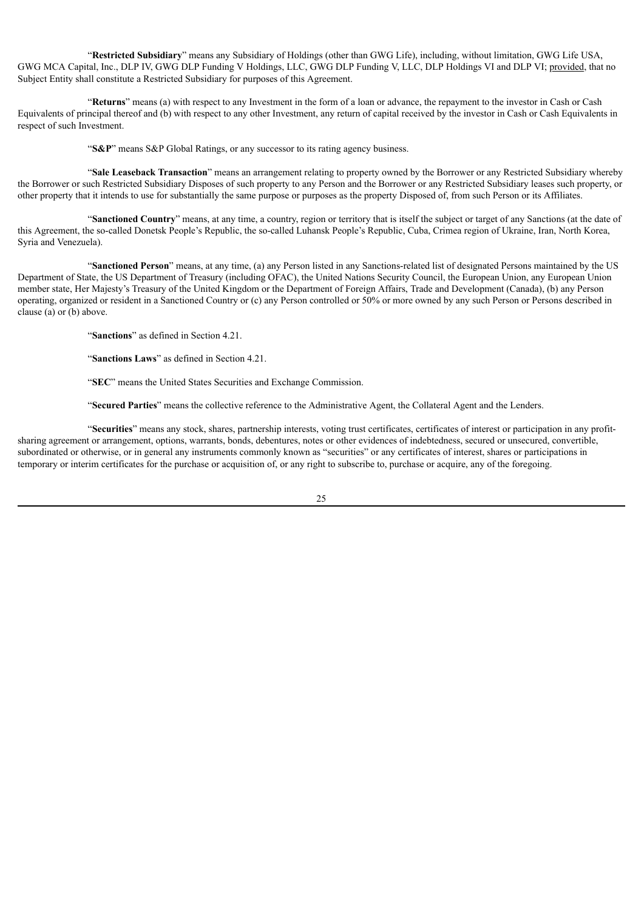"**Restricted Subsidiary**" means any Subsidiary of Holdings (other than GWG Life), including, without limitation, GWG Life USA, GWG MCA Capital, Inc., DLP IV, GWG DLP Funding V Holdings, LLC, GWG DLP Funding V, LLC, DLP Holdings VI and DLP VI; provided, that no Subject Entity shall constitute a Restricted Subsidiary for purposes of this Agreement.

"**Returns**" means (a) with respect to any Investment in the form of a loan or advance, the repayment to the investor in Cash or Cash Equivalents of principal thereof and (b) with respect to any other Investment, any return of capital received by the investor in Cash or Cash Equivalents in respect of such Investment.

"**S&P**" means S&P Global Ratings, or any successor to its rating agency business.

"**Sale Leaseback Transaction**" means an arrangement relating to property owned by the Borrower or any Restricted Subsidiary whereby the Borrower or such Restricted Subsidiary Disposes of such property to any Person and the Borrower or any Restricted Subsidiary leases such property, or other property that it intends to use for substantially the same purpose or purposes as the property Disposed of, from such Person or its Affiliates.

"**Sanctioned Country**" means, at any time, a country, region or territory that is itself the subject or target of any Sanctions (at the date of this Agreement, the so-called Donetsk People's Republic, the so-called Luhansk People's Republic, Cuba, Crimea region of Ukraine, Iran, North Korea, Syria and Venezuela).

"**Sanctioned Person**" means, at any time, (a) any Person listed in any Sanctions-related list of designated Persons maintained by the US Department of State, the US Department of Treasury (including OFAC), the United Nations Security Council, the European Union, any European Union member state, Her Majesty's Treasury of the United Kingdom or the Department of Foreign Affairs, Trade and Development (Canada), (b) any Person operating, organized or resident in a Sanctioned Country or (c) any Person controlled or 50% or more owned by any such Person or Persons described in clause (a) or (b) above.

"**Sanctions**" as defined in Section 4.21.

"**Sanctions Laws**" as defined in Section 4.21.

"**SEC**" means the United States Securities and Exchange Commission.

"**Secured Parties**" means the collective reference to the Administrative Agent, the Collateral Agent and the Lenders.

"**Securities**" means any stock, shares, partnership interests, voting trust certificates, certificates of interest or participation in any profitsharing agreement or arrangement, options, warrants, bonds, debentures, notes or other evidences of indebtedness, secured or unsecured, convertible, subordinated or otherwise, or in general any instruments commonly known as "securities" or any certificates of interest, shares or participations in temporary or interim certificates for the purchase or acquisition of, or any right to subscribe to, purchase or acquire, any of the foregoing.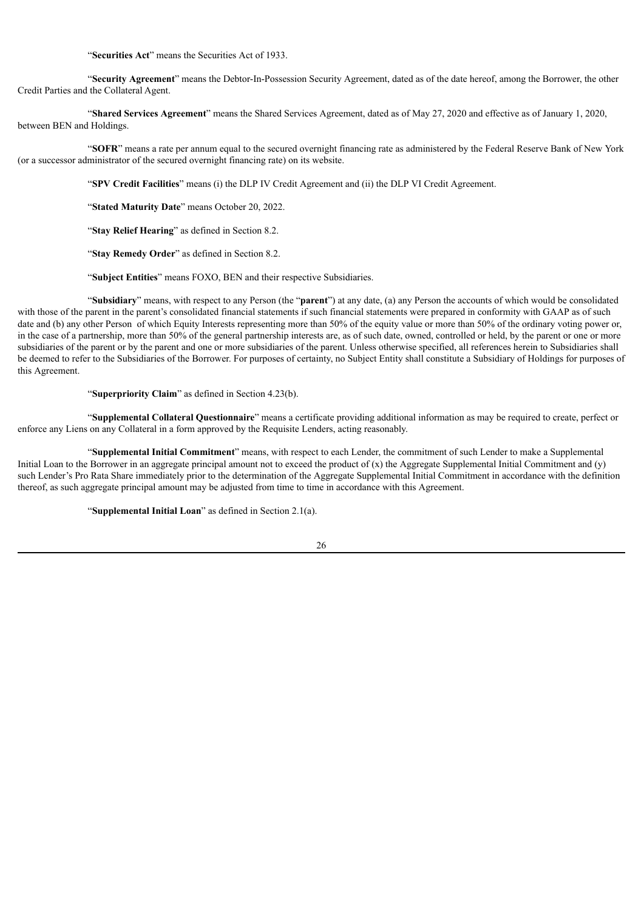"**Securities Act**" means the Securities Act of 1933.

"**Security Agreement**" means the Debtor-In-Possession Security Agreement, dated as of the date hereof, among the Borrower, the other Credit Parties and the Collateral Agent.

"**Shared Services Agreement**" means the Shared Services Agreement, dated as of May 27, 2020 and effective as of January 1, 2020, between BEN and Holdings.

"**SOFR**" means a rate per annum equal to the secured overnight financing rate as administered by the Federal Reserve Bank of New York (or a successor administrator of the secured overnight financing rate) on its website.

"**SPV Credit Facilities**" means (i) the DLP IV Credit Agreement and (ii) the DLP VI Credit Agreement.

"**Stated Maturity Date**" means October 20, 2022.

"**Stay Relief Hearing**" as defined in Section 8.2.

"**Stay Remedy Order**" as defined in Section 8.2.

"**Subject Entities**" means FOXO, BEN and their respective Subsidiaries.

"**Subsidiary**" means, with respect to any Person (the "**parent**") at any date, (a) any Person the accounts of which would be consolidated with those of the parent in the parent's consolidated financial statements if such financial statements were prepared in conformity with GAAP as of such date and (b) any other Person of which Equity Interests representing more than 50% of the equity value or more than 50% of the ordinary voting power or, in the case of a partnership, more than 50% of the general partnership interests are, as of such date, owned, controlled or held, by the parent or one or more subsidiaries of the parent or by the parent and one or more subsidiaries of the parent. Unless otherwise specified, all references herein to Subsidiaries shall be deemed to refer to the Subsidiaries of the Borrower. For purposes of certainty, no Subject Entity shall constitute a Subsidiary of Holdings for purposes of this Agreement.

"**Superpriority Claim**" as defined in Section 4.23(b).

"**Supplemental Collateral Questionnaire**" means a certificate providing additional information as may be required to create, perfect or enforce any Liens on any Collateral in a form approved by the Requisite Lenders, acting reasonably.

"**Supplemental Initial Commitment**" means, with respect to each Lender, the commitment of such Lender to make a Supplemental Initial Loan to the Borrower in an aggregate principal amount not to exceed the product of  $(x)$  the Aggregate Supplemental Initial Commitment and  $(y)$ such Lender's Pro Rata Share immediately prior to the determination of the Aggregate Supplemental Initial Commitment in accordance with the definition thereof, as such aggregate principal amount may be adjusted from time to time in accordance with this Agreement.

"**Supplemental Initial Loan**" as defined in Section 2.1(a).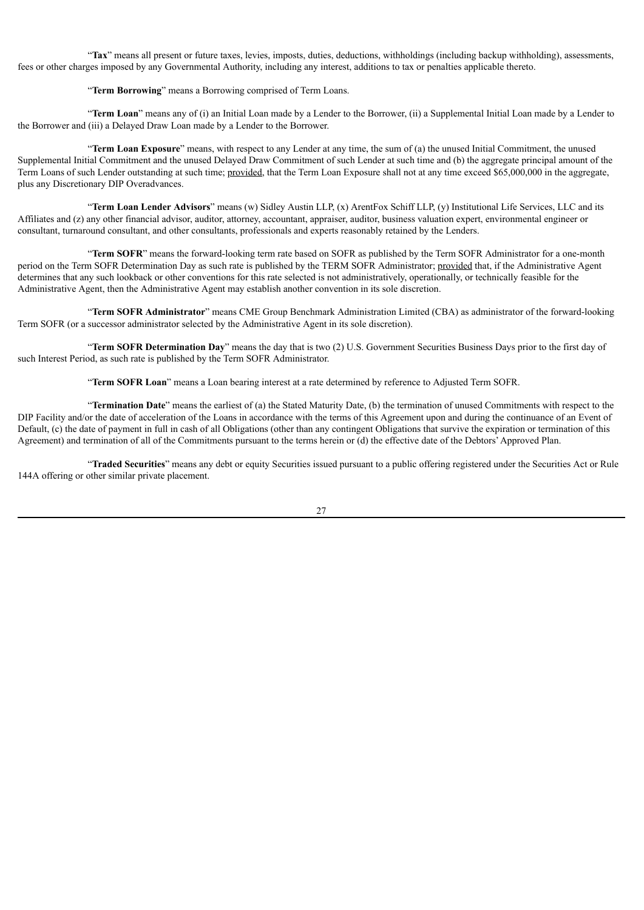"**Tax**" means all present or future taxes, levies, imposts, duties, deductions, withholdings (including backup withholding), assessments, fees or other charges imposed by any Governmental Authority, including any interest, additions to tax or penalties applicable thereto.

"**Term Borrowing**" means a Borrowing comprised of Term Loans.

"**Term Loan**" means any of (i) an Initial Loan made by a Lender to the Borrower, (ii) a Supplemental Initial Loan made by a Lender to the Borrower and (iii) a Delayed Draw Loan made by a Lender to the Borrower.

"**Term Loan Exposure**" means, with respect to any Lender at any time, the sum of (a) the unused Initial Commitment, the unused Supplemental Initial Commitment and the unused Delayed Draw Commitment of such Lender at such time and (b) the aggregate principal amount of the Term Loans of such Lender outstanding at such time; provided, that the Term Loan Exposure shall not at any time exceed \$65,000,000 in the aggregate, plus any Discretionary DIP Overadvances.

"**Term Loan Lender Advisors**" means (w) Sidley Austin LLP, (x) ArentFox Schiff LLP, (y) Institutional Life Services, LLC and its Affiliates and (z) any other financial advisor, auditor, attorney, accountant, appraiser, auditor, business valuation expert, environmental engineer or consultant, turnaround consultant, and other consultants, professionals and experts reasonably retained by the Lenders.

"**Term SOFR**" means the forward-looking term rate based on SOFR as published by the Term SOFR Administrator for a one-month period on the Term SOFR Determination Day as such rate is published by the TERM SOFR Administrator; provided that, if the Administrative Agent determines that any such lookback or other conventions for this rate selected is not administratively, operationally, or technically feasible for the Administrative Agent, then the Administrative Agent may establish another convention in its sole discretion.

"**Term SOFR Administrator**" means CME Group Benchmark Administration Limited (CBA) as administrator of the forward-looking Term SOFR (or a successor administrator selected by the Administrative Agent in its sole discretion).

"**Term SOFR Determination Day**" means the day that is two (2) U.S. Government Securities Business Days prior to the first day of such Interest Period, as such rate is published by the Term SOFR Administrator.

"**Term SOFR Loan**" means a Loan bearing interest at a rate determined by reference to Adjusted Term SOFR.

"**Termination Date**" means the earliest of (a) the Stated Maturity Date, (b) the termination of unused Commitments with respect to the DIP Facility and/or the date of acceleration of the Loans in accordance with the terms of this Agreement upon and during the continuance of an Event of Default, (c) the date of payment in full in cash of all Obligations (other than any contingent Obligations that survive the expiration or termination of this Agreement) and termination of all of the Commitments pursuant to the terms herein or (d) the effective date of the Debtors'Approved Plan.

"**Traded Securities**" means any debt or equity Securities issued pursuant to a public offering registered under the Securities Act or Rule 144A offering or other similar private placement.

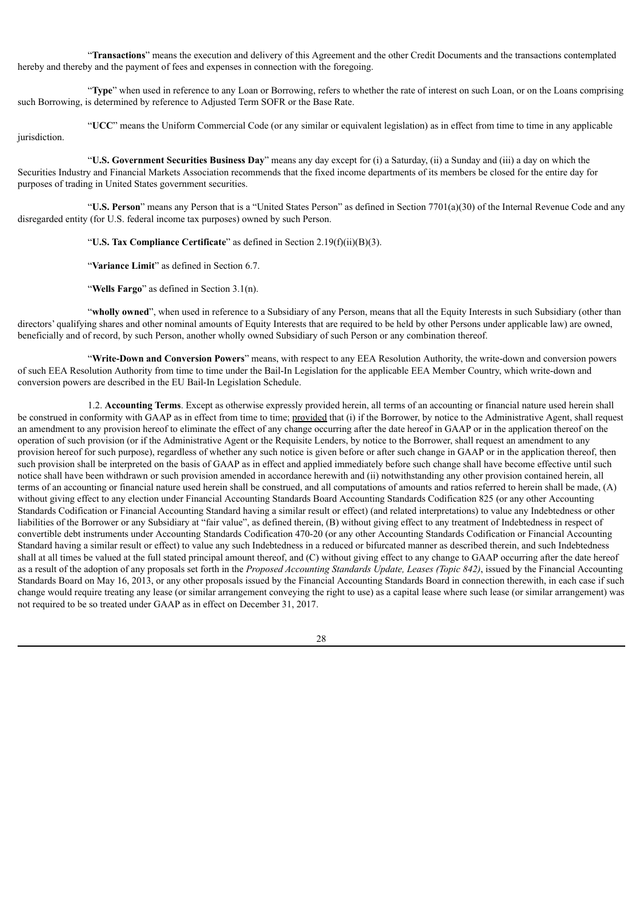"**Transactions**" means the execution and delivery of this Agreement and the other Credit Documents and the transactions contemplated hereby and thereby and the payment of fees and expenses in connection with the foregoing.

"**Type**" when used in reference to any Loan or Borrowing, refers to whether the rate of interest on such Loan, or on the Loans comprising such Borrowing, is determined by reference to Adjusted Term SOFR or the Base Rate.

"**UCC**" means the Uniform Commercial Code (or any similar or equivalent legislation) as in effect from time to time in any applicable jurisdiction.

"**U.S. Government Securities Business Day**" means any day except for (i) a Saturday, (ii) a Sunday and (iii) a day on which the Securities Industry and Financial Markets Association recommends that the fixed income departments of its members be closed for the entire day for purposes of trading in United States government securities.

"**U.S. Person**" means any Person that is a "United States Person" as defined in Section 7701(a)(30) of the Internal Revenue Code and any disregarded entity (for U.S. federal income tax purposes) owned by such Person.

"**U.S. Tax Compliance Certificate**" as defined in Section 2.19(f)(ii)(B)(3).

"**Variance Limit**" as defined in Section 6.7.

"**Wells Fargo**" as defined in Section 3.1(n).

"**wholly owned**", when used in reference to a Subsidiary of any Person, means that all the Equity Interests in such Subsidiary (other than directors' qualifying shares and other nominal amounts of Equity Interests that are required to be held by other Persons under applicable law) are owned, beneficially and of record, by such Person, another wholly owned Subsidiary of such Person or any combination thereof.

"**Write-Down and Conversion Powers**" means, with respect to any EEA Resolution Authority, the write-down and conversion powers of such EEA Resolution Authority from time to time under the Bail-In Legislation for the applicable EEA Member Country, which write-down and conversion powers are described in the EU Bail-In Legislation Schedule.

1.2. **Accounting Terms**. Except as otherwise expressly provided herein, all terms of an accounting or financial nature used herein shall be construed in conformity with GAAP as in effect from time to time; provided that (i) if the Borrower, by notice to the Administrative Agent, shall request an amendment to any provision hereof to eliminate the effect of any change occurring after the date hereof in GAAP or in the application thereof on the operation of such provision (or if the Administrative Agent or the Requisite Lenders, by notice to the Borrower, shall request an amendment to any provision hereof for such purpose), regardless of whether any such notice is given before or after such change in GAAP or in the application thereof, then such provision shall be interpreted on the basis of GAAP as in effect and applied immediately before such change shall have become effective until such notice shall have been withdrawn or such provision amended in accordance herewith and (ii) notwithstanding any other provision contained herein, all terms of an accounting or financial nature used herein shall be construed, and all computations of amounts and ratios referred to herein shall be made, (A) without giving effect to any election under Financial Accounting Standards Board Accounting Standards Codification 825 (or any other Accounting Standards Codification or Financial Accounting Standard having a similar result or effect) (and related interpretations) to value any Indebtedness or other liabilities of the Borrower or any Subsidiary at "fair value", as defined therein, (B) without giving effect to any treatment of Indebtedness in respect of convertible debt instruments under Accounting Standards Codification 470-20 (or any other Accounting Standards Codification or Financial Accounting Standard having a similar result or effect) to value any such Indebtedness in a reduced or bifurcated manner as described therein, and such Indebtedness shall at all times be valued at the full stated principal amount thereof, and (C) without giving effect to any change to GAAP occurring after the date hereof as a result of the adoption of any proposals set forth in the *Proposed Accounting Standards Update, Leases (Topic 842)*, issued by the Financial Accounting Standards Board on May 16, 2013, or any other proposals issued by the Financial Accounting Standards Board in connection therewith, in each case if such change would require treating any lease (or similar arrangement conveying the right to use) as a capital lease where such lease (or similar arrangement) was not required to be so treated under GAAP as in effect on December 31, 2017.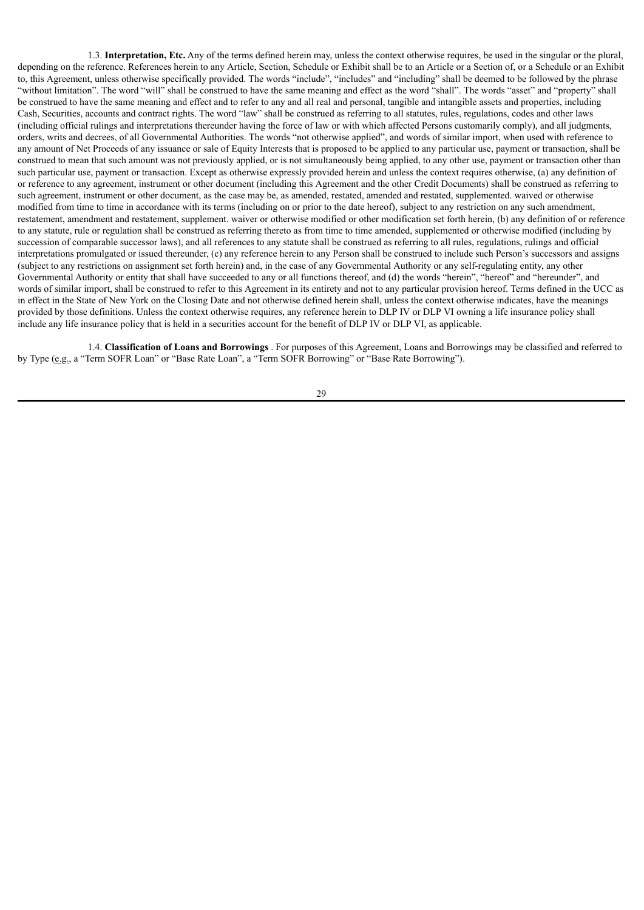1.3. **Interpretation, Etc.** Any of the terms defined herein may, unless the context otherwise requires, be used in the singular or the plural, depending on the reference. References herein to any Article, Section, Schedule or Exhibit shall be to an Article or a Section of, or a Schedule or an Exhibit to, this Agreement, unless otherwise specifically provided. The words "include", "includes" and "including" shall be deemed to be followed by the phrase "without limitation". The word "will" shall be construed to have the same meaning and effect as the word "shall". The words "asset" and "property" shall be construed to have the same meaning and effect and to refer to any and all real and personal, tangible and intangible assets and properties, including Cash, Securities, accounts and contract rights. The word "law" shall be construed as referring to all statutes, rules, regulations, codes and other laws (including official rulings and interpretations thereunder having the force of law or with which affected Persons customarily comply), and all judgments, orders, writs and decrees, of all Governmental Authorities. The words "not otherwise applied", and words of similar import, when used with reference to any amount of Net Proceeds of any issuance or sale of Equity Interests that is proposed to be applied to any particular use, payment or transaction, shall be construed to mean that such amount was not previously applied, or is not simultaneously being applied, to any other use, payment or transaction other than such particular use, payment or transaction. Except as otherwise expressly provided herein and unless the context requires otherwise, (a) any definition of or reference to any agreement, instrument or other document (including this Agreement and the other Credit Documents) shall be construed as referring to such agreement, instrument or other document, as the case may be, as amended, restated, amended and restated, supplemented. waived or otherwise modified from time to time in accordance with its terms (including on or prior to the date hereof), subject to any restriction on any such amendment, restatement, amendment and restatement, supplement. waiver or otherwise modified or other modification set forth herein, (b) any definition of or reference to any statute, rule or regulation shall be construed as referring thereto as from time to time amended, supplemented or otherwise modified (including by succession of comparable successor laws), and all references to any statute shall be construed as referring to all rules, regulations, rulings and official interpretations promulgated or issued thereunder, (c) any reference herein to any Person shall be construed to include such Person's successors and assigns (subject to any restrictions on assignment set forth herein) and, in the case of any Governmental Authority or any self-regulating entity, any other Governmental Authority or entity that shall have succeeded to any or all functions thereof, and (d) the words "herein", "hereof" and "hereunder", and words of similar import, shall be construed to refer to this Agreement in its entirety and not to any particular provision hereof. Terms defined in the UCC as in effect in the State of New York on the Closing Date and not otherwise defined herein shall, unless the context otherwise indicates, have the meanings provided by those definitions. Unless the context otherwise requires, any reference herein to DLP IV or DLP VI owning a life insurance policy shall include any life insurance policy that is held in a securities account for the benefit of DLP IV or DLP VI, as applicable.

1.4. **Classification of Loans and Borrowings** . For purposes of this Agreement, Loans and Borrowings may be classified and referred to by Type (e.g., a "Term SOFR Loan" or "Base Rate Loan", a "Term SOFR Borrowing" or "Base Rate Borrowing").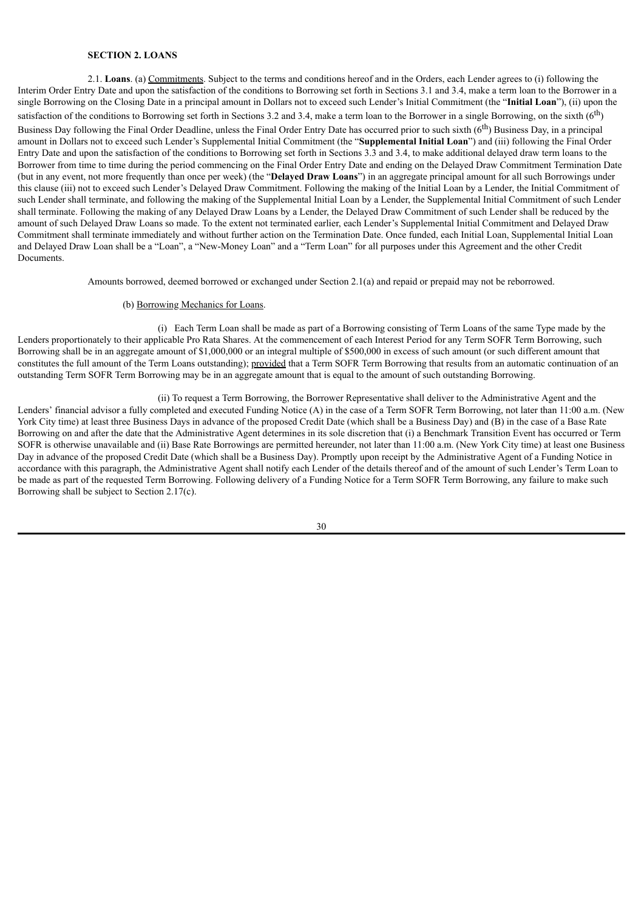## **SECTION 2. LOANS**

2.1. **Loans**. (a) Commitments. Subject to the terms and conditions hereof and in the Orders, each Lender agrees to (i) following the Interim Order Entry Date and upon the satisfaction of the conditions to Borrowing set forth in Sections 3.1 and 3.4, make a term loan to the Borrower in a single Borrowing on the Closing Date in a principal amount in Dollars not to exceed such Lender's Initial Commitment (the "**Initial Loan**"), (ii) upon the satisfaction of the conditions to Borrowing set forth in Sections 3.2 and 3.4, make a term loan to the Borrower in a single Borrowing, on the sixth  $(6<sup>th</sup>)$ Business Day following the Final Order Deadline, unless the Final Order Entry Date has occurred prior to such sixth  $(6<sup>th</sup>)$  Business Day, in a principal amount in Dollars not to exceed such Lender's Supplemental Initial Commitment (the "**Supplemental Initial Loan**") and (iii) following the Final Order Entry Date and upon the satisfaction of the conditions to Borrowing set forth in Sections 3.3 and 3.4, to make additional delayed draw term loans to the Borrower from time to time during the period commencing on the Final Order Entry Date and ending on the Delayed Draw Commitment Termination Date (but in any event, not more frequently than once per week) (the "**Delayed Draw Loans**") in an aggregate principal amount for all such Borrowings under this clause (iii) not to exceed such Lender's Delayed Draw Commitment. Following the making of the Initial Loan by a Lender, the Initial Commitment of such Lender shall terminate, and following the making of the Supplemental Initial Loan by a Lender, the Supplemental Initial Commitment of such Lender shall terminate. Following the making of any Delayed Draw Loans by a Lender, the Delayed Draw Commitment of such Lender shall be reduced by the amount of such Delayed Draw Loans so made. To the extent not terminated earlier, each Lender's Supplemental Initial Commitment and Delayed Draw Commitment shall terminate immediately and without further action on the Termination Date. Once funded, each Initial Loan, Supplemental Initial Loan and Delayed Draw Loan shall be a "Loan", a "New-Money Loan" and a "Term Loan" for all purposes under this Agreement and the other Credit Documents.

Amounts borrowed, deemed borrowed or exchanged under Section 2.1(a) and repaid or prepaid may not be reborrowed.

### (b) Borrowing Mechanics for Loans.

(i) Each Term Loan shall be made as part of a Borrowing consisting of Term Loans of the same Type made by the Lenders proportionately to their applicable Pro Rata Shares. At the commencement of each Interest Period for any Term SOFR Term Borrowing, such Borrowing shall be in an aggregate amount of \$1,000,000 or an integral multiple of \$500,000 in excess of such amount (or such different amount that constitutes the full amount of the Term Loans outstanding); provided that a Term SOFR Term Borrowing that results from an automatic continuation of an outstanding Term SOFR Term Borrowing may be in an aggregate amount that is equal to the amount of such outstanding Borrowing.

(ii) To request a Term Borrowing, the Borrower Representative shall deliver to the Administrative Agent and the Lenders' financial advisor a fully completed and executed Funding Notice (A) in the case of a Term SOFR Term Borrowing, not later than 11:00 a.m. (New York City time) at least three Business Days in advance of the proposed Credit Date (which shall be a Business Day) and (B) in the case of a Base Rate Borrowing on and after the date that the Administrative Agent determines in its sole discretion that (i) a Benchmark Transition Event has occurred or Term SOFR is otherwise unavailable and (ii) Base Rate Borrowings are permitted hereunder, not later than 11:00 a.m. (New York City time) at least one Business Day in advance of the proposed Credit Date (which shall be a Business Day). Promptly upon receipt by the Administrative Agent of a Funding Notice in accordance with this paragraph, the Administrative Agent shall notify each Lender of the details thereof and of the amount of such Lender's Term Loan to be made as part of the requested Term Borrowing. Following delivery of a Funding Notice for a Term SOFR Term Borrowing, any failure to make such Borrowing shall be subject to Section 2.17(c).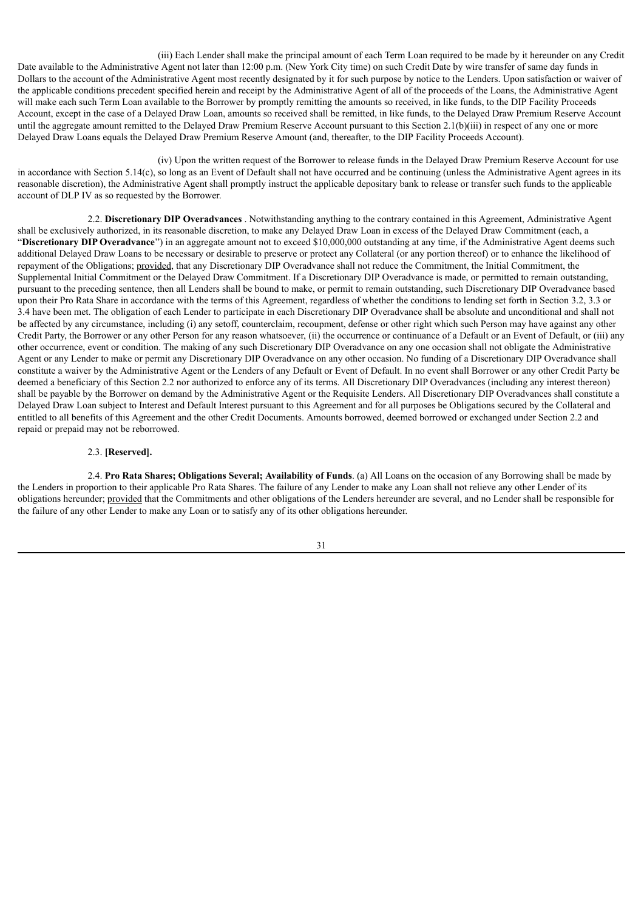(iii) Each Lender shall make the principal amount of each Term Loan required to be made by it hereunder on any Credit Date available to the Administrative Agent not later than 12:00 p.m. (New York City time) on such Credit Date by wire transfer of same day funds in Dollars to the account of the Administrative Agent most recently designated by it for such purpose by notice to the Lenders. Upon satisfaction or waiver of the applicable conditions precedent specified herein and receipt by the Administrative Agent of all of the proceeds of the Loans, the Administrative Agent will make each such Term Loan available to the Borrower by promptly remitting the amounts so received, in like funds, to the DIP Facility Proceeds Account, except in the case of a Delayed Draw Loan, amounts so received shall be remitted, in like funds, to the Delayed Draw Premium Reserve Account until the aggregate amount remitted to the Delayed Draw Premium Reserve Account pursuant to this Section 2.1(b)(iii) in respect of any one or more Delayed Draw Loans equals the Delayed Draw Premium Reserve Amount (and, thereafter, to the DIP Facility Proceeds Account).

(iv) Upon the written request of the Borrower to release funds in the Delayed Draw Premium Reserve Account for use in accordance with Section  $5.14(c)$ , so long as an Event of Default shall not have occurred and be continuing (unless the Administrative Agent agrees in its reasonable discretion), the Administrative Agent shall promptly instruct the applicable depositary bank to release or transfer such funds to the applicable account of DLP IV as so requested by the Borrower.

2.2. **Discretionary DIP Overadvances** . Notwithstanding anything to the contrary contained in this Agreement, Administrative Agent shall be exclusively authorized, in its reasonable discretion, to make any Delayed Draw Loan in excess of the Delayed Draw Commitment (each, a "**Discretionary DIP Overadvance**") in an aggregate amount not to exceed \$10,000,000 outstanding at any time, if the Administrative Agent deems such additional Delayed Draw Loans to be necessary or desirable to preserve or protect any Collateral (or any portion thereof) or to enhance the likelihood of repayment of the Obligations; provided, that any Discretionary DIP Overadvance shall not reduce the Commitment, the Initial Commitment, the Supplemental Initial Commitment or the Delayed Draw Commitment. If a Discretionary DIP Overadvance is made, or permitted to remain outstanding, pursuant to the preceding sentence, then all Lenders shall be bound to make, or permit to remain outstanding, such Discretionary DIP Overadvance based upon their Pro Rata Share in accordance with the terms of this Agreement, regardless of whether the conditions to lending set forth in Section 3.2, 3.3 or 3.4 have been met. The obligation of each Lender to participate in each Discretionary DIP Overadvance shall be absolute and unconditional and shall not be affected by any circumstance, including (i) any setoff, counterclaim, recoupment, defense or other right which such Person may have against any other Credit Party, the Borrower or any other Person for any reason whatsoever, (ii) the occurrence or continuance of a Default or an Event of Default, or (iii) any other occurrence, event or condition. The making of any such Discretionary DIP Overadvance on any one occasion shall not obligate the Administrative Agent or any Lender to make or permit any Discretionary DIP Overadvance on any other occasion. No funding of a Discretionary DIP Overadvance shall constitute a waiver by the Administrative Agent or the Lenders of any Default or Event of Default. In no event shall Borrower or any other Credit Party be deemed a beneficiary of this Section 2.2 nor authorized to enforce any of its terms. All Discretionary DIP Overadvances (including any interest thereon) shall be payable by the Borrower on demand by the Administrative Agent or the Requisite Lenders. All Discretionary DIP Overadvances shall constitute a Delayed Draw Loan subject to Interest and Default Interest pursuant to this Agreement and for all purposes be Obligations secured by the Collateral and entitled to all benefits of this Agreement and the other Credit Documents. Amounts borrowed, deemed borrowed or exchanged under Section 2.2 and repaid or prepaid may not be reborrowed.

## 2.3. **[Reserved].**

2.4. **Pro Rata Shares; Obligations Several; Availability of Funds**. (a) All Loans on the occasion of any Borrowing shall be made by the Lenders in proportion to their applicable Pro Rata Shares. The failure of any Lender to make any Loan shall not relieve any other Lender of its obligations hereunder; provided that the Commitments and other obligations of the Lenders hereunder are several, and no Lender shall be responsible for the failure of any other Lender to make any Loan or to satisfy any of its other obligations hereunder.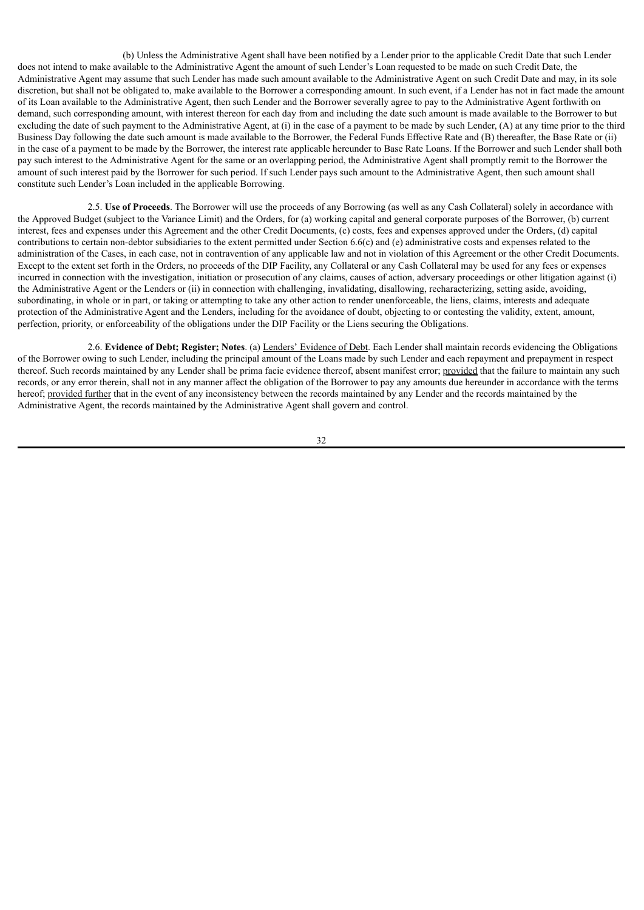(b) Unless the Administrative Agent shall have been notified by a Lender prior to the applicable Credit Date that such Lender does not intend to make available to the Administrative Agent the amount of such Lender's Loan requested to be made on such Credit Date, the Administrative Agent may assume that such Lender has made such amount available to the Administrative Agent on such Credit Date and may, in its sole discretion, but shall not be obligated to, make available to the Borrower a corresponding amount. In such event, if a Lender has not in fact made the amount of its Loan available to the Administrative Agent, then such Lender and the Borrower severally agree to pay to the Administrative Agent forthwith on demand, such corresponding amount, with interest thereon for each day from and including the date such amount is made available to the Borrower to but excluding the date of such payment to the Administrative Agent, at (i) in the case of a payment to be made by such Lender, (A) at any time prior to the third Business Day following the date such amount is made available to the Borrower, the Federal Funds Effective Rate and (B) thereafter, the Base Rate or (ii) in the case of a payment to be made by the Borrower, the interest rate applicable hereunder to Base Rate Loans. If the Borrower and such Lender shall both pay such interest to the Administrative Agent for the same or an overlapping period, the Administrative Agent shall promptly remit to the Borrower the amount of such interest paid by the Borrower for such period. If such Lender pays such amount to the Administrative Agent, then such amount shall constitute such Lender's Loan included in the applicable Borrowing.

2.5. **Use of Proceeds**. The Borrower will use the proceeds of any Borrowing (as well as any Cash Collateral) solely in accordance with the Approved Budget (subject to the Variance Limit) and the Orders, for (a) working capital and general corporate purposes of the Borrower, (b) current interest, fees and expenses under this Agreement and the other Credit Documents, (c) costs, fees and expenses approved under the Orders, (d) capital contributions to certain non-debtor subsidiaries to the extent permitted under Section 6.6(c) and (e) administrative costs and expenses related to the administration of the Cases, in each case, not in contravention of any applicable law and not in violation of this Agreement or the other Credit Documents. Except to the extent set forth in the Orders, no proceeds of the DIP Facility, any Collateral or any Cash Collateral may be used for any fees or expenses incurred in connection with the investigation, initiation or prosecution of any claims, causes of action, adversary proceedings or other litigation against (i) the Administrative Agent or the Lenders or (ii) in connection with challenging, invalidating, disallowing, recharacterizing, setting aside, avoiding, subordinating, in whole or in part, or taking or attempting to take any other action to render unenforceable, the liens, claims, interests and adequate protection of the Administrative Agent and the Lenders, including for the avoidance of doubt, objecting to or contesting the validity, extent, amount, perfection, priority, or enforceability of the obligations under the DIP Facility or the Liens securing the Obligations.

2.6. **Evidence of Debt; Register; Notes**. (a) Lenders' Evidence of Debt. Each Lender shall maintain records evidencing the Obligations of the Borrower owing to such Lender, including the principal amount of the Loans made by such Lender and each repayment and prepayment in respect thereof. Such records maintained by any Lender shall be prima facie evidence thereof, absent manifest error; provided that the failure to maintain any such records, or any error therein, shall not in any manner affect the obligation of the Borrower to pay any amounts due hereunder in accordance with the terms hereof; provided further that in the event of any inconsistency between the records maintained by any Lender and the records maintained by the Administrative Agent, the records maintained by the Administrative Agent shall govern and control.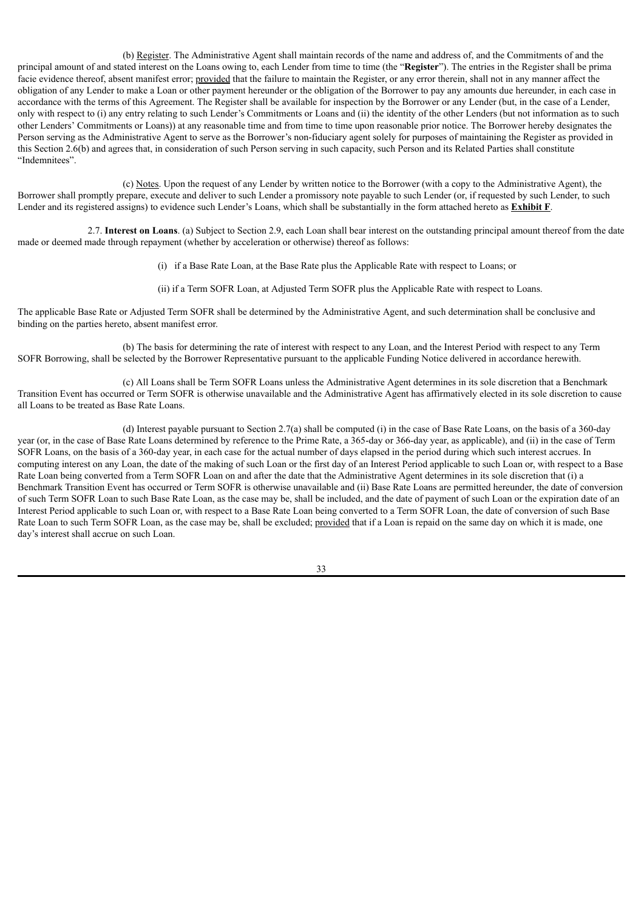(b) Register. The Administrative Agent shall maintain records of the name and address of, and the Commitments of and the principal amount of and stated interest on the Loans owing to, each Lender from time to time (the "**Register**"). The entries in the Register shall be prima facie evidence thereof, absent manifest error; provided that the failure to maintain the Register, or any error therein, shall not in any manner affect the obligation of any Lender to make a Loan or other payment hereunder or the obligation of the Borrower to pay any amounts due hereunder, in each case in accordance with the terms of this Agreement. The Register shall be available for inspection by the Borrower or any Lender (but, in the case of a Lender, only with respect to (i) any entry relating to such Lender's Commitments or Loans and (ii) the identity of the other Lenders (but not information as to such other Lenders' Commitments or Loans)) at any reasonable time and from time to time upon reasonable prior notice. The Borrower hereby designates the Person serving as the Administrative Agent to serve as the Borrower's non-fiduciary agent solely for purposes of maintaining the Register as provided in this Section 2.6(b) and agrees that, in consideration of such Person serving in such capacity, such Person and its Related Parties shall constitute "Indemnitees".

(c) Notes. Upon the request of any Lender by written notice to the Borrower (with a copy to the Administrative Agent), the Borrower shall promptly prepare, execute and deliver to such Lender a promissory note payable to such Lender (or, if requested by such Lender, to such Lender and its registered assigns) to evidence such Lender's Loans, which shall be substantially in the form attached hereto as **Exhibit F**.

2.7. **Interest on Loans**. (a) Subject to Section 2.9, each Loan shall bear interest on the outstanding principal amount thereof from the date made or deemed made through repayment (whether by acceleration or otherwise) thereof as follows:

- (i) if a Base Rate Loan, at the Base Rate plus the Applicable Rate with respect to Loans; or
- (ii) if a Term SOFR Loan, at Adjusted Term SOFR plus the Applicable Rate with respect to Loans.

The applicable Base Rate or Adjusted Term SOFR shall be determined by the Administrative Agent, and such determination shall be conclusive and binding on the parties hereto, absent manifest error.

(b) The basis for determining the rate of interest with respect to any Loan, and the Interest Period with respect to any Term SOFR Borrowing, shall be selected by the Borrower Representative pursuant to the applicable Funding Notice delivered in accordance herewith.

(c) All Loans shall be Term SOFR Loans unless the Administrative Agent determines in its sole discretion that a Benchmark Transition Event has occurred or Term SOFR is otherwise unavailable and the Administrative Agent has affirmatively elected in its sole discretion to cause all Loans to be treated as Base Rate Loans.

(d) Interest payable pursuant to Section 2.7(a) shall be computed (i) in the case of Base Rate Loans, on the basis of a 360-day year (or, in the case of Base Rate Loans determined by reference to the Prime Rate, a 365-day or 366-day year, as applicable), and (ii) in the case of Term SOFR Loans, on the basis of a 360-day year, in each case for the actual number of days elapsed in the period during which such interest accrues. In computing interest on any Loan, the date of the making of such Loan or the first day of an Interest Period applicable to such Loan or, with respect to a Base Rate Loan being converted from a Term SOFR Loan on and after the date that the Administrative Agent determines in its sole discretion that (i) a Benchmark Transition Event has occurred or Term SOFR is otherwise unavailable and (ii) Base Rate Loans are permitted hereunder, the date of conversion of such Term SOFR Loan to such Base Rate Loan, as the case may be, shall be included, and the date of payment of such Loan or the expiration date of an Interest Period applicable to such Loan or, with respect to a Base Rate Loan being converted to a Term SOFR Loan, the date of conversion of such Base Rate Loan to such Term SOFR Loan, as the case may be, shall be excluded; provided that if a Loan is repaid on the same day on which it is made, one day's interest shall accrue on such Loan.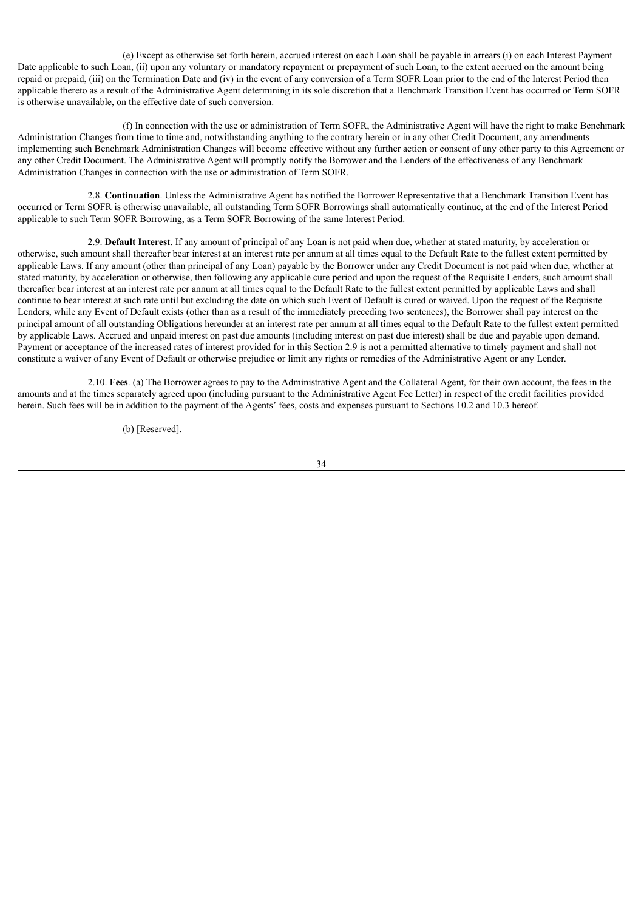(e) Except as otherwise set forth herein, accrued interest on each Loan shall be payable in arrears (i) on each Interest Payment Date applicable to such Loan, (ii) upon any voluntary or mandatory repayment or prepayment of such Loan, to the extent accrued on the amount being repaid or prepaid, (iii) on the Termination Date and (iv) in the event of any conversion of a Term SOFR Loan prior to the end of the Interest Period then applicable thereto as a result of the Administrative Agent determining in its sole discretion that a Benchmark Transition Event has occurred or Term SOFR is otherwise unavailable, on the effective date of such conversion.

(f) In connection with the use or administration of Term SOFR, the Administrative Agent will have the right to make Benchmark Administration Changes from time to time and, notwithstanding anything to the contrary herein or in any other Credit Document, any amendments implementing such Benchmark Administration Changes will become effective without any further action or consent of any other party to this Agreement or any other Credit Document. The Administrative Agent will promptly notify the Borrower and the Lenders of the effectiveness of any Benchmark Administration Changes in connection with the use or administration of Term SOFR.

2.8. **Continuation**. Unless the Administrative Agent has notified the Borrower Representative that a Benchmark Transition Event has occurred or Term SOFR is otherwise unavailable, all outstanding Term SOFR Borrowings shall automatically continue, at the end of the Interest Period applicable to such Term SOFR Borrowing, as a Term SOFR Borrowing of the same Interest Period.

2.9. **Default Interest**. If any amount of principal of any Loan is not paid when due, whether at stated maturity, by acceleration or otherwise, such amount shall thereafter bear interest at an interest rate per annum at all times equal to the Default Rate to the fullest extent permitted by applicable Laws. If any amount (other than principal of any Loan) payable by the Borrower under any Credit Document is not paid when due, whether at stated maturity, by acceleration or otherwise, then following any applicable cure period and upon the request of the Requisite Lenders, such amount shall thereafter bear interest at an interest rate per annum at all times equal to the Default Rate to the fullest extent permitted by applicable Laws and shall continue to bear interest at such rate until but excluding the date on which such Event of Default is cured or waived. Upon the request of the Requisite Lenders, while any Event of Default exists (other than as a result of the immediately preceding two sentences), the Borrower shall pay interest on the principal amount of all outstanding Obligations hereunder at an interest rate per annum at all times equal to the Default Rate to the fullest extent permitted by applicable Laws. Accrued and unpaid interest on past due amounts (including interest on past due interest) shall be due and payable upon demand. Payment or acceptance of the increased rates of interest provided for in this Section 2.9 is not a permitted alternative to timely payment and shall not constitute a waiver of any Event of Default or otherwise prejudice or limit any rights or remedies of the Administrative Agent or any Lender.

2.10. **Fees**. (a) The Borrower agrees to pay to the Administrative Agent and the Collateral Agent, for their own account, the fees in the amounts and at the times separately agreed upon (including pursuant to the Administrative Agent Fee Letter) in respect of the credit facilities provided herein. Such fees will be in addition to the payment of the Agents' fees, costs and expenses pursuant to Sections 10.2 and 10.3 hereof.

(b) [Reserved].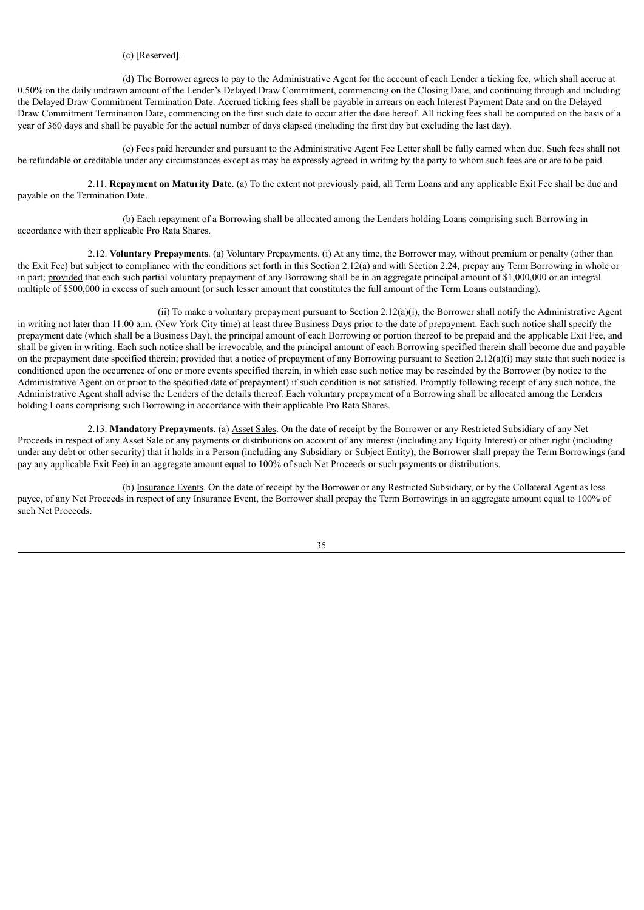## (c) [Reserved].

(d) The Borrower agrees to pay to the Administrative Agent for the account of each Lender a ticking fee, which shall accrue at 0.50% on the daily undrawn amount of the Lender's Delayed Draw Commitment, commencing on the Closing Date, and continuing through and including the Delayed Draw Commitment Termination Date. Accrued ticking fees shall be payable in arrears on each Interest Payment Date and on the Delayed Draw Commitment Termination Date, commencing on the first such date to occur after the date hereof. All ticking fees shall be computed on the basis of a year of 360 days and shall be payable for the actual number of days elapsed (including the first day but excluding the last day).

(e) Fees paid hereunder and pursuant to the Administrative Agent Fee Letter shall be fully earned when due. Such fees shall not be refundable or creditable under any circumstances except as may be expressly agreed in writing by the party to whom such fees are or are to be paid.

2.11. **Repayment on Maturity Date**. (a) To the extent not previously paid, all Term Loans and any applicable Exit Fee shall be due and payable on the Termination Date.

(b) Each repayment of a Borrowing shall be allocated among the Lenders holding Loans comprising such Borrowing in accordance with their applicable Pro Rata Shares.

2.12. **Voluntary Prepayments**. (a) Voluntary Prepayments. (i) At any time, the Borrower may, without premium or penalty (other than the Exit Fee) but subject to compliance with the conditions set forth in this Section 2.12(a) and with Section 2.24, prepay any Term Borrowing in whole or in part; provided that each such partial voluntary prepayment of any Borrowing shall be in an aggregate principal amount of \$1,000,000 or an integral multiple of \$500,000 in excess of such amount (or such lesser amount that constitutes the full amount of the Term Loans outstanding).

(ii) To make a voluntary prepayment pursuant to Section 2.12(a)(i), the Borrower shall notify the Administrative Agent in writing not later than 11:00 a.m. (New York City time) at least three Business Days prior to the date of prepayment. Each such notice shall specify the prepayment date (which shall be a Business Day), the principal amount of each Borrowing or portion thereof to be prepaid and the applicable Exit Fee, and shall be given in writing. Each such notice shall be irrevocable, and the principal amount of each Borrowing specified therein shall become due and payable on the prepayment date specified therein; provided that a notice of prepayment of any Borrowing pursuant to Section 2.12(a)(i) may state that such notice is conditioned upon the occurrence of one or more events specified therein, in which case such notice may be rescinded by the Borrower (by notice to the Administrative Agent on or prior to the specified date of prepayment) if such condition is not satisfied. Promptly following receipt of any such notice, the Administrative Agent shall advise the Lenders of the details thereof. Each voluntary prepayment of a Borrowing shall be allocated among the Lenders holding Loans comprising such Borrowing in accordance with their applicable Pro Rata Shares.

2.13. **Mandatory Prepayments**. (a) Asset Sales. On the date of receipt by the Borrower or any Restricted Subsidiary of any Net Proceeds in respect of any Asset Sale or any payments or distributions on account of any interest (including any Equity Interest) or other right (including under any debt or other security) that it holds in a Person (including any Subsidiary or Subject Entity), the Borrower shall prepay the Term Borrowings (and pay any applicable Exit Fee) in an aggregate amount equal to 100% of such Net Proceeds or such payments or distributions.

(b) Insurance Events. On the date of receipt by the Borrower or any Restricted Subsidiary, or by the Collateral Agent as loss payee, of any Net Proceeds in respect of any Insurance Event, the Borrower shall prepay the Term Borrowings in an aggregate amount equal to 100% of such Net Proceeds.

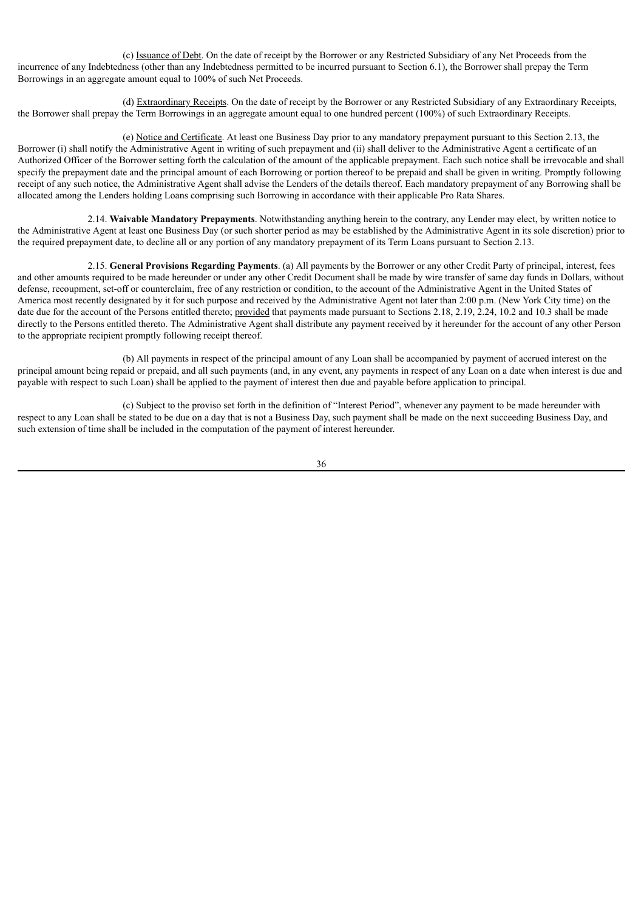(c) Issuance of Debt. On the date of receipt by the Borrower or any Restricted Subsidiary of any Net Proceeds from the incurrence of any Indebtedness (other than any Indebtedness permitted to be incurred pursuant to Section 6.1), the Borrower shall prepay the Term Borrowings in an aggregate amount equal to 100% of such Net Proceeds.

(d) Extraordinary Receipts. On the date of receipt by the Borrower or any Restricted Subsidiary of any Extraordinary Receipts, the Borrower shall prepay the Term Borrowings in an aggregate amount equal to one hundred percent (100%) of such Extraordinary Receipts.

(e) Notice and Certificate. At least one Business Day prior to any mandatory prepayment pursuant to this Section 2.13, the Borrower (i) shall notify the Administrative Agent in writing of such prepayment and (ii) shall deliver to the Administrative Agent a certificate of an Authorized Officer of the Borrower setting forth the calculation of the amount of the applicable prepayment. Each such notice shall be irrevocable and shall specify the prepayment date and the principal amount of each Borrowing or portion thereof to be prepaid and shall be given in writing. Promptly following receipt of any such notice, the Administrative Agent shall advise the Lenders of the details thereof. Each mandatory prepayment of any Borrowing shall be allocated among the Lenders holding Loans comprising such Borrowing in accordance with their applicable Pro Rata Shares.

2.14. **Waivable Mandatory Prepayments**. Notwithstanding anything herein to the contrary, any Lender may elect, by written notice to the Administrative Agent at least one Business Day (or such shorter period as may be established by the Administrative Agent in its sole discretion) prior to the required prepayment date, to decline all or any portion of any mandatory prepayment of its Term Loans pursuant to Section 2.13.

2.15. **General Provisions Regarding Payments**. (a) All payments by the Borrower or any other Credit Party of principal, interest, fees and other amounts required to be made hereunder or under any other Credit Document shall be made by wire transfer of same day funds in Dollars, without defense, recoupment, set-off or counterclaim, free of any restriction or condition, to the account of the Administrative Agent in the United States of America most recently designated by it for such purpose and received by the Administrative Agent not later than 2:00 p.m. (New York City time) on the date due for the account of the Persons entitled thereto; provided that payments made pursuant to Sections 2.18, 2.19, 2.24, 10.2 and 10.3 shall be made directly to the Persons entitled thereto. The Administrative Agent shall distribute any payment received by it hereunder for the account of any other Person to the appropriate recipient promptly following receipt thereof.

(b) All payments in respect of the principal amount of any Loan shall be accompanied by payment of accrued interest on the principal amount being repaid or prepaid, and all such payments (and, in any event, any payments in respect of any Loan on a date when interest is due and payable with respect to such Loan) shall be applied to the payment of interest then due and payable before application to principal.

(c) Subject to the proviso set forth in the definition of "Interest Period", whenever any payment to be made hereunder with respect to any Loan shall be stated to be due on a day that is not a Business Day, such payment shall be made on the next succeeding Business Day, and such extension of time shall be included in the computation of the payment of interest hereunder.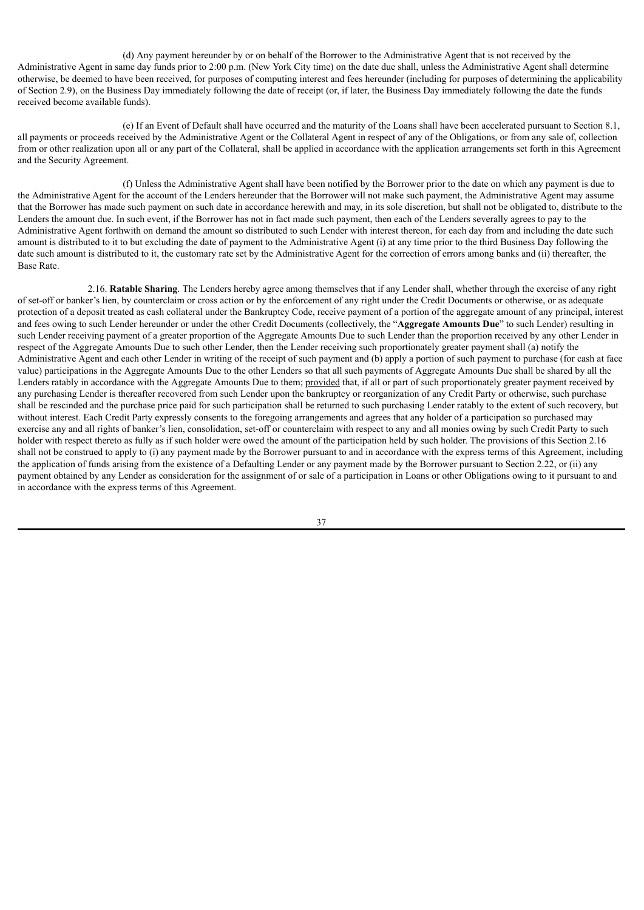(d) Any payment hereunder by or on behalf of the Borrower to the Administrative Agent that is not received by the Administrative Agent in same day funds prior to 2:00 p.m. (New York City time) on the date due shall, unless the Administrative Agent shall determine otherwise, be deemed to have been received, for purposes of computing interest and fees hereunder (including for purposes of determining the applicability of Section 2.9), on the Business Day immediately following the date of receipt (or, if later, the Business Day immediately following the date the funds received become available funds).

(e) If an Event of Default shall have occurred and the maturity of the Loans shall have been accelerated pursuant to Section 8.1, all payments or proceeds received by the Administrative Agent or the Collateral Agent in respect of any of the Obligations, or from any sale of, collection from or other realization upon all or any part of the Collateral, shall be applied in accordance with the application arrangements set forth in this Agreement and the Security Agreement.

(f) Unless the Administrative Agent shall have been notified by the Borrower prior to the date on which any payment is due to the Administrative Agent for the account of the Lenders hereunder that the Borrower will not make such payment, the Administrative Agent may assume that the Borrower has made such payment on such date in accordance herewith and may, in its sole discretion, but shall not be obligated to, distribute to the Lenders the amount due. In such event, if the Borrower has not in fact made such payment, then each of the Lenders severally agrees to pay to the Administrative Agent forthwith on demand the amount so distributed to such Lender with interest thereon, for each day from and including the date such amount is distributed to it to but excluding the date of payment to the Administrative Agent (i) at any time prior to the third Business Day following the date such amount is distributed to it, the customary rate set by the Administrative Agent for the correction of errors among banks and (ii) thereafter, the Base Rate.

2.16. **Ratable Sharing**. The Lenders hereby agree among themselves that if any Lender shall, whether through the exercise of any right of set-off or banker's lien, by counterclaim or cross action or by the enforcement of any right under the Credit Documents or otherwise, or as adequate protection of a deposit treated as cash collateral under the Bankruptcy Code, receive payment of a portion of the aggregate amount of any principal, interest and fees owing to such Lender hereunder or under the other Credit Documents (collectively, the "**Aggregate Amounts Due**" to such Lender) resulting in such Lender receiving payment of a greater proportion of the Aggregate Amounts Due to such Lender than the proportion received by any other Lender in respect of the Aggregate Amounts Due to such other Lender, then the Lender receiving such proportionately greater payment shall (a) notify the Administrative Agent and each other Lender in writing of the receipt of such payment and (b) apply a portion of such payment to purchase (for cash at face value) participations in the Aggregate Amounts Due to the other Lenders so that all such payments of Aggregate Amounts Due shall be shared by all the Lenders ratably in accordance with the Aggregate Amounts Due to them; provided that, if all or part of such proportionately greater payment received by any purchasing Lender is thereafter recovered from such Lender upon the bankruptcy or reorganization of any Credit Party or otherwise, such purchase shall be rescinded and the purchase price paid for such participation shall be returned to such purchasing Lender ratably to the extent of such recovery, but without interest. Each Credit Party expressly consents to the foregoing arrangements and agrees that any holder of a participation so purchased may exercise any and all rights of banker's lien, consolidation, set-off or counterclaim with respect to any and all monies owing by such Credit Party to such holder with respect thereto as fully as if such holder were owed the amount of the participation held by such holder. The provisions of this Section 2.16 shall not be construed to apply to (i) any payment made by the Borrower pursuant to and in accordance with the express terms of this Agreement, including the application of funds arising from the existence of a Defaulting Lender or any payment made by the Borrower pursuant to Section 2.22, or (ii) any payment obtained by any Lender as consideration for the assignment of or sale of a participation in Loans or other Obligations owing to it pursuant to and in accordance with the express terms of this Agreement.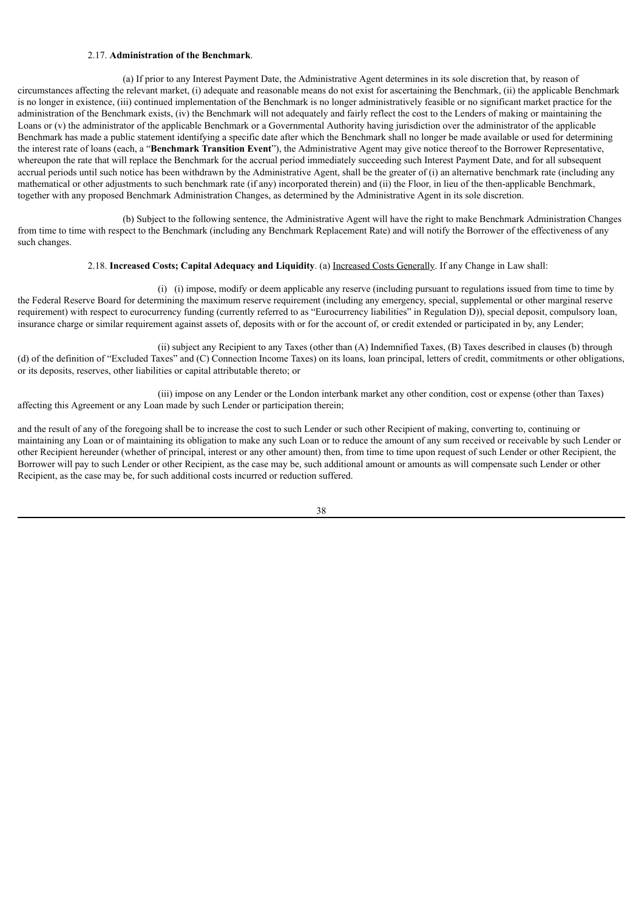#### 2.17. **Administration of the Benchmark**.

(a) If prior to any Interest Payment Date, the Administrative Agent determines in its sole discretion that, by reason of circumstances affecting the relevant market, (i) adequate and reasonable means do not exist for ascertaining the Benchmark, (ii) the applicable Benchmark is no longer in existence, (iii) continued implementation of the Benchmark is no longer administratively feasible or no significant market practice for the administration of the Benchmark exists, (iv) the Benchmark will not adequately and fairly reflect the cost to the Lenders of making or maintaining the Loans or (v) the administrator of the applicable Benchmark or a Governmental Authority having jurisdiction over the administrator of the applicable Benchmark has made a public statement identifying a specific date after which the Benchmark shall no longer be made available or used for determining the interest rate of loans (each, a "**Benchmark Transition Event**"), the Administrative Agent may give notice thereof to the Borrower Representative, whereupon the rate that will replace the Benchmark for the accrual period immediately succeeding such Interest Payment Date, and for all subsequent accrual periods until such notice has been withdrawn by the Administrative Agent, shall be the greater of (i) an alternative benchmark rate (including any mathematical or other adjustments to such benchmark rate (if any) incorporated therein) and (ii) the Floor, in lieu of the then-applicable Benchmark, together with any proposed Benchmark Administration Changes, as determined by the Administrative Agent in its sole discretion.

(b) Subject to the following sentence, the Administrative Agent will have the right to make Benchmark Administration Changes from time to time with respect to the Benchmark (including any Benchmark Replacement Rate) and will notify the Borrower of the effectiveness of any such changes.

### 2.18. **Increased Costs; Capital Adequacy and Liquidity**. (a) Increased Costs Generally. If any Change in Law shall:

(i) (i) impose, modify or deem applicable any reserve (including pursuant to regulations issued from time to time by the Federal Reserve Board for determining the maximum reserve requirement (including any emergency, special, supplemental or other marginal reserve requirement) with respect to eurocurrency funding (currently referred to as "Eurocurrency liabilities" in Regulation D)), special deposit, compulsory loan, insurance charge or similar requirement against assets of, deposits with or for the account of, or credit extended or participated in by, any Lender;

(ii) subject any Recipient to any Taxes (other than (A) Indemnified Taxes, (B) Taxes described in clauses (b) through (d) of the definition of "Excluded Taxes" and (C) Connection Income Taxes) on its loans, loan principal, letters of credit, commitments or other obligations, or its deposits, reserves, other liabilities or capital attributable thereto; or

(iii) impose on any Lender or the London interbank market any other condition, cost or expense (other than Taxes) affecting this Agreement or any Loan made by such Lender or participation therein;

and the result of any of the foregoing shall be to increase the cost to such Lender or such other Recipient of making, converting to, continuing or maintaining any Loan or of maintaining its obligation to make any such Loan or to reduce the amount of any sum received or receivable by such Lender or other Recipient hereunder (whether of principal, interest or any other amount) then, from time to time upon request of such Lender or other Recipient, the Borrower will pay to such Lender or other Recipient, as the case may be, such additional amount or amounts as will compensate such Lender or other Recipient, as the case may be, for such additional costs incurred or reduction suffered.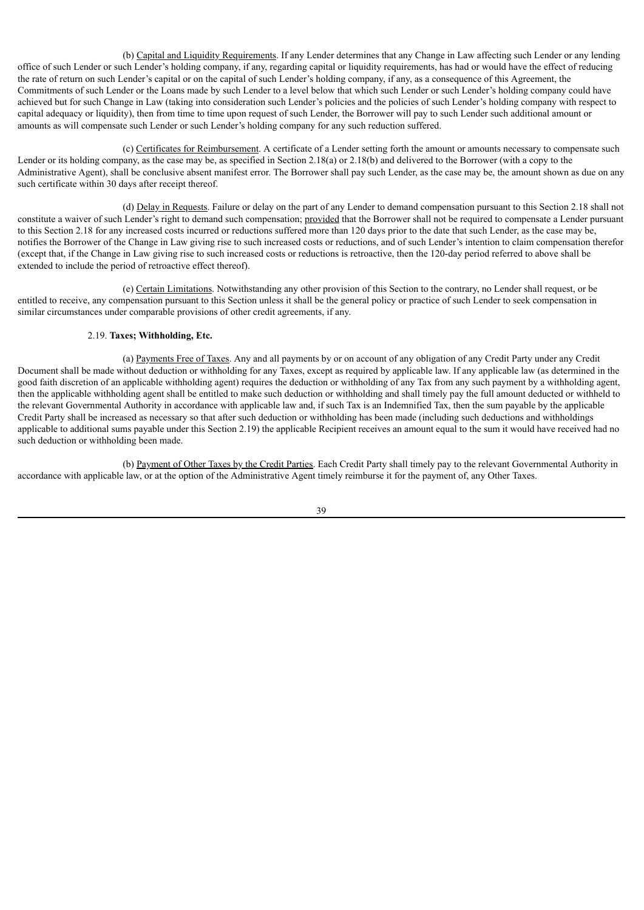(b) Capital and Liquidity Requirements. If any Lender determines that any Change in Law affecting such Lender or any lending office of such Lender or such Lender's holding company, if any, regarding capital or liquidity requirements, has had or would have the effect of reducing the rate of return on such Lender's capital or on the capital of such Lender's holding company, if any, as a consequence of this Agreement, the Commitments of such Lender or the Loans made by such Lender to a level below that which such Lender or such Lender's holding company could have achieved but for such Change in Law (taking into consideration such Lender's policies and the policies of such Lender's holding company with respect to capital adequacy or liquidity), then from time to time upon request of such Lender, the Borrower will pay to such Lender such additional amount or amounts as will compensate such Lender or such Lender's holding company for any such reduction suffered.

(c) Certificates for Reimbursement. A certificate of a Lender setting forth the amount or amounts necessary to compensate such Lender or its holding company, as the case may be, as specified in Section 2.18(a) or 2.18(b) and delivered to the Borrower (with a copy to the Administrative Agent), shall be conclusive absent manifest error. The Borrower shall pay such Lender, as the case may be, the amount shown as due on any such certificate within 30 days after receipt thereof.

(d) Delay in Requests. Failure or delay on the part of any Lender to demand compensation pursuant to this Section 2.18 shall not constitute a waiver of such Lender's right to demand such compensation; provided that the Borrower shall not be required to compensate a Lender pursuant to this Section 2.18 for any increased costs incurred or reductions suffered more than 120 days prior to the date that such Lender, as the case may be, notifies the Borrower of the Change in Law giving rise to such increased costs or reductions, and of such Lender's intention to claim compensation therefor (except that, if the Change in Law giving rise to such increased costs or reductions is retroactive, then the 120-day period referred to above shall be extended to include the period of retroactive effect thereof).

(e) Certain Limitations. Notwithstanding any other provision of this Section to the contrary, no Lender shall request, or be entitled to receive, any compensation pursuant to this Section unless it shall be the general policy or practice of such Lender to seek compensation in similar circumstances under comparable provisions of other credit agreements, if any.

### 2.19. **Taxes; Withholding, Etc.**

(a) Payments Free of Taxes. Any and all payments by or on account of any obligation of any Credit Party under any Credit Document shall be made without deduction or withholding for any Taxes, except as required by applicable law. If any applicable law (as determined in the good faith discretion of an applicable withholding agent) requires the deduction or withholding of any Tax from any such payment by a withholding agent, then the applicable withholding agent shall be entitled to make such deduction or withholding and shall timely pay the full amount deducted or withheld to the relevant Governmental Authority in accordance with applicable law and, if such Tax is an Indemnified Tax, then the sum payable by the applicable Credit Party shall be increased as necessary so that after such deduction or withholding has been made (including such deductions and withholdings applicable to additional sums payable under this Section 2.19) the applicable Recipient receives an amount equal to the sum it would have received had no such deduction or withholding been made.

(b) Payment of Other Taxes by the Credit Parties. Each Credit Party shall timely pay to the relevant Governmental Authority in accordance with applicable law, or at the option of the Administrative Agent timely reimburse it for the payment of, any Other Taxes.

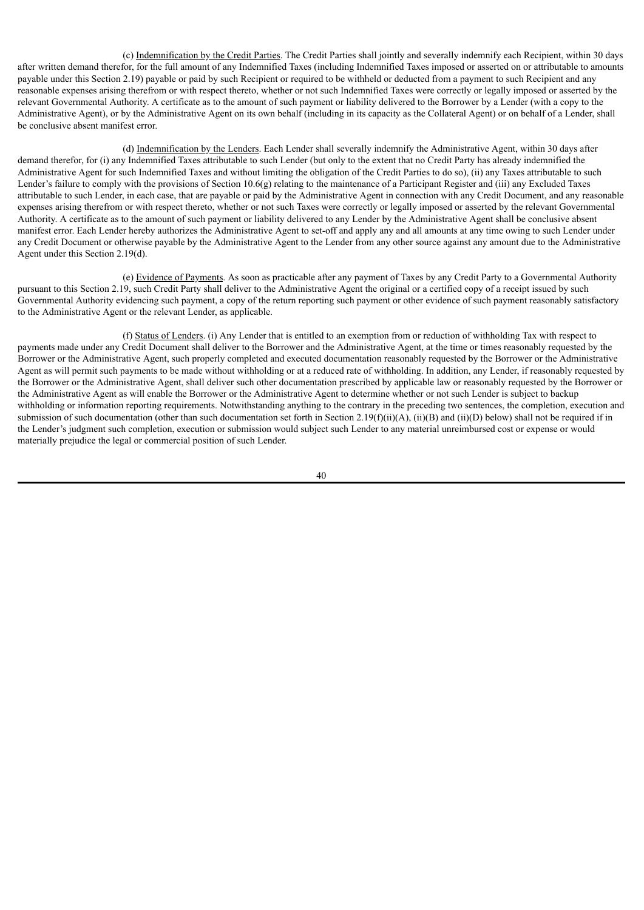(c) Indemnification by the Credit Parties. The Credit Parties shall jointly and severally indemnify each Recipient, within 30 days after written demand therefor, for the full amount of any Indemnified Taxes (including Indemnified Taxes imposed or asserted on or attributable to amounts payable under this Section 2.19) payable or paid by such Recipient or required to be withheld or deducted from a payment to such Recipient and any reasonable expenses arising therefrom or with respect thereto, whether or not such Indemnified Taxes were correctly or legally imposed or asserted by the relevant Governmental Authority. A certificate as to the amount of such payment or liability delivered to the Borrower by a Lender (with a copy to the Administrative Agent), or by the Administrative Agent on its own behalf (including in its capacity as the Collateral Agent) or on behalf of a Lender, shall be conclusive absent manifest error.

(d) Indemnification by the Lenders. Each Lender shall severally indemnify the Administrative Agent, within 30 days after demand therefor, for (i) any Indemnified Taxes attributable to such Lender (but only to the extent that no Credit Party has already indemnified the Administrative Agent for such Indemnified Taxes and without limiting the obligation of the Credit Parties to do so), (ii) any Taxes attributable to such Lender's failure to comply with the provisions of Section 10.6(g) relating to the maintenance of a Participant Register and (iii) any Excluded Taxes attributable to such Lender, in each case, that are payable or paid by the Administrative Agent in connection with any Credit Document, and any reasonable expenses arising therefrom or with respect thereto, whether or not such Taxes were correctly or legally imposed or asserted by the relevant Governmental Authority. A certificate as to the amount of such payment or liability delivered to any Lender by the Administrative Agent shall be conclusive absent manifest error. Each Lender hereby authorizes the Administrative Agent to set-off and apply any and all amounts at any time owing to such Lender under any Credit Document or otherwise payable by the Administrative Agent to the Lender from any other source against any amount due to the Administrative Agent under this Section 2.19(d).

(e) Evidence of Payments. As soon as practicable after any payment of Taxes by any Credit Party to a Governmental Authority pursuant to this Section 2.19, such Credit Party shall deliver to the Administrative Agent the original or a certified copy of a receipt issued by such Governmental Authority evidencing such payment, a copy of the return reporting such payment or other evidence of such payment reasonably satisfactory to the Administrative Agent or the relevant Lender, as applicable.

(f) Status of Lenders. (i) Any Lender that is entitled to an exemption from or reduction of withholding Tax with respect to payments made under any Credit Document shall deliver to the Borrower and the Administrative Agent, at the time or times reasonably requested by the Borrower or the Administrative Agent, such properly completed and executed documentation reasonably requested by the Borrower or the Administrative Agent as will permit such payments to be made without withholding or at a reduced rate of withholding. In addition, any Lender, if reasonably requested by the Borrower or the Administrative Agent, shall deliver such other documentation prescribed by applicable law or reasonably requested by the Borrower or the Administrative Agent as will enable the Borrower or the Administrative Agent to determine whether or not such Lender is subject to backup withholding or information reporting requirements. Notwithstanding anything to the contrary in the preceding two sentences, the completion, execution and submission of such documentation (other than such documentation set forth in Section 2.19(f)(ii)(A), (ii)(B) and (ii)(D) below) shall not be required if in the Lender's judgment such completion, execution or submission would subject such Lender to any material unreimbursed cost or expense or would materially prejudice the legal or commercial position of such Lender.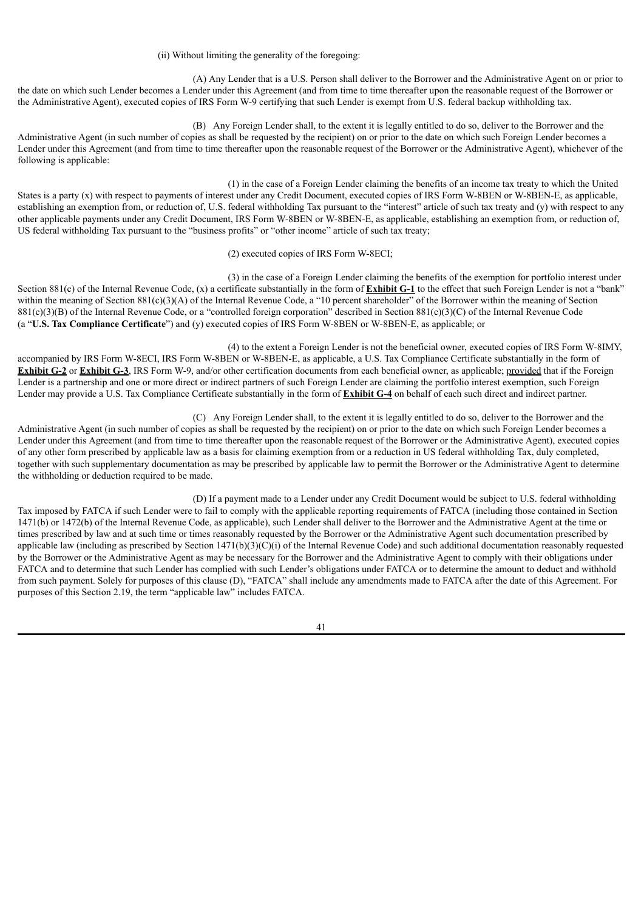(ii) Without limiting the generality of the foregoing:

(A) Any Lender that is a U.S. Person shall deliver to the Borrower and the Administrative Agent on or prior to the date on which such Lender becomes a Lender under this Agreement (and from time to time thereafter upon the reasonable request of the Borrower or the Administrative Agent), executed copies of IRS Form W-9 certifying that such Lender is exempt from U.S. federal backup withholding tax.

(B) Any Foreign Lender shall, to the extent it is legally entitled to do so, deliver to the Borrower and the Administrative Agent (in such number of copies as shall be requested by the recipient) on or prior to the date on which such Foreign Lender becomes a Lender under this Agreement (and from time to time thereafter upon the reasonable request of the Borrower or the Administrative Agent), whichever of the following is applicable:

(1) in the case of a Foreign Lender claiming the benefits of an income tax treaty to which the United States is a party (x) with respect to payments of interest under any Credit Document, executed copies of IRS Form W-8BEN or W-8BEN-E, as applicable, establishing an exemption from, or reduction of, U.S. federal withholding Tax pursuant to the "interest" article of such tax treaty and (y) with respect to any other applicable payments under any Credit Document, IRS Form W-8BEN or W-8BEN-E, as applicable, establishing an exemption from, or reduction of, US federal withholding Tax pursuant to the "business profits" or "other income" article of such tax treaty;

### (2) executed copies of IRS Form W-8ECI;

(3) in the case of a Foreign Lender claiming the benefits of the exemption for portfolio interest under Section 881(c) of the Internal Revenue Code, (x) a certificate substantially in the form of **Exhibit G-1** to the effect that such Foreign Lender is not a "bank" within the meaning of Section 881(c)(3)(A) of the Internal Revenue Code, a "10 percent shareholder" of the Borrower within the meaning of Section  $881(c)(3)(B)$  of the Internal Revenue Code, or a "controlled foreign corporation" described in Section  $881(c)(3)(C)$  of the Internal Revenue Code (a "**U.S. Tax Compliance Certificate**") and (y) executed copies of IRS Form W-8BEN or W-8BEN-E, as applicable; or

(4) to the extent a Foreign Lender is not the beneficial owner, executed copies of IRS Form W-8IMY, accompanied by IRS Form W-8ECI, IRS Form W-8BEN or W-8BEN-E, as applicable, a U.S. Tax Compliance Certificate substantially in the form of **Exhibit G-2** or **Exhibit G-3**, IRS Form W-9, and/or other certification documents from each beneficial owner, as applicable; provided that if the Foreign Lender is a partnership and one or more direct or indirect partners of such Foreign Lender are claiming the portfolio interest exemption, such Foreign Lender may provide a U.S. Tax Compliance Certificate substantially in the form of **Exhibit G-4** on behalf of each such direct and indirect partner.

(C) Any Foreign Lender shall, to the extent it is legally entitled to do so, deliver to the Borrower and the Administrative Agent (in such number of copies as shall be requested by the recipient) on or prior to the date on which such Foreign Lender becomes a Lender under this Agreement (and from time to time thereafter upon the reasonable request of the Borrower or the Administrative Agent), executed copies of any other form prescribed by applicable law as a basis for claiming exemption from or a reduction in US federal withholding Tax, duly completed, together with such supplementary documentation as may be prescribed by applicable law to permit the Borrower or the Administrative Agent to determine the withholding or deduction required to be made.

(D) If a payment made to a Lender under any Credit Document would be subject to U.S. federal withholding Tax imposed by FATCA if such Lender were to fail to comply with the applicable reporting requirements of FATCA (including those contained in Section 1471(b) or 1472(b) of the Internal Revenue Code, as applicable), such Lender shall deliver to the Borrower and the Administrative Agent at the time or times prescribed by law and at such time or times reasonably requested by the Borrower or the Administrative Agent such documentation prescribed by applicable law (including as prescribed by Section  $1471(b)(3)(C)(i)$  of the Internal Revenue Code) and such additional documentation reasonably requested by the Borrower or the Administrative Agent as may be necessary for the Borrower and the Administrative Agent to comply with their obligations under FATCA and to determine that such Lender has complied with such Lender's obligations under FATCA or to determine the amount to deduct and withhold from such payment. Solely for purposes of this clause (D), "FATCA" shall include any amendments made to FATCA after the date of this Agreement. For purposes of this Section 2.19, the term "applicable law" includes FATCA.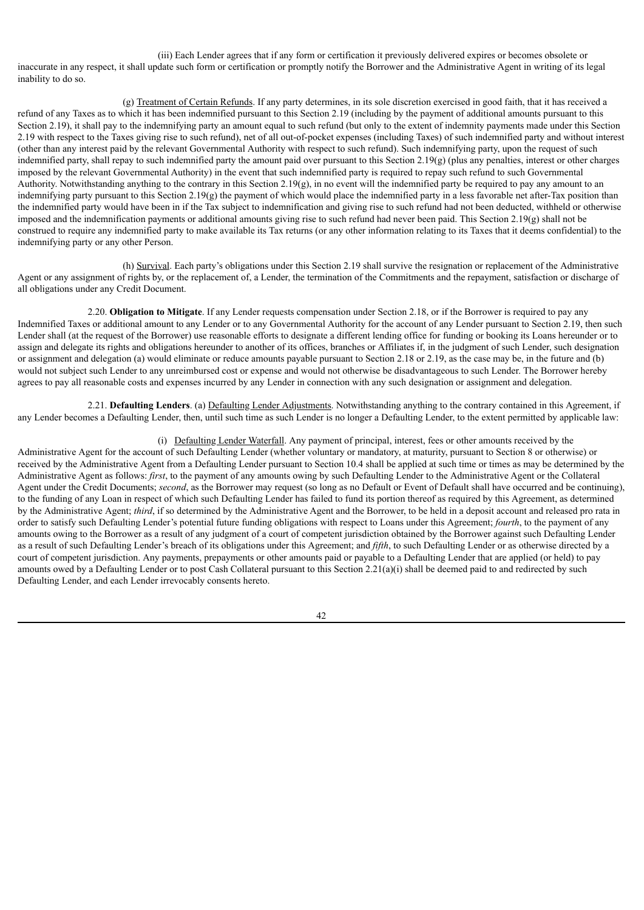(iii) Each Lender agrees that if any form or certification it previously delivered expires or becomes obsolete or inaccurate in any respect, it shall update such form or certification or promptly notify the Borrower and the Administrative Agent in writing of its legal inability to do so.

(g) Treatment of Certain Refunds. If any party determines, in its sole discretion exercised in good faith, that it has received a refund of any Taxes as to which it has been indemnified pursuant to this Section 2.19 (including by the payment of additional amounts pursuant to this Section 2.19), it shall pay to the indemnifying party an amount equal to such refund (but only to the extent of indemnity payments made under this Section 2.19 with respect to the Taxes giving rise to such refund), net of all out-of-pocket expenses (including Taxes) of such indemnified party and without interest (other than any interest paid by the relevant Governmental Authority with respect to such refund). Such indemnifying party, upon the request of such indemnified party, shall repay to such indemnified party the amount paid over pursuant to this Section  $2.19(g)$  (plus any penalties, interest or other charges imposed by the relevant Governmental Authority) in the event that such indemnified party is required to repay such refund to such Governmental Authority. Notwithstanding anything to the contrary in this Section 2.19(g), in no event will the indemnified party be required to pay any amount to an indemnifying party pursuant to this Section 2.19(g) the payment of which would place the indemnified party in a less favorable net after-Tax position than the indemnified party would have been in if the Tax subject to indemnification and giving rise to such refund had not been deducted, withheld or otherwise imposed and the indemnification payments or additional amounts giving rise to such refund had never been paid. This Section 2.19(g) shall not be construed to require any indemnified party to make available its Tax returns (or any other information relating to its Taxes that it deems confidential) to the indemnifying party or any other Person.

(h) Survival. Each party's obligations under this Section 2.19 shall survive the resignation or replacement of the Administrative Agent or any assignment of rights by, or the replacement of, a Lender, the termination of the Commitments and the repayment, satisfaction or discharge of all obligations under any Credit Document.

2.20. **Obligation to Mitigate**. If any Lender requests compensation under Section 2.18, or if the Borrower is required to pay any Indemnified Taxes or additional amount to any Lender or to any Governmental Authority for the account of any Lender pursuant to Section 2.19, then such Lender shall (at the request of the Borrower) use reasonable efforts to designate a different lending office for funding or booking its Loans hereunder or to assign and delegate its rights and obligations hereunder to another of its offices, branches or Affiliates if, in the judgment of such Lender, such designation or assignment and delegation (a) would eliminate or reduce amounts payable pursuant to Section 2.18 or 2.19, as the case may be, in the future and (b) would not subject such Lender to any unreimbursed cost or expense and would not otherwise be disadvantageous to such Lender. The Borrower hereby agrees to pay all reasonable costs and expenses incurred by any Lender in connection with any such designation or assignment and delegation.

2.21. **Defaulting Lenders**. (a) Defaulting Lender Adjustments. Notwithstanding anything to the contrary contained in this Agreement, if any Lender becomes a Defaulting Lender, then, until such time as such Lender is no longer a Defaulting Lender, to the extent permitted by applicable law:

(i) Defaulting Lender Waterfall. Any payment of principal, interest, fees or other amounts received by the Administrative Agent for the account of such Defaulting Lender (whether voluntary or mandatory, at maturity, pursuant to Section 8 or otherwise) or received by the Administrative Agent from a Defaulting Lender pursuant to Section 10.4 shall be applied at such time or times as may be determined by the Administrative Agent as follows: *first*, to the payment of any amounts owing by such Defaulting Lender to the Administrative Agent or the Collateral Agent under the Credit Documents; *second*, as the Borrower may request (so long as no Default or Event of Default shall have occurred and be continuing), to the funding of any Loan in respect of which such Defaulting Lender has failed to fund its portion thereof as required by this Agreement, as determined by the Administrative Agent; *third*, if so determined by the Administrative Agent and the Borrower, to be held in a deposit account and released pro rata in order to satisfy such Defaulting Lender's potential future funding obligations with respect to Loans under this Agreement; *fourth*, to the payment of any amounts owing to the Borrower as a result of any judgment of a court of competent jurisdiction obtained by the Borrower against such Defaulting Lender as a result of such Defaulting Lender's breach of its obligations under this Agreement; and *fifth*, to such Defaulting Lender or as otherwise directed by a court of competent jurisdiction. Any payments, prepayments or other amounts paid or payable to a Defaulting Lender that are applied (or held) to pay amounts owed by a Defaulting Lender or to post Cash Collateral pursuant to this Section 2.21(a)(i) shall be deemed paid to and redirected by such Defaulting Lender, and each Lender irrevocably consents hereto.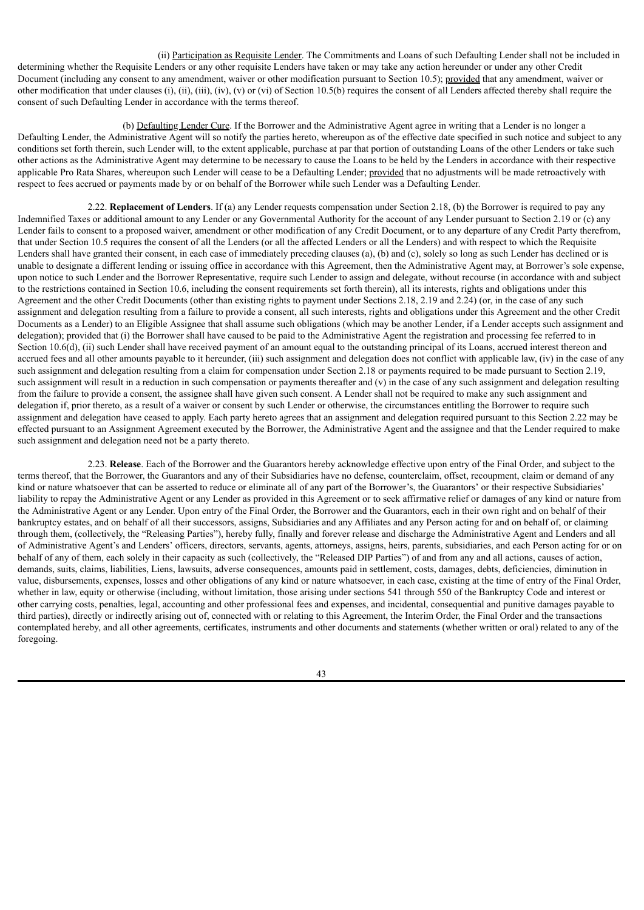(ii) Participation as Requisite Lender. The Commitments and Loans of such Defaulting Lender shall not be included in determining whether the Requisite Lenders or any other requisite Lenders have taken or may take any action hereunder or under any other Credit Document (including any consent to any amendment, waiver or other modification pursuant to Section 10.5); provided that any amendment, waiver or other modification that under clauses (i), (ii), (iii), (iv), (v) or (vi) of Section 10.5(b) requires the consent of all Lenders affected thereby shall require the consent of such Defaulting Lender in accordance with the terms thereof.

(b) Defaulting Lender Cure. If the Borrower and the Administrative Agent agree in writing that a Lender is no longer a Defaulting Lender, the Administrative Agent will so notify the parties hereto, whereupon as of the effective date specified in such notice and subject to any conditions set forth therein, such Lender will, to the extent applicable, purchase at par that portion of outstanding Loans of the other Lenders or take such other actions as the Administrative Agent may determine to be necessary to cause the Loans to be held by the Lenders in accordance with their respective applicable Pro Rata Shares, whereupon such Lender will cease to be a Defaulting Lender; provided that no adjustments will be made retroactively with respect to fees accrued or payments made by or on behalf of the Borrower while such Lender was a Defaulting Lender.

2.22. **Replacement of Lenders**. If (a) any Lender requests compensation under Section 2.18, (b) the Borrower is required to pay any Indemnified Taxes or additional amount to any Lender or any Governmental Authority for the account of any Lender pursuant to Section 2.19 or (c) any Lender fails to consent to a proposed waiver, amendment or other modification of any Credit Document, or to any departure of any Credit Party therefrom, that under Section 10.5 requires the consent of all the Lenders (or all the affected Lenders or all the Lenders) and with respect to which the Requisite Lenders shall have granted their consent, in each case of immediately preceding clauses (a), (b) and (c), solely so long as such Lender has declined or is unable to designate a different lending or issuing office in accordance with this Agreement, then the Administrative Agent may, at Borrower's sole expense, upon notice to such Lender and the Borrower Representative, require such Lender to assign and delegate, without recourse (in accordance with and subject to the restrictions contained in Section 10.6, including the consent requirements set forth therein), all its interests, rights and obligations under this Agreement and the other Credit Documents (other than existing rights to payment under Sections 2.18, 2.19 and 2.24) (or, in the case of any such assignment and delegation resulting from a failure to provide a consent, all such interests, rights and obligations under this Agreement and the other Credit Documents as a Lender) to an Eligible Assignee that shall assume such obligations (which may be another Lender, if a Lender accepts such assignment and delegation); provided that (i) the Borrower shall have caused to be paid to the Administrative Agent the registration and processing fee referred to in Section 10.6(d), (ii) such Lender shall have received payment of an amount equal to the outstanding principal of its Loans, accrued interest thereon and accrued fees and all other amounts payable to it hereunder, (iii) such assignment and delegation does not conflict with applicable law, (iv) in the case of any such assignment and delegation resulting from a claim for compensation under Section 2.18 or payments required to be made pursuant to Section 2.19, such assignment will result in a reduction in such compensation or payments thereafter and (v) in the case of any such assignment and delegation resulting from the failure to provide a consent, the assignee shall have given such consent. A Lender shall not be required to make any such assignment and delegation if, prior thereto, as a result of a waiver or consent by such Lender or otherwise, the circumstances entitling the Borrower to require such assignment and delegation have ceased to apply. Each party hereto agrees that an assignment and delegation required pursuant to this Section 2.22 may be effected pursuant to an Assignment Agreement executed by the Borrower, the Administrative Agent and the assignee and that the Lender required to make such assignment and delegation need not be a party thereto.

2.23. **Release**. Each of the Borrower and the Guarantors hereby acknowledge effective upon entry of the Final Order, and subject to the terms thereof, that the Borrower, the Guarantors and any of their Subsidiaries have no defense, counterclaim, offset, recoupment, claim or demand of any kind or nature whatsoever that can be asserted to reduce or eliminate all of any part of the Borrower's, the Guarantors' or their respective Subsidiaries' liability to repay the Administrative Agent or any Lender as provided in this Agreement or to seek affirmative relief or damages of any kind or nature from the Administrative Agent or any Lender. Upon entry of the Final Order, the Borrower and the Guarantors, each in their own right and on behalf of their bankruptcy estates, and on behalf of all their successors, assigns, Subsidiaries and any Affiliates and any Person acting for and on behalf of, or claiming through them, (collectively, the "Releasing Parties"), hereby fully, finally and forever release and discharge the Administrative Agent and Lenders and all of Administrative Agent's and Lenders' officers, directors, servants, agents, attorneys, assigns, heirs, parents, subsidiaries, and each Person acting for or on behalf of any of them, each solely in their capacity as such (collectively, the "Released DIP Parties") of and from any and all actions, causes of action, demands, suits, claims, liabilities, Liens, lawsuits, adverse consequences, amounts paid in settlement, costs, damages, debts, deficiencies, diminution in value, disbursements, expenses, losses and other obligations of any kind or nature whatsoever, in each case, existing at the time of entry of the Final Order, whether in law, equity or otherwise (including, without limitation, those arising under sections 541 through 550 of the Bankruptcy Code and interest or other carrying costs, penalties, legal, accounting and other professional fees and expenses, and incidental, consequential and punitive damages payable to third parties), directly or indirectly arising out of, connected with or relating to this Agreement, the Interim Order, the Final Order and the transactions contemplated hereby, and all other agreements, certificates, instruments and other documents and statements (whether written or oral) related to any of the foregoing.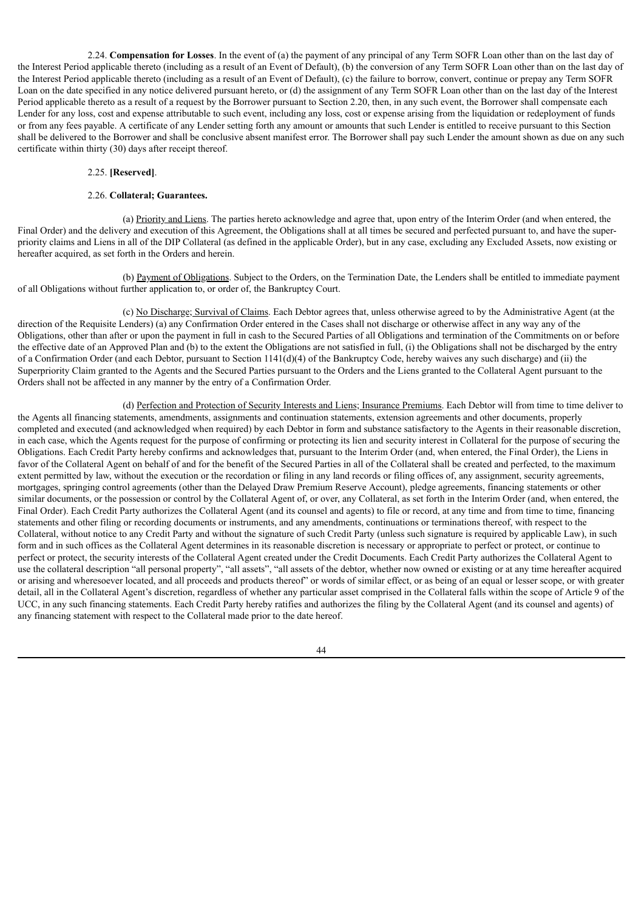2.24. **Compensation for Losses**. In the event of (a) the payment of any principal of any Term SOFR Loan other than on the last day of the Interest Period applicable thereto (including as a result of an Event of Default), (b) the conversion of any Term SOFR Loan other than on the last day of the Interest Period applicable thereto (including as a result of an Event of Default), (c) the failure to borrow, convert, continue or prepay any Term SOFR Loan on the date specified in any notice delivered pursuant hereto, or (d) the assignment of any Term SOFR Loan other than on the last day of the Interest Period applicable thereto as a result of a request by the Borrower pursuant to Section 2.20, then, in any such event, the Borrower shall compensate each Lender for any loss, cost and expense attributable to such event, including any loss, cost or expense arising from the liquidation or redeployment of funds or from any fees payable. A certificate of any Lender setting forth any amount or amounts that such Lender is entitled to receive pursuant to this Section shall be delivered to the Borrower and shall be conclusive absent manifest error. The Borrower shall pay such Lender the amount shown as due on any such certificate within thirty (30) days after receipt thereof.

## 2.25. **[Reserved]**.

### 2.26. **Collateral; Guarantees.**

(a) Priority and Liens. The parties hereto acknowledge and agree that, upon entry of the Interim Order (and when entered, the Final Order) and the delivery and execution of this Agreement, the Obligations shall at all times be secured and perfected pursuant to, and have the superpriority claims and Liens in all of the DIP Collateral (as defined in the applicable Order), but in any case, excluding any Excluded Assets, now existing or hereafter acquired, as set forth in the Orders and herein.

(b) Payment of Obligations. Subject to the Orders, on the Termination Date, the Lenders shall be entitled to immediate payment of all Obligations without further application to, or order of, the Bankruptcy Court.

(c) No Discharge; Survival of Claims. Each Debtor agrees that, unless otherwise agreed to by the Administrative Agent (at the direction of the Requisite Lenders) (a) any Confirmation Order entered in the Cases shall not discharge or otherwise affect in any way any of the Obligations, other than after or upon the payment in full in cash to the Secured Parties of all Obligations and termination of the Commitments on or before the effective date of an Approved Plan and (b) to the extent the Obligations are not satisfied in full, (i) the Obligations shall not be discharged by the entry of a Confirmation Order (and each Debtor, pursuant to Section 1141(d)(4) of the Bankruptcy Code, hereby waives any such discharge) and (ii) the Superpriority Claim granted to the Agents and the Secured Parties pursuant to the Orders and the Liens granted to the Collateral Agent pursuant to the Orders shall not be affected in any manner by the entry of a Confirmation Order.

(d) Perfection and Protection of Security Interests and Liens; Insurance Premiums. Each Debtor will from time to time deliver to the Agents all financing statements, amendments, assignments and continuation statements, extension agreements and other documents, properly completed and executed (and acknowledged when required) by each Debtor in form and substance satisfactory to the Agents in their reasonable discretion, in each case, which the Agents request for the purpose of confirming or protecting its lien and security interest in Collateral for the purpose of securing the Obligations. Each Credit Party hereby confirms and acknowledges that, pursuant to the Interim Order (and, when entered, the Final Order), the Liens in favor of the Collateral Agent on behalf of and for the benefit of the Secured Parties in all of the Collateral shall be created and perfected, to the maximum extent permitted by law, without the execution or the recordation or filing in any land records or filing offices of, any assignment, security agreements, mortgages, springing control agreements (other than the Delayed Draw Premium Reserve Account), pledge agreements, financing statements or other similar documents, or the possession or control by the Collateral Agent of, or over, any Collateral, as set forth in the Interim Order (and, when entered, the Final Order). Each Credit Party authorizes the Collateral Agent (and its counsel and agents) to file or record, at any time and from time to time, financing statements and other filing or recording documents or instruments, and any amendments, continuations or terminations thereof, with respect to the Collateral, without notice to any Credit Party and without the signature of such Credit Party (unless such signature is required by applicable Law), in such form and in such offices as the Collateral Agent determines in its reasonable discretion is necessary or appropriate to perfect or protect, or continue to perfect or protect, the security interests of the Collateral Agent created under the Credit Documents. Each Credit Party authorizes the Collateral Agent to use the collateral description "all personal property", "all assets", "all assets of the debtor, whether now owned or existing or at any time hereafter acquired or arising and wheresoever located, and all proceeds and products thereof" or words of similar effect, or as being of an equal or lesser scope, or with greater detail, all in the Collateral Agent's discretion, regardless of whether any particular asset comprised in the Collateral falls within the scope of Article 9 of the UCC, in any such financing statements. Each Credit Party hereby ratifies and authorizes the filing by the Collateral Agent (and its counsel and agents) of any financing statement with respect to the Collateral made prior to the date hereof.

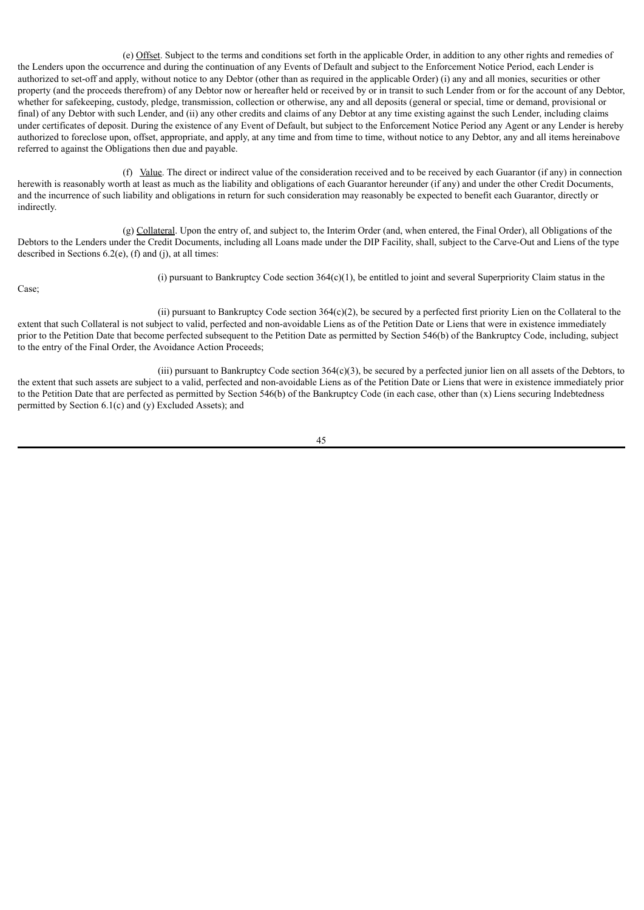(e) Offset. Subject to the terms and conditions set forth in the applicable Order, in addition to any other rights and remedies of the Lenders upon the occurrence and during the continuation of any Events of Default and subject to the Enforcement Notice Period, each Lender is authorized to set-off and apply, without notice to any Debtor (other than as required in the applicable Order) (i) any and all monies, securities or other property (and the proceeds therefrom) of any Debtor now or hereafter held or received by or in transit to such Lender from or for the account of any Debtor, whether for safekeeping, custody, pledge, transmission, collection or otherwise, any and all deposits (general or special, time or demand, provisional or final) of any Debtor with such Lender, and (ii) any other credits and claims of any Debtor at any time existing against the such Lender, including claims under certificates of deposit. During the existence of any Event of Default, but subject to the Enforcement Notice Period any Agent or any Lender is hereby authorized to foreclose upon, offset, appropriate, and apply, at any time and from time to time, without notice to any Debtor, any and all items hereinabove referred to against the Obligations then due and payable.

(f) Value. The direct or indirect value of the consideration received and to be received by each Guarantor (if any) in connection herewith is reasonably worth at least as much as the liability and obligations of each Guarantor hereunder (if any) and under the other Credit Documents, and the incurrence of such liability and obligations in return for such consideration may reasonably be expected to benefit each Guarantor, directly or indirectly.

(g) Collateral. Upon the entry of, and subject to, the Interim Order (and, when entered, the Final Order), all Obligations of the Debtors to the Lenders under the Credit Documents, including all Loans made under the DIP Facility, shall, subject to the Carve-Out and Liens of the type described in Sections 6.2(e), (f) and (j), at all times:

Case;

(i) pursuant to Bankruptcy Code section  $364(c)(1)$ , be entitled to joint and several Superpriority Claim status in the

(ii) pursuant to Bankruptcy Code section  $364(c)(2)$ , be secured by a perfected first priority Lien on the Collateral to the extent that such Collateral is not subject to valid, perfected and non-avoidable Liens as of the Petition Date or Liens that were in existence immediately prior to the Petition Date that become perfected subsequent to the Petition Date as permitted by Section 546(b) of the Bankruptcy Code, including, subject to the entry of the Final Order, the Avoidance Action Proceeds;

(iii) pursuant to Bankruptcy Code section  $364(c)(3)$ , be secured by a perfected junior lien on all assets of the Debtors, to the extent that such assets are subject to a valid, perfected and non-avoidable Liens as of the Petition Date or Liens that were in existence immediately prior to the Petition Date that are perfected as permitted by Section 546(b) of the Bankruptcy Code (in each case, other than (x) Liens securing Indebtedness permitted by Section 6.1(c) and (y) Excluded Assets); and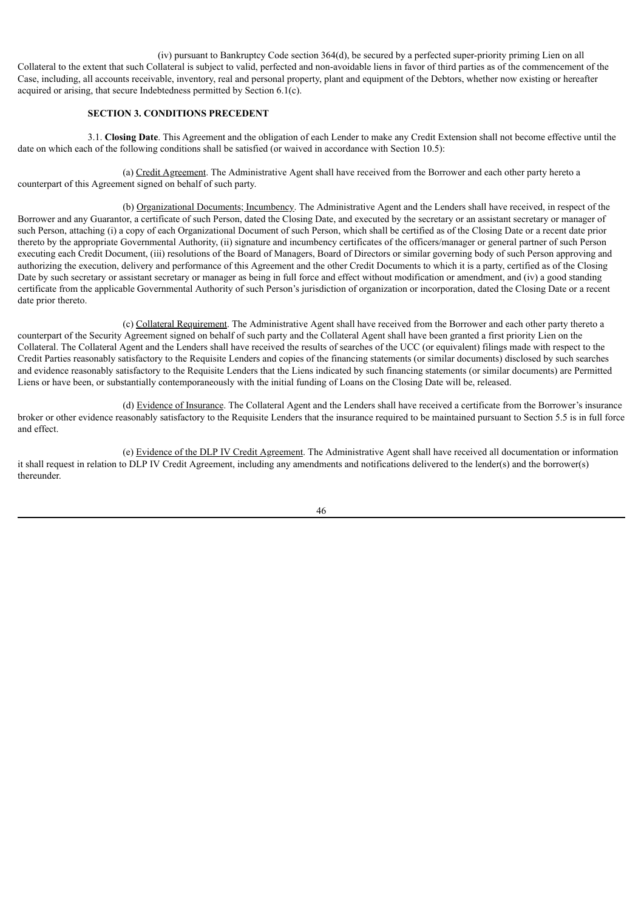(iv) pursuant to Bankruptcy Code section 364(d), be secured by a perfected super-priority priming Lien on all Collateral to the extent that such Collateral is subject to valid, perfected and non-avoidable liens in favor of third parties as of the commencement of the Case, including, all accounts receivable, inventory, real and personal property, plant and equipment of the Debtors, whether now existing or hereafter acquired or arising, that secure Indebtedness permitted by Section 6.1(c).

## **SECTION 3. CONDITIONS PRECEDENT**

3.1. **Closing Date**. This Agreement and the obligation of each Lender to make any Credit Extension shall not become effective until the date on which each of the following conditions shall be satisfied (or waived in accordance with Section 10.5):

(a) Credit Agreement. The Administrative Agent shall have received from the Borrower and each other party hereto a counterpart of this Agreement signed on behalf of such party.

(b) Organizational Documents; Incumbency. The Administrative Agent and the Lenders shall have received, in respect of the Borrower and any Guarantor, a certificate of such Person, dated the Closing Date, and executed by the secretary or an assistant secretary or manager of such Person, attaching (i) a copy of each Organizational Document of such Person, which shall be certified as of the Closing Date or a recent date prior thereto by the appropriate Governmental Authority, (ii) signature and incumbency certificates of the officers/manager or general partner of such Person executing each Credit Document, (iii) resolutions of the Board of Managers, Board of Directors or similar governing body of such Person approving and authorizing the execution, delivery and performance of this Agreement and the other Credit Documents to which it is a party, certified as of the Closing Date by such secretary or assistant secretary or manager as being in full force and effect without modification or amendment, and (iv) a good standing certificate from the applicable Governmental Authority of such Person's jurisdiction of organization or incorporation, dated the Closing Date or a recent date prior thereto.

(c) Collateral Requirement. The Administrative Agent shall have received from the Borrower and each other party thereto a counterpart of the Security Agreement signed on behalf of such party and the Collateral Agent shall have been granted a first priority Lien on the Collateral. The Collateral Agent and the Lenders shall have received the results of searches of the UCC (or equivalent) filings made with respect to the Credit Parties reasonably satisfactory to the Requisite Lenders and copies of the financing statements (or similar documents) disclosed by such searches and evidence reasonably satisfactory to the Requisite Lenders that the Liens indicated by such financing statements (or similar documents) are Permitted Liens or have been, or substantially contemporaneously with the initial funding of Loans on the Closing Date will be, released.

(d) Evidence of Insurance. The Collateral Agent and the Lenders shall have received a certificate from the Borrower's insurance broker or other evidence reasonably satisfactory to the Requisite Lenders that the insurance required to be maintained pursuant to Section 5.5 is in full force and effect.

(e) Evidence of the DLP IV Credit Agreement. The Administrative Agent shall have received all documentation or information it shall request in relation to DLP IV Credit Agreement, including any amendments and notifications delivered to the lender(s) and the borrower(s) thereunder.

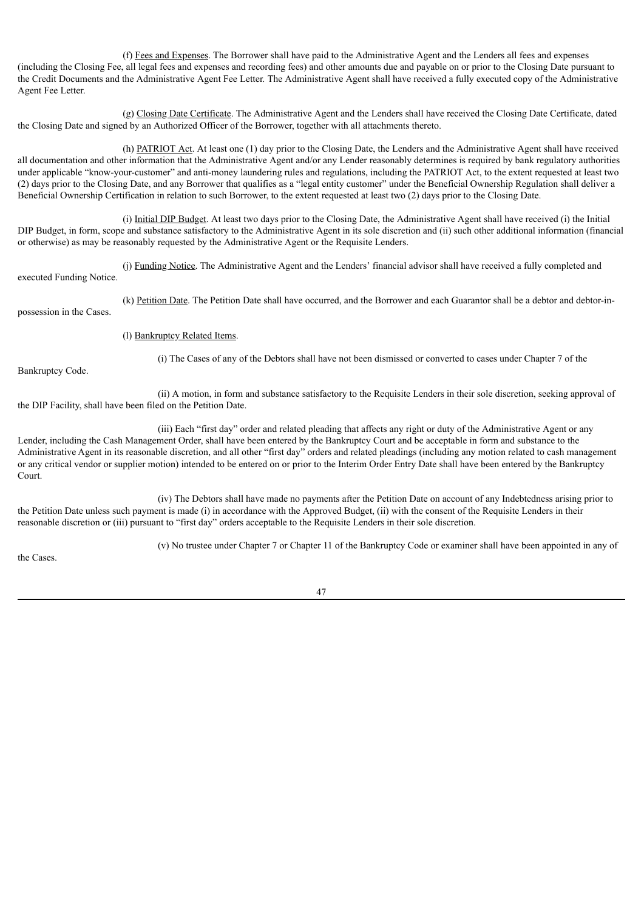(f) Fees and Expenses. The Borrower shall have paid to the Administrative Agent and the Lenders all fees and expenses (including the Closing Fee, all legal fees and expenses and recording fees) and other amounts due and payable on or prior to the Closing Date pursuant to the Credit Documents and the Administrative Agent Fee Letter. The Administrative Agent shall have received a fully executed copy of the Administrative Agent Fee Letter.

(g) Closing Date Certificate. The Administrative Agent and the Lenders shall have received the Closing Date Certificate, dated the Closing Date and signed by an Authorized Officer of the Borrower, together with all attachments thereto.

(h) PATRIOT Act. At least one (1) day prior to the Closing Date, the Lenders and the Administrative Agent shall have received all documentation and other information that the Administrative Agent and/or any Lender reasonably determines is required by bank regulatory authorities under applicable "know-your-customer" and anti-money laundering rules and regulations, including the PATRIOT Act, to the extent requested at least two (2) days prior to the Closing Date, and any Borrower that qualifies as a "legal entity customer" under the Beneficial Ownership Regulation shall deliver a Beneficial Ownership Certification in relation to such Borrower, to the extent requested at least two (2) days prior to the Closing Date.

(i) Initial DIP Budget. At least two days prior to the Closing Date, the Administrative Agent shall have received (i) the Initial DIP Budget, in form, scope and substance satisfactory to the Administrative Agent in its sole discretion and (ii) such other additional information (financial or otherwise) as may be reasonably requested by the Administrative Agent or the Requisite Lenders.

(j) Funding Notice. The Administrative Agent and the Lenders' financial advisor shall have received a fully completed and executed Funding Notice.

(k) Petition Date. The Petition Date shall have occurred, and the Borrower and each Guarantor shall be a debtor and debtor-inpossession in the Cases.

(l) Bankruptcy Related Items.

Bankruptcy Code.

(i) The Cases of any of the Debtors shall have not been dismissed or converted to cases under Chapter 7 of the

(ii) A motion, in form and substance satisfactory to the Requisite Lenders in their sole discretion, seeking approval of the DIP Facility, shall have been filed on the Petition Date.

(iii) Each "first day" order and related pleading that affects any right or duty of the Administrative Agent or any Lender, including the Cash Management Order, shall have been entered by the Bankruptcy Court and be acceptable in form and substance to the Administrative Agent in its reasonable discretion, and all other "first day" orders and related pleadings (including any motion related to cash management or any critical vendor or supplier motion) intended to be entered on or prior to the Interim Order Entry Date shall have been entered by the Bankruptcy Court.

(iv) The Debtors shall have made no payments after the Petition Date on account of any Indebtedness arising prior to the Petition Date unless such payment is made (i) in accordance with the Approved Budget, (ii) with the consent of the Requisite Lenders in their reasonable discretion or (iii) pursuant to "first day" orders acceptable to the Requisite Lenders in their sole discretion.

the Cases.

(v) No trustee under Chapter 7 or Chapter 11 of the Bankruptcy Code or examiner shall have been appointed in any of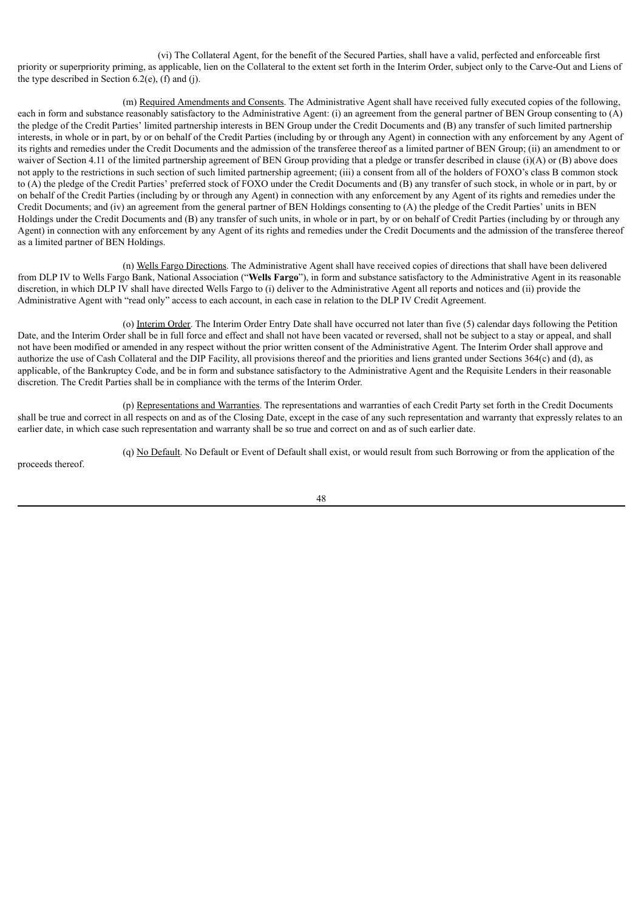(vi) The Collateral Agent, for the benefit of the Secured Parties, shall have a valid, perfected and enforceable first priority or superpriority priming, as applicable, lien on the Collateral to the extent set forth in the Interim Order, subject only to the Carve-Out and Liens of the type described in Section  $6.2(e)$ ,  $(f)$  and  $(i)$ .

(m) Required Amendments and Consents. The Administrative Agent shall have received fully executed copies of the following, each in form and substance reasonably satisfactory to the Administrative Agent: (i) an agreement from the general partner of BEN Group consenting to (A) the pledge of the Credit Parties' limited partnership interests in BEN Group under the Credit Documents and (B) any transfer of such limited partnership interests, in whole or in part, by or on behalf of the Credit Parties (including by or through any Agent) in connection with any enforcement by any Agent of its rights and remedies under the Credit Documents and the admission of the transferee thereof as a limited partner of BEN Group; (ii) an amendment to or waiver of Section 4.11 of the limited partnership agreement of BEN Group providing that a pledge or transfer described in clause (i)(A) or (B) above does not apply to the restrictions in such section of such limited partnership agreement; (iii) a consent from all of the holders of FOXO's class B common stock to (A) the pledge of the Credit Parties' preferred stock of FOXO under the Credit Documents and (B) any transfer of such stock, in whole or in part, by or on behalf of the Credit Parties (including by or through any Agent) in connection with any enforcement by any Agent of its rights and remedies under the Credit Documents; and (iv) an agreement from the general partner of BEN Holdings consenting to (A) the pledge of the Credit Parties' units in BEN Holdings under the Credit Documents and (B) any transfer of such units, in whole or in part, by or on behalf of Credit Parties (including by or through any Agent) in connection with any enforcement by any Agent of its rights and remedies under the Credit Documents and the admission of the transferee thereof as a limited partner of BEN Holdings.

(n) Wells Fargo Directions. The Administrative Agent shall have received copies of directions that shall have been delivered from DLP IV to Wells Fargo Bank, National Association ("**Wells Fargo**"), in form and substance satisfactory to the Administrative Agent in its reasonable discretion, in which DLP IV shall have directed Wells Fargo to (i) deliver to the Administrative Agent all reports and notices and (ii) provide the Administrative Agent with "read only" access to each account, in each case in relation to the DLP IV Credit Agreement.

(o) Interim Order. The Interim Order Entry Date shall have occurred not later than five (5) calendar days following the Petition Date, and the Interim Order shall be in full force and effect and shall not have been vacated or reversed, shall not be subject to a stay or appeal, and shall not have been modified or amended in any respect without the prior written consent of the Administrative Agent. The Interim Order shall approve and authorize the use of Cash Collateral and the DIP Facility, all provisions thereof and the priorities and liens granted under Sections 364(c) and (d), as applicable, of the Bankruptcy Code, and be in form and substance satisfactory to the Administrative Agent and the Requisite Lenders in their reasonable discretion. The Credit Parties shall be in compliance with the terms of the Interim Order.

(p) Representations and Warranties. The representations and warranties of each Credit Party set forth in the Credit Documents shall be true and correct in all respects on and as of the Closing Date, except in the case of any such representation and warranty that expressly relates to an earlier date, in which case such representation and warranty shall be so true and correct on and as of such earlier date.

(q) No Default. No Default or Event of Default shall exist, or would result from such Borrowing or from the application of the

proceeds thereof.

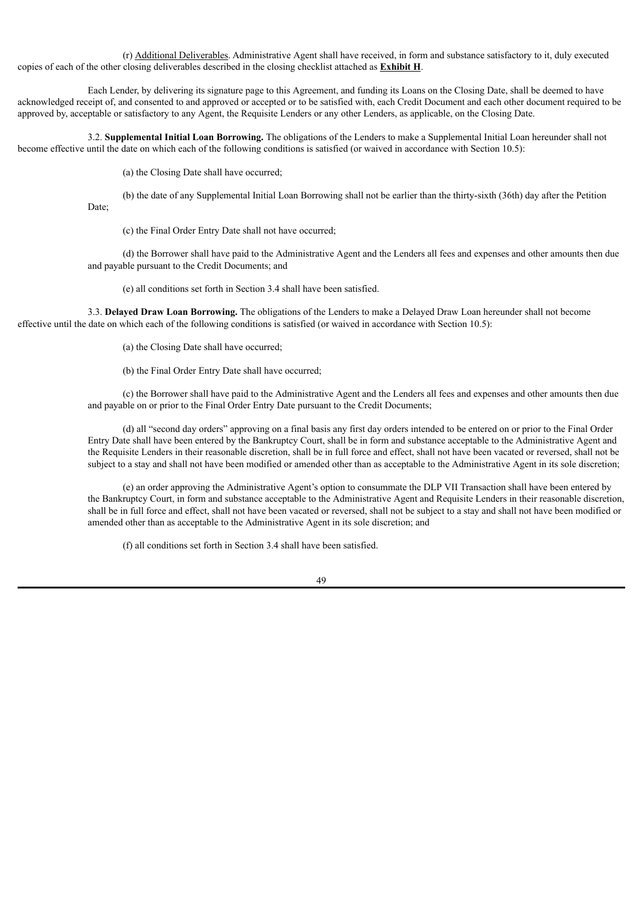(r) Additional Deliverables. Administrative Agent shall have received, in form and substance satisfactory to it, duly executed copies of each of the other closing deliverables described in the closing checklist attached as **Exhibit H**.

Each Lender, by delivering its signature page to this Agreement, and funding its Loans on the Closing Date, shall be deemed to have acknowledged receipt of, and consented to and approved or accepted or to be satisfied with, each Credit Document and each other document required to be approved by, acceptable or satisfactory to any Agent, the Requisite Lenders or any other Lenders, as applicable, on the Closing Date.

3.2. **Supplemental Initial Loan Borrowing.** The obligations of the Lenders to make a Supplemental Initial Loan hereunder shall not become effective until the date on which each of the following conditions is satisfied (or waived in accordance with Section 10.5):

(a) the Closing Date shall have occurred;

(b) the date of any Supplemental Initial Loan Borrowing shall not be earlier than the thirty-sixth (36th) day after the Petition

Date;

(c) the Final Order Entry Date shall not have occurred;

(d) the Borrower shall have paid to the Administrative Agent and the Lenders all fees and expenses and other amounts then due and payable pursuant to the Credit Documents; and

(e) all conditions set forth in Section 3.4 shall have been satisfied.

3.3. **Delayed Draw Loan Borrowing.** The obligations of the Lenders to make a Delayed Draw Loan hereunder shall not become effective until the date on which each of the following conditions is satisfied (or waived in accordance with Section 10.5):

(a) the Closing Date shall have occurred;

(b) the Final Order Entry Date shall have occurred;

(c) the Borrower shall have paid to the Administrative Agent and the Lenders all fees and expenses and other amounts then due and payable on or prior to the Final Order Entry Date pursuant to the Credit Documents;

(d) all "second day orders" approving on a final basis any first day orders intended to be entered on or prior to the Final Order Entry Date shall have been entered by the Bankruptcy Court, shall be in form and substance acceptable to the Administrative Agent and the Requisite Lenders in their reasonable discretion, shall be in full force and effect, shall not have been vacated or reversed, shall not be subject to a stay and shall not have been modified or amended other than as acceptable to the Administrative Agent in its sole discretion;

(e) an order approving the Administrative Agent's option to consummate the DLP VII Transaction shall have been entered by the Bankruptcy Court, in form and substance acceptable to the Administrative Agent and Requisite Lenders in their reasonable discretion, shall be in full force and effect, shall not have been vacated or reversed, shall not be subject to a stay and shall not have been modified or amended other than as acceptable to the Administrative Agent in its sole discretion; and

(f) all conditions set forth in Section 3.4 shall have been satisfied.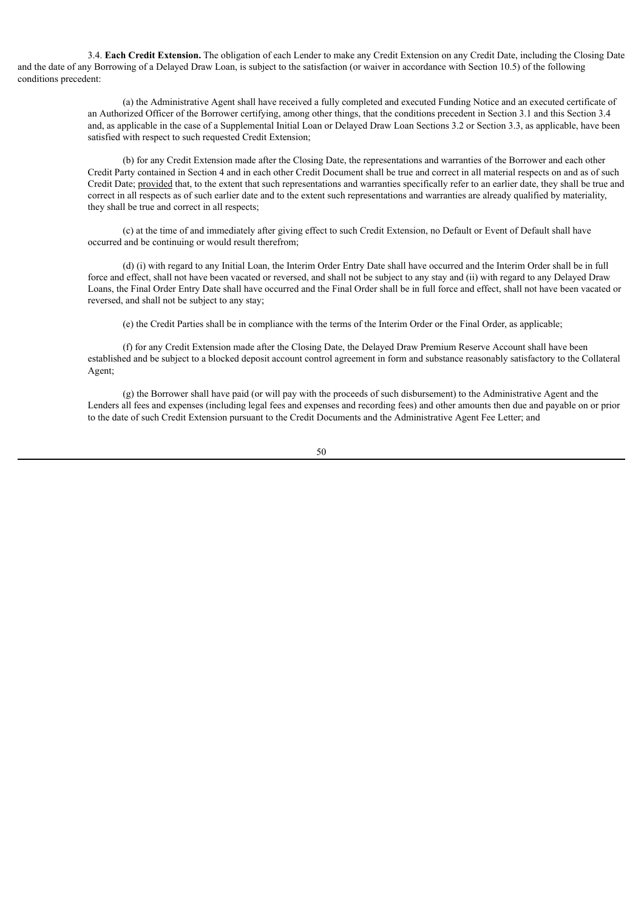3.4. **Each Credit Extension.** The obligation of each Lender to make any Credit Extension on any Credit Date, including the Closing Date and the date of any Borrowing of a Delayed Draw Loan, is subject to the satisfaction (or waiver in accordance with Section 10.5) of the following conditions precedent:

> (a) the Administrative Agent shall have received a fully completed and executed Funding Notice and an executed certificate of an Authorized Officer of the Borrower certifying, among other things, that the conditions precedent in Section 3.1 and this Section 3.4 and, as applicable in the case of a Supplemental Initial Loan or Delayed Draw Loan Sections 3.2 or Section 3.3, as applicable, have been satisfied with respect to such requested Credit Extension;

> (b) for any Credit Extension made after the Closing Date, the representations and warranties of the Borrower and each other Credit Party contained in Section 4 and in each other Credit Document shall be true and correct in all material respects on and as of such Credit Date; provided that, to the extent that such representations and warranties specifically refer to an earlier date, they shall be true and correct in all respects as of such earlier date and to the extent such representations and warranties are already qualified by materiality, they shall be true and correct in all respects;

(c) at the time of and immediately after giving effect to such Credit Extension, no Default or Event of Default shall have occurred and be continuing or would result therefrom;

(d) (i) with regard to any Initial Loan, the Interim Order Entry Date shall have occurred and the Interim Order shall be in full force and effect, shall not have been vacated or reversed, and shall not be subject to any stay and (ii) with regard to any Delayed Draw Loans, the Final Order Entry Date shall have occurred and the Final Order shall be in full force and effect, shall not have been vacated or reversed, and shall not be subject to any stay;

(e) the Credit Parties shall be in compliance with the terms of the Interim Order or the Final Order, as applicable;

(f) for any Credit Extension made after the Closing Date, the Delayed Draw Premium Reserve Account shall have been established and be subject to a blocked deposit account control agreement in form and substance reasonably satisfactory to the Collateral Agent;

(g) the Borrower shall have paid (or will pay with the proceeds of such disbursement) to the Administrative Agent and the Lenders all fees and expenses (including legal fees and expenses and recording fees) and other amounts then due and payable on or prior to the date of such Credit Extension pursuant to the Credit Documents and the Administrative Agent Fee Letter; and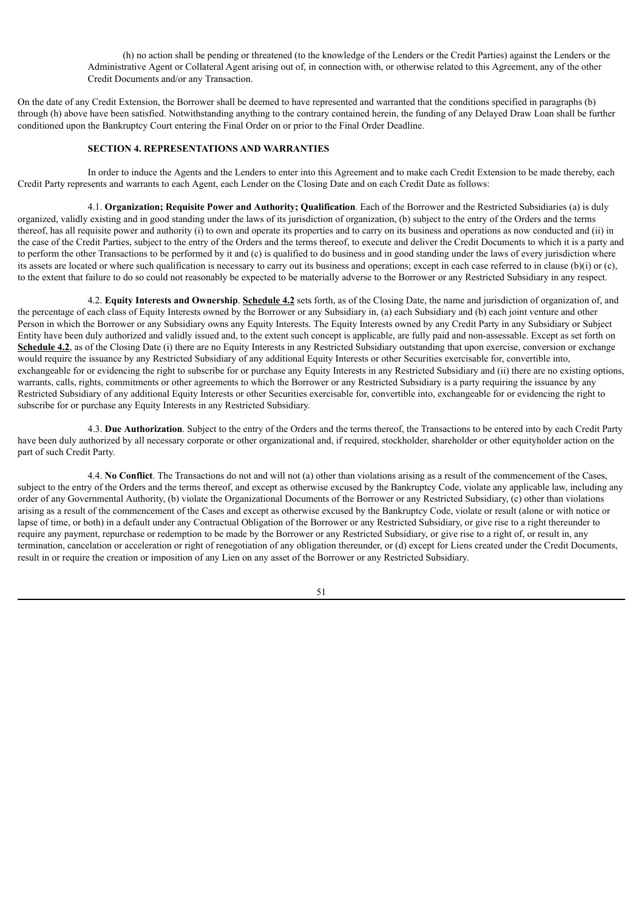(h) no action shall be pending or threatened (to the knowledge of the Lenders or the Credit Parties) against the Lenders or the Administrative Agent or Collateral Agent arising out of, in connection with, or otherwise related to this Agreement, any of the other Credit Documents and/or any Transaction.

On the date of any Credit Extension, the Borrower shall be deemed to have represented and warranted that the conditions specified in paragraphs (b) through (h) above have been satisfied. Notwithstanding anything to the contrary contained herein, the funding of any Delayed Draw Loan shall be further conditioned upon the Bankruptcy Court entering the Final Order on or prior to the Final Order Deadline.

## **SECTION 4. REPRESENTATIONS AND WARRANTIES**

In order to induce the Agents and the Lenders to enter into this Agreement and to make each Credit Extension to be made thereby, each Credit Party represents and warrants to each Agent, each Lender on the Closing Date and on each Credit Date as follows:

4.1. **Organization; Requisite Power and Authority; Qualification**. Each of the Borrower and the Restricted Subsidiaries (a) is duly organized, validly existing and in good standing under the laws of its jurisdiction of organization, (b) subject to the entry of the Orders and the terms thereof, has all requisite power and authority (i) to own and operate its properties and to carry on its business and operations as now conducted and (ii) in the case of the Credit Parties, subject to the entry of the Orders and the terms thereof, to execute and deliver the Credit Documents to which it is a party and to perform the other Transactions to be performed by it and (c) is qualified to do business and in good standing under the laws of every jurisdiction where its assets are located or where such qualification is necessary to carry out its business and operations; except in each case referred to in clause (b)(i) or (c), to the extent that failure to do so could not reasonably be expected to be materially adverse to the Borrower or any Restricted Subsidiary in any respect.

4.2. **Equity Interests and Ownership**. **Schedule 4.2** sets forth, as of the Closing Date, the name and jurisdiction of organization of, and the percentage of each class of Equity Interests owned by the Borrower or any Subsidiary in, (a) each Subsidiary and (b) each joint venture and other Person in which the Borrower or any Subsidiary owns any Equity Interests. The Equity Interests owned by any Credit Party in any Subsidiary or Subject Entity have been duly authorized and validly issued and, to the extent such concept is applicable, are fully paid and non-assessable. Except as set forth on **Schedule 4.2**, as of the Closing Date (i) there are no Equity Interests in any Restricted Subsidiary outstanding that upon exercise, conversion or exchange would require the issuance by any Restricted Subsidiary of any additional Equity Interests or other Securities exercisable for, convertible into, exchangeable for or evidencing the right to subscribe for or purchase any Equity Interests in any Restricted Subsidiary and (ii) there are no existing options, warrants, calls, rights, commitments or other agreements to which the Borrower or any Restricted Subsidiary is a party requiring the issuance by any Restricted Subsidiary of any additional Equity Interests or other Securities exercisable for, convertible into, exchangeable for or evidencing the right to subscribe for or purchase any Equity Interests in any Restricted Subsidiary.

4.3. **Due Authorization**. Subject to the entry of the Orders and the terms thereof, the Transactions to be entered into by each Credit Party have been duly authorized by all necessary corporate or other organizational and, if required, stockholder, shareholder or other equityholder action on the part of such Credit Party.

4.4. **No Conflict**. The Transactions do not and will not (a) other than violations arising as a result of the commencement of the Cases, subject to the entry of the Orders and the terms thereof, and except as otherwise excused by the Bankruptcy Code, violate any applicable law, including any order of any Governmental Authority, (b) violate the Organizational Documents of the Borrower or any Restricted Subsidiary, (c) other than violations arising as a result of the commencement of the Cases and except as otherwise excused by the Bankruptcy Code, violate or result (alone or with notice or lapse of time, or both) in a default under any Contractual Obligation of the Borrower or any Restricted Subsidiary, or give rise to a right thereunder to require any payment, repurchase or redemption to be made by the Borrower or any Restricted Subsidiary, or give rise to a right of, or result in, any termination, cancelation or acceleration or right of renegotiation of any obligation thereunder, or (d) except for Liens created under the Credit Documents, result in or require the creation or imposition of any Lien on any asset of the Borrower or any Restricted Subsidiary.

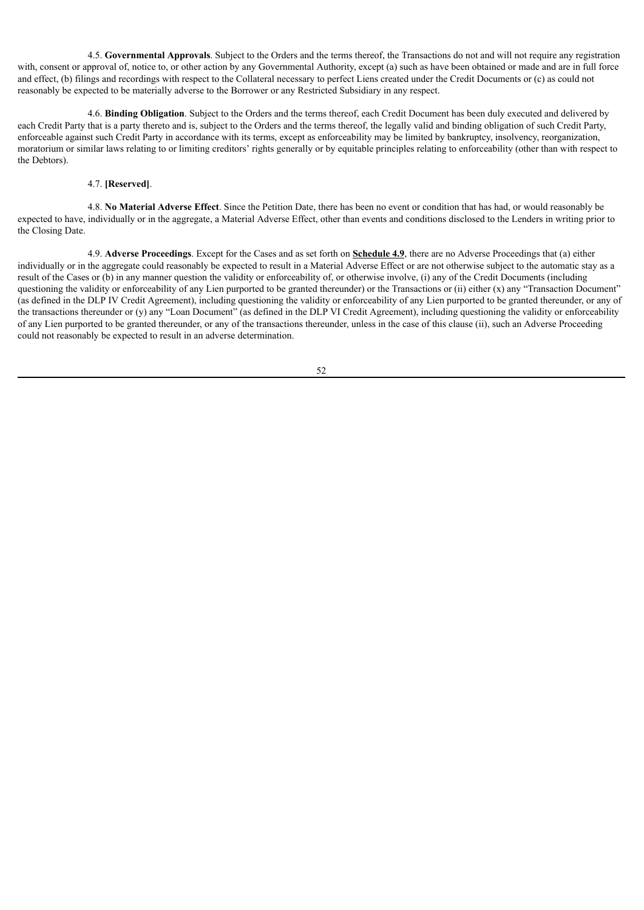4.5. **Governmental Approvals**. Subject to the Orders and the terms thereof, the Transactions do not and will not require any registration with, consent or approval of, notice to, or other action by any Governmental Authority, except (a) such as have been obtained or made and are in full force and effect, (b) filings and recordings with respect to the Collateral necessary to perfect Liens created under the Credit Documents or (c) as could not reasonably be expected to be materially adverse to the Borrower or any Restricted Subsidiary in any respect.

4.6. **Binding Obligation**. Subject to the Orders and the terms thereof, each Credit Document has been duly executed and delivered by each Credit Party that is a party thereto and is, subject to the Orders and the terms thereof, the legally valid and binding obligation of such Credit Party, enforceable against such Credit Party in accordance with its terms, except as enforceability may be limited by bankruptcy, insolvency, reorganization, moratorium or similar laws relating to or limiting creditors' rights generally or by equitable principles relating to enforceability (other than with respect to the Debtors).

## 4.7. **[Reserved]**.

4.8. **No Material Adverse Effect**. Since the Petition Date, there has been no event or condition that has had, or would reasonably be expected to have, individually or in the aggregate, a Material Adverse Effect, other than events and conditions disclosed to the Lenders in writing prior to the Closing Date.

4.9. **Adverse Proceedings**. Except for the Cases and as set forth on **Schedule 4.9**, there are no Adverse Proceedings that (a) either individually or in the aggregate could reasonably be expected to result in a Material Adverse Effect or are not otherwise subject to the automatic stay as a result of the Cases or (b) in any manner question the validity or enforceability of, or otherwise involve, (i) any of the Credit Documents (including questioning the validity or enforceability of any Lien purported to be granted thereunder) or the Transactions or (ii) either (x) any "Transaction Document" (as defined in the DLP IV Credit Agreement), including questioning the validity or enforceability of any Lien purported to be granted thereunder, or any of the transactions thereunder or (y) any "Loan Document" (as defined in the DLP VI Credit Agreement), including questioning the validity or enforceability of any Lien purported to be granted thereunder, or any of the transactions thereunder, unless in the case of this clause (ii), such an Adverse Proceeding could not reasonably be expected to result in an adverse determination.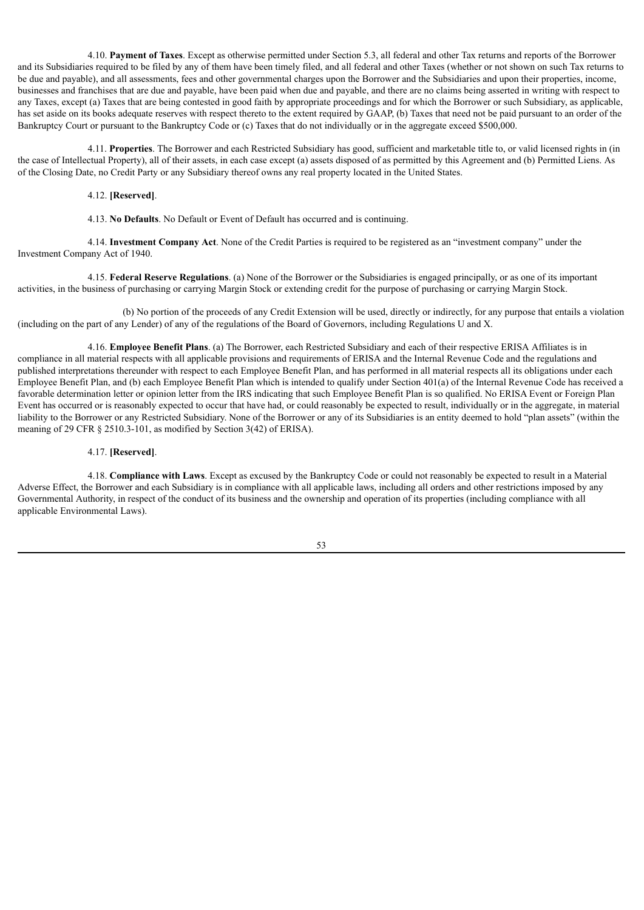4.10. **Payment of Taxes**. Except as otherwise permitted under Section 5.3, all federal and other Tax returns and reports of the Borrower and its Subsidiaries required to be filed by any of them have been timely filed, and all federal and other Taxes (whether or not shown on such Tax returns to be due and payable), and all assessments, fees and other governmental charges upon the Borrower and the Subsidiaries and upon their properties, income, businesses and franchises that are due and payable, have been paid when due and payable, and there are no claims being asserted in writing with respect to any Taxes, except (a) Taxes that are being contested in good faith by appropriate proceedings and for which the Borrower or such Subsidiary, as applicable, has set aside on its books adequate reserves with respect thereto to the extent required by GAAP, (b) Taxes that need not be paid pursuant to an order of the Bankruptcy Court or pursuant to the Bankruptcy Code or (c) Taxes that do not individually or in the aggregate exceed \$500,000.

4.11. **Properties**. The Borrower and each Restricted Subsidiary has good, sufficient and marketable title to, or valid licensed rights in (in the case of Intellectual Property), all of their assets, in each case except (a) assets disposed of as permitted by this Agreement and (b) Permitted Liens. As of the Closing Date, no Credit Party or any Subsidiary thereof owns any real property located in the United States.

#### 4.12. **[Reserved]**.

4.13. **No Defaults**. No Default or Event of Default has occurred and is continuing.

4.14. **Investment Company Act**. None of the Credit Parties is required to be registered as an "investment company" under the Investment Company Act of 1940.

4.15. **Federal Reserve Regulations**. (a) None of the Borrower or the Subsidiaries is engaged principally, or as one of its important activities, in the business of purchasing or carrying Margin Stock or extending credit for the purpose of purchasing or carrying Margin Stock.

(b) No portion of the proceeds of any Credit Extension will be used, directly or indirectly, for any purpose that entails a violation (including on the part of any Lender) of any of the regulations of the Board of Governors, including Regulations U and X.

4.16. **Employee Benefit Plans**. (a) The Borrower, each Restricted Subsidiary and each of their respective ERISA Affiliates is in compliance in all material respects with all applicable provisions and requirements of ERISA and the Internal Revenue Code and the regulations and published interpretations thereunder with respect to each Employee Benefit Plan, and has performed in all material respects all its obligations under each Employee Benefit Plan, and (b) each Employee Benefit Plan which is intended to qualify under Section 401(a) of the Internal Revenue Code has received a favorable determination letter or opinion letter from the IRS indicating that such Employee Benefit Plan is so qualified. No ERISA Event or Foreign Plan Event has occurred or is reasonably expected to occur that have had, or could reasonably be expected to result, individually or in the aggregate, in material liability to the Borrower or any Restricted Subsidiary. None of the Borrower or any of its Subsidiaries is an entity deemed to hold "plan assets" (within the meaning of 29 CFR § 2510.3-101, as modified by Section 3(42) of ERISA).

## 4.17. **[Reserved]**.

4.18. **Compliance with Laws**. Except as excused by the Bankruptcy Code or could not reasonably be expected to result in a Material Adverse Effect, the Borrower and each Subsidiary is in compliance with all applicable laws, including all orders and other restrictions imposed by any Governmental Authority, in respect of the conduct of its business and the ownership and operation of its properties (including compliance with all applicable Environmental Laws).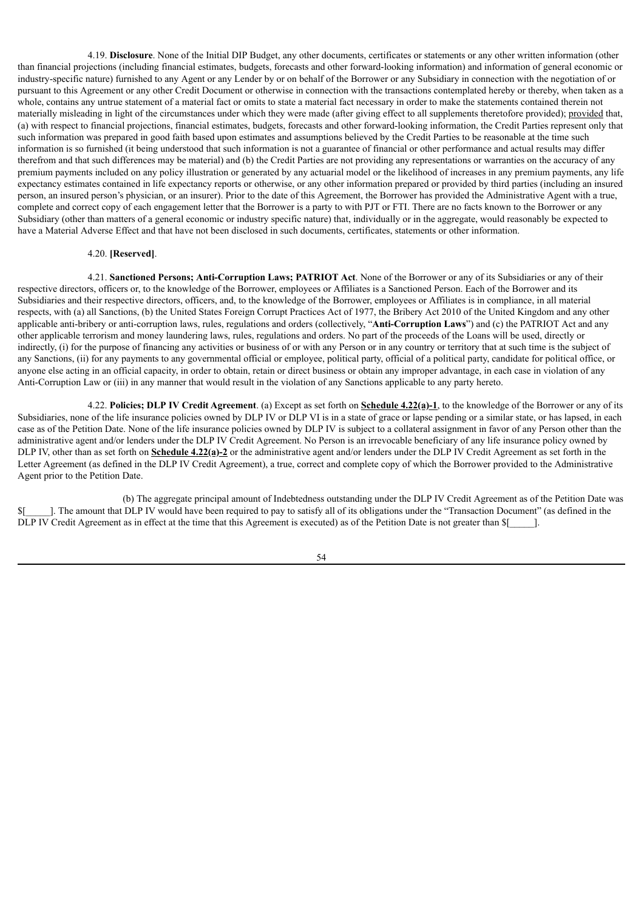4.19. **Disclosure**. None of the Initial DIP Budget, any other documents, certificates or statements or any other written information (other than financial projections (including financial estimates, budgets, forecasts and other forward-looking information) and information of general economic or industry-specific nature) furnished to any Agent or any Lender by or on behalf of the Borrower or any Subsidiary in connection with the negotiation of or pursuant to this Agreement or any other Credit Document or otherwise in connection with the transactions contemplated hereby or thereby, when taken as a whole, contains any untrue statement of a material fact or omits to state a material fact necessary in order to make the statements contained therein not materially misleading in light of the circumstances under which they were made (after giving effect to all supplements theretofore provided); provided that, (a) with respect to financial projections, financial estimates, budgets, forecasts and other forward-looking information, the Credit Parties represent only that such information was prepared in good faith based upon estimates and assumptions believed by the Credit Parties to be reasonable at the time such information is so furnished (it being understood that such information is not a guarantee of financial or other performance and actual results may differ therefrom and that such differences may be material) and (b) the Credit Parties are not providing any representations or warranties on the accuracy of any premium payments included on any policy illustration or generated by any actuarial model or the likelihood of increases in any premium payments, any life expectancy estimates contained in life expectancy reports or otherwise, or any other information prepared or provided by third parties (including an insured person, an insured person's physician, or an insurer). Prior to the date of this Agreement, the Borrower has provided the Administrative Agent with a true, complete and correct copy of each engagement letter that the Borrower is a party to with PJT or FTI. There are no facts known to the Borrower or any Subsidiary (other than matters of a general economic or industry specific nature) that, individually or in the aggregate, would reasonably be expected to have a Material Adverse Effect and that have not been disclosed in such documents, certificates, statements or other information.

### 4.20. **[Reserved]**.

4.21. **Sanctioned Persons; Anti-Corruption Laws; PATRIOT Act**. None of the Borrower or any of its Subsidiaries or any of their respective directors, officers or, to the knowledge of the Borrower, employees or Affiliates is a Sanctioned Person. Each of the Borrower and its Subsidiaries and their respective directors, officers, and, to the knowledge of the Borrower, employees or Affiliates is in compliance, in all material respects, with (a) all Sanctions, (b) the United States Foreign Corrupt Practices Act of 1977, the Bribery Act 2010 of the United Kingdom and any other applicable anti-bribery or anti-corruption laws, rules, regulations and orders (collectively, "**Anti-Corruption Laws**") and (c) the PATRIOT Act and any other applicable terrorism and money laundering laws, rules, regulations and orders. No part of the proceeds of the Loans will be used, directly or indirectly, (i) for the purpose of financing any activities or business of or with any Person or in any country or territory that at such time is the subject of any Sanctions, (ii) for any payments to any governmental official or employee, political party, official of a political party, candidate for political office, or anyone else acting in an official capacity, in order to obtain, retain or direct business or obtain any improper advantage, in each case in violation of any Anti-Corruption Law or (iii) in any manner that would result in the violation of any Sanctions applicable to any party hereto.

4.22. **Policies; DLP IV Credit Agreement**. (a) Except as set forth on **Schedule 4.22(a)-1**, to the knowledge of the Borrower or any of its Subsidiaries, none of the life insurance policies owned by DLP IV or DLP VI is in a state of grace or lapse pending or a similar state, or has lapsed, in each case as of the Petition Date. None of the life insurance policies owned by DLP IV is subject to a collateral assignment in favor of any Person other than the administrative agent and/or lenders under the DLP IV Credit Agreement. No Person is an irrevocable beneficiary of any life insurance policy owned by DLP IV, other than as set forth on **Schedule 4.22(a)-2** or the administrative agent and/or lenders under the DLP IV Credit Agreement as set forth in the Letter Agreement (as defined in the DLP IV Credit Agreement), a true, correct and complete copy of which the Borrower provided to the Administrative Agent prior to the Petition Date.

(b) The aggregate principal amount of Indebtedness outstanding under the DLP IV Credit Agreement as of the Petition Date was \$[\_\_\_\_\_]. The amount that DLP IV would have been required to pay to satisfy all of its obligations under the "Transaction Document" (as defined in the DLP IV Credit Agreement as in effect at the time that this Agreement is executed) as of the Petition Date is not greater than  $[$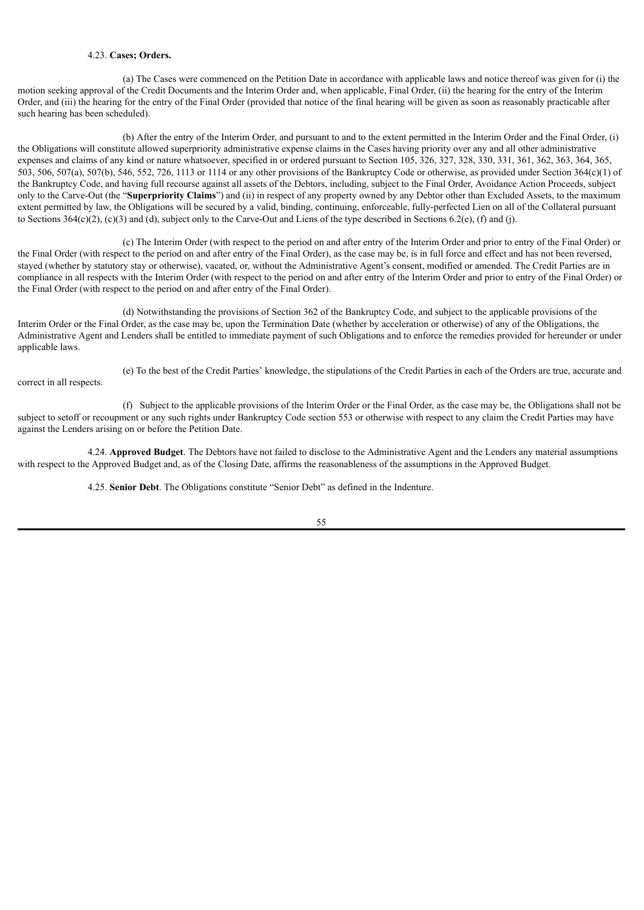### 4.23. **Cases; Orders.**

(a) The Cases were commenced on the Petition Date in accordance with applicable laws and notice thereof was given for (i) the motion seeking approval of the Credit Documents and the Interim Order and, when applicable, Final Order, (ii) the hearing for the entry of the Interim Order, and (iii) the hearing for the entry of the Final Order (provided that notice of the final hearing will be given as soon as reasonably practicable after such hearing has been scheduled).

(b) After the entry of the Interim Order, and pursuant to and to the extent permitted in the Interim Order and the Final Order, (i) the Obligations will constitute allowed superpriority administrative expense claims in the Cases having priority over any and all other administrative expenses and claims of any kind or nature whatsoever, specified in or ordered pursuant to Section 105, 326, 327, 328, 330, 331, 361, 362, 363, 364, 365, 503, 506, 507(a), 507(b), 546, 552, 726, 1113 or 1114 or any other provisions of the Bankruptcy Code or otherwise, as provided under Section 364(c)(1) of the Bankruptcy Code, and having full recourse against all assets of the Debtors, including, subject to the Final Order, Avoidance Action Proceeds, subject only to the Carve-Out (the "**Superpriority Claims**") and (ii) in respect of any property owned by any Debtor other than Excluded Assets, to the maximum extent permitted by law, the Obligations will be secured by a valid, binding, continuing, enforceable, fully-perfected Lien on all of the Collateral pursuant to Sections 364(c)(2), (c)(3) and (d), subject only to the Carve-Out and Liens of the type described in Sections 6.2(e), (f) and (j).

(c) The Interim Order (with respect to the period on and after entry of the Interim Order and prior to entry of the Final Order) or the Final Order (with respect to the period on and after entry of the Final Order), as the case may be, is in full force and effect and has not been reversed, stayed (whether by statutory stay or otherwise), vacated, or, without the Administrative Agent's consent, modified or amended. The Credit Parties are in compliance in all respects with the Interim Order (with respect to the period on and after entry of the Interim Order and prior to entry of the Final Order) or the Final Order (with respect to the period on and after entry of the Final Order).

(d) Notwithstanding the provisions of Section 362 of the Bankruptcy Code, and subject to the applicable provisions of the Interim Order or the Final Order, as the case may be, upon the Termination Date (whether by acceleration or otherwise) of any of the Obligations, the Administrative Agent and Lenders shall be entitled to immediate payment of such Obligations and to enforce the remedies provided for hereunder or under applicable laws.

correct in all respects.

(e) To the best of the Credit Parties' knowledge, the stipulations of the Credit Parties in each of the Orders are true, accurate and

(f) Subject to the applicable provisions of the Interim Order or the Final Order, as the case may be, the Obligations shall not be subject to setoff or recoupment or any such rights under Bankruptcy Code section 553 or otherwise with respect to any claim the Credit Parties may have against the Lenders arising on or before the Petition Date.

4.24. **Approved Budget**. The Debtors have not failed to disclose to the Administrative Agent and the Lenders any material assumptions with respect to the Approved Budget and, as of the Closing Date, affirms the reasonableness of the assumptions in the Approved Budget.

4.25. **Senior Debt**. The Obligations constitute "Senior Debt" as defined in the Indenture.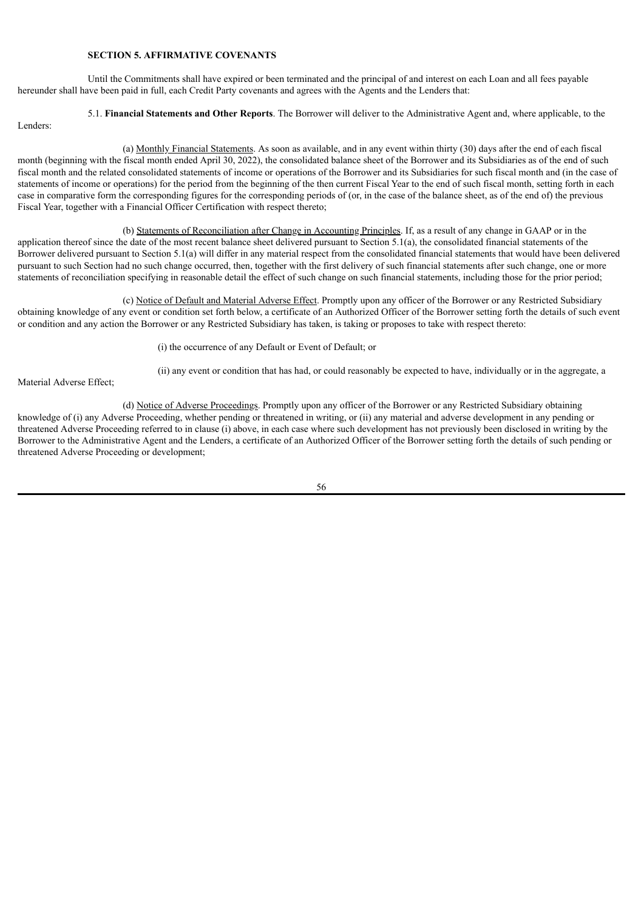## **SECTION 5. AFFIRMATIVE COVENANTS**

Until the Commitments shall have expired or been terminated and the principal of and interest on each Loan and all fees payable hereunder shall have been paid in full, each Credit Party covenants and agrees with the Agents and the Lenders that:

5.1. **Financial Statements and Other Reports**. The Borrower will deliver to the Administrative Agent and, where applicable, to the

Lenders:

(a) Monthly Financial Statements. As soon as available, and in any event within thirty (30) days after the end of each fiscal month (beginning with the fiscal month ended April 30, 2022), the consolidated balance sheet of the Borrower and its Subsidiaries as of the end of such fiscal month and the related consolidated statements of income or operations of the Borrower and its Subsidiaries for such fiscal month and (in the case of statements of income or operations) for the period from the beginning of the then current Fiscal Year to the end of such fiscal month, setting forth in each case in comparative form the corresponding figures for the corresponding periods of (or, in the case of the balance sheet, as of the end of) the previous Fiscal Year, together with a Financial Officer Certification with respect thereto;

(b) Statements of Reconciliation after Change in Accounting Principles. If, as a result of any change in GAAP or in the application thereof since the date of the most recent balance sheet delivered pursuant to Section 5.1(a), the consolidated financial statements of the Borrower delivered pursuant to Section 5.1(a) will differ in any material respect from the consolidated financial statements that would have been delivered pursuant to such Section had no such change occurred, then, together with the first delivery of such financial statements after such change, one or more statements of reconciliation specifying in reasonable detail the effect of such change on such financial statements, including those for the prior period;

(c) Notice of Default and Material Adverse Effect. Promptly upon any officer of the Borrower or any Restricted Subsidiary obtaining knowledge of any event or condition set forth below, a certificate of an Authorized Officer of the Borrower setting forth the details of such event or condition and any action the Borrower or any Restricted Subsidiary has taken, is taking or proposes to take with respect thereto:

(i) the occurrence of any Default or Event of Default; or

(ii) any event or condition that has had, or could reasonably be expected to have, individually or in the aggregate, a

Material Adverse Effect;

(d) Notice of Adverse Proceedings. Promptly upon any officer of the Borrower or any Restricted Subsidiary obtaining knowledge of (i) any Adverse Proceeding, whether pending or threatened in writing, or (ii) any material and adverse development in any pending or threatened Adverse Proceeding referred to in clause (i) above, in each case where such development has not previously been disclosed in writing by the Borrower to the Administrative Agent and the Lenders, a certificate of an Authorized Officer of the Borrower setting forth the details of such pending or threatened Adverse Proceeding or development;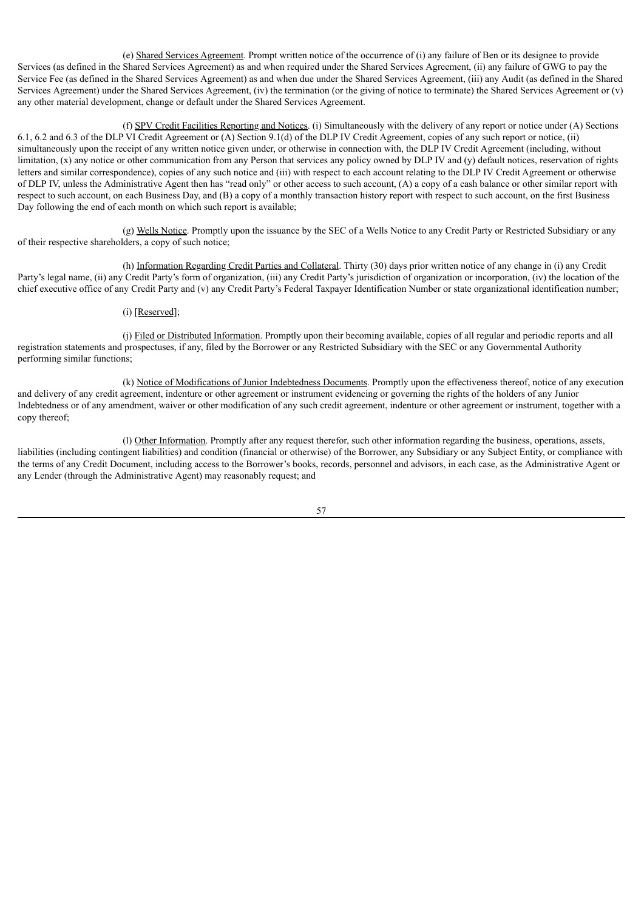(e) Shared Services Agreement. Prompt written notice of the occurrence of (i) any failure of Ben or its designee to provide Services (as defined in the Shared Services Agreement) as and when required under the Shared Services Agreement, (ii) any failure of GWG to pay the Service Fee (as defined in the Shared Services Agreement) as and when due under the Shared Services Agreement, (iii) any Audit (as defined in the Shared Services Agreement) under the Shared Services Agreement, (iv) the termination (or the giving of notice to terminate) the Shared Services Agreement or (v) any other material development, change or default under the Shared Services Agreement.

(f) SPV Credit Facilities Reporting and Notices. (i) Simultaneously with the delivery of any report or notice under (A) Sections 6.1, 6.2 and 6.3 of the DLP VI Credit Agreement or (A) Section 9.1(d) of the DLP IV Credit Agreement, copies of any such report or notice, (ii) simultaneously upon the receipt of any written notice given under, or otherwise in connection with, the DLP IV Credit Agreement (including, without limitation, (x) any notice or other communication from any Person that services any policy owned by DLP IV and (y) default notices, reservation of rights letters and similar correspondence), copies of any such notice and (iii) with respect to each account relating to the DLP IV Credit Agreement or otherwise of DLP IV, unless the Administrative Agent then has "read only" or other access to such account, (A) a copy of a cash balance or other similar report with respect to such account, on each Business Day, and (B) a copy of a monthly transaction history report with respect to such account, on the first Business Day following the end of each month on which such report is available;

(g) Wells Notice. Promptly upon the issuance by the SEC of a Wells Notice to any Credit Party or Restricted Subsidiary or any of their respective shareholders, a copy of such notice;

(h) Information Regarding Credit Parties and Collateral. Thirty (30) days prior written notice of any change in (i) any Credit Party's legal name, (ii) any Credit Party's form of organization, (iii) any Credit Party's jurisdiction of organization or incorporation, (iv) the location of the chief executive office of any Credit Party and (v) any Credit Party's Federal Taxpayer Identification Number or state organizational identification number;

## (i) [Reserved];

(j) Filed or Distributed Information. Promptly upon their becoming available, copies of all regular and periodic reports and all registration statements and prospectuses, if any, filed by the Borrower or any Restricted Subsidiary with the SEC or any Governmental Authority performing similar functions;

(k) Notice of Modifications of Junior Indebtedness Documents. Promptly upon the effectiveness thereof, notice of any execution and delivery of any credit agreement, indenture or other agreement or instrument evidencing or governing the rights of the holders of any Junior Indebtedness or of any amendment, waiver or other modification of any such credit agreement, indenture or other agreement or instrument, together with a copy thereof;

(l) Other Information. Promptly after any request therefor, such other information regarding the business, operations, assets, liabilities (including contingent liabilities) and condition (financial or otherwise) of the Borrower, any Subsidiary or any Subject Entity, or compliance with the terms of any Credit Document, including access to the Borrower's books, records, personnel and advisors, in each case, as the Administrative Agent or any Lender (through the Administrative Agent) may reasonably request; and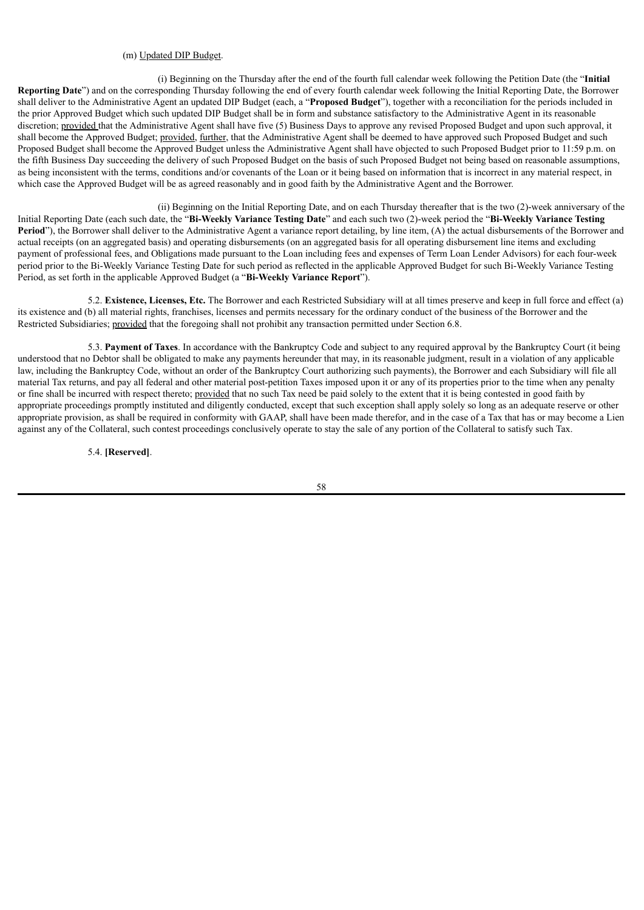## (m) Updated DIP Budget.

(i) Beginning on the Thursday after the end of the fourth full calendar week following the Petition Date (the "**Initial Reporting Date**") and on the corresponding Thursday following the end of every fourth calendar week following the Initial Reporting Date, the Borrower shall deliver to the Administrative Agent an updated DIP Budget (each, a "**Proposed Budget**"), together with a reconciliation for the periods included in the prior Approved Budget which such updated DIP Budget shall be in form and substance satisfactory to the Administrative Agent in its reasonable discretion; provided that the Administrative Agent shall have five (5) Business Days to approve any revised Proposed Budget and upon such approval, it shall become the Approved Budget; provided, further, that the Administrative Agent shall be deemed to have approved such Proposed Budget and such Proposed Budget shall become the Approved Budget unless the Administrative Agent shall have objected to such Proposed Budget prior to 11:59 p.m. on the fifth Business Day succeeding the delivery of such Proposed Budget on the basis of such Proposed Budget not being based on reasonable assumptions, as being inconsistent with the terms, conditions and/or covenants of the Loan or it being based on information that is incorrect in any material respect, in which case the Approved Budget will be as agreed reasonably and in good faith by the Administrative Agent and the Borrower.

(ii) Beginning on the Initial Reporting Date, and on each Thursday thereafter that is the two (2)-week anniversary of the Initial Reporting Date (each such date, the "**Bi-Weekly Variance Testing Date**" and each such two (2)-week period the "**Bi-Weekly Variance Testing Period**"), the Borrower shall deliver to the Administrative Agent a variance report detailing, by line item, (A) the actual disbursements of the Borrower and actual receipts (on an aggregated basis) and operating disbursements (on an aggregated basis for all operating disbursement line items and excluding payment of professional fees, and Obligations made pursuant to the Loan including fees and expenses of Term Loan Lender Advisors) for each four-week period prior to the Bi-Weekly Variance Testing Date for such period as reflected in the applicable Approved Budget for such Bi-Weekly Variance Testing Period, as set forth in the applicable Approved Budget (a "**Bi-Weekly Variance Report**").

5.2. **Existence, Licenses, Etc.** The Borrower and each Restricted Subsidiary will at all times preserve and keep in full force and effect (a) its existence and (b) all material rights, franchises, licenses and permits necessary for the ordinary conduct of the business of the Borrower and the Restricted Subsidiaries; provided that the foregoing shall not prohibit any transaction permitted under Section 6.8.

5.3. **Payment of Taxes**. In accordance with the Bankruptcy Code and subject to any required approval by the Bankruptcy Court (it being understood that no Debtor shall be obligated to make any payments hereunder that may, in its reasonable judgment, result in a violation of any applicable law, including the Bankruptcy Code, without an order of the Bankruptcy Court authorizing such payments), the Borrower and each Subsidiary will file all material Tax returns, and pay all federal and other material post-petition Taxes imposed upon it or any of its properties prior to the time when any penalty or fine shall be incurred with respect thereto; provided that no such Tax need be paid solely to the extent that it is being contested in good faith by appropriate proceedings promptly instituted and diligently conducted, except that such exception shall apply solely so long as an adequate reserve or other appropriate provision, as shall be required in conformity with GAAP, shall have been made therefor, and in the case of a Tax that has or may become a Lien against any of the Collateral, such contest proceedings conclusively operate to stay the sale of any portion of the Collateral to satisfy such Tax.

5.4. **[Reserved]**.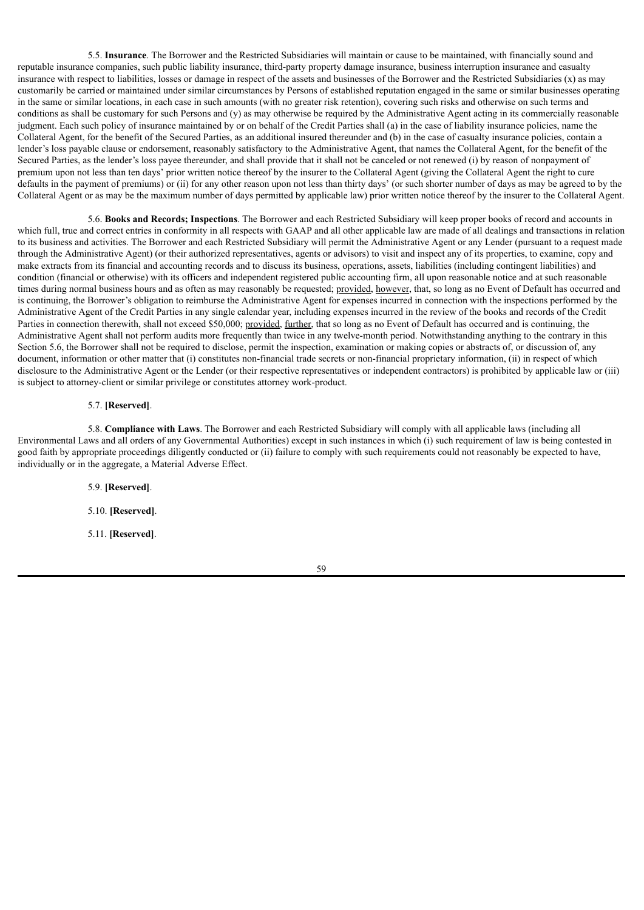5.5. **Insurance**. The Borrower and the Restricted Subsidiaries will maintain or cause to be maintained, with financially sound and reputable insurance companies, such public liability insurance, third-party property damage insurance, business interruption insurance and casualty insurance with respect to liabilities, losses or damage in respect of the assets and businesses of the Borrower and the Restricted Subsidiaries (x) as may customarily be carried or maintained under similar circumstances by Persons of established reputation engaged in the same or similar businesses operating in the same or similar locations, in each case in such amounts (with no greater risk retention), covering such risks and otherwise on such terms and conditions as shall be customary for such Persons and (y) as may otherwise be required by the Administrative Agent acting in its commercially reasonable judgment. Each such policy of insurance maintained by or on behalf of the Credit Parties shall (a) in the case of liability insurance policies, name the Collateral Agent, for the benefit of the Secured Parties, as an additional insured thereunder and (b) in the case of casualty insurance policies, contain a lender's loss payable clause or endorsement, reasonably satisfactory to the Administrative Agent, that names the Collateral Agent, for the benefit of the Secured Parties, as the lender's loss payee thereunder, and shall provide that it shall not be canceled or not renewed (i) by reason of nonpayment of premium upon not less than ten days' prior written notice thereof by the insurer to the Collateral Agent (giving the Collateral Agent the right to cure defaults in the payment of premiums) or (ii) for any other reason upon not less than thirty days' (or such shorter number of days as may be agreed to by the Collateral Agent or as may be the maximum number of days permitted by applicable law) prior written notice thereof by the insurer to the Collateral Agent.

5.6. **Books and Records; Inspections**. The Borrower and each Restricted Subsidiary will keep proper books of record and accounts in which full, true and correct entries in conformity in all respects with GAAP and all other applicable law are made of all dealings and transactions in relation to its business and activities. The Borrower and each Restricted Subsidiary will permit the Administrative Agent or any Lender (pursuant to a request made through the Administrative Agent) (or their authorized representatives, agents or advisors) to visit and inspect any of its properties, to examine, copy and make extracts from its financial and accounting records and to discuss its business, operations, assets, liabilities (including contingent liabilities) and condition (financial or otherwise) with its officers and independent registered public accounting firm, all upon reasonable notice and at such reasonable times during normal business hours and as often as may reasonably be requested; provided, however, that, so long as no Event of Default has occurred and is continuing, the Borrower's obligation to reimburse the Administrative Agent for expenses incurred in connection with the inspections performed by the Administrative Agent of the Credit Parties in any single calendar year, including expenses incurred in the review of the books and records of the Credit Parties in connection therewith, shall not exceed \$50,000; provided, further, that so long as no Event of Default has occurred and is continuing, the Administrative Agent shall not perform audits more frequently than twice in any twelve-month period. Notwithstanding anything to the contrary in this Section 5.6, the Borrower shall not be required to disclose, permit the inspection, examination or making copies or abstracts of, or discussion of, any document, information or other matter that (i) constitutes non-financial trade secrets or non-financial proprietary information, (ii) in respect of which disclosure to the Administrative Agent or the Lender (or their respective representatives or independent contractors) is prohibited by applicable law or (iii) is subject to attorney-client or similar privilege or constitutes attorney work-product.

### 5.7. **[Reserved]**.

5.8. **Compliance with Laws**. The Borrower and each Restricted Subsidiary will comply with all applicable laws (including all Environmental Laws and all orders of any Governmental Authorities) except in such instances in which (i) such requirement of law is being contested in good faith by appropriate proceedings diligently conducted or (ii) failure to comply with such requirements could not reasonably be expected to have, individually or in the aggregate, a Material Adverse Effect.

> 5.9. **[Reserved]**. 5.10. **[Reserved]**.

> 5.11. **[Reserved]**.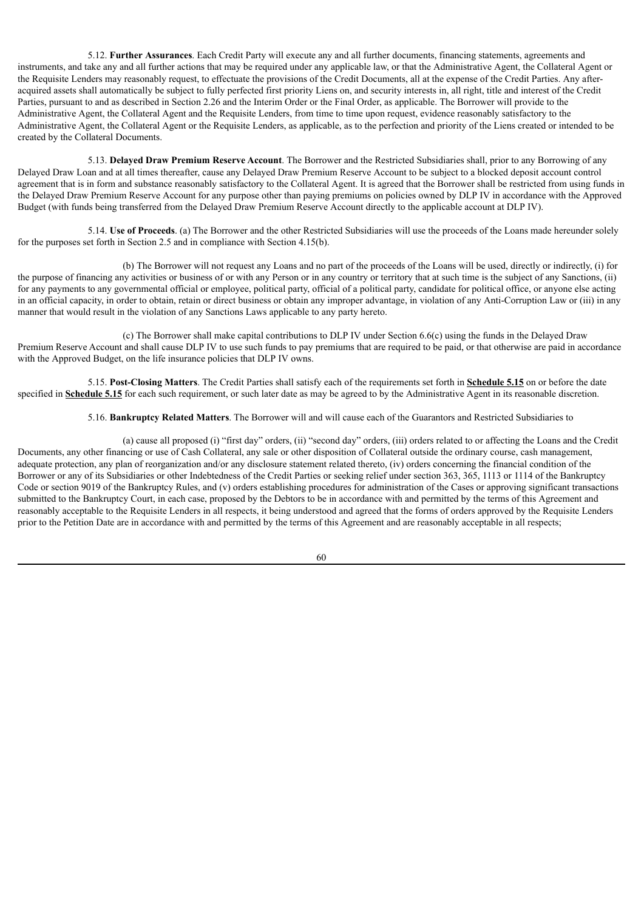5.12. **Further Assurances**. Each Credit Party will execute any and all further documents, financing statements, agreements and instruments, and take any and all further actions that may be required under any applicable law, or that the Administrative Agent, the Collateral Agent or the Requisite Lenders may reasonably request, to effectuate the provisions of the Credit Documents, all at the expense of the Credit Parties. Any afteracquired assets shall automatically be subject to fully perfected first priority Liens on, and security interests in, all right, title and interest of the Credit Parties, pursuant to and as described in Section 2.26 and the Interim Order or the Final Order, as applicable. The Borrower will provide to the Administrative Agent, the Collateral Agent and the Requisite Lenders, from time to time upon request, evidence reasonably satisfactory to the Administrative Agent, the Collateral Agent or the Requisite Lenders, as applicable, as to the perfection and priority of the Liens created or intended to be created by the Collateral Documents.

5.13. **Delayed Draw Premium Reserve Account**. The Borrower and the Restricted Subsidiaries shall, prior to any Borrowing of any Delayed Draw Loan and at all times thereafter, cause any Delayed Draw Premium Reserve Account to be subject to a blocked deposit account control agreement that is in form and substance reasonably satisfactory to the Collateral Agent. It is agreed that the Borrower shall be restricted from using funds in the Delayed Draw Premium Reserve Account for any purpose other than paying premiums on policies owned by DLP IV in accordance with the Approved Budget (with funds being transferred from the Delayed Draw Premium Reserve Account directly to the applicable account at DLP IV).

5.14. **Use of Proceeds**. (a) The Borrower and the other Restricted Subsidiaries will use the proceeds of the Loans made hereunder solely for the purposes set forth in Section 2.5 and in compliance with Section 4.15(b).

(b) The Borrower will not request any Loans and no part of the proceeds of the Loans will be used, directly or indirectly, (i) for the purpose of financing any activities or business of or with any Person or in any country or territory that at such time is the subject of any Sanctions, (ii) for any payments to any governmental official or employee, political party, official of a political party, candidate for political office, or anyone else acting in an official capacity, in order to obtain, retain or direct business or obtain any improper advantage, in violation of any Anti-Corruption Law or (iii) in any manner that would result in the violation of any Sanctions Laws applicable to any party hereto.

(c) The Borrower shall make capital contributions to DLP IV under Section 6.6(c) using the funds in the Delayed Draw Premium Reserve Account and shall cause DLP IV to use such funds to pay premiums that are required to be paid, or that otherwise are paid in accordance with the Approved Budget, on the life insurance policies that DLP IV owns.

5.15. **Post-Closing Matters**. The Credit Parties shall satisfy each of the requirements set forth in **Schedule 5.15** on or before the date specified in **Schedule 5.15** for each such requirement, or such later date as may be agreed to by the Administrative Agent in its reasonable discretion.

# 5.16. **Bankruptcy Related Matters**. The Borrower will and will cause each of the Guarantors and Restricted Subsidiaries to

(a) cause all proposed (i) "first day" orders, (ii) "second day" orders, (iii) orders related to or affecting the Loans and the Credit Documents, any other financing or use of Cash Collateral, any sale or other disposition of Collateral outside the ordinary course, cash management, adequate protection, any plan of reorganization and/or any disclosure statement related thereto, (iv) orders concerning the financial condition of the Borrower or any of its Subsidiaries or other Indebtedness of the Credit Parties or seeking relief under section 363, 365, 1113 or 1114 of the Bankruptcy Code or section 9019 of the Bankruptcy Rules, and (v) orders establishing procedures for administration of the Cases or approving significant transactions submitted to the Bankruptcy Court, in each case, proposed by the Debtors to be in accordance with and permitted by the terms of this Agreement and reasonably acceptable to the Requisite Lenders in all respects, it being understood and agreed that the forms of orders approved by the Requisite Lenders prior to the Petition Date are in accordance with and permitted by the terms of this Agreement and are reasonably acceptable in all respects;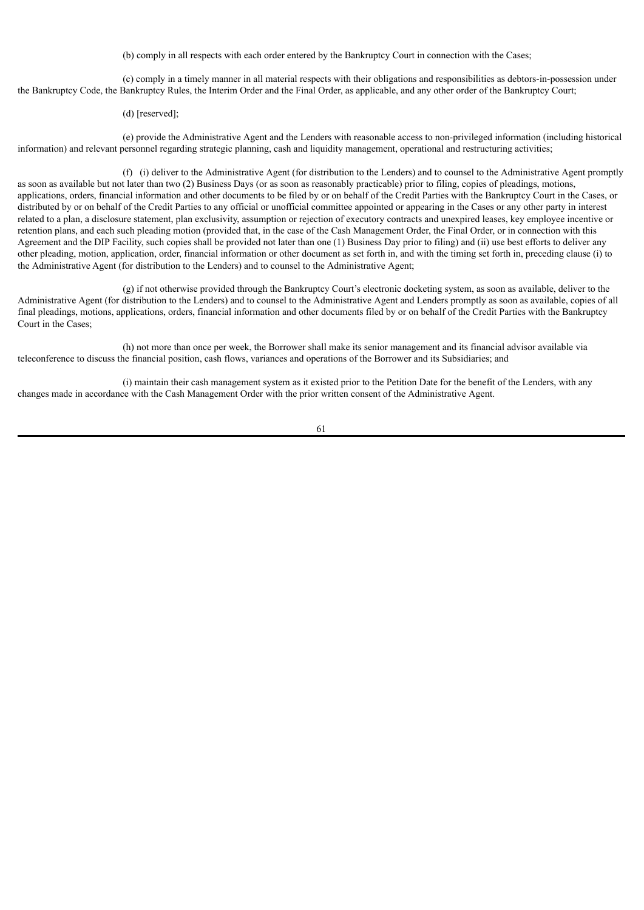(b) comply in all respects with each order entered by the Bankruptcy Court in connection with the Cases;

(c) comply in a timely manner in all material respects with their obligations and responsibilities as debtors-in-possession under the Bankruptcy Code, the Bankruptcy Rules, the Interim Order and the Final Order, as applicable, and any other order of the Bankruptcy Court;

(d) [reserved];

(e) provide the Administrative Agent and the Lenders with reasonable access to non-privileged information (including historical information) and relevant personnel regarding strategic planning, cash and liquidity management, operational and restructuring activities;

(f) (i) deliver to the Administrative Agent (for distribution to the Lenders) and to counsel to the Administrative Agent promptly as soon as available but not later than two (2) Business Days (or as soon as reasonably practicable) prior to filing, copies of pleadings, motions, applications, orders, financial information and other documents to be filed by or on behalf of the Credit Parties with the Bankruptcy Court in the Cases, or distributed by or on behalf of the Credit Parties to any official or unofficial committee appointed or appearing in the Cases or any other party in interest related to a plan, a disclosure statement, plan exclusivity, assumption or rejection of executory contracts and unexpired leases, key employee incentive or retention plans, and each such pleading motion (provided that, in the case of the Cash Management Order, the Final Order, or in connection with this Agreement and the DIP Facility, such copies shall be provided not later than one (1) Business Day prior to filing) and (ii) use best efforts to deliver any other pleading, motion, application, order, financial information or other document as set forth in, and with the timing set forth in, preceding clause (i) to the Administrative Agent (for distribution to the Lenders) and to counsel to the Administrative Agent;

(g) if not otherwise provided through the Bankruptcy Court's electronic docketing system, as soon as available, deliver to the Administrative Agent (for distribution to the Lenders) and to counsel to the Administrative Agent and Lenders promptly as soon as available, copies of all final pleadings, motions, applications, orders, financial information and other documents filed by or on behalf of the Credit Parties with the Bankruptcy Court in the Cases;

(h) not more than once per week, the Borrower shall make its senior management and its financial advisor available via teleconference to discuss the financial position, cash flows, variances and operations of the Borrower and its Subsidiaries; and

(i) maintain their cash management system as it existed prior to the Petition Date for the benefit of the Lenders, with any changes made in accordance with the Cash Management Order with the prior written consent of the Administrative Agent.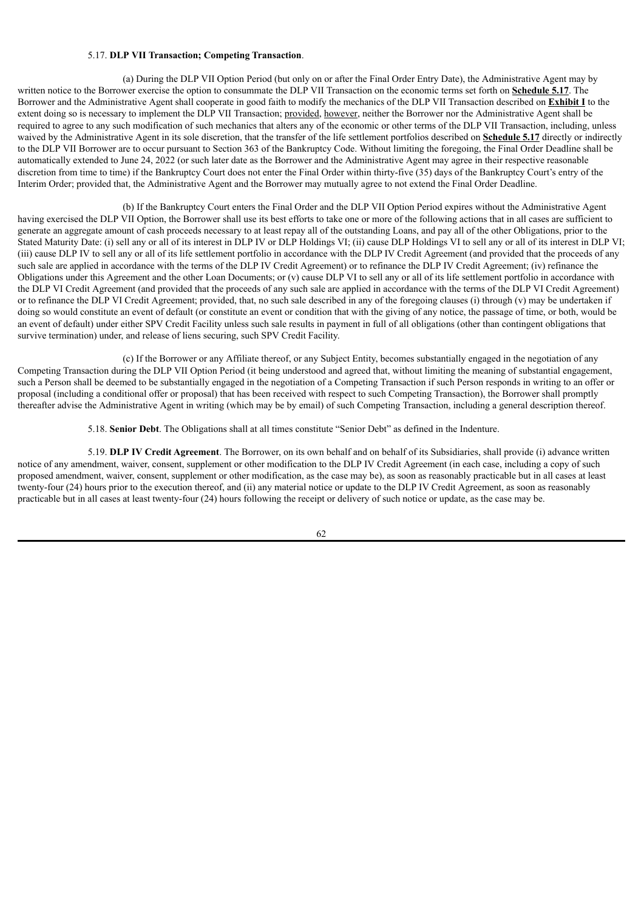#### 5.17. **DLP VII Transaction; Competing Transaction**.

(a) During the DLP VII Option Period (but only on or after the Final Order Entry Date), the Administrative Agent may by written notice to the Borrower exercise the option to consummate the DLP VII Transaction on the economic terms set forth on **Schedule 5.17**. The Borrower and the Administrative Agent shall cooperate in good faith to modify the mechanics of the DLP VII Transaction described on **Exhibit I** to the extent doing so is necessary to implement the DLP VII Transaction; provided, however, neither the Borrower nor the Administrative Agent shall be required to agree to any such modification of such mechanics that alters any of the economic or other terms of the DLP VII Transaction, including, unless waived by the Administrative Agent in its sole discretion, that the transfer of the life settlement portfolios described on **Schedule 5.17** directly or indirectly to the DLP VII Borrower are to occur pursuant to Section 363 of the Bankruptcy Code. Without limiting the foregoing, the Final Order Deadline shall be automatically extended to June 24, 2022 (or such later date as the Borrower and the Administrative Agent may agree in their respective reasonable discretion from time to time) if the Bankruptcy Court does not enter the Final Order within thirty-five (35) days of the Bankruptcy Court's entry of the Interim Order; provided that, the Administrative Agent and the Borrower may mutually agree to not extend the Final Order Deadline.

(b) If the Bankruptcy Court enters the Final Order and the DLP VII Option Period expires without the Administrative Agent having exercised the DLP VII Option, the Borrower shall use its best efforts to take one or more of the following actions that in all cases are sufficient to generate an aggregate amount of cash proceeds necessary to at least repay all of the outstanding Loans, and pay all of the other Obligations, prior to the Stated Maturity Date: (i) sell any or all of its interest in DLP IV or DLP Holdings VI; (ii) cause DLP Holdings VI to sell any or all of its interest in DLP VI; (iii) cause DLP IV to sell any or all of its life settlement portfolio in accordance with the DLP IV Credit Agreement (and provided that the proceeds of any such sale are applied in accordance with the terms of the DLP IV Credit Agreement) or to refinance the DLP IV Credit Agreement; (iv) refinance the Obligations under this Agreement and the other Loan Documents; or (v) cause DLP VI to sell any or all of its life settlement portfolio in accordance with the DLP VI Credit Agreement (and provided that the proceeds of any such sale are applied in accordance with the terms of the DLP VI Credit Agreement) or to refinance the DLP VI Credit Agreement; provided, that, no such sale described in any of the foregoing clauses (i) through (v) may be undertaken if doing so would constitute an event of default (or constitute an event or condition that with the giving of any notice, the passage of time, or both, would be an event of default) under either SPV Credit Facility unless such sale results in payment in full of all obligations (other than contingent obligations that survive termination) under, and release of liens securing, such SPV Credit Facility.

(c) If the Borrower or any Affiliate thereof, or any Subject Entity, becomes substantially engaged in the negotiation of any Competing Transaction during the DLP VII Option Period (it being understood and agreed that, without limiting the meaning of substantial engagement, such a Person shall be deemed to be substantially engaged in the negotiation of a Competing Transaction if such Person responds in writing to an offer or proposal (including a conditional offer or proposal) that has been received with respect to such Competing Transaction), the Borrower shall promptly thereafter advise the Administrative Agent in writing (which may be by email) of such Competing Transaction, including a general description thereof.

5.18. **Senior Debt**. The Obligations shall at all times constitute "Senior Debt" as defined in the Indenture.

5.19. **DLP IV Credit Agreement**. The Borrower, on its own behalf and on behalf of its Subsidiaries, shall provide (i) advance written notice of any amendment, waiver, consent, supplement or other modification to the DLP IV Credit Agreement (in each case, including a copy of such proposed amendment, waiver, consent, supplement or other modification, as the case may be), as soon as reasonably practicable but in all cases at least twenty-four (24) hours prior to the execution thereof, and (ii) any material notice or update to the DLP IV Credit Agreement, as soon as reasonably practicable but in all cases at least twenty-four (24) hours following the receipt or delivery of such notice or update, as the case may be.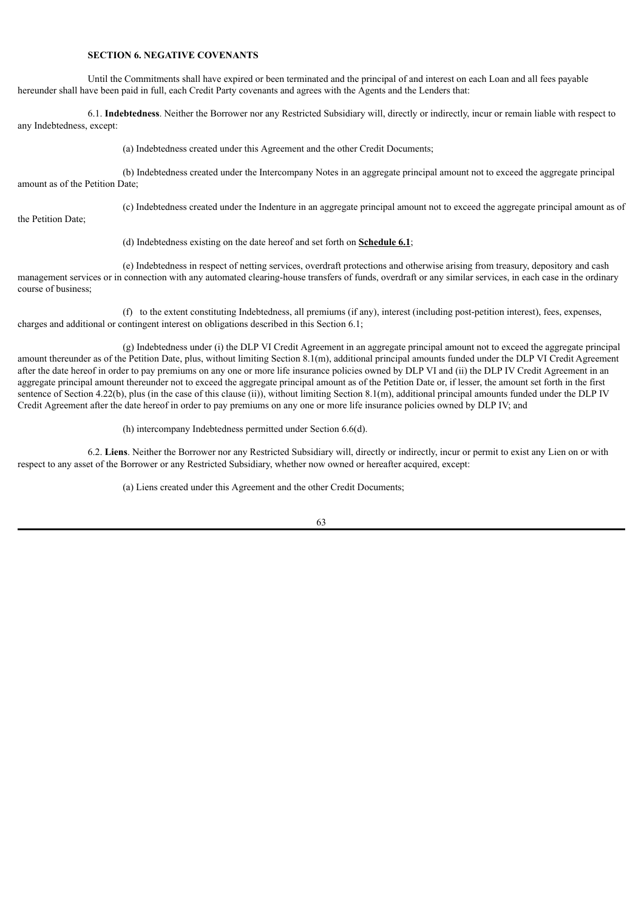# **SECTION 6. NEGATIVE COVENANTS**

Until the Commitments shall have expired or been terminated and the principal of and interest on each Loan and all fees payable hereunder shall have been paid in full, each Credit Party covenants and agrees with the Agents and the Lenders that:

6.1. **Indebtedness**. Neither the Borrower nor any Restricted Subsidiary will, directly or indirectly, incur or remain liable with respect to any Indebtedness, except:

(a) Indebtedness created under this Agreement and the other Credit Documents;

(b) Indebtedness created under the Intercompany Notes in an aggregate principal amount not to exceed the aggregate principal amount as of the Petition Date;

(c) Indebtedness created under the Indenture in an aggregate principal amount not to exceed the aggregate principal amount as of

the Petition Date;

(d) Indebtedness existing on the date hereof and set forth on **Schedule 6.1**;

(e) Indebtedness in respect of netting services, overdraft protections and otherwise arising from treasury, depository and cash management services or in connection with any automated clearing-house transfers of funds, overdraft or any similar services, in each case in the ordinary course of business;

(f) to the extent constituting Indebtedness, all premiums (if any), interest (including post-petition interest), fees, expenses, charges and additional or contingent interest on obligations described in this Section 6.1;

(g) Indebtedness under (i) the DLP VI Credit Agreement in an aggregate principal amount not to exceed the aggregate principal amount thereunder as of the Petition Date, plus, without limiting Section 8.1(m), additional principal amounts funded under the DLP VI Credit Agreement after the date hereof in order to pay premiums on any one or more life insurance policies owned by DLP VI and (ii) the DLP IV Credit Agreement in an aggregate principal amount thereunder not to exceed the aggregate principal amount as of the Petition Date or, if lesser, the amount set forth in the first sentence of Section 4.22(b), plus (in the case of this clause (ii)), without limiting Section 8.1(m), additional principal amounts funded under the DLP IV Credit Agreement after the date hereof in order to pay premiums on any one or more life insurance policies owned by DLP IV; and

(h) intercompany Indebtedness permitted under Section 6.6(d).

6.2. **Liens**. Neither the Borrower nor any Restricted Subsidiary will, directly or indirectly, incur or permit to exist any Lien on or with respect to any asset of the Borrower or any Restricted Subsidiary, whether now owned or hereafter acquired, except:

(a) Liens created under this Agreement and the other Credit Documents;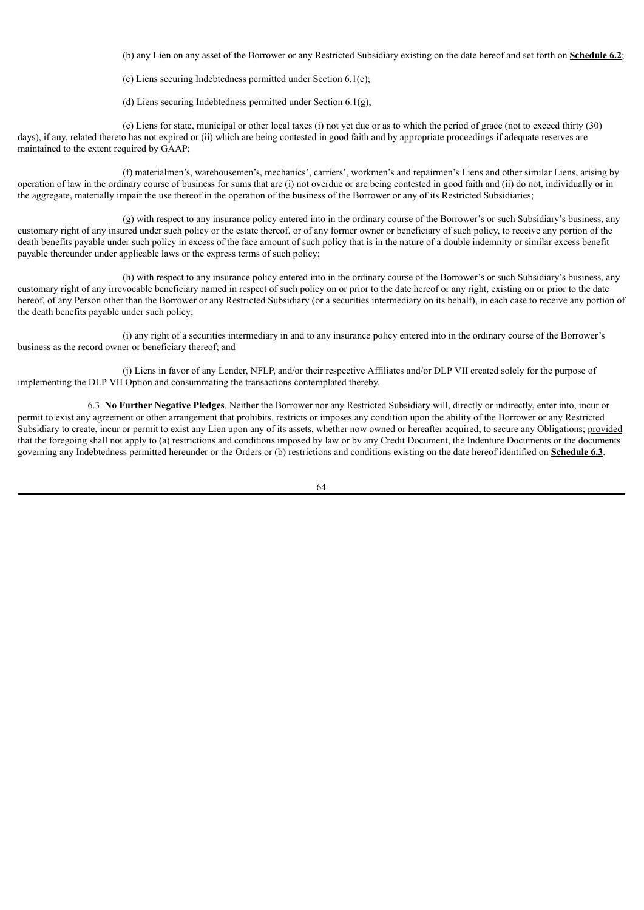(b) any Lien on any asset of the Borrower or any Restricted Subsidiary existing on the date hereof and set forth on **Schedule 6.2**;

(c) Liens securing Indebtedness permitted under Section 6.1(c);

(d) Liens securing Indebtedness permitted under Section 6.1(g);

(e) Liens for state, municipal or other local taxes (i) not yet due or as to which the period of grace (not to exceed thirty (30) days), if any, related thereto has not expired or (ii) which are being contested in good faith and by appropriate proceedings if adequate reserves are maintained to the extent required by GAAP;

(f) materialmen's, warehousemen's, mechanics', carriers', workmen's and repairmen's Liens and other similar Liens, arising by operation of law in the ordinary course of business for sums that are (i) not overdue or are being contested in good faith and (ii) do not, individually or in the aggregate, materially impair the use thereof in the operation of the business of the Borrower or any of its Restricted Subsidiaries;

(g) with respect to any insurance policy entered into in the ordinary course of the Borrower's or such Subsidiary's business, any customary right of any insured under such policy or the estate thereof, or of any former owner or beneficiary of such policy, to receive any portion of the death benefits payable under such policy in excess of the face amount of such policy that is in the nature of a double indemnity or similar excess benefit payable thereunder under applicable laws or the express terms of such policy;

(h) with respect to any insurance policy entered into in the ordinary course of the Borrower's or such Subsidiary's business, any customary right of any irrevocable beneficiary named in respect of such policy on or prior to the date hereof or any right, existing on or prior to the date hereof, of any Person other than the Borrower or any Restricted Subsidiary (or a securities intermediary on its behalf), in each case to receive any portion of the death benefits payable under such policy;

(i) any right of a securities intermediary in and to any insurance policy entered into in the ordinary course of the Borrower's business as the record owner or beneficiary thereof; and

(j) Liens in favor of any Lender, NFLP, and/or their respective Affiliates and/or DLP VII created solely for the purpose of implementing the DLP VII Option and consummating the transactions contemplated thereby.

6.3. **No Further Negative Pledges**. Neither the Borrower nor any Restricted Subsidiary will, directly or indirectly, enter into, incur or permit to exist any agreement or other arrangement that prohibits, restricts or imposes any condition upon the ability of the Borrower or any Restricted Subsidiary to create, incur or permit to exist any Lien upon any of its assets, whether now owned or hereafter acquired, to secure any Obligations; provided that the foregoing shall not apply to (a) restrictions and conditions imposed by law or by any Credit Document, the Indenture Documents or the documents governing any Indebtedness permitted hereunder or the Orders or (b) restrictions and conditions existing on the date hereof identified on **Schedule 6.3**.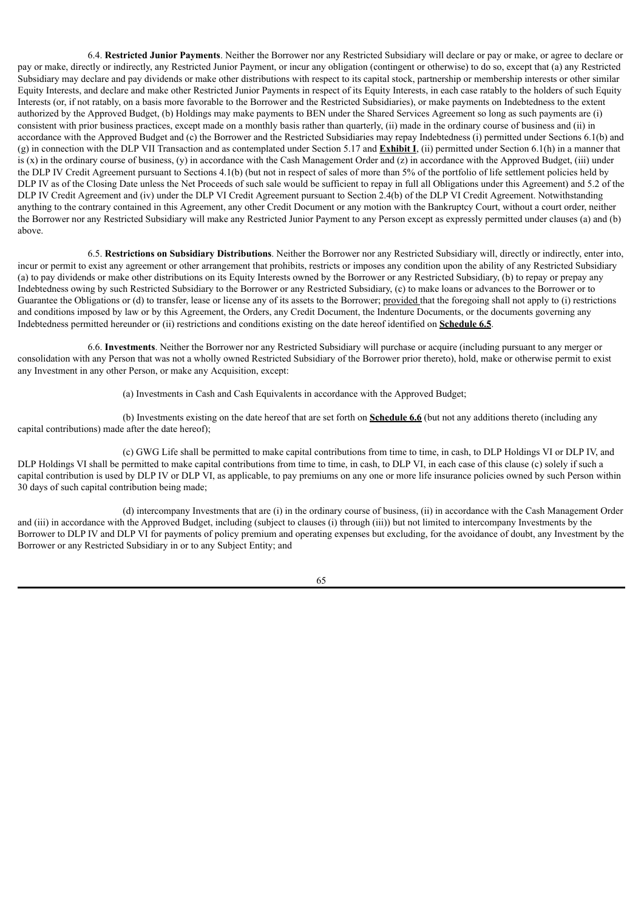6.4. **Restricted Junior Payments**. Neither the Borrower nor any Restricted Subsidiary will declare or pay or make, or agree to declare or pay or make, directly or indirectly, any Restricted Junior Payment, or incur any obligation (contingent or otherwise) to do so, except that (a) any Restricted Subsidiary may declare and pay dividends or make other distributions with respect to its capital stock, partnership or membership interests or other similar Equity Interests, and declare and make other Restricted Junior Payments in respect of its Equity Interests, in each case ratably to the holders of such Equity Interests (or, if not ratably, on a basis more favorable to the Borrower and the Restricted Subsidiaries), or make payments on Indebtedness to the extent authorized by the Approved Budget, (b) Holdings may make payments to BEN under the Shared Services Agreement so long as such payments are (i) consistent with prior business practices, except made on a monthly basis rather than quarterly, (ii) made in the ordinary course of business and (ii) in accordance with the Approved Budget and (c) the Borrower and the Restricted Subsidiaries may repay Indebtedness (i) permitted under Sections 6.1(b) and (g) in connection with the DLP VII Transaction and as contemplated under Section 5.17 and **Exhibit I**, (ii) permitted under Section 6.1(h) in a manner that is  $(x)$  in the ordinary course of business,  $(y)$  in accordance with the Cash Management Order and  $(z)$  in accordance with the Approved Budget, (iii) under the DLP IV Credit Agreement pursuant to Sections 4.1(b) (but not in respect of sales of more than 5% of the portfolio of life settlement policies held by DLP IV as of the Closing Date unless the Net Proceeds of such sale would be sufficient to repay in full all Obligations under this Agreement) and 5.2 of the DLP IV Credit Agreement and (iv) under the DLP VI Credit Agreement pursuant to Section 2.4(b) of the DLP VI Credit Agreement. Notwithstanding anything to the contrary contained in this Agreement, any other Credit Document or any motion with the Bankruptcy Court, without a court order, neither the Borrower nor any Restricted Subsidiary will make any Restricted Junior Payment to any Person except as expressly permitted under clauses (a) and (b) above.

6.5. **Restrictions on Subsidiary Distributions**. Neither the Borrower nor any Restricted Subsidiary will, directly or indirectly, enter into, incur or permit to exist any agreement or other arrangement that prohibits, restricts or imposes any condition upon the ability of any Restricted Subsidiary (a) to pay dividends or make other distributions on its Equity Interests owned by the Borrower or any Restricted Subsidiary, (b) to repay or prepay any Indebtedness owing by such Restricted Subsidiary to the Borrower or any Restricted Subsidiary, (c) to make loans or advances to the Borrower or to Guarantee the Obligations or (d) to transfer, lease or license any of its assets to the Borrower; provided that the foregoing shall not apply to (i) restrictions and conditions imposed by law or by this Agreement, the Orders, any Credit Document, the Indenture Documents, or the documents governing any Indebtedness permitted hereunder or (ii) restrictions and conditions existing on the date hereof identified on **Schedule 6.5**.

6.6. **Investments**. Neither the Borrower nor any Restricted Subsidiary will purchase or acquire (including pursuant to any merger or consolidation with any Person that was not a wholly owned Restricted Subsidiary of the Borrower prior thereto), hold, make or otherwise permit to exist any Investment in any other Person, or make any Acquisition, except:

(a) Investments in Cash and Cash Equivalents in accordance with the Approved Budget;

(b) Investments existing on the date hereof that are set forth on **Schedule 6.6** (but not any additions thereto (including any capital contributions) made after the date hereof);

(c) GWG Life shall be permitted to make capital contributions from time to time, in cash, to DLP Holdings VI or DLP IV, and DLP Holdings VI shall be permitted to make capital contributions from time to time, in cash, to DLP VI, in each case of this clause (c) solely if such a capital contribution is used by DLP IV or DLP VI, as applicable, to pay premiums on any one or more life insurance policies owned by such Person within 30 days of such capital contribution being made;

(d) intercompany Investments that are (i) in the ordinary course of business, (ii) in accordance with the Cash Management Order and (iii) in accordance with the Approved Budget, including (subject to clauses (i) through (iii)) but not limited to intercompany Investments by the Borrower to DLP IV and DLP VI for payments of policy premium and operating expenses but excluding, for the avoidance of doubt, any Investment by the Borrower or any Restricted Subsidiary in or to any Subject Entity; and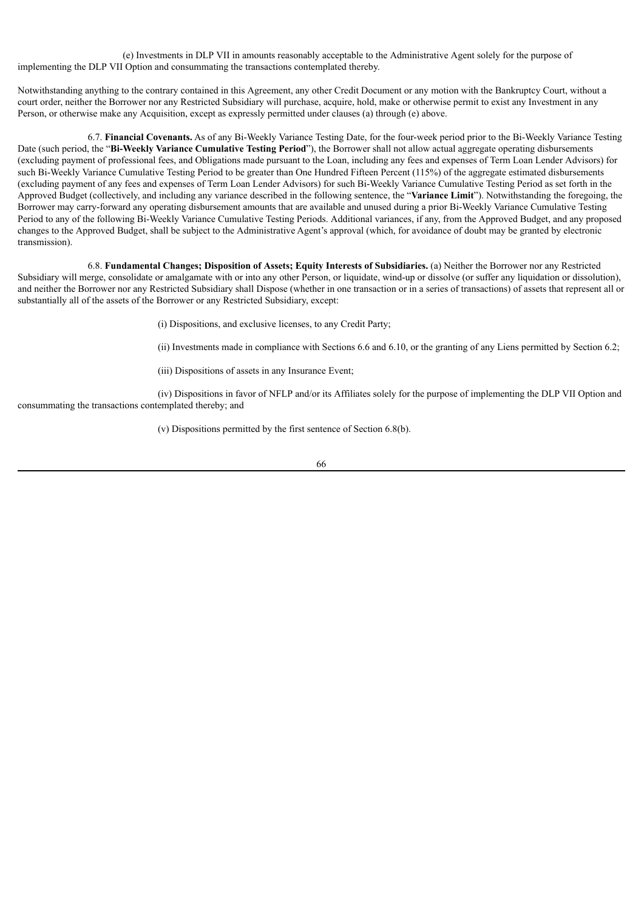(e) Investments in DLP VII in amounts reasonably acceptable to the Administrative Agent solely for the purpose of implementing the DLP VII Option and consummating the transactions contemplated thereby.

Notwithstanding anything to the contrary contained in this Agreement, any other Credit Document or any motion with the Bankruptcy Court, without a court order, neither the Borrower nor any Restricted Subsidiary will purchase, acquire, hold, make or otherwise permit to exist any Investment in any Person, or otherwise make any Acquisition, except as expressly permitted under clauses (a) through (e) above.

6.7. **Financial Covenants.** As of any Bi-Weekly Variance Testing Date, for the four-week period prior to the Bi-Weekly Variance Testing Date (such period, the "**Bi-Weekly Variance Cumulative Testing Period**"), the Borrower shall not allow actual aggregate operating disbursements (excluding payment of professional fees, and Obligations made pursuant to the Loan, including any fees and expenses of Term Loan Lender Advisors) for such Bi-Weekly Variance Cumulative Testing Period to be greater than One Hundred Fifteen Percent (115%) of the aggregate estimated disbursements (excluding payment of any fees and expenses of Term Loan Lender Advisors) for such Bi-Weekly Variance Cumulative Testing Period as set forth in the Approved Budget (collectively, and including any variance described in the following sentence, the "**Variance Limit**"). Notwithstanding the foregoing, the Borrower may carry-forward any operating disbursement amounts that are available and unused during a prior Bi-Weekly Variance Cumulative Testing Period to any of the following Bi-Weekly Variance Cumulative Testing Periods. Additional variances, if any, from the Approved Budget, and any proposed changes to the Approved Budget, shall be subject to the Administrative Agent's approval (which, for avoidance of doubt may be granted by electronic transmission).

6.8. **Fundamental Changes; Disposition of Assets; Equity Interests of Subsidiaries.** (a) Neither the Borrower nor any Restricted Subsidiary will merge, consolidate or amalgamate with or into any other Person, or liquidate, wind-up or dissolve (or suffer any liquidation or dissolution), and neither the Borrower nor any Restricted Subsidiary shall Dispose (whether in one transaction or in a series of transactions) of assets that represent all or substantially all of the assets of the Borrower or any Restricted Subsidiary, except:

(i) Dispositions, and exclusive licenses, to any Credit Party;

(ii) Investments made in compliance with Sections 6.6 and 6.10, or the granting of any Liens permitted by Section 6.2;

(iii) Dispositions of assets in any Insurance Event;

(iv) Dispositions in favor of NFLP and/or its Affiliates solely for the purpose of implementing the DLP VII Option and consummating the transactions contemplated thereby; and

(v) Dispositions permitted by the first sentence of Section 6.8(b).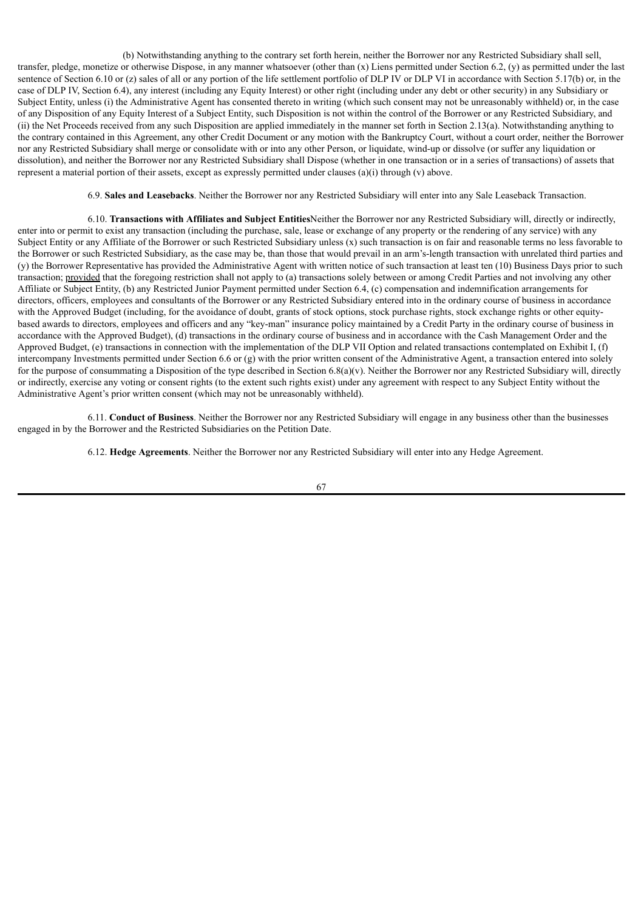(b) Notwithstanding anything to the contrary set forth herein, neither the Borrower nor any Restricted Subsidiary shall sell, transfer, pledge, monetize or otherwise Dispose, in any manner whatsoever (other than (x) Liens permitted under Section 6.2, (y) as permitted under the last sentence of Section 6.10 or (z) sales of all or any portion of the life settlement portfolio of DLP IV or DLP VI in accordance with Section 5.17(b) or, in the case of DLP IV, Section 6.4), any interest (including any Equity Interest) or other right (including under any debt or other security) in any Subsidiary or Subject Entity, unless (i) the Administrative Agent has consented thereto in writing (which such consent may not be unreasonably withheld) or, in the case of any Disposition of any Equity Interest of a Subject Entity, such Disposition is not within the control of the Borrower or any Restricted Subsidiary, and (ii) the Net Proceeds received from any such Disposition are applied immediately in the manner set forth in Section 2.13(a). Notwithstanding anything to the contrary contained in this Agreement, any other Credit Document or any motion with the Bankruptcy Court, without a court order, neither the Borrower nor any Restricted Subsidiary shall merge or consolidate with or into any other Person, or liquidate, wind-up or dissolve (or suffer any liquidation or dissolution), and neither the Borrower nor any Restricted Subsidiary shall Dispose (whether in one transaction or in a series of transactions) of assets that represent a material portion of their assets, except as expressly permitted under clauses (a)(i) through (v) above.

6.9. **Sales and Leasebacks**. Neither the Borrower nor any Restricted Subsidiary will enter into any Sale Leaseback Transaction.

6.10. **Transactions with Affiliates and Subject Entities**Neither the Borrower nor any Restricted Subsidiary will, directly or indirectly, enter into or permit to exist any transaction (including the purchase, sale, lease or exchange of any property or the rendering of any service) with any Subject Entity or any Affiliate of the Borrower or such Restricted Subsidiary unless (x) such transaction is on fair and reasonable terms no less favorable to the Borrower or such Restricted Subsidiary, as the case may be, than those that would prevail in an arm's-length transaction with unrelated third parties and (y) the Borrower Representative has provided the Administrative Agent with written notice of such transaction at least ten (10) Business Days prior to such transaction; provided that the foregoing restriction shall not apply to (a) transactions solely between or among Credit Parties and not involving any other Affiliate or Subject Entity, (b) any Restricted Junior Payment permitted under Section 6.4, (c) compensation and indemnification arrangements for directors, officers, employees and consultants of the Borrower or any Restricted Subsidiary entered into in the ordinary course of business in accordance with the Approved Budget (including, for the avoidance of doubt, grants of stock options, stock purchase rights, stock exchange rights or other equitybased awards to directors, employees and officers and any "key-man" insurance policy maintained by a Credit Party in the ordinary course of business in accordance with the Approved Budget), (d) transactions in the ordinary course of business and in accordance with the Cash Management Order and the Approved Budget, (e) transactions in connection with the implementation of the DLP VII Option and related transactions contemplated on Exhibit I, (f) intercompany Investments permitted under Section 6.6 or (g) with the prior written consent of the Administrative Agent, a transaction entered into solely for the purpose of consummating a Disposition of the type described in Section 6.8(a)(v). Neither the Borrower nor any Restricted Subsidiary will, directly or indirectly, exercise any voting or consent rights (to the extent such rights exist) under any agreement with respect to any Subject Entity without the Administrative Agent's prior written consent (which may not be unreasonably withheld).

6.11. **Conduct of Business**. Neither the Borrower nor any Restricted Subsidiary will engage in any business other than the businesses engaged in by the Borrower and the Restricted Subsidiaries on the Petition Date.

6.12. **Hedge Agreements**. Neither the Borrower nor any Restricted Subsidiary will enter into any Hedge Agreement.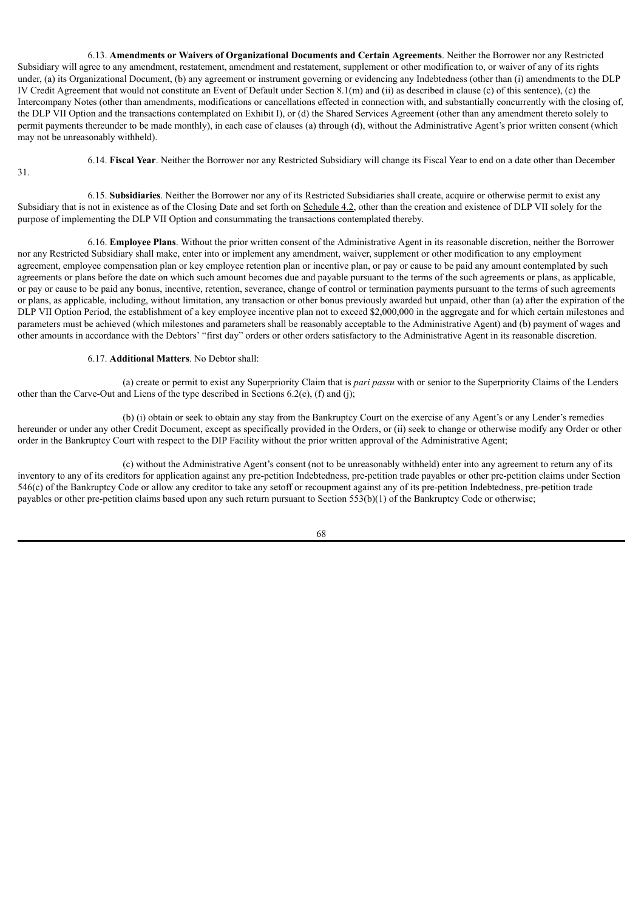6.13. **Amendments or Waivers of Organizational Documents and Certain Agreements**. Neither the Borrower nor any Restricted Subsidiary will agree to any amendment, restatement, amendment and restatement, supplement or other modification to, or waiver of any of its rights under, (a) its Organizational Document, (b) any agreement or instrument governing or evidencing any Indebtedness (other than (i) amendments to the DLP IV Credit Agreement that would not constitute an Event of Default under Section 8.1(m) and (ii) as described in clause (c) of this sentence), (c) the Intercompany Notes (other than amendments, modifications or cancellations effected in connection with, and substantially concurrently with the closing of, the DLP VII Option and the transactions contemplated on Exhibit I), or (d) the Shared Services Agreement (other than any amendment thereto solely to permit payments thereunder to be made monthly), in each case of clauses (a) through (d), without the Administrative Agent's prior written consent (which may not be unreasonably withheld).

6.14. **Fiscal Year**. Neither the Borrower nor any Restricted Subsidiary will change its Fiscal Year to end on a date other than December

31.

6.15. **Subsidiaries**. Neither the Borrower nor any of its Restricted Subsidiaries shall create, acquire or otherwise permit to exist any Subsidiary that is not in existence as of the Closing Date and set forth on Schedule 4.2, other than the creation and existence of DLP VII solely for the purpose of implementing the DLP VII Option and consummating the transactions contemplated thereby.

6.16. **Employee Plans**. Without the prior written consent of the Administrative Agent in its reasonable discretion, neither the Borrower nor any Restricted Subsidiary shall make, enter into or implement any amendment, waiver, supplement or other modification to any employment agreement, employee compensation plan or key employee retention plan or incentive plan, or pay or cause to be paid any amount contemplated by such agreements or plans before the date on which such amount becomes due and payable pursuant to the terms of the such agreements or plans, as applicable, or pay or cause to be paid any bonus, incentive, retention, severance, change of control or termination payments pursuant to the terms of such agreements or plans, as applicable, including, without limitation, any transaction or other bonus previously awarded but unpaid, other than (a) after the expiration of the DLP VII Option Period, the establishment of a key employee incentive plan not to exceed \$2,000,000 in the aggregate and for which certain milestones and parameters must be achieved (which milestones and parameters shall be reasonably acceptable to the Administrative Agent) and (b) payment of wages and other amounts in accordance with the Debtors' "first day" orders or other orders satisfactory to the Administrative Agent in its reasonable discretion.

6.17. **Additional Matters**. No Debtor shall:

(a) create or permit to exist any Superpriority Claim that is *pari passu* with or senior to the Superpriority Claims of the Lenders other than the Carve-Out and Liens of the type described in Sections 6.2(e), (f) and (j);

(b) (i) obtain or seek to obtain any stay from the Bankruptcy Court on the exercise of any Agent's or any Lender's remedies hereunder or under any other Credit Document, except as specifically provided in the Orders, or (ii) seek to change or otherwise modify any Order or other order in the Bankruptcy Court with respect to the DIP Facility without the prior written approval of the Administrative Agent;

(c) without the Administrative Agent's consent (not to be unreasonably withheld) enter into any agreement to return any of its inventory to any of its creditors for application against any pre-petition Indebtedness, pre-petition trade payables or other pre-petition claims under Section 546(c) of the Bankruptcy Code or allow any creditor to take any setoff or recoupment against any of its pre-petition Indebtedness, pre-petition trade payables or other pre-petition claims based upon any such return pursuant to Section 553(b)(1) of the Bankruptcy Code or otherwise;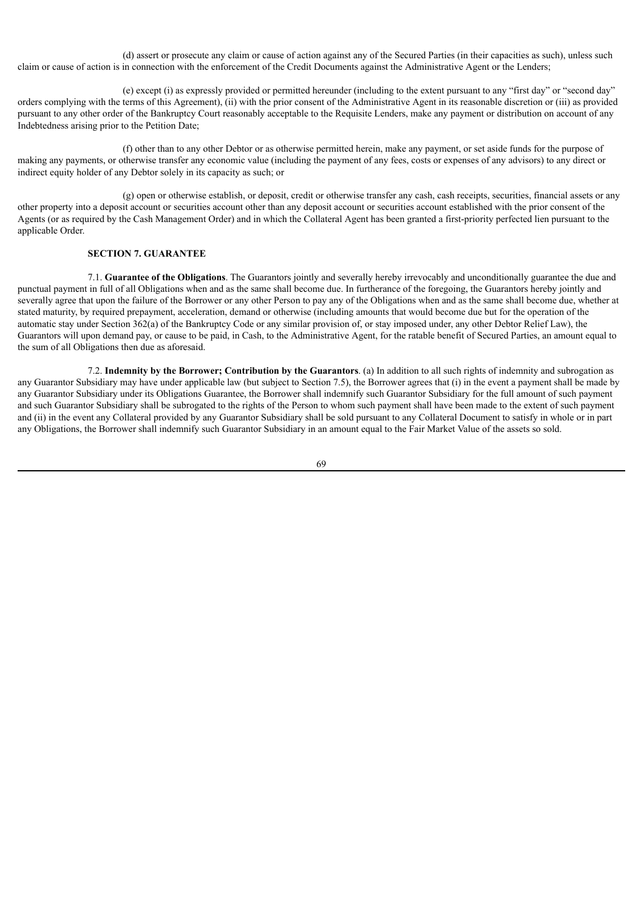(d) assert or prosecute any claim or cause of action against any of the Secured Parties (in their capacities as such), unless such claim or cause of action is in connection with the enforcement of the Credit Documents against the Administrative Agent or the Lenders;

(e) except (i) as expressly provided or permitted hereunder (including to the extent pursuant to any "first day" or "second day" orders complying with the terms of this Agreement), (ii) with the prior consent of the Administrative Agent in its reasonable discretion or (iii) as provided pursuant to any other order of the Bankruptcy Court reasonably acceptable to the Requisite Lenders, make any payment or distribution on account of any Indebtedness arising prior to the Petition Date;

(f) other than to any other Debtor or as otherwise permitted herein, make any payment, or set aside funds for the purpose of making any payments, or otherwise transfer any economic value (including the payment of any fees, costs or expenses of any advisors) to any direct or indirect equity holder of any Debtor solely in its capacity as such; or

(g) open or otherwise establish, or deposit, credit or otherwise transfer any cash, cash receipts, securities, financial assets or any other property into a deposit account or securities account other than any deposit account or securities account established with the prior consent of the Agents (or as required by the Cash Management Order) and in which the Collateral Agent has been granted a first-priority perfected lien pursuant to the applicable Order.

# **SECTION 7. GUARANTEE**

7.1. **Guarantee of the Obligations**. The Guarantors jointly and severally hereby irrevocably and unconditionally guarantee the due and punctual payment in full of all Obligations when and as the same shall become due. In furtherance of the foregoing, the Guarantors hereby jointly and severally agree that upon the failure of the Borrower or any other Person to pay any of the Obligations when and as the same shall become due, whether at stated maturity, by required prepayment, acceleration, demand or otherwise (including amounts that would become due but for the operation of the automatic stay under Section 362(a) of the Bankruptcy Code or any similar provision of, or stay imposed under, any other Debtor Relief Law), the Guarantors will upon demand pay, or cause to be paid, in Cash, to the Administrative Agent, for the ratable benefit of Secured Parties, an amount equal to the sum of all Obligations then due as aforesaid.

7.2. **Indemnity by the Borrower; Contribution by the Guarantors**. (a) In addition to all such rights of indemnity and subrogation as any Guarantor Subsidiary may have under applicable law (but subject to Section 7.5), the Borrower agrees that (i) in the event a payment shall be made by any Guarantor Subsidiary under its Obligations Guarantee, the Borrower shall indemnify such Guarantor Subsidiary for the full amount of such payment and such Guarantor Subsidiary shall be subrogated to the rights of the Person to whom such payment shall have been made to the extent of such payment and (ii) in the event any Collateral provided by any Guarantor Subsidiary shall be sold pursuant to any Collateral Document to satisfy in whole or in part any Obligations, the Borrower shall indemnify such Guarantor Subsidiary in an amount equal to the Fair Market Value of the assets so sold.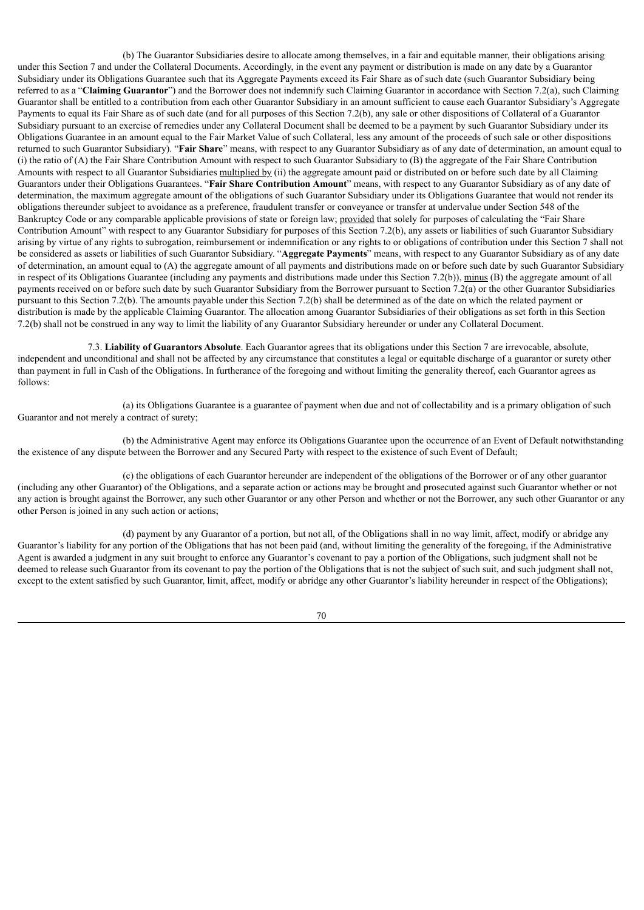(b) The Guarantor Subsidiaries desire to allocate among themselves, in a fair and equitable manner, their obligations arising under this Section 7 and under the Collateral Documents. Accordingly, in the event any payment or distribution is made on any date by a Guarantor Subsidiary under its Obligations Guarantee such that its Aggregate Payments exceed its Fair Share as of such date (such Guarantor Subsidiary being referred to as a "**Claiming Guarantor**") and the Borrower does not indemnify such Claiming Guarantor in accordance with Section 7.2(a), such Claiming Guarantor shall be entitled to a contribution from each other Guarantor Subsidiary in an amount sufficient to cause each Guarantor Subsidiary's Aggregate Payments to equal its Fair Share as of such date (and for all purposes of this Section 7.2(b), any sale or other dispositions of Collateral of a Guarantor Subsidiary pursuant to an exercise of remedies under any Collateral Document shall be deemed to be a payment by such Guarantor Subsidiary under its Obligations Guarantee in an amount equal to the Fair Market Value of such Collateral, less any amount of the proceeds of such sale or other dispositions returned to such Guarantor Subsidiary). "**Fair Share**" means, with respect to any Guarantor Subsidiary as of any date of determination, an amount equal to (i) the ratio of (A) the Fair Share Contribution Amount with respect to such Guarantor Subsidiary to (B) the aggregate of the Fair Share Contribution Amounts with respect to all Guarantor Subsidiaries multiplied by (ii) the aggregate amount paid or distributed on or before such date by all Claiming Guarantors under their Obligations Guarantees. "**Fair Share Contribution Amount**" means, with respect to any Guarantor Subsidiary as of any date of determination, the maximum aggregate amount of the obligations of such Guarantor Subsidiary under its Obligations Guarantee that would not render its obligations thereunder subject to avoidance as a preference, fraudulent transfer or conveyance or transfer at undervalue under Section 548 of the Bankruptcy Code or any comparable applicable provisions of state or foreign law; provided that solely for purposes of calculating the "Fair Share Contribution Amount" with respect to any Guarantor Subsidiary for purposes of this Section 7.2(b), any assets or liabilities of such Guarantor Subsidiary arising by virtue of any rights to subrogation, reimbursement or indemnification or any rights to or obligations of contribution under this Section 7 shall not be considered as assets or liabilities of such Guarantor Subsidiary. "**Aggregate Payments**" means, with respect to any Guarantor Subsidiary as of any date of determination, an amount equal to (A) the aggregate amount of all payments and distributions made on or before such date by such Guarantor Subsidiary in respect of its Obligations Guarantee (including any payments and distributions made under this Section 7.2(b)), minus (B) the aggregate amount of all payments received on or before such date by such Guarantor Subsidiary from the Borrower pursuant to Section 7.2(a) or the other Guarantor Subsidiaries pursuant to this Section 7.2(b). The amounts payable under this Section 7.2(b) shall be determined as of the date on which the related payment or distribution is made by the applicable Claiming Guarantor. The allocation among Guarantor Subsidiaries of their obligations as set forth in this Section 7.2(b) shall not be construed in any way to limit the liability of any Guarantor Subsidiary hereunder or under any Collateral Document.

7.3. **Liability of Guarantors Absolute**. Each Guarantor agrees that its obligations under this Section 7 are irrevocable, absolute, independent and unconditional and shall not be affected by any circumstance that constitutes a legal or equitable discharge of a guarantor or surety other than payment in full in Cash of the Obligations. In furtherance of the foregoing and without limiting the generality thereof, each Guarantor agrees as follows:

(a) its Obligations Guarantee is a guarantee of payment when due and not of collectability and is a primary obligation of such Guarantor and not merely a contract of surety;

(b) the Administrative Agent may enforce its Obligations Guarantee upon the occurrence of an Event of Default notwithstanding the existence of any dispute between the Borrower and any Secured Party with respect to the existence of such Event of Default;

(c) the obligations of each Guarantor hereunder are independent of the obligations of the Borrower or of any other guarantor (including any other Guarantor) of the Obligations, and a separate action or actions may be brought and prosecuted against such Guarantor whether or not any action is brought against the Borrower, any such other Guarantor or any other Person and whether or not the Borrower, any such other Guarantor or any other Person is joined in any such action or actions;

(d) payment by any Guarantor of a portion, but not all, of the Obligations shall in no way limit, affect, modify or abridge any Guarantor's liability for any portion of the Obligations that has not been paid (and, without limiting the generality of the foregoing, if the Administrative Agent is awarded a judgment in any suit brought to enforce any Guarantor's covenant to pay a portion of the Obligations, such judgment shall not be deemed to release such Guarantor from its covenant to pay the portion of the Obligations that is not the subject of such suit, and such judgment shall not, except to the extent satisfied by such Guarantor, limit, affect, modify or abridge any other Guarantor's liability hereunder in respect of the Obligations);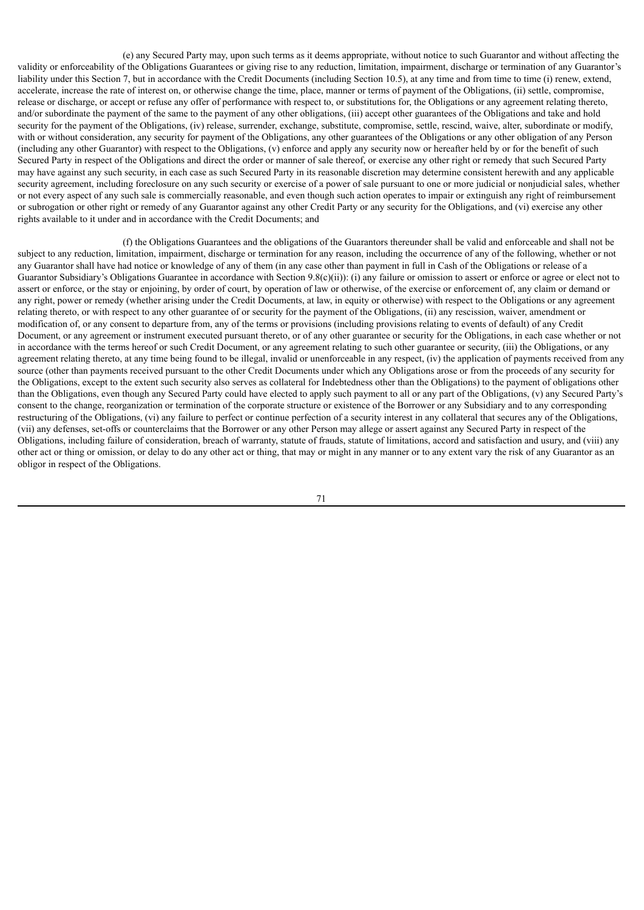(e) any Secured Party may, upon such terms as it deems appropriate, without notice to such Guarantor and without affecting the validity or enforceability of the Obligations Guarantees or giving rise to any reduction, limitation, impairment, discharge or termination of any Guarantor's liability under this Section 7, but in accordance with the Credit Documents (including Section 10.5), at any time and from time to time (i) renew, extend, accelerate, increase the rate of interest on, or otherwise change the time, place, manner or terms of payment of the Obligations, (ii) settle, compromise, release or discharge, or accept or refuse any offer of performance with respect to, or substitutions for, the Obligations or any agreement relating thereto, and/or subordinate the payment of the same to the payment of any other obligations, (iii) accept other guarantees of the Obligations and take and hold security for the payment of the Obligations, (iv) release, surrender, exchange, substitute, compromise, settle, rescind, waive, alter, subordinate or modify, with or without consideration, any security for payment of the Obligations, any other guarantees of the Obligations or any other obligation of any Person (including any other Guarantor) with respect to the Obligations, (v) enforce and apply any security now or hereafter held by or for the benefit of such Secured Party in respect of the Obligations and direct the order or manner of sale thereof, or exercise any other right or remedy that such Secured Party may have against any such security, in each case as such Secured Party in its reasonable discretion may determine consistent herewith and any applicable security agreement, including foreclosure on any such security or exercise of a power of sale pursuant to one or more judicial or nonjudicial sales, whether or not every aspect of any such sale is commercially reasonable, and even though such action operates to impair or extinguish any right of reimbursement or subrogation or other right or remedy of any Guarantor against any other Credit Party or any security for the Obligations, and (vi) exercise any other rights available to it under and in accordance with the Credit Documents; and

(f) the Obligations Guarantees and the obligations of the Guarantors thereunder shall be valid and enforceable and shall not be subject to any reduction, limitation, impairment, discharge or termination for any reason, including the occurrence of any of the following, whether or not any Guarantor shall have had notice or knowledge of any of them (in any case other than payment in full in Cash of the Obligations or release of a Guarantor Subsidiary's Obligations Guarantee in accordance with Section 9.8(c)(ii)): (i) any failure or omission to assert or enforce or agree or elect not to assert or enforce, or the stay or enjoining, by order of court, by operation of law or otherwise, of the exercise or enforcement of, any claim or demand or any right, power or remedy (whether arising under the Credit Documents, at law, in equity or otherwise) with respect to the Obligations or any agreement relating thereto, or with respect to any other guarantee of or security for the payment of the Obligations, (ii) any rescission, waiver, amendment or modification of, or any consent to departure from, any of the terms or provisions (including provisions relating to events of default) of any Credit Document, or any agreement or instrument executed pursuant thereto, or of any other guarantee or security for the Obligations, in each case whether or not in accordance with the terms hereof or such Credit Document, or any agreement relating to such other guarantee or security, (iii) the Obligations, or any agreement relating thereto, at any time being found to be illegal, invalid or unenforceable in any respect, (iv) the application of payments received from any source (other than payments received pursuant to the other Credit Documents under which any Obligations arose or from the proceeds of any security for the Obligations, except to the extent such security also serves as collateral for Indebtedness other than the Obligations) to the payment of obligations other than the Obligations, even though any Secured Party could have elected to apply such payment to all or any part of the Obligations, (v) any Secured Party's consent to the change, reorganization or termination of the corporate structure or existence of the Borrower or any Subsidiary and to any corresponding restructuring of the Obligations, (vi) any failure to perfect or continue perfection of a security interest in any collateral that secures any of the Obligations, (vii) any defenses, set-offs or counterclaims that the Borrower or any other Person may allege or assert against any Secured Party in respect of the Obligations, including failure of consideration, breach of warranty, statute of frauds, statute of limitations, accord and satisfaction and usury, and (viii) any other act or thing or omission, or delay to do any other act or thing, that may or might in any manner or to any extent vary the risk of any Guarantor as an obligor in respect of the Obligations.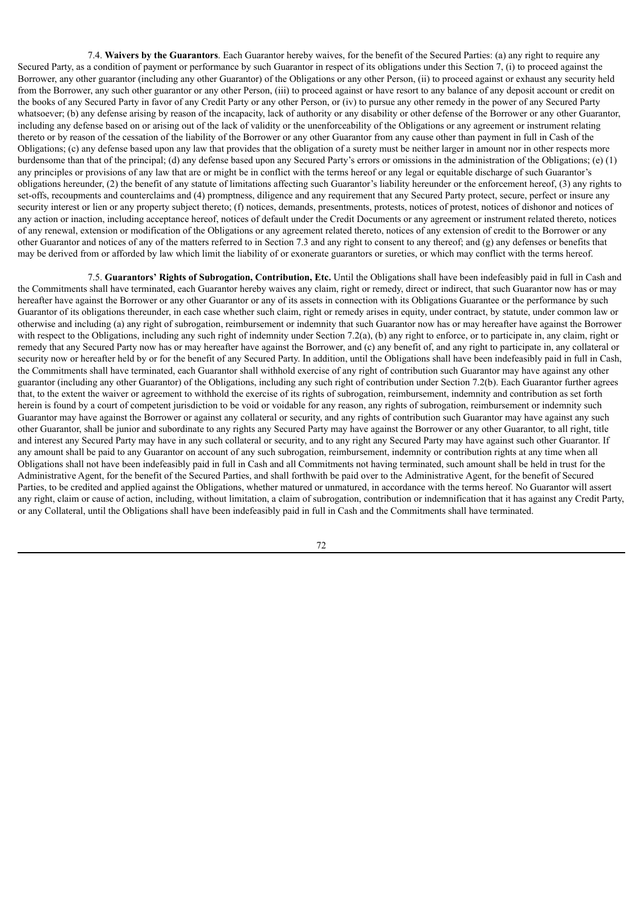7.4. **Waivers by the Guarantors**. Each Guarantor hereby waives, for the benefit of the Secured Parties: (a) any right to require any Secured Party, as a condition of payment or performance by such Guarantor in respect of its obligations under this Section 7, (i) to proceed against the Borrower, any other guarantor (including any other Guarantor) of the Obligations or any other Person, (ii) to proceed against or exhaust any security held from the Borrower, any such other guarantor or any other Person, (iii) to proceed against or have resort to any balance of any deposit account or credit on the books of any Secured Party in favor of any Credit Party or any other Person, or (iv) to pursue any other remedy in the power of any Secured Party whatsoever; (b) any defense arising by reason of the incapacity, lack of authority or any disability or other defense of the Borrower or any other Guarantor, including any defense based on or arising out of the lack of validity or the unenforceability of the Obligations or any agreement or instrument relating thereto or by reason of the cessation of the liability of the Borrower or any other Guarantor from any cause other than payment in full in Cash of the Obligations; (c) any defense based upon any law that provides that the obligation of a surety must be neither larger in amount nor in other respects more burdensome than that of the principal; (d) any defense based upon any Secured Party's errors or omissions in the administration of the Obligations; (e) (1) any principles or provisions of any law that are or might be in conflict with the terms hereof or any legal or equitable discharge of such Guarantor's obligations hereunder, (2) the benefit of any statute of limitations affecting such Guarantor's liability hereunder or the enforcement hereof, (3) any rights to set-offs, recoupments and counterclaims and (4) promptness, diligence and any requirement that any Secured Party protect, secure, perfect or insure any security interest or lien or any property subject thereto; (f) notices, demands, presentments, protests, notices of protest, notices of dishonor and notices of any action or inaction, including acceptance hereof, notices of default under the Credit Documents or any agreement or instrument related thereto, notices of any renewal, extension or modification of the Obligations or any agreement related thereto, notices of any extension of credit to the Borrower or any other Guarantor and notices of any of the matters referred to in Section 7.3 and any right to consent to any thereof; and (g) any defenses or benefits that may be derived from or afforded by law which limit the liability of or exonerate guarantors or sureties, or which may conflict with the terms hereof.

7.5. **Guarantors' Rights of Subrogation, Contribution, Etc.** Until the Obligations shall have been indefeasibly paid in full in Cash and the Commitments shall have terminated, each Guarantor hereby waives any claim, right or remedy, direct or indirect, that such Guarantor now has or may hereafter have against the Borrower or any other Guarantor or any of its assets in connection with its Obligations Guarantee or the performance by such Guarantor of its obligations thereunder, in each case whether such claim, right or remedy arises in equity, under contract, by statute, under common law or otherwise and including (a) any right of subrogation, reimbursement or indemnity that such Guarantor now has or may hereafter have against the Borrower with respect to the Obligations, including any such right of indemnity under Section 7.2(a), (b) any right to enforce, or to participate in, any claim, right or remedy that any Secured Party now has or may hereafter have against the Borrower, and (c) any benefit of, and any right to participate in, any collateral or security now or hereafter held by or for the benefit of any Secured Party. In addition, until the Obligations shall have been indefeasibly paid in full in Cash, the Commitments shall have terminated, each Guarantor shall withhold exercise of any right of contribution such Guarantor may have against any other guarantor (including any other Guarantor) of the Obligations, including any such right of contribution under Section 7.2(b). Each Guarantor further agrees that, to the extent the waiver or agreement to withhold the exercise of its rights of subrogation, reimbursement, indemnity and contribution as set forth herein is found by a court of competent jurisdiction to be void or voidable for any reason, any rights of subrogation, reimbursement or indemnity such Guarantor may have against the Borrower or against any collateral or security, and any rights of contribution such Guarantor may have against any such other Guarantor, shall be junior and subordinate to any rights any Secured Party may have against the Borrower or any other Guarantor, to all right, title and interest any Secured Party may have in any such collateral or security, and to any right any Secured Party may have against such other Guarantor. If any amount shall be paid to any Guarantor on account of any such subrogation, reimbursement, indemnity or contribution rights at any time when all Obligations shall not have been indefeasibly paid in full in Cash and all Commitments not having terminated, such amount shall be held in trust for the Administrative Agent, for the benefit of the Secured Parties, and shall forthwith be paid over to the Administrative Agent, for the benefit of Secured Parties, to be credited and applied against the Obligations, whether matured or unmatured, in accordance with the terms hereof. No Guarantor will assert any right, claim or cause of action, including, without limitation, a claim of subrogation, contribution or indemnification that it has against any Credit Party, or any Collateral, until the Obligations shall have been indefeasibly paid in full in Cash and the Commitments shall have terminated.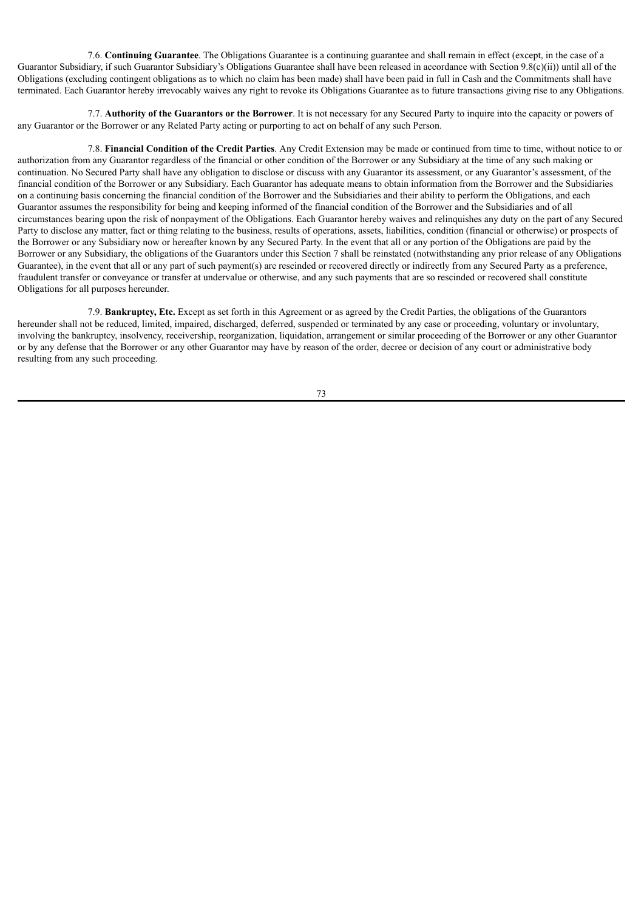7.6. **Continuing Guarantee**. The Obligations Guarantee is a continuing guarantee and shall remain in effect (except, in the case of a Guarantor Subsidiary, if such Guarantor Subsidiary's Obligations Guarantee shall have been released in accordance with Section 9.8(c)(ii)) until all of the Obligations (excluding contingent obligations as to which no claim has been made) shall have been paid in full in Cash and the Commitments shall have terminated. Each Guarantor hereby irrevocably waives any right to revoke its Obligations Guarantee as to future transactions giving rise to any Obligations.

7.7. **Authority of the Guarantors or the Borrower**. It is not necessary for any Secured Party to inquire into the capacity or powers of any Guarantor or the Borrower or any Related Party acting or purporting to act on behalf of any such Person.

7.8. **Financial Condition of the Credit Parties**. Any Credit Extension may be made or continued from time to time, without notice to or authorization from any Guarantor regardless of the financial or other condition of the Borrower or any Subsidiary at the time of any such making or continuation. No Secured Party shall have any obligation to disclose or discuss with any Guarantor its assessment, or any Guarantor's assessment, of the financial condition of the Borrower or any Subsidiary. Each Guarantor has adequate means to obtain information from the Borrower and the Subsidiaries on a continuing basis concerning the financial condition of the Borrower and the Subsidiaries and their ability to perform the Obligations, and each Guarantor assumes the responsibility for being and keeping informed of the financial condition of the Borrower and the Subsidiaries and of all circumstances bearing upon the risk of nonpayment of the Obligations. Each Guarantor hereby waives and relinquishes any duty on the part of any Secured Party to disclose any matter, fact or thing relating to the business, results of operations, assets, liabilities, condition (financial or otherwise) or prospects of the Borrower or any Subsidiary now or hereafter known by any Secured Party. In the event that all or any portion of the Obligations are paid by the Borrower or any Subsidiary, the obligations of the Guarantors under this Section 7 shall be reinstated (notwithstanding any prior release of any Obligations Guarantee), in the event that all or any part of such payment(s) are rescinded or recovered directly or indirectly from any Secured Party as a preference, fraudulent transfer or conveyance or transfer at undervalue or otherwise, and any such payments that are so rescinded or recovered shall constitute Obligations for all purposes hereunder.

7.9. **Bankruptcy, Etc.** Except as set forth in this Agreement or as agreed by the Credit Parties, the obligations of the Guarantors hereunder shall not be reduced, limited, impaired, discharged, deferred, suspended or terminated by any case or proceeding, voluntary or involuntary, involving the bankruptcy, insolvency, receivership, reorganization, liquidation, arrangement or similar proceeding of the Borrower or any other Guarantor or by any defense that the Borrower or any other Guarantor may have by reason of the order, decree or decision of any court or administrative body resulting from any such proceeding.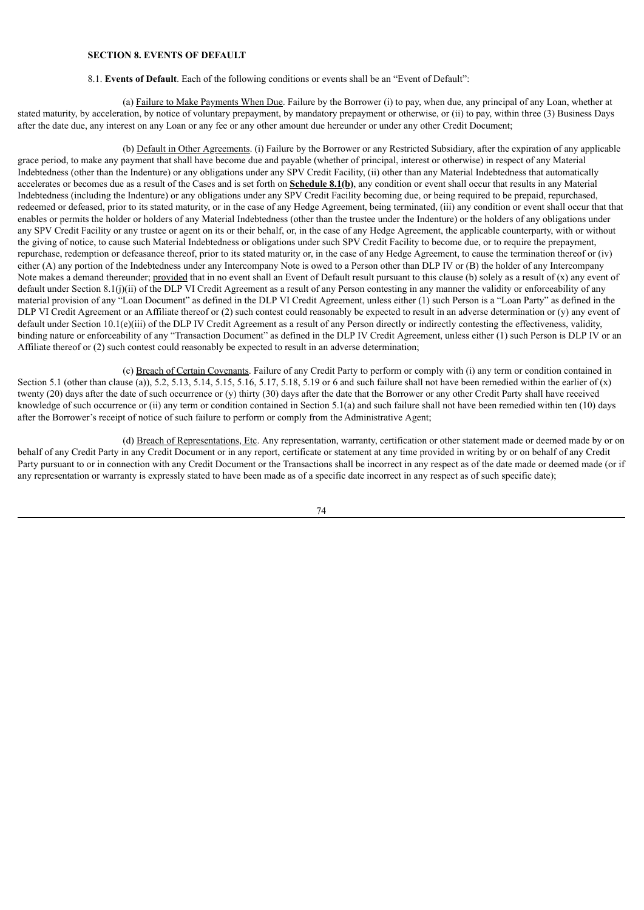# **SECTION 8. EVENTS OF DEFAULT**

#### 8.1. **Events of Default**. Each of the following conditions or events shall be an "Event of Default":

(a) Failure to Make Payments When Due. Failure by the Borrower (i) to pay, when due, any principal of any Loan, whether at stated maturity, by acceleration, by notice of voluntary prepayment, by mandatory prepayment or otherwise, or (ii) to pay, within three (3) Business Days after the date due, any interest on any Loan or any fee or any other amount due hereunder or under any other Credit Document;

(b) Default in Other Agreements. (i) Failure by the Borrower or any Restricted Subsidiary, after the expiration of any applicable grace period, to make any payment that shall have become due and payable (whether of principal, interest or otherwise) in respect of any Material Indebtedness (other than the Indenture) or any obligations under any SPV Credit Facility, (ii) other than any Material Indebtedness that automatically accelerates or becomes due as a result of the Cases and is set forth on **Schedule 8.1(b)**, any condition or event shall occur that results in any Material Indebtedness (including the Indenture) or any obligations under any SPV Credit Facility becoming due, or being required to be prepaid, repurchased, redeemed or defeased, prior to its stated maturity, or in the case of any Hedge Agreement, being terminated, (iii) any condition or event shall occur that that enables or permits the holder or holders of any Material Indebtedness (other than the trustee under the Indenture) or the holders of any obligations under any SPV Credit Facility or any trustee or agent on its or their behalf, or, in the case of any Hedge Agreement, the applicable counterparty, with or without the giving of notice, to cause such Material Indebtedness or obligations under such SPV Credit Facility to become due, or to require the prepayment, repurchase, redemption or defeasance thereof, prior to its stated maturity or, in the case of any Hedge Agreement, to cause the termination thereof or (iv) either (A) any portion of the Indebtedness under any Intercompany Note is owed to a Person other than DLP IV or (B) the holder of any Intercompany Note makes a demand thereunder; provided that in no event shall an Event of Default result pursuant to this clause (b) solely as a result of  $(x)$  any event of default under Section 8.1(j)(ii) of the DLP VI Credit Agreement as a result of any Person contesting in any manner the validity or enforceability of any material provision of any "Loan Document" as defined in the DLP VI Credit Agreement, unless either (1) such Person is a "Loan Party" as defined in the DLP VI Credit Agreement or an Affiliate thereof or (2) such contest could reasonably be expected to result in an adverse determination or (y) any event of default under Section 10.1(e)(iii) of the DLP IV Credit Agreement as a result of any Person directly or indirectly contesting the effectiveness, validity, binding nature or enforceability of any "Transaction Document" as defined in the DLP IV Credit Agreement, unless either (1) such Person is DLP IV or an Affiliate thereof or (2) such contest could reasonably be expected to result in an adverse determination;

(c) Breach of Certain Covenants. Failure of any Credit Party to perform or comply with (i) any term or condition contained in Section 5.1 (other than clause (a)), 5.2, 5.13, 5.14, 5.15, 5.16, 5.17, 5.18, 5.19 or 6 and such failure shall not have been remedied within the earlier of (x) twenty (20) days after the date of such occurrence or (y) thirty (30) days after the date that the Borrower or any other Credit Party shall have received knowledge of such occurrence or (ii) any term or condition contained in Section 5.1(a) and such failure shall not have been remedied within ten (10) days after the Borrower's receipt of notice of such failure to perform or comply from the Administrative Agent;

(d) Breach of Representations, Etc. Any representation, warranty, certification or other statement made or deemed made by or on behalf of any Credit Party in any Credit Document or in any report, certificate or statement at any time provided in writing by or on behalf of any Credit Party pursuant to or in connection with any Credit Document or the Transactions shall be incorrect in any respect as of the date made or deemed made (or if any representation or warranty is expressly stated to have been made as of a specific date incorrect in any respect as of such specific date);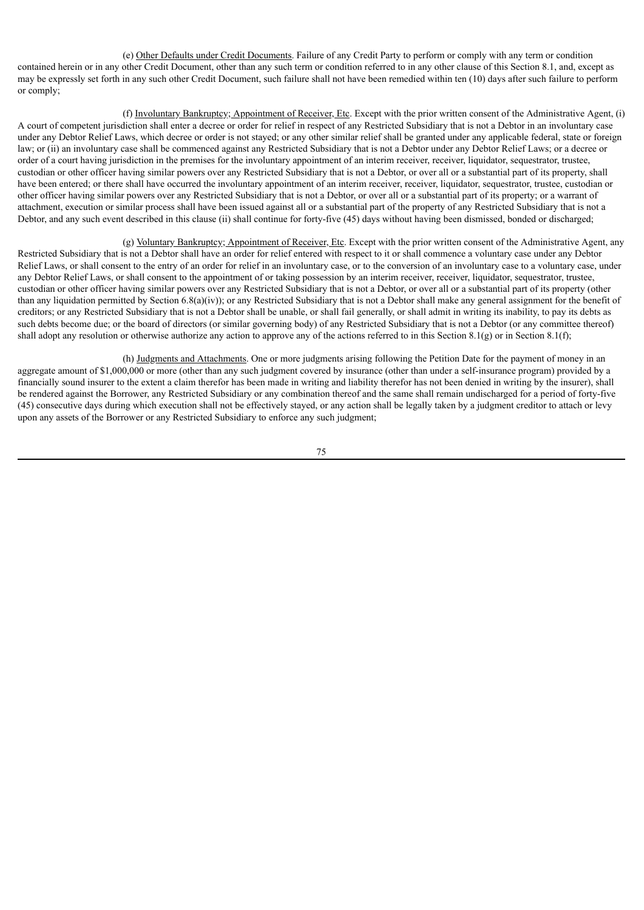(e) Other Defaults under Credit Documents. Failure of any Credit Party to perform or comply with any term or condition contained herein or in any other Credit Document, other than any such term or condition referred to in any other clause of this Section 8.1, and, except as may be expressly set forth in any such other Credit Document, such failure shall not have been remedied within ten (10) days after such failure to perform or comply;

(f) Involuntary Bankruptcy; Appointment of Receiver, Etc. Except with the prior written consent of the Administrative Agent, (i) A court of competent jurisdiction shall enter a decree or order for relief in respect of any Restricted Subsidiary that is not a Debtor in an involuntary case under any Debtor Relief Laws, which decree or order is not stayed; or any other similar relief shall be granted under any applicable federal, state or foreign law; or (ii) an involuntary case shall be commenced against any Restricted Subsidiary that is not a Debtor under any Debtor Relief Laws; or a decree or order of a court having jurisdiction in the premises for the involuntary appointment of an interim receiver, receiver, liquidator, sequestrator, trustee, custodian or other officer having similar powers over any Restricted Subsidiary that is not a Debtor, or over all or a substantial part of its property, shall have been entered; or there shall have occurred the involuntary appointment of an interim receiver, receiver, liquidator, sequestrator, trustee, custodian or other officer having similar powers over any Restricted Subsidiary that is not a Debtor, or over all or a substantial part of its property; or a warrant of attachment, execution or similar process shall have been issued against all or a substantial part of the property of any Restricted Subsidiary that is not a Debtor, and any such event described in this clause (ii) shall continue for forty-five (45) days without having been dismissed, bonded or discharged;

(g) Voluntary Bankruptcy; Appointment of Receiver, Etc. Except with the prior written consent of the Administrative Agent, any Restricted Subsidiary that is not a Debtor shall have an order for relief entered with respect to it or shall commence a voluntary case under any Debtor Relief Laws, or shall consent to the entry of an order for relief in an involuntary case, or to the conversion of an involuntary case to a voluntary case, under any Debtor Relief Laws, or shall consent to the appointment of or taking possession by an interim receiver, receiver, liquidator, sequestrator, trustee, custodian or other officer having similar powers over any Restricted Subsidiary that is not a Debtor, or over all or a substantial part of its property (other than any liquidation permitted by Section 6.8(a)(iv)); or any Restricted Subsidiary that is not a Debtor shall make any general assignment for the benefit of creditors; or any Restricted Subsidiary that is not a Debtor shall be unable, or shall fail generally, or shall admit in writing its inability, to pay its debts as such debts become due; or the board of directors (or similar governing body) of any Restricted Subsidiary that is not a Debtor (or any committee thereof) shall adopt any resolution or otherwise authorize any action to approve any of the actions referred to in this Section 8.1(g) or in Section 8.1(f);

(h) Judgments and Attachments. One or more judgments arising following the Petition Date for the payment of money in an aggregate amount of \$1,000,000 or more (other than any such judgment covered by insurance (other than under a self-insurance program) provided by a financially sound insurer to the extent a claim therefor has been made in writing and liability therefor has not been denied in writing by the insurer), shall be rendered against the Borrower, any Restricted Subsidiary or any combination thereof and the same shall remain undischarged for a period of forty-five (45) consecutive days during which execution shall not be effectively stayed, or any action shall be legally taken by a judgment creditor to attach or levy upon any assets of the Borrower or any Restricted Subsidiary to enforce any such judgment;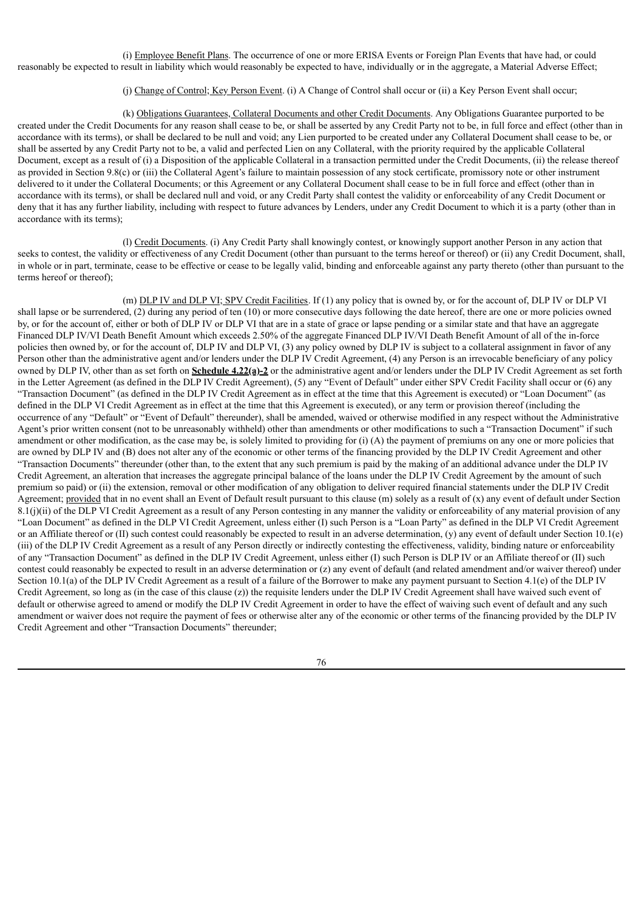(i) Employee Benefit Plans. The occurrence of one or more ERISA Events or Foreign Plan Events that have had, or could reasonably be expected to result in liability which would reasonably be expected to have, individually or in the aggregate, a Material Adverse Effect;

# (j) Change of Control; Key Person Event. (i) A Change of Control shall occur or (ii) a Key Person Event shall occur;

(k) Obligations Guarantees, Collateral Documents and other Credit Documents. Any Obligations Guarantee purported to be created under the Credit Documents for any reason shall cease to be, or shall be asserted by any Credit Party not to be, in full force and effect (other than in accordance with its terms), or shall be declared to be null and void; any Lien purported to be created under any Collateral Document shall cease to be, or shall be asserted by any Credit Party not to be, a valid and perfected Lien on any Collateral, with the priority required by the applicable Collateral Document, except as a result of (i) a Disposition of the applicable Collateral in a transaction permitted under the Credit Documents, (ii) the release thereof as provided in Section 9.8(c) or (iii) the Collateral Agent's failure to maintain possession of any stock certificate, promissory note or other instrument delivered to it under the Collateral Documents; or this Agreement or any Collateral Document shall cease to be in full force and effect (other than in accordance with its terms), or shall be declared null and void, or any Credit Party shall contest the validity or enforceability of any Credit Document or deny that it has any further liability, including with respect to future advances by Lenders, under any Credit Document to which it is a party (other than in accordance with its terms);

(l) Credit Documents. (i) Any Credit Party shall knowingly contest, or knowingly support another Person in any action that seeks to contest, the validity or effectiveness of any Credit Document (other than pursuant to the terms hereof or thereof) or (ii) any Credit Document, shall, in whole or in part, terminate, cease to be effective or cease to be legally valid, binding and enforceable against any party thereto (other than pursuant to the terms hereof or thereof);

(m) DLP IV and DLP VI; SPV Credit Facilities. If (1) any policy that is owned by, or for the account of, DLP IV or DLP VI shall lapse or be surrendered, (2) during any period of ten (10) or more consecutive days following the date hereof, there are one or more policies owned by, or for the account of, either or both of DLP IV or DLP VI that are in a state of grace or lapse pending or a similar state and that have an aggregate Financed DLP IV/VI Death Benefit Amount which exceeds 2.50% of the aggregate Financed DLP IV/VI Death Benefit Amount of all of the in-force policies then owned by, or for the account of, DLP IV and DLP VI, (3) any policy owned by DLP IV is subject to a collateral assignment in favor of any Person other than the administrative agent and/or lenders under the DLP IV Credit Agreement, (4) any Person is an irrevocable beneficiary of any policy owned by DLP IV, other than as set forth on **Schedule 4.22(a)-2** or the administrative agent and/or lenders under the DLP IV Credit Agreement as set forth in the Letter Agreement (as defined in the DLP IV Credit Agreement), (5) any "Event of Default" under either SPV Credit Facility shall occur or (6) any "Transaction Document" (as defined in the DLP IV Credit Agreement as in effect at the time that this Agreement is executed) or "Loan Document" (as defined in the DLP VI Credit Agreement as in effect at the time that this Agreement is executed), or any term or provision thereof (including the occurrence of any "Default" or "Event of Default" thereunder), shall be amended, waived or otherwise modified in any respect without the Administrative Agent's prior written consent (not to be unreasonably withheld) other than amendments or other modifications to such a "Transaction Document" if such amendment or other modification, as the case may be, is solely limited to providing for (i) (A) the payment of premiums on any one or more policies that are owned by DLP IV and (B) does not alter any of the economic or other terms of the financing provided by the DLP IV Credit Agreement and other "Transaction Documents" thereunder (other than, to the extent that any such premium is paid by the making of an additional advance under the DLP IV Credit Agreement, an alteration that increases the aggregate principal balance of the loans under the DLP IV Credit Agreement by the amount of such premium so paid) or (ii) the extension, removal or other modification of any obligation to deliver required financial statements under the DLP IV Credit Agreement; provided that in no event shall an Event of Default result pursuant to this clause (m) solely as a result of (x) any event of default under Section  $8.1(j)(ii)$  of the DLP VI Credit Agreement as a result of any Person contesting in any manner the validity or enforceability of any material provision of any "Loan Document" as defined in the DLP VI Credit Agreement, unless either (I) such Person is a "Loan Party" as defined in the DLP VI Credit Agreement or an Affiliate thereof or (II) such contest could reasonably be expected to result in an adverse determination, (y) any event of default under Section 10.1(e) (iii) of the DLP IV Credit Agreement as a result of any Person directly or indirectly contesting the effectiveness, validity, binding nature or enforceability of any "Transaction Document" as defined in the DLP IV Credit Agreement, unless either (I) such Person is DLP IV or an Affiliate thereof or (II) such contest could reasonably be expected to result in an adverse determination or (z) any event of default (and related amendment and/or waiver thereof) under Section 10.1(a) of the DLP IV Credit Agreement as a result of a failure of the Borrower to make any payment pursuant to Section 4.1(e) of the DLP IV Credit Agreement, so long as (in the case of this clause (z)) the requisite lenders under the DLP IV Credit Agreement shall have waived such event of default or otherwise agreed to amend or modify the DLP IV Credit Agreement in order to have the effect of waiving such event of default and any such amendment or waiver does not require the payment of fees or otherwise alter any of the economic or other terms of the financing provided by the DLP IV Credit Agreement and other "Transaction Documents" thereunder;

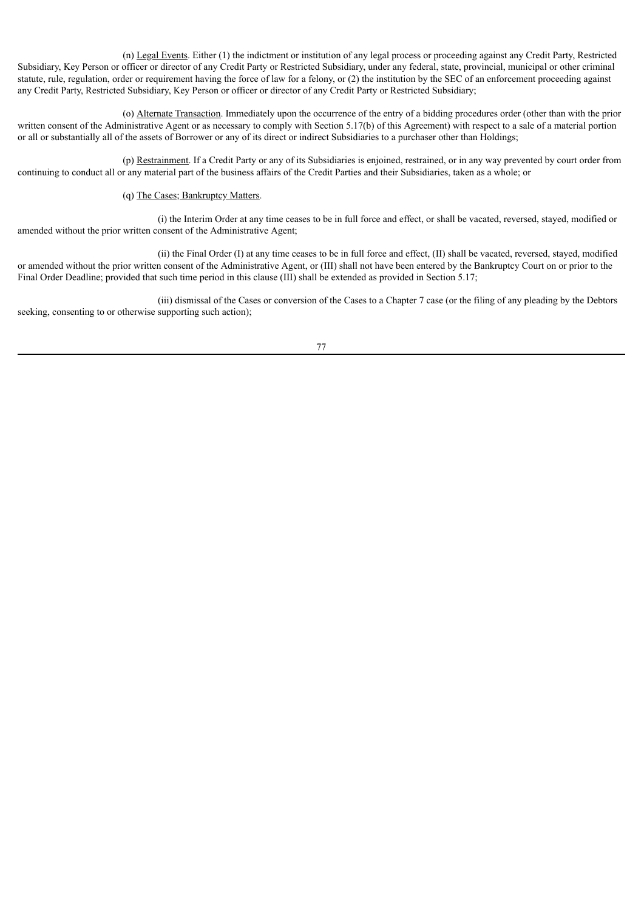(n) Legal Events. Either (1) the indictment or institution of any legal process or proceeding against any Credit Party, Restricted Subsidiary, Key Person or officer or director of any Credit Party or Restricted Subsidiary, under any federal, state, provincial, municipal or other criminal statute, rule, regulation, order or requirement having the force of law for a felony, or (2) the institution by the SEC of an enforcement proceeding against any Credit Party, Restricted Subsidiary, Key Person or officer or director of any Credit Party or Restricted Subsidiary;

(o) Alternate Transaction. Immediately upon the occurrence of the entry of a bidding procedures order (other than with the prior written consent of the Administrative Agent or as necessary to comply with Section 5.17(b) of this Agreement) with respect to a sale of a material portion or all or substantially all of the assets of Borrower or any of its direct or indirect Subsidiaries to a purchaser other than Holdings;

(p) Restrainment. If a Credit Party or any of its Subsidiaries is enjoined, restrained, or in any way prevented by court order from continuing to conduct all or any material part of the business affairs of the Credit Parties and their Subsidiaries, taken as a whole; or

# (q) The Cases; Bankruptcy Matters.

(i) the Interim Order at any time ceases to be in full force and effect, or shall be vacated, reversed, stayed, modified or amended without the prior written consent of the Administrative Agent;

(ii) the Final Order (I) at any time ceases to be in full force and effect, (II) shall be vacated, reversed, stayed, modified or amended without the prior written consent of the Administrative Agent, or (III) shall not have been entered by the Bankruptcy Court on or prior to the Final Order Deadline; provided that such time period in this clause (III) shall be extended as provided in Section 5.17;

(iii) dismissal of the Cases or conversion of the Cases to a Chapter 7 case (or the filing of any pleading by the Debtors seeking, consenting to or otherwise supporting such action);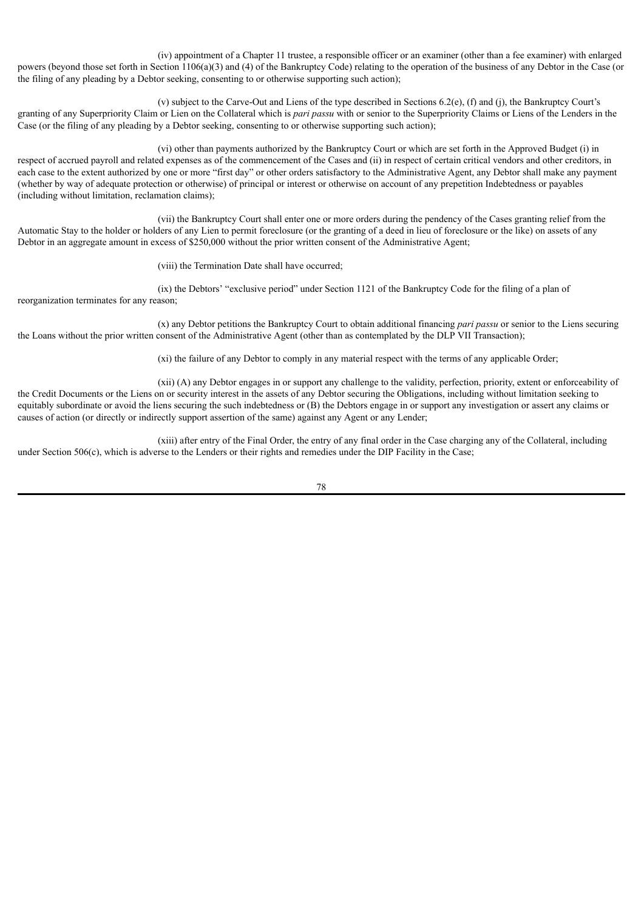(iv) appointment of a Chapter 11 trustee, a responsible officer or an examiner (other than a fee examiner) with enlarged powers (beyond those set forth in Section 1106(a)(3) and (4) of the Bankruptcy Code) relating to the operation of the business of any Debtor in the Case (or the filing of any pleading by a Debtor seeking, consenting to or otherwise supporting such action);

(v) subject to the Carve-Out and Liens of the type described in Sections  $6.2(e)$ , (f) and (j), the Bankruptcy Court's granting of any Superpriority Claim or Lien on the Collateral which is *pari passu* with or senior to the Superpriority Claims or Liens of the Lenders in the Case (or the filing of any pleading by a Debtor seeking, consenting to or otherwise supporting such action);

(vi) other than payments authorized by the Bankruptcy Court or which are set forth in the Approved Budget (i) in respect of accrued payroll and related expenses as of the commencement of the Cases and (ii) in respect of certain critical vendors and other creditors, in each case to the extent authorized by one or more "first day" or other orders satisfactory to the Administrative Agent, any Debtor shall make any payment (whether by way of adequate protection or otherwise) of principal or interest or otherwise on account of any prepetition Indebtedness or payables (including without limitation, reclamation claims);

(vii) the Bankruptcy Court shall enter one or more orders during the pendency of the Cases granting relief from the Automatic Stay to the holder or holders of any Lien to permit foreclosure (or the granting of a deed in lieu of foreclosure or the like) on assets of any Debtor in an aggregate amount in excess of \$250,000 without the prior written consent of the Administrative Agent;

(viii) the Termination Date shall have occurred;

(ix) the Debtors' "exclusive period" under Section 1121 of the Bankruptcy Code for the filing of a plan of reorganization terminates for any reason;

(x) any Debtor petitions the Bankruptcy Court to obtain additional financing *pari passu* or senior to the Liens securing the Loans without the prior written consent of the Administrative Agent (other than as contemplated by the DLP VII Transaction);

(xi) the failure of any Debtor to comply in any material respect with the terms of any applicable Order;

(xii) (A) any Debtor engages in or support any challenge to the validity, perfection, priority, extent or enforceability of the Credit Documents or the Liens on or security interest in the assets of any Debtor securing the Obligations, including without limitation seeking to equitably subordinate or avoid the liens securing the such indebtedness or (B) the Debtors engage in or support any investigation or assert any claims or causes of action (or directly or indirectly support assertion of the same) against any Agent or any Lender;

(xiii) after entry of the Final Order, the entry of any final order in the Case charging any of the Collateral, including under Section 506(c), which is adverse to the Lenders or their rights and remedies under the DIP Facility in the Case;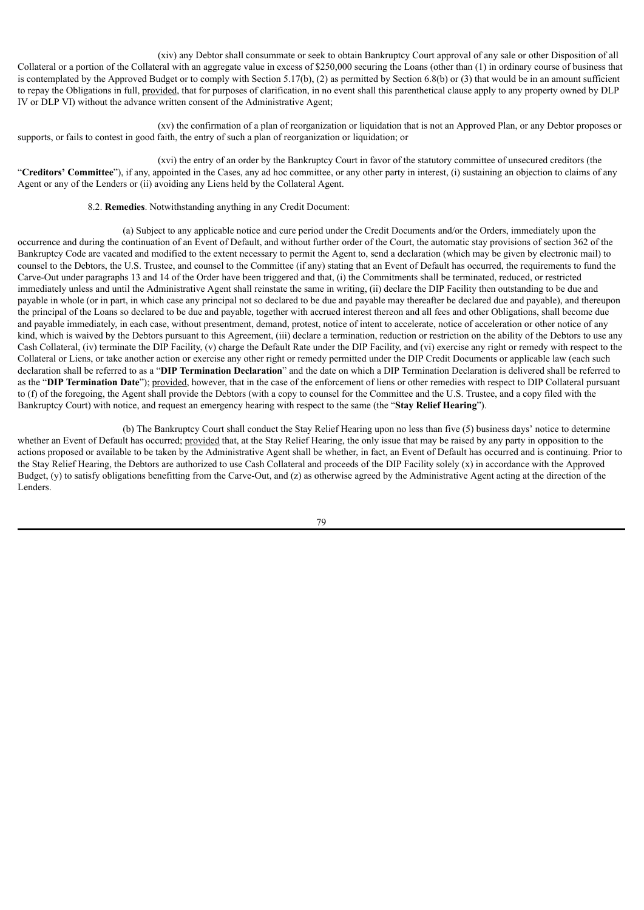(xiv) any Debtor shall consummate or seek to obtain Bankruptcy Court approval of any sale or other Disposition of all Collateral or a portion of the Collateral with an aggregate value in excess of \$250,000 securing the Loans (other than (1) in ordinary course of business that is contemplated by the Approved Budget or to comply with Section 5.17(b), (2) as permitted by Section 6.8(b) or (3) that would be in an amount sufficient to repay the Obligations in full, provided, that for purposes of clarification, in no event shall this parenthetical clause apply to any property owned by DLP IV or DLP VI) without the advance written consent of the Administrative Agent;

(xv) the confirmation of a plan of reorganization or liquidation that is not an Approved Plan, or any Debtor proposes or supports, or fails to contest in good faith, the entry of such a plan of reorganization or liquidation; or

(xvi) the entry of an order by the Bankruptcy Court in favor of the statutory committee of unsecured creditors (the "**Creditors' Committee**"), if any, appointed in the Cases, any ad hoc committee, or any other party in interest, (i) sustaining an objection to claims of any Agent or any of the Lenders or (ii) avoiding any Liens held by the Collateral Agent.

# 8.2. **Remedies**. Notwithstanding anything in any Credit Document:

(a) Subject to any applicable notice and cure period under the Credit Documents and/or the Orders, immediately upon the occurrence and during the continuation of an Event of Default, and without further order of the Court, the automatic stay provisions of section 362 of the Bankruptcy Code are vacated and modified to the extent necessary to permit the Agent to, send a declaration (which may be given by electronic mail) to counsel to the Debtors, the U.S. Trustee, and counsel to the Committee (if any) stating that an Event of Default has occurred, the requirements to fund the Carve-Out under paragraphs 13 and 14 of the Order have been triggered and that, (i) the Commitments shall be terminated, reduced, or restricted immediately unless and until the Administrative Agent shall reinstate the same in writing, (ii) declare the DIP Facility then outstanding to be due and payable in whole (or in part, in which case any principal not so declared to be due and payable may thereafter be declared due and payable), and thereupon the principal of the Loans so declared to be due and payable, together with accrued interest thereon and all fees and other Obligations, shall become due and payable immediately, in each case, without presentment, demand, protest, notice of intent to accelerate, notice of acceleration or other notice of any kind, which is waived by the Debtors pursuant to this Agreement, (iii) declare a termination, reduction or restriction on the ability of the Debtors to use any Cash Collateral, (iv) terminate the DIP Facility, (v) charge the Default Rate under the DIP Facility, and (vi) exercise any right or remedy with respect to the Collateral or Liens, or take another action or exercise any other right or remedy permitted under the DIP Credit Documents or applicable law (each such declaration shall be referred to as a "**DIP Termination Declaration**" and the date on which a DIP Termination Declaration is delivered shall be referred to as the "**DIP Termination Date**"); provided, however, that in the case of the enforcement of liens or other remedies with respect to DIP Collateral pursuant to (f) of the foregoing, the Agent shall provide the Debtors (with a copy to counsel for the Committee and the U.S. Trustee, and a copy filed with the Bankruptcy Court) with notice, and request an emergency hearing with respect to the same (the "**Stay Relief Hearing**").

(b) The Bankruptcy Court shall conduct the Stay Relief Hearing upon no less than five (5) business days' notice to determine whether an Event of Default has occurred; provided that, at the Stay Relief Hearing, the only issue that may be raised by any party in opposition to the actions proposed or available to be taken by the Administrative Agent shall be whether, in fact, an Event of Default has occurred and is continuing. Prior to the Stay Relief Hearing, the Debtors are authorized to use Cash Collateral and proceeds of the DIP Facility solely (x) in accordance with the Approved Budget, (y) to satisfy obligations benefitting from the Carve-Out, and (z) as otherwise agreed by the Administrative Agent acting at the direction of the Lenders.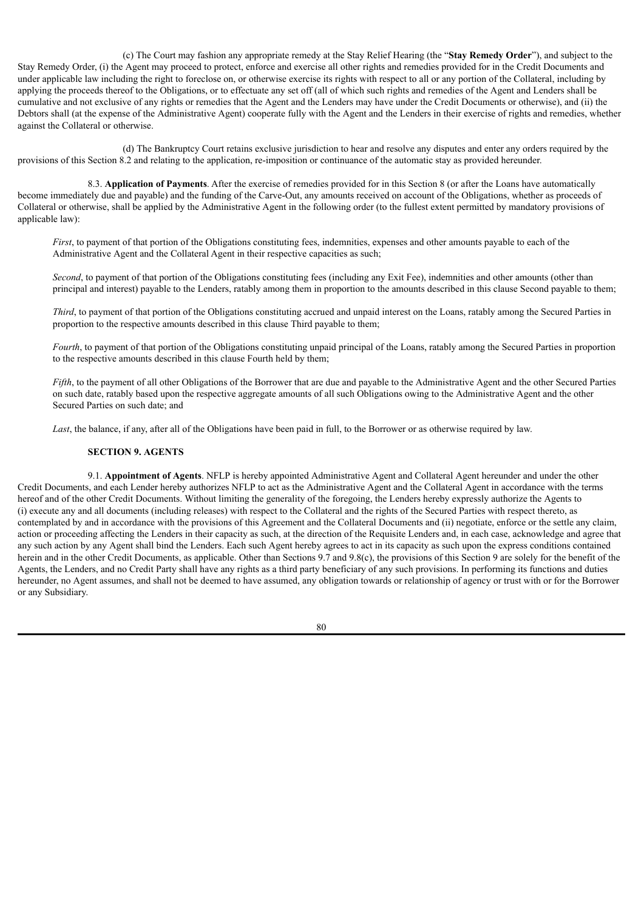(c) The Court may fashion any appropriate remedy at the Stay Relief Hearing (the "**Stay Remedy Order**"), and subject to the Stay Remedy Order, (i) the Agent may proceed to protect, enforce and exercise all other rights and remedies provided for in the Credit Documents and under applicable law including the right to foreclose on, or otherwise exercise its rights with respect to all or any portion of the Collateral, including by applying the proceeds thereof to the Obligations, or to effectuate any set off (all of which such rights and remedies of the Agent and Lenders shall be cumulative and not exclusive of any rights or remedies that the Agent and the Lenders may have under the Credit Documents or otherwise), and (ii) the Debtors shall (at the expense of the Administrative Agent) cooperate fully with the Agent and the Lenders in their exercise of rights and remedies, whether against the Collateral or otherwise.

(d) The Bankruptcy Court retains exclusive jurisdiction to hear and resolve any disputes and enter any orders required by the provisions of this Section 8.2 and relating to the application, re-imposition or continuance of the automatic stay as provided hereunder.

8.3. **Application of Payments**. After the exercise of remedies provided for in this Section 8 (or after the Loans have automatically become immediately due and payable) and the funding of the Carve-Out, any amounts received on account of the Obligations, whether as proceeds of Collateral or otherwise, shall be applied by the Administrative Agent in the following order (to the fullest extent permitted by mandatory provisions of applicable law):

*First*, to payment of that portion of the Obligations constituting fees, indemnities, expenses and other amounts payable to each of the Administrative Agent and the Collateral Agent in their respective capacities as such;

*Second*, to payment of that portion of the Obligations constituting fees (including any Exit Fee), indemnities and other amounts (other than principal and interest) payable to the Lenders, ratably among them in proportion to the amounts described in this clause Second payable to them;

*Third*, to payment of that portion of the Obligations constituting accrued and unpaid interest on the Loans, ratably among the Secured Parties in proportion to the respective amounts described in this clause Third payable to them;

*Fourth*, to payment of that portion of the Obligations constituting unpaid principal of the Loans, ratably among the Secured Parties in proportion to the respective amounts described in this clause Fourth held by them;

*Fifth*, to the payment of all other Obligations of the Borrower that are due and payable to the Administrative Agent and the other Secured Parties on such date, ratably based upon the respective aggregate amounts of all such Obligations owing to the Administrative Agent and the other Secured Parties on such date; and

*Last*, the balance, if any, after all of the Obligations have been paid in full, to the Borrower or as otherwise required by law.

#### **SECTION 9. AGENTS**

9.1. **Appointment of Agents**. NFLP is hereby appointed Administrative Agent and Collateral Agent hereunder and under the other Credit Documents, and each Lender hereby authorizes NFLP to act as the Administrative Agent and the Collateral Agent in accordance with the terms hereof and of the other Credit Documents. Without limiting the generality of the foregoing, the Lenders hereby expressly authorize the Agents to (i) execute any and all documents (including releases) with respect to the Collateral and the rights of the Secured Parties with respect thereto, as contemplated by and in accordance with the provisions of this Agreement and the Collateral Documents and (ii) negotiate, enforce or the settle any claim, action or proceeding affecting the Lenders in their capacity as such, at the direction of the Requisite Lenders and, in each case, acknowledge and agree that any such action by any Agent shall bind the Lenders. Each such Agent hereby agrees to act in its capacity as such upon the express conditions contained herein and in the other Credit Documents, as applicable. Other than Sections 9.7 and 9.8(c), the provisions of this Section 9 are solely for the benefit of the Agents, the Lenders, and no Credit Party shall have any rights as a third party beneficiary of any such provisions. In performing its functions and duties hereunder, no Agent assumes, and shall not be deemed to have assumed, any obligation towards or relationship of agency or trust with or for the Borrower or any Subsidiary.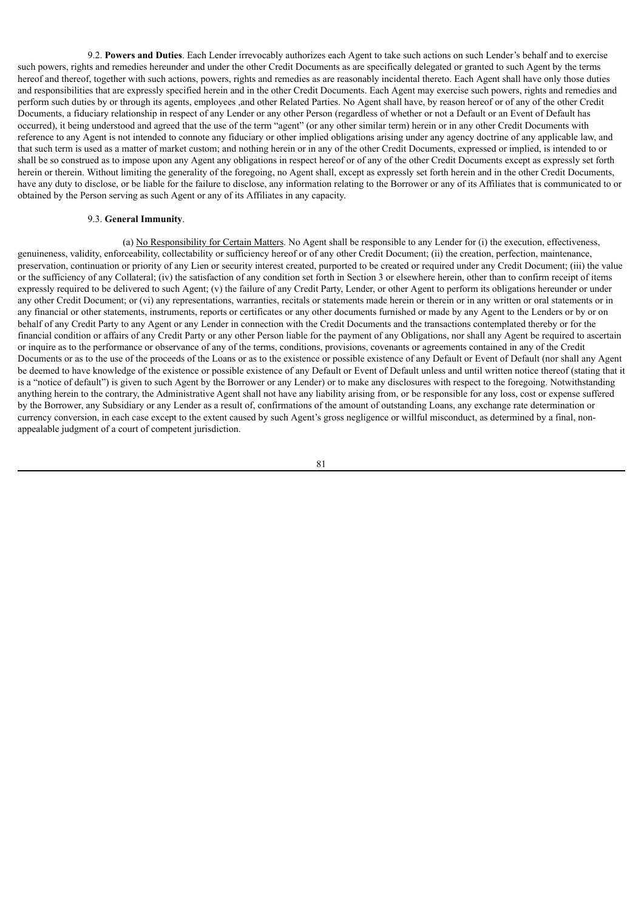9.2. **Powers and Duties**. Each Lender irrevocably authorizes each Agent to take such actions on such Lender's behalf and to exercise such powers, rights and remedies hereunder and under the other Credit Documents as are specifically delegated or granted to such Agent by the terms hereof and thereof, together with such actions, powers, rights and remedies as are reasonably incidental thereto. Each Agent shall have only those duties and responsibilities that are expressly specified herein and in the other Credit Documents. Each Agent may exercise such powers, rights and remedies and perform such duties by or through its agents, employees ,and other Related Parties. No Agent shall have, by reason hereof or of any of the other Credit Documents, a fiduciary relationship in respect of any Lender or any other Person (regardless of whether or not a Default or an Event of Default has occurred), it being understood and agreed that the use of the term "agent" (or any other similar term) herein or in any other Credit Documents with reference to any Agent is not intended to connote any fiduciary or other implied obligations arising under any agency doctrine of any applicable law, and that such term is used as a matter of market custom; and nothing herein or in any of the other Credit Documents, expressed or implied, is intended to or shall be so construed as to impose upon any Agent any obligations in respect hereof or of any of the other Credit Documents except as expressly set forth herein or therein. Without limiting the generality of the foregoing, no Agent shall, except as expressly set forth herein and in the other Credit Documents, have any duty to disclose, or be liable for the failure to disclose, any information relating to the Borrower or any of its Affiliates that is communicated to or obtained by the Person serving as such Agent or any of its Affiliates in any capacity.

### 9.3. **General Immunity**.

(a) No Responsibility for Certain Matters. No Agent shall be responsible to any Lender for (i) the execution, effectiveness, genuineness, validity, enforceability, collectability or sufficiency hereof or of any other Credit Document; (ii) the creation, perfection, maintenance, preservation, continuation or priority of any Lien or security interest created, purported to be created or required under any Credit Document; (iii) the value or the sufficiency of any Collateral; (iv) the satisfaction of any condition set forth in Section 3 or elsewhere herein, other than to confirm receipt of items expressly required to be delivered to such Agent; (v) the failure of any Credit Party, Lender, or other Agent to perform its obligations hereunder or under any other Credit Document; or (vi) any representations, warranties, recitals or statements made herein or therein or in any written or oral statements or in any financial or other statements, instruments, reports or certificates or any other documents furnished or made by any Agent to the Lenders or by or on behalf of any Credit Party to any Agent or any Lender in connection with the Credit Documents and the transactions contemplated thereby or for the financial condition or affairs of any Credit Party or any other Person liable for the payment of any Obligations, nor shall any Agent be required to ascertain or inquire as to the performance or observance of any of the terms, conditions, provisions, covenants or agreements contained in any of the Credit Documents or as to the use of the proceeds of the Loans or as to the existence or possible existence of any Default or Event of Default (nor shall any Agent be deemed to have knowledge of the existence or possible existence of any Default or Event of Default unless and until written notice thereof (stating that it is a "notice of default") is given to such Agent by the Borrower or any Lender) or to make any disclosures with respect to the foregoing. Notwithstanding anything herein to the contrary, the Administrative Agent shall not have any liability arising from, or be responsible for any loss, cost or expense suffered by the Borrower, any Subsidiary or any Lender as a result of, confirmations of the amount of outstanding Loans, any exchange rate determination or currency conversion, in each case except to the extent caused by such Agent's gross negligence or willful misconduct, as determined by a final, nonappealable judgment of a court of competent jurisdiction.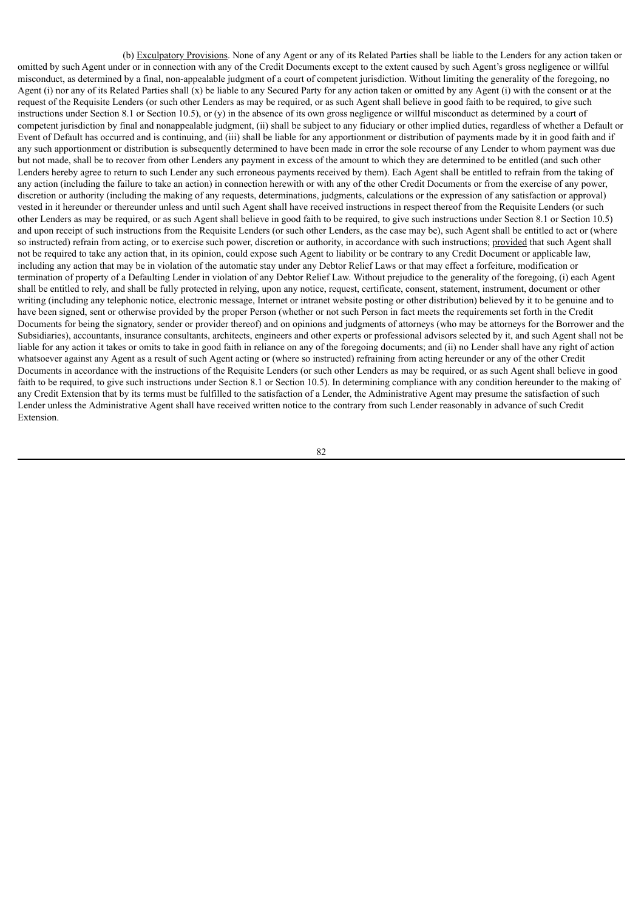(b) Exculpatory Provisions. None of any Agent or any of its Related Parties shall be liable to the Lenders for any action taken or omitted by such Agent under or in connection with any of the Credit Documents except to the extent caused by such Agent's gross negligence or willful misconduct, as determined by a final, non-appealable judgment of a court of competent jurisdiction. Without limiting the generality of the foregoing, no Agent (i) nor any of its Related Parties shall (x) be liable to any Secured Party for any action taken or omitted by any Agent (i) with the consent or at the request of the Requisite Lenders (or such other Lenders as may be required, or as such Agent shall believe in good faith to be required, to give such instructions under Section 8.1 or Section 10.5), or (y) in the absence of its own gross negligence or willful misconduct as determined by a court of competent jurisdiction by final and nonappealable judgment, (ii) shall be subject to any fiduciary or other implied duties, regardless of whether a Default or Event of Default has occurred and is continuing, and (iii) shall be liable for any apportionment or distribution of payments made by it in good faith and if any such apportionment or distribution is subsequently determined to have been made in error the sole recourse of any Lender to whom payment was due but not made, shall be to recover from other Lenders any payment in excess of the amount to which they are determined to be entitled (and such other Lenders hereby agree to return to such Lender any such erroneous payments received by them). Each Agent shall be entitled to refrain from the taking of any action (including the failure to take an action) in connection herewith or with any of the other Credit Documents or from the exercise of any power, discretion or authority (including the making of any requests, determinations, judgments, calculations or the expression of any satisfaction or approval) vested in it hereunder or thereunder unless and until such Agent shall have received instructions in respect thereof from the Requisite Lenders (or such other Lenders as may be required, or as such Agent shall believe in good faith to be required, to give such instructions under Section 8.1 or Section 10.5) and upon receipt of such instructions from the Requisite Lenders (or such other Lenders, as the case may be), such Agent shall be entitled to act or (where so instructed) refrain from acting, or to exercise such power, discretion or authority, in accordance with such instructions; provided that such Agent shall not be required to take any action that, in its opinion, could expose such Agent to liability or be contrary to any Credit Document or applicable law, including any action that may be in violation of the automatic stay under any Debtor Relief Laws or that may effect a forfeiture, modification or termination of property of a Defaulting Lender in violation of any Debtor Relief Law. Without prejudice to the generality of the foregoing, (i) each Agent shall be entitled to rely, and shall be fully protected in relying, upon any notice, request, certificate, consent, statement, instrument, document or other writing (including any telephonic notice, electronic message, Internet or intranet website posting or other distribution) believed by it to be genuine and to have been signed, sent or otherwise provided by the proper Person (whether or not such Person in fact meets the requirements set forth in the Credit Documents for being the signatory, sender or provider thereof) and on opinions and judgments of attorneys (who may be attorneys for the Borrower and the Subsidiaries), accountants, insurance consultants, architects, engineers and other experts or professional advisors selected by it, and such Agent shall not be liable for any action it takes or omits to take in good faith in reliance on any of the foregoing documents; and (ii) no Lender shall have any right of action whatsoever against any Agent as a result of such Agent acting or (where so instructed) refraining from acting hereunder or any of the other Credit Documents in accordance with the instructions of the Requisite Lenders (or such other Lenders as may be required, or as such Agent shall believe in good faith to be required, to give such instructions under Section 8.1 or Section 10.5). In determining compliance with any condition hereunder to the making of any Credit Extension that by its terms must be fulfilled to the satisfaction of a Lender, the Administrative Agent may presume the satisfaction of such Lender unless the Administrative Agent shall have received written notice to the contrary from such Lender reasonably in advance of such Credit Extension.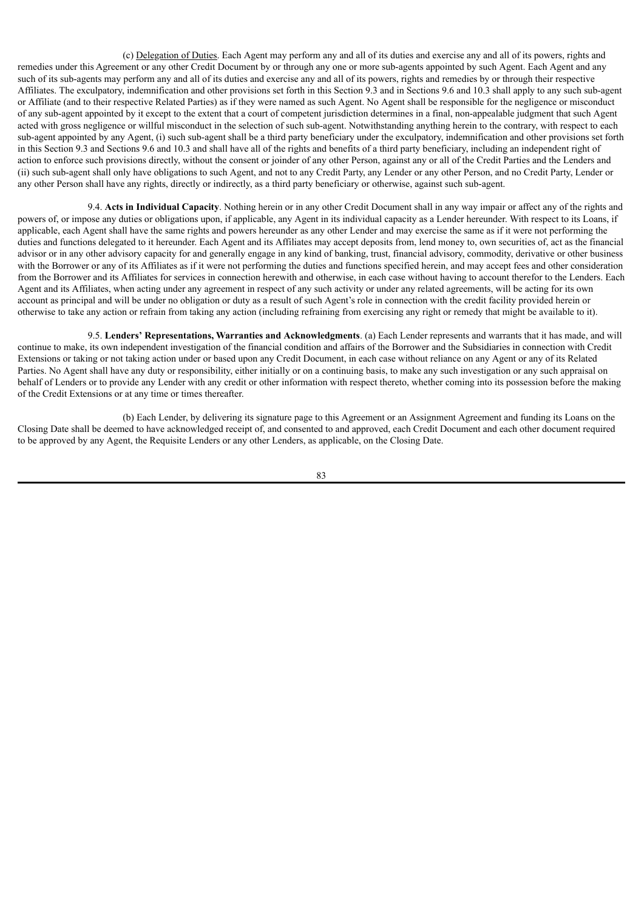(c) Delegation of Duties. Each Agent may perform any and all of its duties and exercise any and all of its powers, rights and remedies under this Agreement or any other Credit Document by or through any one or more sub-agents appointed by such Agent. Each Agent and any such of its sub-agents may perform any and all of its duties and exercise any and all of its powers, rights and remedies by or through their respective Affiliates. The exculpatory, indemnification and other provisions set forth in this Section 9.3 and in Sections 9.6 and 10.3 shall apply to any such sub-agent or Affiliate (and to their respective Related Parties) as if they were named as such Agent. No Agent shall be responsible for the negligence or misconduct of any sub-agent appointed by it except to the extent that a court of competent jurisdiction determines in a final, non-appealable judgment that such Agent acted with gross negligence or willful misconduct in the selection of such sub-agent. Notwithstanding anything herein to the contrary, with respect to each sub-agent appointed by any Agent, (i) such sub-agent shall be a third party beneficiary under the exculpatory, indemnification and other provisions set forth in this Section 9.3 and Sections 9.6 and 10.3 and shall have all of the rights and benefits of a third party beneficiary, including an independent right of action to enforce such provisions directly, without the consent or joinder of any other Person, against any or all of the Credit Parties and the Lenders and (ii) such sub-agent shall only have obligations to such Agent, and not to any Credit Party, any Lender or any other Person, and no Credit Party, Lender or any other Person shall have any rights, directly or indirectly, as a third party beneficiary or otherwise, against such sub-agent.

9.4. **Acts in Individual Capacity**. Nothing herein or in any other Credit Document shall in any way impair or affect any of the rights and powers of, or impose any duties or obligations upon, if applicable, any Agent in its individual capacity as a Lender hereunder. With respect to its Loans, if applicable, each Agent shall have the same rights and powers hereunder as any other Lender and may exercise the same as if it were not performing the duties and functions delegated to it hereunder. Each Agent and its Affiliates may accept deposits from, lend money to, own securities of, act as the financial advisor or in any other advisory capacity for and generally engage in any kind of banking, trust, financial advisory, commodity, derivative or other business with the Borrower or any of its Affiliates as if it were not performing the duties and functions specified herein, and may accept fees and other consideration from the Borrower and its Affiliates for services in connection herewith and otherwise, in each case without having to account therefor to the Lenders. Each Agent and its Affiliates, when acting under any agreement in respect of any such activity or under any related agreements, will be acting for its own account as principal and will be under no obligation or duty as a result of such Agent's role in connection with the credit facility provided herein or otherwise to take any action or refrain from taking any action (including refraining from exercising any right or remedy that might be available to it).

9.5. **Lenders' Representations, Warranties and Acknowledgments**. (a) Each Lender represents and warrants that it has made, and will continue to make, its own independent investigation of the financial condition and affairs of the Borrower and the Subsidiaries in connection with Credit Extensions or taking or not taking action under or based upon any Credit Document, in each case without reliance on any Agent or any of its Related Parties. No Agent shall have any duty or responsibility, either initially or on a continuing basis, to make any such investigation or any such appraisal on behalf of Lenders or to provide any Lender with any credit or other information with respect thereto, whether coming into its possession before the making of the Credit Extensions or at any time or times thereafter.

(b) Each Lender, by delivering its signature page to this Agreement or an Assignment Agreement and funding its Loans on the Closing Date shall be deemed to have acknowledged receipt of, and consented to and approved, each Credit Document and each other document required to be approved by any Agent, the Requisite Lenders or any other Lenders, as applicable, on the Closing Date.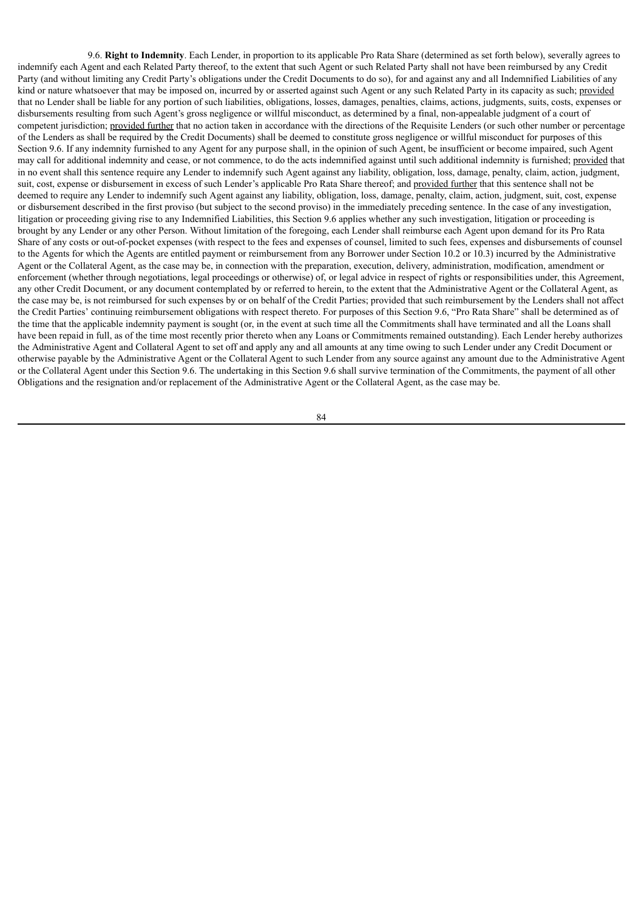9.6. **Right to Indemnity**. Each Lender, in proportion to its applicable Pro Rata Share (determined as set forth below), severally agrees to indemnify each Agent and each Related Party thereof, to the extent that such Agent or such Related Party shall not have been reimbursed by any Credit Party (and without limiting any Credit Party's obligations under the Credit Documents to do so), for and against any and all Indemnified Liabilities of any kind or nature whatsoever that may be imposed on, incurred by or asserted against such Agent or any such Related Party in its capacity as such; provided that no Lender shall be liable for any portion of such liabilities, obligations, losses, damages, penalties, claims, actions, judgments, suits, costs, expenses or disbursements resulting from such Agent's gross negligence or willful misconduct, as determined by a final, non-appealable judgment of a court of competent jurisdiction; provided further that no action taken in accordance with the directions of the Requisite Lenders (or such other number or percentage of the Lenders as shall be required by the Credit Documents) shall be deemed to constitute gross negligence or willful misconduct for purposes of this Section 9.6. If any indemnity furnished to any Agent for any purpose shall, in the opinion of such Agent, be insufficient or become impaired, such Agent may call for additional indemnity and cease, or not commence, to do the acts indemnified against until such additional indemnity is furnished; provided that in no event shall this sentence require any Lender to indemnify such Agent against any liability, obligation, loss, damage, penalty, claim, action, judgment, suit, cost, expense or disbursement in excess of such Lender's applicable Pro Rata Share thereof; and provided further that this sentence shall not be deemed to require any Lender to indemnify such Agent against any liability, obligation, loss, damage, penalty, claim, action, judgment, suit, cost, expense or disbursement described in the first proviso (but subject to the second proviso) in the immediately preceding sentence. In the case of any investigation, litigation or proceeding giving rise to any Indemnified Liabilities, this Section 9.6 applies whether any such investigation, litigation or proceeding is brought by any Lender or any other Person. Without limitation of the foregoing, each Lender shall reimburse each Agent upon demand for its Pro Rata Share of any costs or out-of-pocket expenses (with respect to the fees and expenses of counsel, limited to such fees, expenses and disbursements of counsel to the Agents for which the Agents are entitled payment or reimbursement from any Borrower under Section 10.2 or 10.3) incurred by the Administrative Agent or the Collateral Agent, as the case may be, in connection with the preparation, execution, delivery, administration, modification, amendment or enforcement (whether through negotiations, legal proceedings or otherwise) of, or legal advice in respect of rights or responsibilities under, this Agreement, any other Credit Document, or any document contemplated by or referred to herein, to the extent that the Administrative Agent or the Collateral Agent, as the case may be, is not reimbursed for such expenses by or on behalf of the Credit Parties; provided that such reimbursement by the Lenders shall not affect the Credit Parties' continuing reimbursement obligations with respect thereto. For purposes of this Section 9.6, "Pro Rata Share" shall be determined as of the time that the applicable indemnity payment is sought (or, in the event at such time all the Commitments shall have terminated and all the Loans shall have been repaid in full, as of the time most recently prior thereto when any Loans or Commitments remained outstanding). Each Lender hereby authorizes the Administrative Agent and Collateral Agent to set off and apply any and all amounts at any time owing to such Lender under any Credit Document or otherwise payable by the Administrative Agent or the Collateral Agent to such Lender from any source against any amount due to the Administrative Agent or the Collateral Agent under this Section 9.6. The undertaking in this Section 9.6 shall survive termination of the Commitments, the payment of all other Obligations and the resignation and/or replacement of the Administrative Agent or the Collateral Agent, as the case may be.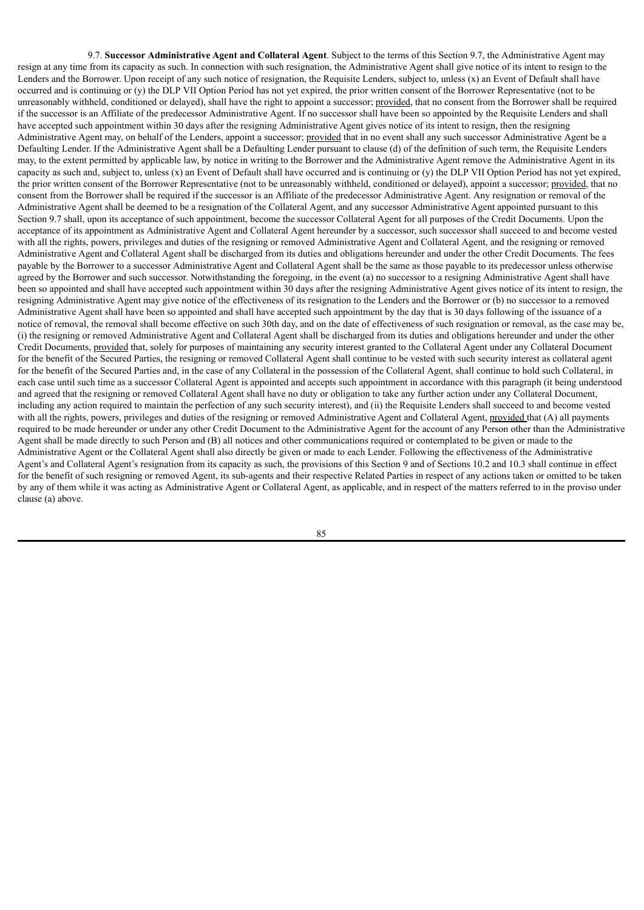9.7. **Successor Administrative Agent and Collateral Agent**. Subject to the terms of this Section 9.7, the Administrative Agent may resign at any time from its capacity as such. In connection with such resignation, the Administrative Agent shall give notice of its intent to resign to the Lenders and the Borrower. Upon receipt of any such notice of resignation, the Requisite Lenders, subject to, unless  $(x)$  an Event of Default shall have occurred and is continuing or (y) the DLP VII Option Period has not yet expired, the prior written consent of the Borrower Representative (not to be unreasonably withheld, conditioned or delayed), shall have the right to appoint a successor; provided, that no consent from the Borrower shall be required if the successor is an Affiliate of the predecessor Administrative Agent. If no successor shall have been so appointed by the Requisite Lenders and shall have accepted such appointment within 30 days after the resigning Administrative Agent gives notice of its intent to resign, then the resigning Administrative Agent may, on behalf of the Lenders, appoint a successor; provided that in no event shall any such successor Administrative Agent be a Defaulting Lender. If the Administrative Agent shall be a Defaulting Lender pursuant to clause (d) of the definition of such term, the Requisite Lenders may, to the extent permitted by applicable law, by notice in writing to the Borrower and the Administrative Agent remove the Administrative Agent in its capacity as such and, subject to, unless  $(x)$  an Event of Default shall have occurred and is continuing or  $(y)$  the DLP VII Option Period has not yet expired, the prior written consent of the Borrower Representative (not to be unreasonably withheld, conditioned or delayed), appoint a successor; provided, that no consent from the Borrower shall be required if the successor is an Affiliate of the predecessor Administrative Agent. Any resignation or removal of the Administrative Agent shall be deemed to be a resignation of the Collateral Agent, and any successor Administrative Agent appointed pursuant to this Section 9.7 shall, upon its acceptance of such appointment, become the successor Collateral Agent for all purposes of the Credit Documents. Upon the acceptance of its appointment as Administrative Agent and Collateral Agent hereunder by a successor, such successor shall succeed to and become vested with all the rights, powers, privileges and duties of the resigning or removed Administrative Agent and Collateral Agent, and the resigning or removed Administrative Agent and Collateral Agent shall be discharged from its duties and obligations hereunder and under the other Credit Documents. The fees payable by the Borrower to a successor Administrative Agent and Collateral Agent shall be the same as those payable to its predecessor unless otherwise agreed by the Borrower and such successor. Notwithstanding the foregoing, in the event (a) no successor to a resigning Administrative Agent shall have been so appointed and shall have accepted such appointment within 30 days after the resigning Administrative Agent gives notice of its intent to resign, the resigning Administrative Agent may give notice of the effectiveness of its resignation to the Lenders and the Borrower or (b) no successor to a removed Administrative Agent shall have been so appointed and shall have accepted such appointment by the day that is 30 days following of the issuance of a notice of removal, the removal shall become effective on such 30th day, and on the date of effectiveness of such resignation or removal, as the case may be, (i) the resigning or removed Administrative Agent and Collateral Agent shall be discharged from its duties and obligations hereunder and under the other Credit Documents, provided that, solely for purposes of maintaining any security interest granted to the Collateral Agent under any Collateral Document for the benefit of the Secured Parties, the resigning or removed Collateral Agent shall continue to be vested with such security interest as collateral agent for the benefit of the Secured Parties and, in the case of any Collateral in the possession of the Collateral Agent, shall continue to hold such Collateral, in each case until such time as a successor Collateral Agent is appointed and accepts such appointment in accordance with this paragraph (it being understood and agreed that the resigning or removed Collateral Agent shall have no duty or obligation to take any further action under any Collateral Document, including any action required to maintain the perfection of any such security interest), and (ii) the Requisite Lenders shall succeed to and become vested with all the rights, powers, privileges and duties of the resigning or removed Administrative Agent and Collateral Agent, provided that (A) all payments required to be made hereunder or under any other Credit Document to the Administrative Agent for the account of any Person other than the Administrative Agent shall be made directly to such Person and (B) all notices and other communications required or contemplated to be given or made to the Administrative Agent or the Collateral Agent shall also directly be given or made to each Lender. Following the effectiveness of the Administrative Agent's and Collateral Agent's resignation from its capacity as such, the provisions of this Section 9 and of Sections 10.2 and 10.3 shall continue in effect for the benefit of such resigning or removed Agent, its sub-agents and their respective Related Parties in respect of any actions taken or omitted to be taken by any of them while it was acting as Administrative Agent or Collateral Agent, as applicable, and in respect of the matters referred to in the proviso under clause (a) above.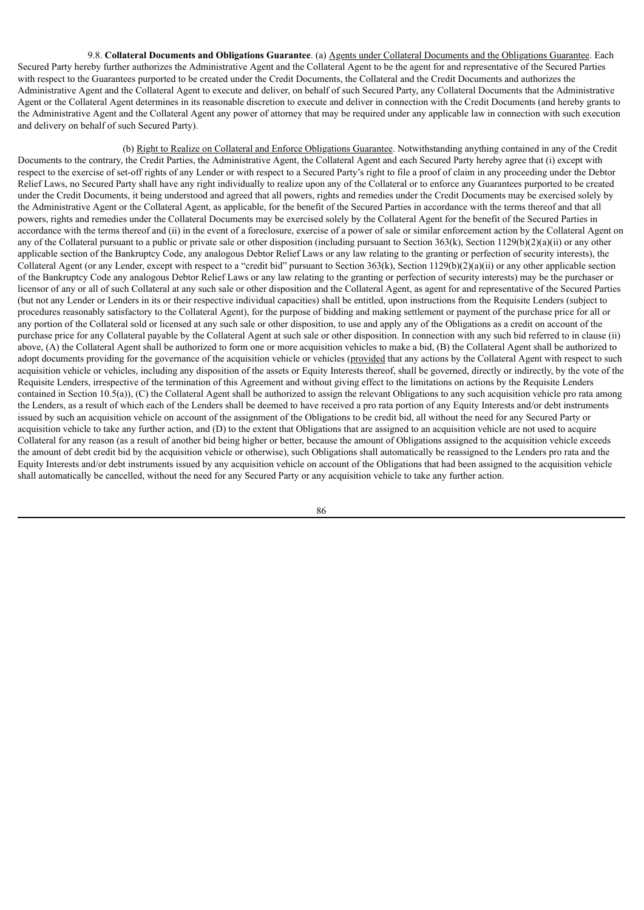9.8. **Collateral Documents and Obligations Guarantee**. (a) Agents under Collateral Documents and the Obligations Guarantee. Each Secured Party hereby further authorizes the Administrative Agent and the Collateral Agent to be the agent for and representative of the Secured Parties with respect to the Guarantees purported to be created under the Credit Documents, the Collateral and the Credit Documents and authorizes the Administrative Agent and the Collateral Agent to execute and deliver, on behalf of such Secured Party, any Collateral Documents that the Administrative Agent or the Collateral Agent determines in its reasonable discretion to execute and deliver in connection with the Credit Documents (and hereby grants to the Administrative Agent and the Collateral Agent any power of attorney that may be required under any applicable law in connection with such execution and delivery on behalf of such Secured Party).

(b) Right to Realize on Collateral and Enforce Obligations Guarantee. Notwithstanding anything contained in any of the Credit Documents to the contrary, the Credit Parties, the Administrative Agent, the Collateral Agent and each Secured Party hereby agree that (i) except with respect to the exercise of set-off rights of any Lender or with respect to a Secured Party's right to file a proof of claim in any proceeding under the Debtor Relief Laws, no Secured Party shall have any right individually to realize upon any of the Collateral or to enforce any Guarantees purported to be created under the Credit Documents, it being understood and agreed that all powers, rights and remedies under the Credit Documents may be exercised solely by the Administrative Agent or the Collateral Agent, as applicable, for the benefit of the Secured Parties in accordance with the terms thereof and that all powers, rights and remedies under the Collateral Documents may be exercised solely by the Collateral Agent for the benefit of the Secured Parties in accordance with the terms thereof and (ii) in the event of a foreclosure, exercise of a power of sale or similar enforcement action by the Collateral Agent on any of the Collateral pursuant to a public or private sale or other disposition (including pursuant to Section 363(k), Section 1129(b)(2)(a)(ii) or any other applicable section of the Bankruptcy Code, any analogous Debtor Relief Laws or any law relating to the granting or perfection of security interests), the Collateral Agent (or any Lender, except with respect to a "credit bid" pursuant to Section 363(k), Section 1129(b)(2)(a)(ii) or any other applicable section of the Bankruptcy Code any analogous Debtor Relief Laws or any law relating to the granting or perfection of security interests) may be the purchaser or licensor of any or all of such Collateral at any such sale or other disposition and the Collateral Agent, as agent for and representative of the Secured Parties (but not any Lender or Lenders in its or their respective individual capacities) shall be entitled, upon instructions from the Requisite Lenders (subject to procedures reasonably satisfactory to the Collateral Agent), for the purpose of bidding and making settlement or payment of the purchase price for all or any portion of the Collateral sold or licensed at any such sale or other disposition, to use and apply any of the Obligations as a credit on account of the purchase price for any Collateral payable by the Collateral Agent at such sale or other disposition. In connection with any such bid referred to in clause (ii) above, (A) the Collateral Agent shall be authorized to form one or more acquisition vehicles to make a bid, (B) the Collateral Agent shall be authorized to adopt documents providing for the governance of the acquisition vehicle or vehicles (provided that any actions by the Collateral Agent with respect to such acquisition vehicle or vehicles, including any disposition of the assets or Equity Interests thereof, shall be governed, directly or indirectly, by the vote of the Requisite Lenders, irrespective of the termination of this Agreement and without giving effect to the limitations on actions by the Requisite Lenders contained in Section 10.5(a)), (C) the Collateral Agent shall be authorized to assign the relevant Obligations to any such acquisition vehicle pro rata among the Lenders, as a result of which each of the Lenders shall be deemed to have received a pro rata portion of any Equity Interests and/or debt instruments issued by such an acquisition vehicle on account of the assignment of the Obligations to be credit bid, all without the need for any Secured Party or acquisition vehicle to take any further action, and (D) to the extent that Obligations that are assigned to an acquisition vehicle are not used to acquire Collateral for any reason (as a result of another bid being higher or better, because the amount of Obligations assigned to the acquisition vehicle exceeds the amount of debt credit bid by the acquisition vehicle or otherwise), such Obligations shall automatically be reassigned to the Lenders pro rata and the Equity Interests and/or debt instruments issued by any acquisition vehicle on account of the Obligations that had been assigned to the acquisition vehicle shall automatically be cancelled, without the need for any Secured Party or any acquisition vehicle to take any further action.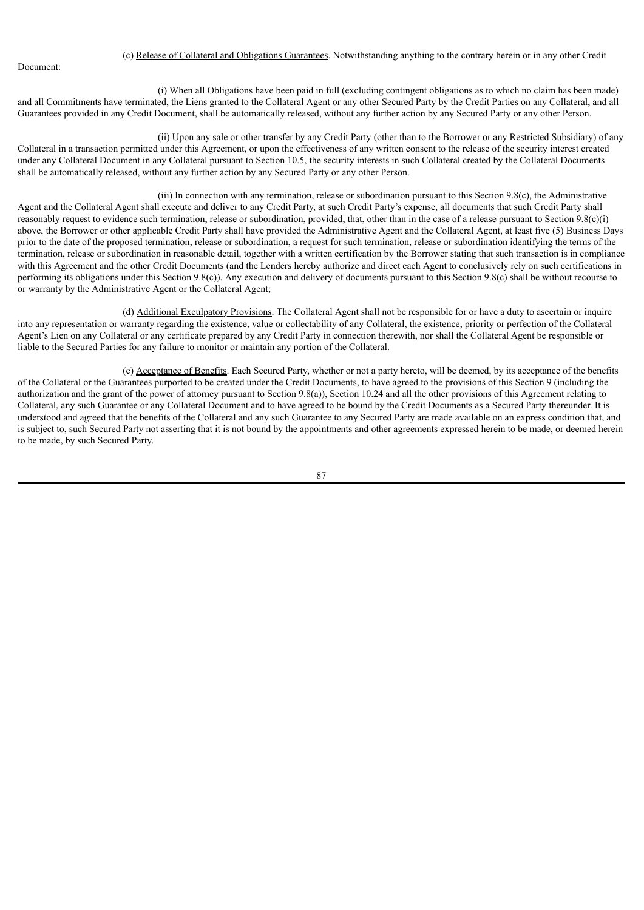Document:

### (c) Release of Collateral and Obligations Guarantees. Notwithstanding anything to the contrary herein or in any other Credit

(i) When all Obligations have been paid in full (excluding contingent obligations as to which no claim has been made) and all Commitments have terminated, the Liens granted to the Collateral Agent or any other Secured Party by the Credit Parties on any Collateral, and all Guarantees provided in any Credit Document, shall be automatically released, without any further action by any Secured Party or any other Person.

(ii) Upon any sale or other transfer by any Credit Party (other than to the Borrower or any Restricted Subsidiary) of any Collateral in a transaction permitted under this Agreement, or upon the effectiveness of any written consent to the release of the security interest created under any Collateral Document in any Collateral pursuant to Section 10.5, the security interests in such Collateral created by the Collateral Documents shall be automatically released, without any further action by any Secured Party or any other Person.

(iii) In connection with any termination, release or subordination pursuant to this Section 9.8(c), the Administrative Agent and the Collateral Agent shall execute and deliver to any Credit Party, at such Credit Party's expense, all documents that such Credit Party shall reasonably request to evidence such termination, release or subordination, provided, that, other than in the case of a release pursuant to Section 9.8(c)(i) above, the Borrower or other applicable Credit Party shall have provided the Administrative Agent and the Collateral Agent, at least five (5) Business Days prior to the date of the proposed termination, release or subordination, a request for such termination, release or subordination identifying the terms of the termination, release or subordination in reasonable detail, together with a written certification by the Borrower stating that such transaction is in compliance with this Agreement and the other Credit Documents (and the Lenders hereby authorize and direct each Agent to conclusively rely on such certifications in performing its obligations under this Section 9.8(c)). Any execution and delivery of documents pursuant to this Section 9.8(c) shall be without recourse to or warranty by the Administrative Agent or the Collateral Agent;

(d) Additional Exculpatory Provisions. The Collateral Agent shall not be responsible for or have a duty to ascertain or inquire into any representation or warranty regarding the existence, value or collectability of any Collateral, the existence, priority or perfection of the Collateral Agent's Lien on any Collateral or any certificate prepared by any Credit Party in connection therewith, nor shall the Collateral Agent be responsible or liable to the Secured Parties for any failure to monitor or maintain any portion of the Collateral.

(e) Acceptance of Benefits. Each Secured Party, whether or not a party hereto, will be deemed, by its acceptance of the benefits of the Collateral or the Guarantees purported to be created under the Credit Documents, to have agreed to the provisions of this Section 9 (including the authorization and the grant of the power of attorney pursuant to Section 9.8(a)), Section 10.24 and all the other provisions of this Agreement relating to Collateral, any such Guarantee or any Collateral Document and to have agreed to be bound by the Credit Documents as a Secured Party thereunder. It is understood and agreed that the benefits of the Collateral and any such Guarantee to any Secured Party are made available on an express condition that, and is subject to, such Secured Party not asserting that it is not bound by the appointments and other agreements expressed herein to be made, or deemed herein to be made, by such Secured Party.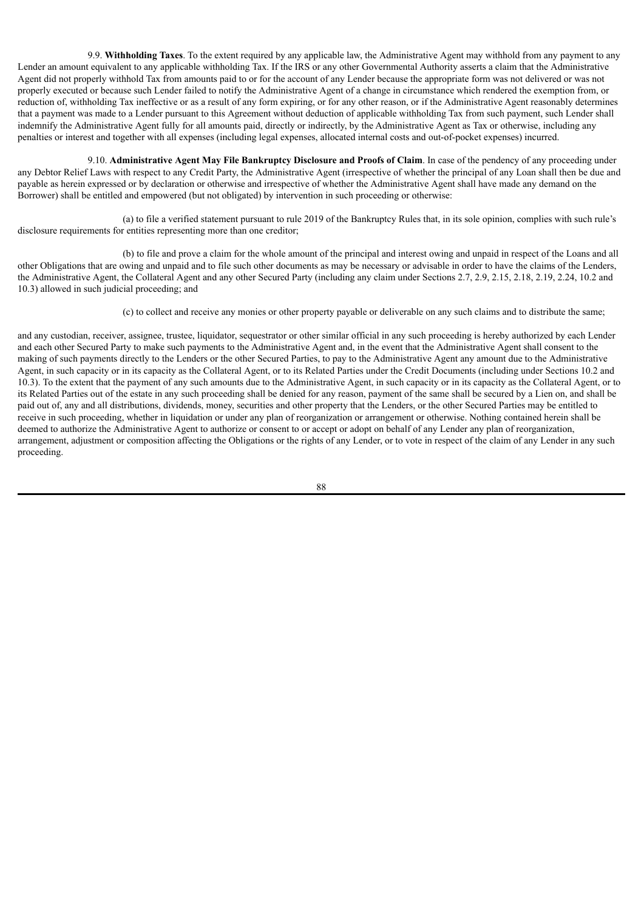9.9. **Withholding Taxes**. To the extent required by any applicable law, the Administrative Agent may withhold from any payment to any Lender an amount equivalent to any applicable withholding Tax. If the IRS or any other Governmental Authority asserts a claim that the Administrative Agent did not properly withhold Tax from amounts paid to or for the account of any Lender because the appropriate form was not delivered or was not properly executed or because such Lender failed to notify the Administrative Agent of a change in circumstance which rendered the exemption from, or reduction of, withholding Tax ineffective or as a result of any form expiring, or for any other reason, or if the Administrative Agent reasonably determines that a payment was made to a Lender pursuant to this Agreement without deduction of applicable withholding Tax from such payment, such Lender shall indemnify the Administrative Agent fully for all amounts paid, directly or indirectly, by the Administrative Agent as Tax or otherwise, including any penalties or interest and together with all expenses (including legal expenses, allocated internal costs and out-of-pocket expenses) incurred.

9.10. **Administrative Agent May File Bankruptcy Disclosure and Proofs of Claim**. In case of the pendency of any proceeding under any Debtor Relief Laws with respect to any Credit Party, the Administrative Agent (irrespective of whether the principal of any Loan shall then be due and payable as herein expressed or by declaration or otherwise and irrespective of whether the Administrative Agent shall have made any demand on the Borrower) shall be entitled and empowered (but not obligated) by intervention in such proceeding or otherwise:

(a) to file a verified statement pursuant to rule 2019 of the Bankruptcy Rules that, in its sole opinion, complies with such rule's disclosure requirements for entities representing more than one creditor;

(b) to file and prove a claim for the whole amount of the principal and interest owing and unpaid in respect of the Loans and all other Obligations that are owing and unpaid and to file such other documents as may be necessary or advisable in order to have the claims of the Lenders, the Administrative Agent, the Collateral Agent and any other Secured Party (including any claim under Sections 2.7, 2.9, 2.15, 2.18, 2.19, 2.24, 10.2 and 10.3) allowed in such judicial proceeding; and

(c) to collect and receive any monies or other property payable or deliverable on any such claims and to distribute the same;

and any custodian, receiver, assignee, trustee, liquidator, sequestrator or other similar official in any such proceeding is hereby authorized by each Lender and each other Secured Party to make such payments to the Administrative Agent and, in the event that the Administrative Agent shall consent to the making of such payments directly to the Lenders or the other Secured Parties, to pay to the Administrative Agent any amount due to the Administrative Agent, in such capacity or in its capacity as the Collateral Agent, or to its Related Parties under the Credit Documents (including under Sections 10.2 and 10.3). To the extent that the payment of any such amounts due to the Administrative Agent, in such capacity or in its capacity as the Collateral Agent, or to its Related Parties out of the estate in any such proceeding shall be denied for any reason, payment of the same shall be secured by a Lien on, and shall be paid out of, any and all distributions, dividends, money, securities and other property that the Lenders, or the other Secured Parties may be entitled to receive in such proceeding, whether in liquidation or under any plan of reorganization or arrangement or otherwise. Nothing contained herein shall be deemed to authorize the Administrative Agent to authorize or consent to or accept or adopt on behalf of any Lender any plan of reorganization, arrangement, adjustment or composition affecting the Obligations or the rights of any Lender, or to vote in respect of the claim of any Lender in any such proceeding.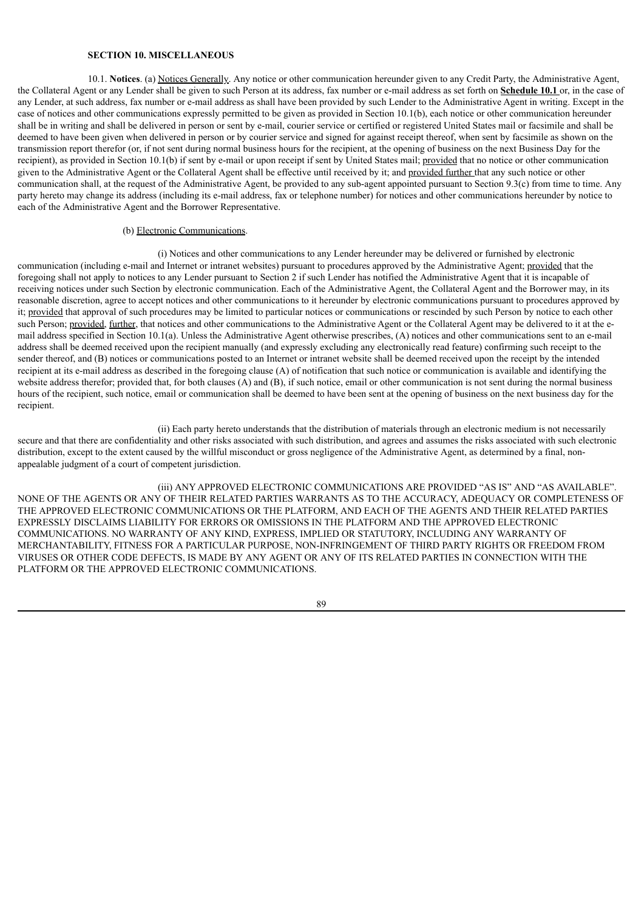# **SECTION 10. MISCELLANEOUS**

10.1. **Notices**. (a) Notices Generally. Any notice or other communication hereunder given to any Credit Party, the Administrative Agent, the Collateral Agent or any Lender shall be given to such Person at its address, fax number or e-mail address as set forth on **Schedule 10.1** or, in the case of any Lender, at such address, fax number or e-mail address as shall have been provided by such Lender to the Administrative Agent in writing. Except in the case of notices and other communications expressly permitted to be given as provided in Section 10.1(b), each notice or other communication hereunder shall be in writing and shall be delivered in person or sent by e-mail, courier service or certified or registered United States mail or facsimile and shall be deemed to have been given when delivered in person or by courier service and signed for against receipt thereof, when sent by facsimile as shown on the transmission report therefor (or, if not sent during normal business hours for the recipient, at the opening of business on the next Business Day for the recipient), as provided in Section 10.1(b) if sent by e-mail or upon receipt if sent by United States mail; provided that no notice or other communication given to the Administrative Agent or the Collateral Agent shall be effective until received by it; and provided further that any such notice or other communication shall, at the request of the Administrative Agent, be provided to any sub-agent appointed pursuant to Section 9.3(c) from time to time. Any party hereto may change its address (including its e-mail address, fax or telephone number) for notices and other communications hereunder by notice to each of the Administrative Agent and the Borrower Representative.

# (b) Electronic Communications.

(i) Notices and other communications to any Lender hereunder may be delivered or furnished by electronic communication (including e-mail and Internet or intranet websites) pursuant to procedures approved by the Administrative Agent; provided that the foregoing shall not apply to notices to any Lender pursuant to Section 2 if such Lender has notified the Administrative Agent that it is incapable of receiving notices under such Section by electronic communication. Each of the Administrative Agent, the Collateral Agent and the Borrower may, in its reasonable discretion, agree to accept notices and other communications to it hereunder by electronic communications pursuant to procedures approved by it; provided that approval of such procedures may be limited to particular notices or communications or rescinded by such Person by notice to each other such Person; provided, further, that notices and other communications to the Administrative Agent or the Collateral Agent may be delivered to it at the email address specified in Section 10.1(a). Unless the Administrative Agent otherwise prescribes, (A) notices and other communications sent to an e-mail address shall be deemed received upon the recipient manually (and expressly excluding any electronically read feature) confirming such receipt to the sender thereof, and (B) notices or communications posted to an Internet or intranet website shall be deemed received upon the receipt by the intended recipient at its e-mail address as described in the foregoing clause (A) of notification that such notice or communication is available and identifying the website address therefor; provided that, for both clauses (A) and (B), if such notice, email or other communication is not sent during the normal business hours of the recipient, such notice, email or communication shall be deemed to have been sent at the opening of business on the next business day for the recipient.

(ii) Each party hereto understands that the distribution of materials through an electronic medium is not necessarily secure and that there are confidentiality and other risks associated with such distribution, and agrees and assumes the risks associated with such electronic distribution, except to the extent caused by the willful misconduct or gross negligence of the Administrative Agent, as determined by a final, nonappealable judgment of a court of competent jurisdiction.

(iii) ANY APPROVED ELECTRONIC COMMUNICATIONS ARE PROVIDED "AS IS" AND "AS AVAILABLE". NONE OF THE AGENTS OR ANY OF THEIR RELATED PARTIES WARRANTS AS TO THE ACCURACY, ADEQUACY OR COMPLETENESS OF THE APPROVED ELECTRONIC COMMUNICATIONS OR THE PLATFORM, AND EACH OF THE AGENTS AND THEIR RELATED PARTIES EXPRESSLY DISCLAIMS LIABILITY FOR ERRORS OR OMISSIONS IN THE PLATFORM AND THE APPROVED ELECTRONIC COMMUNICATIONS. NO WARRANTY OF ANY KIND, EXPRESS, IMPLIED OR STATUTORY, INCLUDING ANY WARRANTY OF MERCHANTABILITY, FITNESS FOR A PARTICULAR PURPOSE, NON-INFRINGEMENT OF THIRD PARTY RIGHTS OR FREEDOM FROM VIRUSES OR OTHER CODE DEFECTS, IS MADE BY ANY AGENT OR ANY OF ITS RELATED PARTIES IN CONNECTION WITH THE PLATFORM OR THE APPROVED ELECTRONIC COMMUNICATIONS.

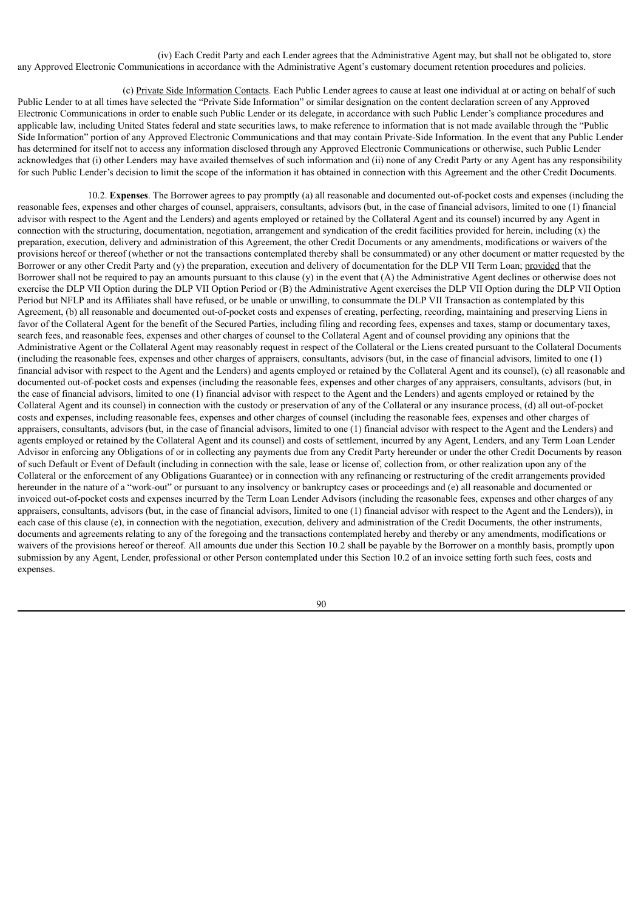(iv) Each Credit Party and each Lender agrees that the Administrative Agent may, but shall not be obligated to, store any Approved Electronic Communications in accordance with the Administrative Agent's customary document retention procedures and policies.

(c) Private Side Information Contacts. Each Public Lender agrees to cause at least one individual at or acting on behalf of such Public Lender to at all times have selected the "Private Side Information" or similar designation on the content declaration screen of any Approved Electronic Communications in order to enable such Public Lender or its delegate, in accordance with such Public Lender's compliance procedures and applicable law, including United States federal and state securities laws, to make reference to information that is not made available through the "Public Side Information" portion of any Approved Electronic Communications and that may contain Private-Side Information. In the event that any Public Lender has determined for itself not to access any information disclosed through any Approved Electronic Communications or otherwise, such Public Lender acknowledges that (i) other Lenders may have availed themselves of such information and (ii) none of any Credit Party or any Agent has any responsibility for such Public Lender's decision to limit the scope of the information it has obtained in connection with this Agreement and the other Credit Documents.

10.2. **Expenses**. The Borrower agrees to pay promptly (a) all reasonable and documented out-of-pocket costs and expenses (including the reasonable fees, expenses and other charges of counsel, appraisers, consultants, advisors (but, in the case of financial advisors, limited to one (1) financial advisor with respect to the Agent and the Lenders) and agents employed or retained by the Collateral Agent and its counsel) incurred by any Agent in connection with the structuring, documentation, negotiation, arrangement and syndication of the credit facilities provided for herein, including (x) the preparation, execution, delivery and administration of this Agreement, the other Credit Documents or any amendments, modifications or waivers of the provisions hereof or thereof (whether or not the transactions contemplated thereby shall be consummated) or any other document or matter requested by the Borrower or any other Credit Party and (y) the preparation, execution and delivery of documentation for the DLP VII Term Loan; provided that the Borrower shall not be required to pay an amounts pursuant to this clause (y) in the event that (A) the Administrative Agent declines or otherwise does not exercise the DLP VII Option during the DLP VII Option Period or (B) the Administrative Agent exercises the DLP VII Option during the DLP VII Option Period but NFLP and its Affiliates shall have refused, or be unable or unwilling, to consummate the DLP VII Transaction as contemplated by this Agreement, (b) all reasonable and documented out-of-pocket costs and expenses of creating, perfecting, recording, maintaining and preserving Liens in favor of the Collateral Agent for the benefit of the Secured Parties, including filing and recording fees, expenses and taxes, stamp or documentary taxes, search fees, and reasonable fees, expenses and other charges of counsel to the Collateral Agent and of counsel providing any opinions that the Administrative Agent or the Collateral Agent may reasonably request in respect of the Collateral or the Liens created pursuant to the Collateral Documents (including the reasonable fees, expenses and other charges of appraisers, consultants, advisors (but, in the case of financial advisors, limited to one (1) financial advisor with respect to the Agent and the Lenders) and agents employed or retained by the Collateral Agent and its counsel), (c) all reasonable and documented out-of-pocket costs and expenses (including the reasonable fees, expenses and other charges of any appraisers, consultants, advisors (but, in the case of financial advisors, limited to one (1) financial advisor with respect to the Agent and the Lenders) and agents employed or retained by the Collateral Agent and its counsel) in connection with the custody or preservation of any of the Collateral or any insurance process, (d) all out-of-pocket costs and expenses, including reasonable fees, expenses and other charges of counsel (including the reasonable fees, expenses and other charges of appraisers, consultants, advisors (but, in the case of financial advisors, limited to one (1) financial advisor with respect to the Agent and the Lenders) and agents employed or retained by the Collateral Agent and its counsel) and costs of settlement, incurred by any Agent, Lenders, and any Term Loan Lender Advisor in enforcing any Obligations of or in collecting any payments due from any Credit Party hereunder or under the other Credit Documents by reason of such Default or Event of Default (including in connection with the sale, lease or license of, collection from, or other realization upon any of the Collateral or the enforcement of any Obligations Guarantee) or in connection with any refinancing or restructuring of the credit arrangements provided hereunder in the nature of a "work-out" or pursuant to any insolvency or bankruptcy cases or proceedings and (e) all reasonable and documented or invoiced out-of-pocket costs and expenses incurred by the Term Loan Lender Advisors (including the reasonable fees, expenses and other charges of any appraisers, consultants, advisors (but, in the case of financial advisors, limited to one (1) financial advisor with respect to the Agent and the Lenders)), in each case of this clause (e), in connection with the negotiation, execution, delivery and administration of the Credit Documents, the other instruments, documents and agreements relating to any of the foregoing and the transactions contemplated hereby and thereby or any amendments, modifications or waivers of the provisions hereof or thereof. All amounts due under this Section 10.2 shall be payable by the Borrower on a monthly basis, promptly upon submission by any Agent, Lender, professional or other Person contemplated under this Section 10.2 of an invoice setting forth such fees, costs and expenses.

 $9<sub>0</sub>$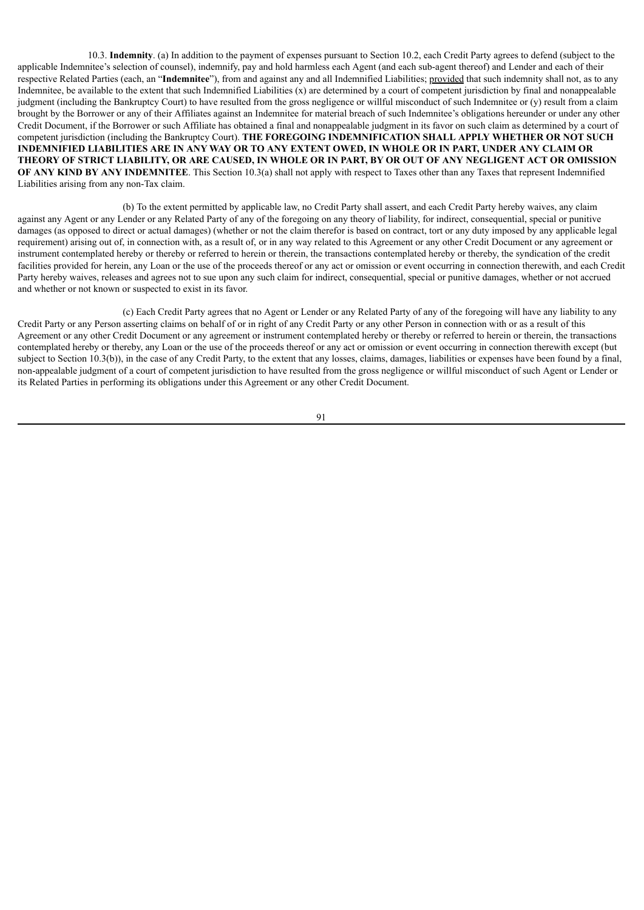10.3. **Indemnity**. (a) In addition to the payment of expenses pursuant to Section 10.2, each Credit Party agrees to defend (subject to the applicable Indemnitee's selection of counsel), indemnify, pay and hold harmless each Agent (and each sub-agent thereof) and Lender and each of their respective Related Parties (each, an "**Indemnitee**"), from and against any and all Indemnified Liabilities; provided that such indemnity shall not, as to any Indemnitee, be available to the extent that such Indemnified Liabilities (x) are determined by a court of competent jurisdiction by final and nonappealable judgment (including the Bankruptcy Court) to have resulted from the gross negligence or willful misconduct of such Indemnitee or (y) result from a claim brought by the Borrower or any of their Affiliates against an Indemnitee for material breach of such Indemnitee's obligations hereunder or under any other Credit Document, if the Borrower or such Affiliate has obtained a final and nonappealable judgment in its favor on such claim as determined by a court of competent jurisdiction (including the Bankruptcy Court). **THE FOREGOING INDEMNIFICATION SHALL APPLY WHETHER OR NOT SUCH** INDEMNIFIED LIABILITIES ARE IN ANY WAY OR TO ANY EXTENT OWED, IN WHOLE OR IN PART, UNDER ANY CLAIM OR THEORY OF STRICT LIABILITY, OR ARE CAUSED, IN WHOLE OR IN PART, BY OR OUT OF ANY NEGLIGENT ACT OR OMISSION **OF ANY KIND BY ANY INDEMNITEE**. This Section 10.3(a) shall not apply with respect to Taxes other than any Taxes that represent Indemnified Liabilities arising from any non-Tax claim.

(b) To the extent permitted by applicable law, no Credit Party shall assert, and each Credit Party hereby waives, any claim against any Agent or any Lender or any Related Party of any of the foregoing on any theory of liability, for indirect, consequential, special or punitive damages (as opposed to direct or actual damages) (whether or not the claim therefor is based on contract, tort or any duty imposed by any applicable legal requirement) arising out of, in connection with, as a result of, or in any way related to this Agreement or any other Credit Document or any agreement or instrument contemplated hereby or thereby or referred to herein or therein, the transactions contemplated hereby or thereby, the syndication of the credit facilities provided for herein, any Loan or the use of the proceeds thereof or any act or omission or event occurring in connection therewith, and each Credit Party hereby waives, releases and agrees not to sue upon any such claim for indirect, consequential, special or punitive damages, whether or not accrued and whether or not known or suspected to exist in its favor.

(c) Each Credit Party agrees that no Agent or Lender or any Related Party of any of the foregoing will have any liability to any Credit Party or any Person asserting claims on behalf of or in right of any Credit Party or any other Person in connection with or as a result of this Agreement or any other Credit Document or any agreement or instrument contemplated hereby or thereby or referred to herein or therein, the transactions contemplated hereby or thereby, any Loan or the use of the proceeds thereof or any act or omission or event occurring in connection therewith except (but subject to Section 10.3(b)), in the case of any Credit Party, to the extent that any losses, claims, damages, liabilities or expenses have been found by a final, non-appealable judgment of a court of competent jurisdiction to have resulted from the gross negligence or willful misconduct of such Agent or Lender or its Related Parties in performing its obligations under this Agreement or any other Credit Document.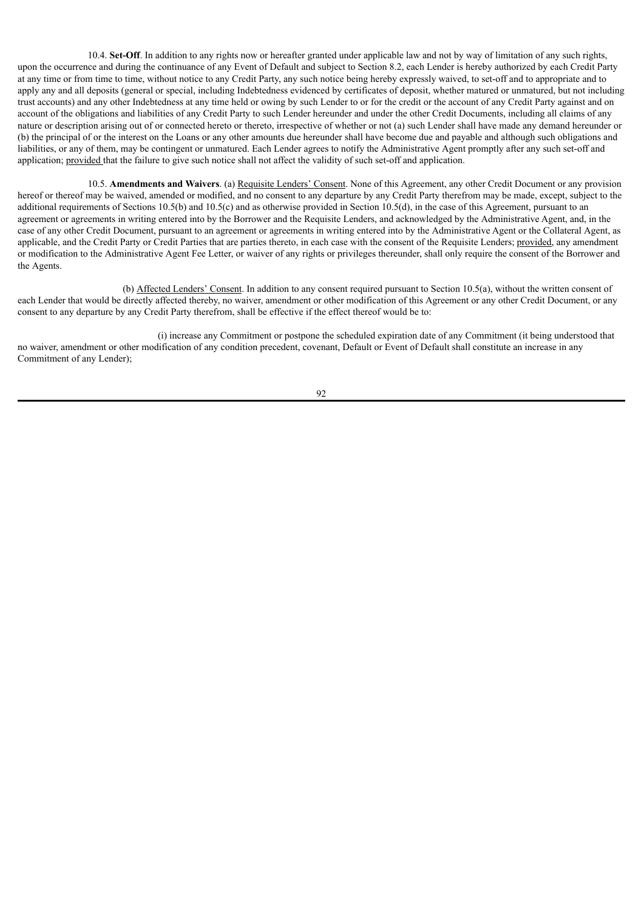10.4. **Set-Off**. In addition to any rights now or hereafter granted under applicable law and not by way of limitation of any such rights, upon the occurrence and during the continuance of any Event of Default and subject to Section 8.2, each Lender is hereby authorized by each Credit Party at any time or from time to time, without notice to any Credit Party, any such notice being hereby expressly waived, to set-off and to appropriate and to apply any and all deposits (general or special, including Indebtedness evidenced by certificates of deposit, whether matured or unmatured, but not including trust accounts) and any other Indebtedness at any time held or owing by such Lender to or for the credit or the account of any Credit Party against and on account of the obligations and liabilities of any Credit Party to such Lender hereunder and under the other Credit Documents, including all claims of any nature or description arising out of or connected hereto or thereto, irrespective of whether or not (a) such Lender shall have made any demand hereunder or (b) the principal of or the interest on the Loans or any other amounts due hereunder shall have become due and payable and although such obligations and liabilities, or any of them, may be contingent or unmatured. Each Lender agrees to notify the Administrative Agent promptly after any such set-off and application; provided that the failure to give such notice shall not affect the validity of such set-off and application.

10.5. **Amendments and Waivers**. (a) Requisite Lenders' Consent. None of this Agreement, any other Credit Document or any provision hereof or thereof may be waived, amended or modified, and no consent to any departure by any Credit Party therefrom may be made, except, subject to the additional requirements of Sections 10.5(b) and 10.5(c) and as otherwise provided in Section 10.5(d), in the case of this Agreement, pursuant to an agreement or agreements in writing entered into by the Borrower and the Requisite Lenders, and acknowledged by the Administrative Agent, and, in the case of any other Credit Document, pursuant to an agreement or agreements in writing entered into by the Administrative Agent or the Collateral Agent, as applicable, and the Credit Party or Credit Parties that are parties thereto, in each case with the consent of the Requisite Lenders; provided, any amendment or modification to the Administrative Agent Fee Letter, or waiver of any rights or privileges thereunder, shall only require the consent of the Borrower and the Agents.

(b) Affected Lenders' Consent. In addition to any consent required pursuant to Section 10.5(a), without the written consent of each Lender that would be directly affected thereby, no waiver, amendment or other modification of this Agreement or any other Credit Document, or any consent to any departure by any Credit Party therefrom, shall be effective if the effect thereof would be to:

(i) increase any Commitment or postpone the scheduled expiration date of any Commitment (it being understood that no waiver, amendment or other modification of any condition precedent, covenant, Default or Event of Default shall constitute an increase in any Commitment of any Lender);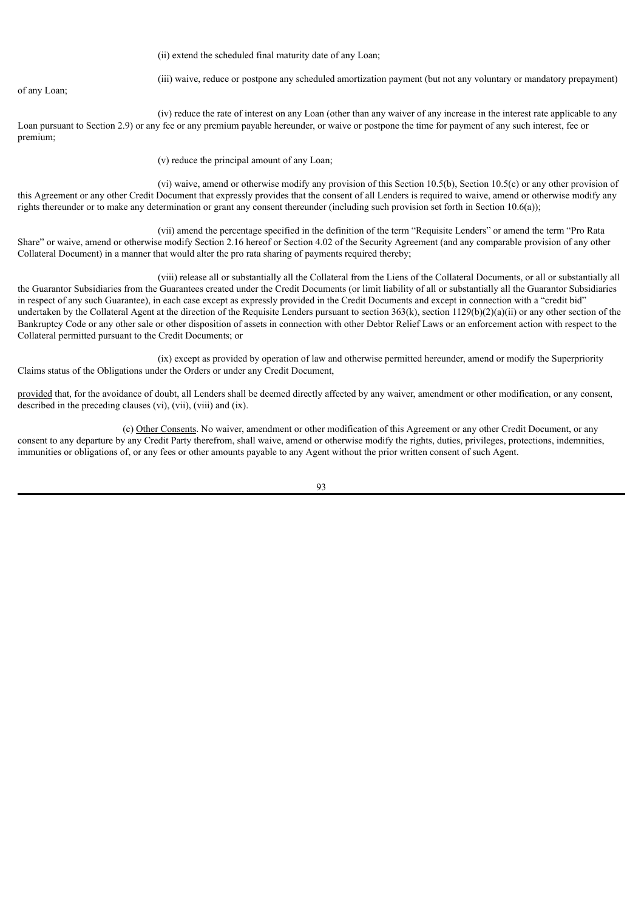(ii) extend the scheduled final maturity date of any Loan;

of any Loan;

(iii) waive, reduce or postpone any scheduled amortization payment (but not any voluntary or mandatory prepayment)

(iv) reduce the rate of interest on any Loan (other than any waiver of any increase in the interest rate applicable to any Loan pursuant to Section 2.9) or any fee or any premium payable hereunder, or waive or postpone the time for payment of any such interest, fee or premium;

(v) reduce the principal amount of any Loan;

(vi) waive, amend or otherwise modify any provision of this Section 10.5(b), Section 10.5(c) or any other provision of this Agreement or any other Credit Document that expressly provides that the consent of all Lenders is required to waive, amend or otherwise modify any rights thereunder or to make any determination or grant any consent thereunder (including such provision set forth in Section 10.6(a));

(vii) amend the percentage specified in the definition of the term "Requisite Lenders" or amend the term "Pro Rata Share" or waive, amend or otherwise modify Section 2.16 hereof or Section 4.02 of the Security Agreement (and any comparable provision of any other Collateral Document) in a manner that would alter the pro rata sharing of payments required thereby;

(viii) release all or substantially all the Collateral from the Liens of the Collateral Documents, or all or substantially all the Guarantor Subsidiaries from the Guarantees created under the Credit Documents (or limit liability of all or substantially all the Guarantor Subsidiaries in respect of any such Guarantee), in each case except as expressly provided in the Credit Documents and except in connection with a "credit bid" undertaken by the Collateral Agent at the direction of the Requisite Lenders pursuant to section 363(k), section  $1129(b)(2)(a)(ii)$  or any other section of the Bankruptcy Code or any other sale or other disposition of assets in connection with other Debtor Relief Laws or an enforcement action with respect to the Collateral permitted pursuant to the Credit Documents; or

(ix) except as provided by operation of law and otherwise permitted hereunder, amend or modify the Superpriority Claims status of the Obligations under the Orders or under any Credit Document,

provided that, for the avoidance of doubt, all Lenders shall be deemed directly affected by any waiver, amendment or other modification, or any consent, described in the preceding clauses (vi), (vii), (viii) and (ix).

(c) Other Consents. No waiver, amendment or other modification of this Agreement or any other Credit Document, or any consent to any departure by any Credit Party therefrom, shall waive, amend or otherwise modify the rights, duties, privileges, protections, indemnities, immunities or obligations of, or any fees or other amounts payable to any Agent without the prior written consent of such Agent.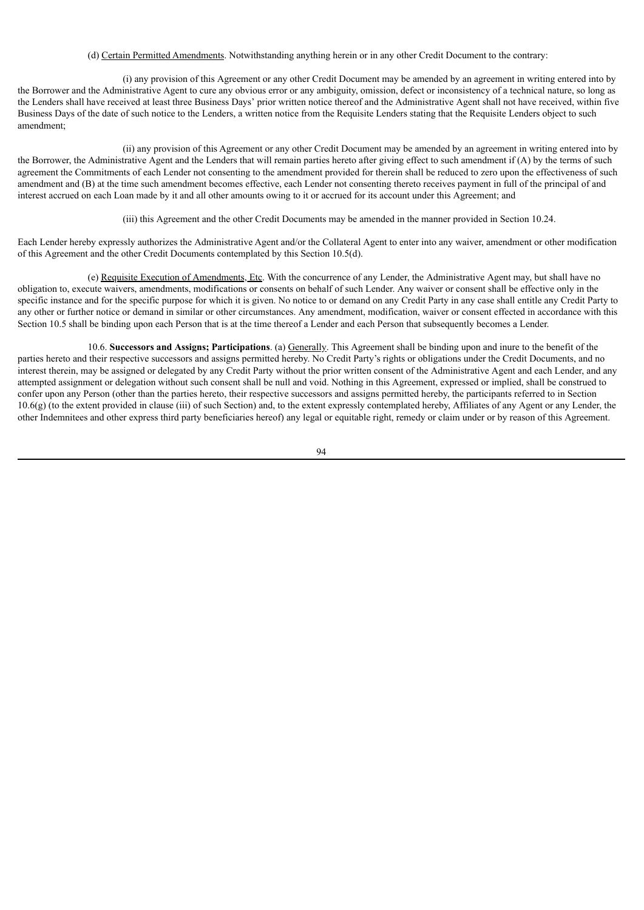# (d) Certain Permitted Amendments. Notwithstanding anything herein or in any other Credit Document to the contrary:

(i) any provision of this Agreement or any other Credit Document may be amended by an agreement in writing entered into by the Borrower and the Administrative Agent to cure any obvious error or any ambiguity, omission, defect or inconsistency of a technical nature, so long as the Lenders shall have received at least three Business Days' prior written notice thereof and the Administrative Agent shall not have received, within five Business Days of the date of such notice to the Lenders, a written notice from the Requisite Lenders stating that the Requisite Lenders object to such amendment;

(ii) any provision of this Agreement or any other Credit Document may be amended by an agreement in writing entered into by the Borrower, the Administrative Agent and the Lenders that will remain parties hereto after giving effect to such amendment if (A) by the terms of such agreement the Commitments of each Lender not consenting to the amendment provided for therein shall be reduced to zero upon the effectiveness of such amendment and (B) at the time such amendment becomes effective, each Lender not consenting thereto receives payment in full of the principal of and interest accrued on each Loan made by it and all other amounts owing to it or accrued for its account under this Agreement; and

(iii) this Agreement and the other Credit Documents may be amended in the manner provided in Section 10.24.

Each Lender hereby expressly authorizes the Administrative Agent and/or the Collateral Agent to enter into any waiver, amendment or other modification of this Agreement and the other Credit Documents contemplated by this Section 10.5(d).

(e) Requisite Execution of Amendments, Etc. With the concurrence of any Lender, the Administrative Agent may, but shall have no obligation to, execute waivers, amendments, modifications or consents on behalf of such Lender. Any waiver or consent shall be effective only in the specific instance and for the specific purpose for which it is given. No notice to or demand on any Credit Party in any case shall entitle any Credit Party to any other or further notice or demand in similar or other circumstances. Any amendment, modification, waiver or consent effected in accordance with this Section 10.5 shall be binding upon each Person that is at the time thereof a Lender and each Person that subsequently becomes a Lender.

10.6. **Successors and Assigns; Participations**. (a) Generally. This Agreement shall be binding upon and inure to the benefit of the parties hereto and their respective successors and assigns permitted hereby. No Credit Party's rights or obligations under the Credit Documents, and no interest therein, may be assigned or delegated by any Credit Party without the prior written consent of the Administrative Agent and each Lender, and any attempted assignment or delegation without such consent shall be null and void. Nothing in this Agreement, expressed or implied, shall be construed to confer upon any Person (other than the parties hereto, their respective successors and assigns permitted hereby, the participants referred to in Section 10.6(g) (to the extent provided in clause (iii) of such Section) and, to the extent expressly contemplated hereby, Affiliates of any Agent or any Lender, the other Indemnitees and other express third party beneficiaries hereof) any legal or equitable right, remedy or claim under or by reason of this Agreement.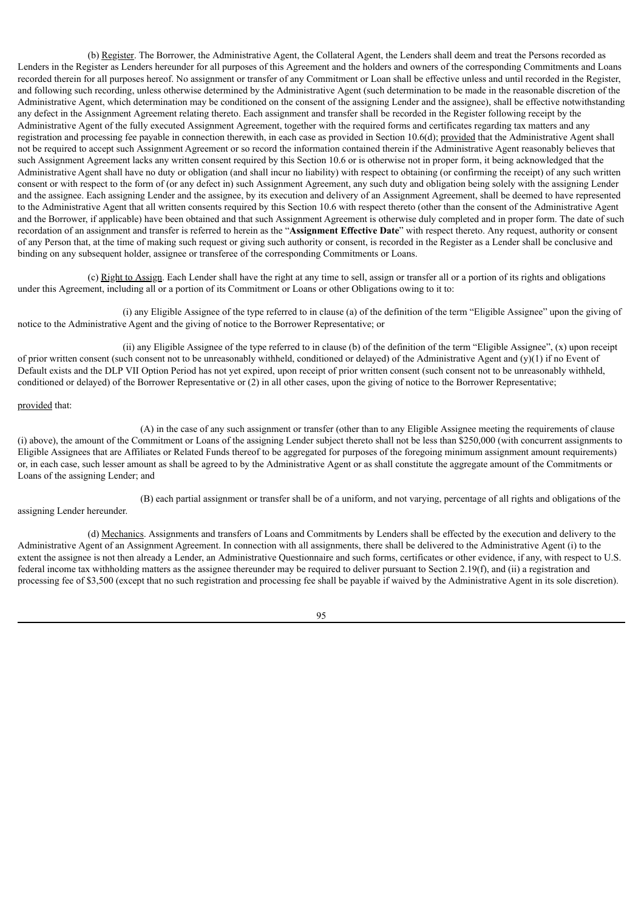(b) Register. The Borrower, the Administrative Agent, the Collateral Agent, the Lenders shall deem and treat the Persons recorded as Lenders in the Register as Lenders hereunder for all purposes of this Agreement and the holders and owners of the corresponding Commitments and Loans recorded therein for all purposes hereof. No assignment or transfer of any Commitment or Loan shall be effective unless and until recorded in the Register, and following such recording, unless otherwise determined by the Administrative Agent (such determination to be made in the reasonable discretion of the Administrative Agent, which determination may be conditioned on the consent of the assigning Lender and the assignee), shall be effective notwithstanding any defect in the Assignment Agreement relating thereto. Each assignment and transfer shall be recorded in the Register following receipt by the Administrative Agent of the fully executed Assignment Agreement, together with the required forms and certificates regarding tax matters and any registration and processing fee payable in connection therewith, in each case as provided in Section 10.6(d); provided that the Administrative Agent shall not be required to accept such Assignment Agreement or so record the information contained therein if the Administrative Agent reasonably believes that such Assignment Agreement lacks any written consent required by this Section 10.6 or is otherwise not in proper form, it being acknowledged that the Administrative Agent shall have no duty or obligation (and shall incur no liability) with respect to obtaining (or confirming the receipt) of any such written consent or with respect to the form of (or any defect in) such Assignment Agreement, any such duty and obligation being solely with the assigning Lender and the assignee. Each assigning Lender and the assignee, by its execution and delivery of an Assignment Agreement, shall be deemed to have represented to the Administrative Agent that all written consents required by this Section 10.6 with respect thereto (other than the consent of the Administrative Agent and the Borrower, if applicable) have been obtained and that such Assignment Agreement is otherwise duly completed and in proper form. The date of such recordation of an assignment and transfer is referred to herein as the "**Assignment Effective Date**" with respect thereto. Any request, authority or consent of any Person that, at the time of making such request or giving such authority or consent, is recorded in the Register as a Lender shall be conclusive and binding on any subsequent holder, assignee or transferee of the corresponding Commitments or Loans.

(c) Right to Assign. Each Lender shall have the right at any time to sell, assign or transfer all or a portion of its rights and obligations under this Agreement, including all or a portion of its Commitment or Loans or other Obligations owing to it to:

(i) any Eligible Assignee of the type referred to in clause (a) of the definition of the term "Eligible Assignee" upon the giving of notice to the Administrative Agent and the giving of notice to the Borrower Representative; or

(ii) any Eligible Assignee of the type referred to in clause (b) of the definition of the term "Eligible Assignee", (x) upon receipt of prior written consent (such consent not to be unreasonably withheld, conditioned or delayed) of the Administrative Agent and  $(y)(1)$  if no Event of Default exists and the DLP VII Option Period has not yet expired, upon receipt of prior written consent (such consent not to be unreasonably withheld, conditioned or delayed) of the Borrower Representative or (2) in all other cases, upon the giving of notice to the Borrower Representative;

### provided that:

(A) in the case of any such assignment or transfer (other than to any Eligible Assignee meeting the requirements of clause (i) above), the amount of the Commitment or Loans of the assigning Lender subject thereto shall not be less than \$250,000 (with concurrent assignments to Eligible Assignees that are Affiliates or Related Funds thereof to be aggregated for purposes of the foregoing minimum assignment amount requirements) or, in each case, such lesser amount as shall be agreed to by the Administrative Agent or as shall constitute the aggregate amount of the Commitments or Loans of the assigning Lender; and

(B) each partial assignment or transfer shall be of a uniform, and not varying, percentage of all rights and obligations of the assigning Lender hereunder.

(d) Mechanics. Assignments and transfers of Loans and Commitments by Lenders shall be effected by the execution and delivery to the Administrative Agent of an Assignment Agreement. In connection with all assignments, there shall be delivered to the Administrative Agent (i) to the extent the assignee is not then already a Lender, an Administrative Questionnaire and such forms, certificates or other evidence, if any, with respect to U.S. federal income tax withholding matters as the assignee thereunder may be required to deliver pursuant to Section 2.19(f), and (ii) a registration and processing fee of \$3,500 (except that no such registration and processing fee shall be payable if waived by the Administrative Agent in its sole discretion).

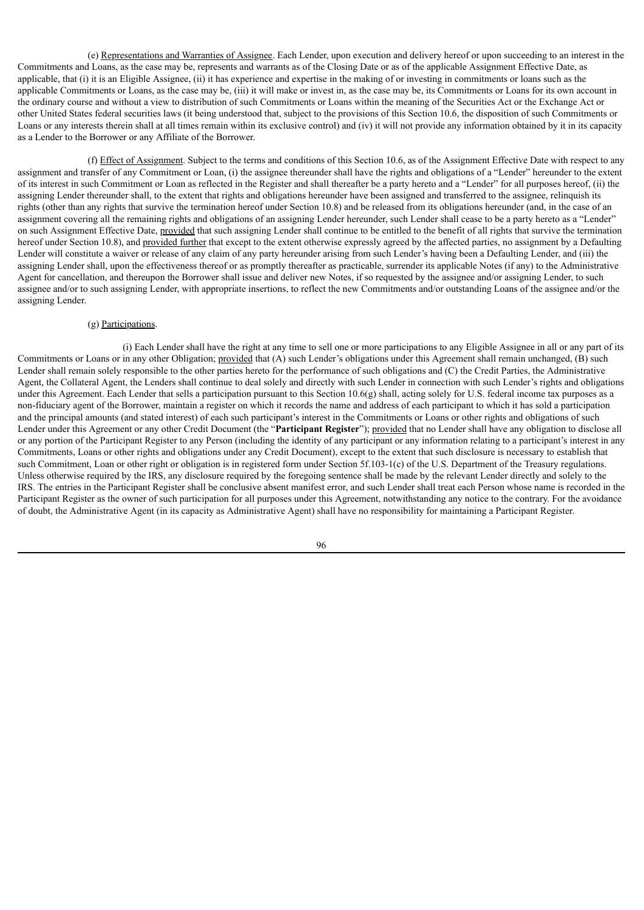(e) Representations and Warranties of Assignee. Each Lender, upon execution and delivery hereof or upon succeeding to an interest in the Commitments and Loans, as the case may be, represents and warrants as of the Closing Date or as of the applicable Assignment Effective Date, as applicable, that (i) it is an Eligible Assignee, (ii) it has experience and expertise in the making of or investing in commitments or loans such as the applicable Commitments or Loans, as the case may be, (iii) it will make or invest in, as the case may be, its Commitments or Loans for its own account in the ordinary course and without a view to distribution of such Commitments or Loans within the meaning of the Securities Act or the Exchange Act or other United States federal securities laws (it being understood that, subject to the provisions of this Section 10.6, the disposition of such Commitments or Loans or any interests therein shall at all times remain within its exclusive control) and (iv) it will not provide any information obtained by it in its capacity as a Lender to the Borrower or any Affiliate of the Borrower.

(f) Effect of Assignment. Subject to the terms and conditions of this Section 10.6, as of the Assignment Effective Date with respect to any assignment and transfer of any Commitment or Loan, (i) the assignee thereunder shall have the rights and obligations of a "Lender" hereunder to the extent of its interest in such Commitment or Loan as reflected in the Register and shall thereafter be a party hereto and a "Lender" for all purposes hereof, (ii) the assigning Lender thereunder shall, to the extent that rights and obligations hereunder have been assigned and transferred to the assignee, relinquish its rights (other than any rights that survive the termination hereof under Section 10.8) and be released from its obligations hereunder (and, in the case of an assignment covering all the remaining rights and obligations of an assigning Lender hereunder, such Lender shall cease to be a party hereto as a "Lender" on such Assignment Effective Date, provided that such assigning Lender shall continue to be entitled to the benefit of all rights that survive the termination hereof under Section 10.8), and provided further that except to the extent otherwise expressly agreed by the affected parties, no assignment by a Defaulting Lender will constitute a waiver or release of any claim of any party hereunder arising from such Lender's having been a Defaulting Lender, and (iii) the assigning Lender shall, upon the effectiveness thereof or as promptly thereafter as practicable, surrender its applicable Notes (if any) to the Administrative Agent for cancellation, and thereupon the Borrower shall issue and deliver new Notes, if so requested by the assignee and/or assigning Lender, to such assignee and/or to such assigning Lender, with appropriate insertions, to reflect the new Commitments and/or outstanding Loans of the assignee and/or the assigning Lender.

#### (g) Participations.

(i) Each Lender shall have the right at any time to sell one or more participations to any Eligible Assignee in all or any part of its Commitments or Loans or in any other Obligation; provided that (A) such Lender's obligations under this Agreement shall remain unchanged, (B) such Lender shall remain solely responsible to the other parties hereto for the performance of such obligations and (C) the Credit Parties, the Administrative Agent, the Collateral Agent, the Lenders shall continue to deal solely and directly with such Lender in connection with such Lender's rights and obligations under this Agreement. Each Lender that sells a participation pursuant to this Section 10.6(g) shall, acting solely for U.S. federal income tax purposes as a non-fiduciary agent of the Borrower, maintain a register on which it records the name and address of each participant to which it has sold a participation and the principal amounts (and stated interest) of each such participant's interest in the Commitments or Loans or other rights and obligations of such Lender under this Agreement or any other Credit Document (the "**Participant Register**"); provided that no Lender shall have any obligation to disclose all or any portion of the Participant Register to any Person (including the identity of any participant or any information relating to a participant's interest in any Commitments, Loans or other rights and obligations under any Credit Document), except to the extent that such disclosure is necessary to establish that such Commitment, Loan or other right or obligation is in registered form under Section 5f.103-1(c) of the U.S. Department of the Treasury regulations. Unless otherwise required by the IRS, any disclosure required by the foregoing sentence shall be made by the relevant Lender directly and solely to the IRS. The entries in the Participant Register shall be conclusive absent manifest error, and such Lender shall treat each Person whose name is recorded in the Participant Register as the owner of such participation for all purposes under this Agreement, notwithstanding any notice to the contrary. For the avoidance of doubt, the Administrative Agent (in its capacity as Administrative Agent) shall have no responsibility for maintaining a Participant Register.

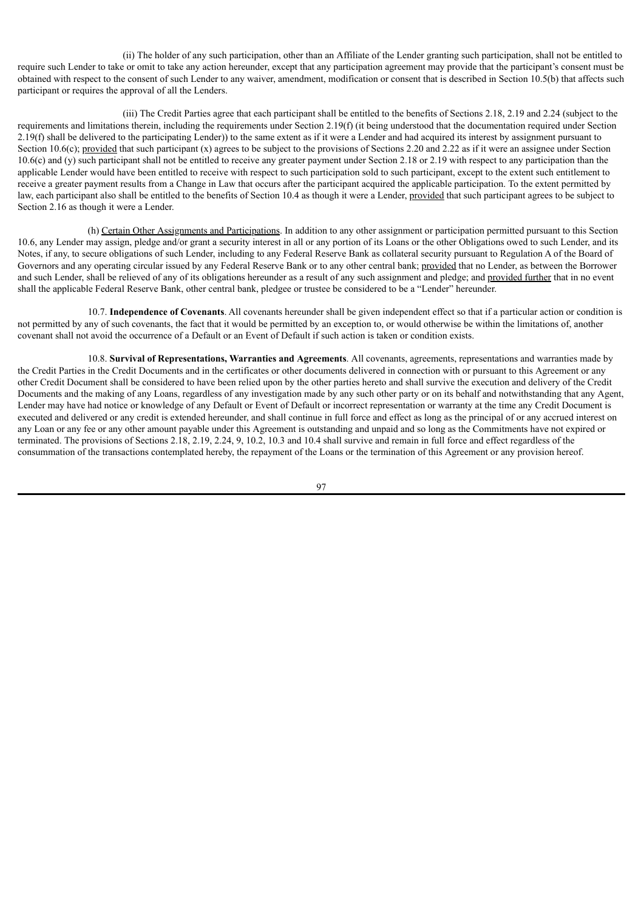(ii) The holder of any such participation, other than an Affiliate of the Lender granting such participation, shall not be entitled to require such Lender to take or omit to take any action hereunder, except that any participation agreement may provide that the participant's consent must be obtained with respect to the consent of such Lender to any waiver, amendment, modification or consent that is described in Section 10.5(b) that affects such participant or requires the approval of all the Lenders.

(iii) The Credit Parties agree that each participant shall be entitled to the benefits of Sections 2.18, 2.19 and 2.24 (subject to the requirements and limitations therein, including the requirements under Section 2.19(f) (it being understood that the documentation required under Section  $2.19(f)$  shall be delivered to the participating Lender)) to the same extent as if it were a Lender and had acquired its interest by assignment pursuant to Section 10.6(c); provided that such participant (x) agrees to be subject to the provisions of Sections 2.20 and 2.22 as if it were an assignee under Section 10.6(c) and (y) such participant shall not be entitled to receive any greater payment under Section 2.18 or 2.19 with respect to any participation than the applicable Lender would have been entitled to receive with respect to such participation sold to such participant, except to the extent such entitlement to receive a greater payment results from a Change in Law that occurs after the participant acquired the applicable participation. To the extent permitted by law, each participant also shall be entitled to the benefits of Section 10.4 as though it were a Lender, provided that such participant agrees to be subject to Section 2.16 as though it were a Lender.

(h) Certain Other Assignments and Participations. In addition to any other assignment or participation permitted pursuant to this Section 10.6, any Lender may assign, pledge and/or grant a security interest in all or any portion of its Loans or the other Obligations owed to such Lender, and its Notes, if any, to secure obligations of such Lender, including to any Federal Reserve Bank as collateral security pursuant to Regulation A of the Board of Governors and any operating circular issued by any Federal Reserve Bank or to any other central bank; provided that no Lender, as between the Borrower and such Lender, shall be relieved of any of its obligations hereunder as a result of any such assignment and pledge; and provided further that in no event shall the applicable Federal Reserve Bank, other central bank, pledgee or trustee be considered to be a "Lender" hereunder.

10.7. **Independence of Covenants**. All covenants hereunder shall be given independent effect so that if a particular action or condition is not permitted by any of such covenants, the fact that it would be permitted by an exception to, or would otherwise be within the limitations of, another covenant shall not avoid the occurrence of a Default or an Event of Default if such action is taken or condition exists.

10.8. **Survival of Representations, Warranties and Agreements**. All covenants, agreements, representations and warranties made by the Credit Parties in the Credit Documents and in the certificates or other documents delivered in connection with or pursuant to this Agreement or any other Credit Document shall be considered to have been relied upon by the other parties hereto and shall survive the execution and delivery of the Credit Documents and the making of any Loans, regardless of any investigation made by any such other party or on its behalf and notwithstanding that any Agent, Lender may have had notice or knowledge of any Default or Event of Default or incorrect representation or warranty at the time any Credit Document is executed and delivered or any credit is extended hereunder, and shall continue in full force and effect as long as the principal of or any accrued interest on any Loan or any fee or any other amount payable under this Agreement is outstanding and unpaid and so long as the Commitments have not expired or terminated. The provisions of Sections 2.18, 2.19, 2.24, 9, 10.2, 10.3 and 10.4 shall survive and remain in full force and effect regardless of the consummation of the transactions contemplated hereby, the repayment of the Loans or the termination of this Agreement or any provision hereof.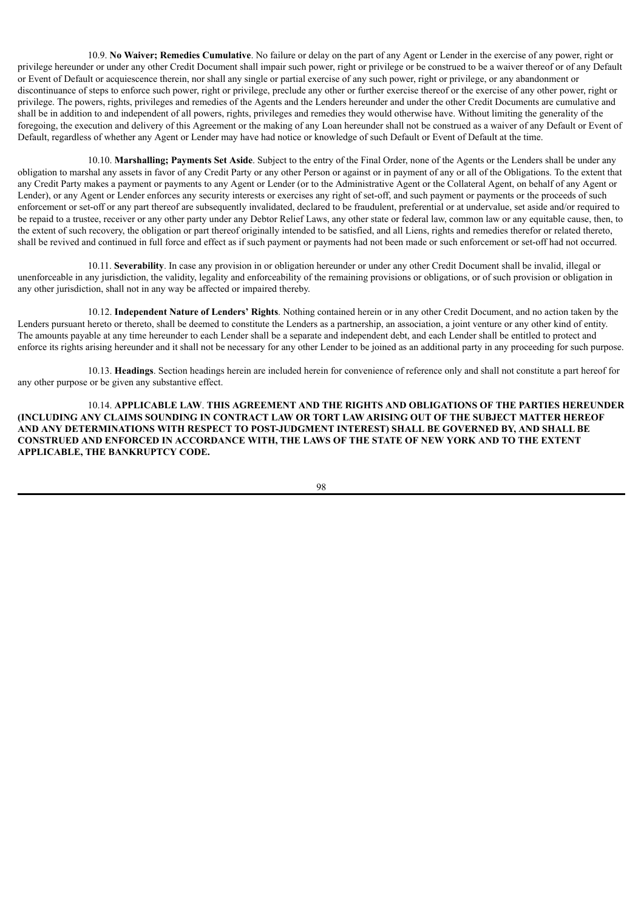10.9. **No Waiver; Remedies Cumulative**. No failure or delay on the part of any Agent or Lender in the exercise of any power, right or privilege hereunder or under any other Credit Document shall impair such power, right or privilege or be construed to be a waiver thereof or of any Default or Event of Default or acquiescence therein, nor shall any single or partial exercise of any such power, right or privilege, or any abandonment or discontinuance of steps to enforce such power, right or privilege, preclude any other or further exercise thereof or the exercise of any other power, right or privilege. The powers, rights, privileges and remedies of the Agents and the Lenders hereunder and under the other Credit Documents are cumulative and shall be in addition to and independent of all powers, rights, privileges and remedies they would otherwise have. Without limiting the generality of the foregoing, the execution and delivery of this Agreement or the making of any Loan hereunder shall not be construed as a waiver of any Default or Event of Default, regardless of whether any Agent or Lender may have had notice or knowledge of such Default or Event of Default at the time.

10.10. **Marshalling; Payments Set Aside**. Subject to the entry of the Final Order, none of the Agents or the Lenders shall be under any obligation to marshal any assets in favor of any Credit Party or any other Person or against or in payment of any or all of the Obligations. To the extent that any Credit Party makes a payment or payments to any Agent or Lender (or to the Administrative Agent or the Collateral Agent, on behalf of any Agent or Lender), or any Agent or Lender enforces any security interests or exercises any right of set-off, and such payment or payments or the proceeds of such enforcement or set-off or any part thereof are subsequently invalidated, declared to be fraudulent, preferential or at undervalue, set aside and/or required to be repaid to a trustee, receiver or any other party under any Debtor Relief Laws, any other state or federal law, common law or any equitable cause, then, to the extent of such recovery, the obligation or part thereof originally intended to be satisfied, and all Liens, rights and remedies therefor or related thereto, shall be revived and continued in full force and effect as if such payment or payments had not been made or such enforcement or set-off had not occurred.

10.11. **Severability**. In case any provision in or obligation hereunder or under any other Credit Document shall be invalid, illegal or unenforceable in any jurisdiction, the validity, legality and enforceability of the remaining provisions or obligations, or of such provision or obligation in any other jurisdiction, shall not in any way be affected or impaired thereby.

10.12. **Independent Nature of Lenders' Rights**. Nothing contained herein or in any other Credit Document, and no action taken by the Lenders pursuant hereto or thereto, shall be deemed to constitute the Lenders as a partnership, an association, a joint venture or any other kind of entity. The amounts payable at any time hereunder to each Lender shall be a separate and independent debt, and each Lender shall be entitled to protect and enforce its rights arising hereunder and it shall not be necessary for any other Lender to be joined as an additional party in any proceeding for such purpose.

10.13. **Headings**. Section headings herein are included herein for convenience of reference only and shall not constitute a part hereof for any other purpose or be given any substantive effect.

10.14. **APPLICABLE LAW**. **THIS AGREEMENT AND THE RIGHTS AND OBLIGATIONS OF THE PARTIES HEREUNDER (INCLUDING ANY CLAIMS SOUNDING IN CONTRACT LAW OR TORT LAW ARISING OUT OF THE SUBJECT MATTER HEREOF AND ANY DETERMINATIONS WITH RESPECT TO POST-JUDGMENT INTEREST) SHALL BE GOVERNED BY, AND SHALL BE CONSTRUED AND ENFORCED IN ACCORDANCE WITH, THE LAWS OF THE STATE OF NEW YORK AND TO THE EXTENT APPLICABLE, THE BANKRUPTCY CODE.**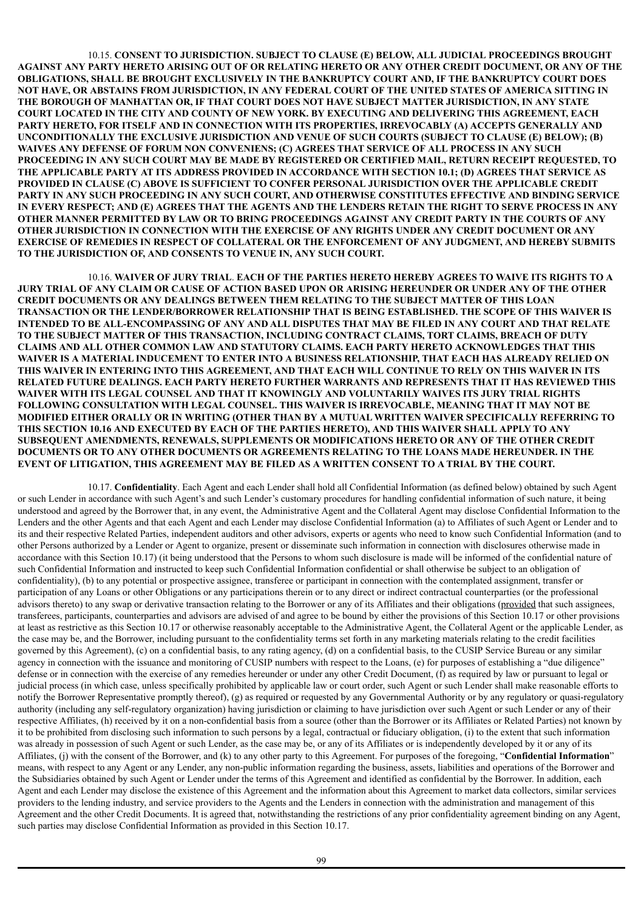10.15. **CONSENT TO JURISDICTION. SUBJECT TO CLAUSE (E) BELOW, ALL JUDICIAL PROCEEDINGS BROUGHT** AGAINST ANY PARTY HERETO ARISING OUT OF OR RELATING HERETO OR ANY OTHER CREDIT DOCUMENT. OR ANY OF THE **OBLIGATIONS, SHALL BE BROUGHT EXCLUSIVELY IN THE BANKRUPTCY COURT AND, IF THE BANKRUPTCY COURT DOES** NOT HAVE, OR ABSTAINS FROM JURISDICTION, IN ANY FEDERAL COURT OF THE UNITED STATES OF AMERICA SITTING IN **THE BOROUGH OF MANHATTAN OR, IF THAT COURT DOES NOT HAVE SUBJECT MATTER JURISDICTION, IN ANY STATE COURT LOCATED IN THE CITY AND COUNTY OF NEW YORK. BY EXECUTING AND DELIVERING THIS AGREEMENT, EACH PARTY HERETO, FOR ITSELF AND IN CONNECTION WITH ITS PROPERTIES, IRREVOCABLY (A) ACCEPTS GENERALLY AND UNCONDITIONALLY THE EXCLUSIVE JURISDICTION AND VENUE OF SUCH COURTS (SUBJECT TO CLAUSE (E) BELOW); (B) WAIVES ANY DEFENSE OF FORUM NON CONVENIENS; (C) AGREES THAT SERVICE OF ALL PROCESS IN ANY SUCH PROCEEDING IN ANY SUCH COURT MAY BE MADE BY REGISTERED OR CERTIFIED MAIL, RETURN RECEIPT REQUESTED, TO THE APPLICABLE PARTY AT ITS ADDRESS PROVIDED IN ACCORDANCE WITH SECTION 10.1; (D) AGREES THAT SERVICE AS PROVIDED IN CLAUSE (C) ABOVE IS SUFFICIENT TO CONFER PERSONAL JURISDICTION OVER THE APPLICABLE CREDIT PARTY IN ANY SUCH PROCEEDING IN ANY SUCH COURT, AND OTHERWISE CONSTITUTES EFFECTIVE AND BINDING SERVICE** IN EVERY RESPECT; AND (E) AGREES THAT THE AGENTS AND THE LENDERS RETAIN THE RIGHT TO SERVE PROCESS IN ANY OTHER MANNER PERMITTED BY LAW OR TO BRING PROCEEDINGS AGAINST ANY CREDIT PARTY IN THE COURTS OF ANY **OTHER JURISDICTION IN CONNECTION WITH THE EXERCISE OF ANY RIGHTS UNDER ANY CREDIT DOCUMENT OR ANY EXERCISE OF REMEDIES IN RESPECT OF COLLATERAL OR THE ENFORCEMENT OF ANY JUDGMENT, AND HEREBY SUBMITS TO THE JURISDICTION OF, AND CONSENTS TO VENUE IN, ANY SUCH COURT.**

10.16. **WAIVER OF JURY TRIAL**. **EACH OF THE PARTIES HERETO HEREBY AGREES TO WAIVE ITS RIGHTS TO A** JURY TRIAL OF ANY CLAIM OR CAUSE OF ACTION BASED UPON OR ARISING HEREUNDER OR UNDER ANY OF THE OTHER **CREDIT DOCUMENTS OR ANY DEALINGS BETWEEN THEM RELATING TO THE SUBJECT MATTER OF THIS LOAN TRANSACTION OR THE LENDER/BORROWER RELATIONSHIP THAT IS BEING ESTABLISHED. THE SCOPE OF THIS WAIVER IS** INTENDED TO BE ALL-ENCOMPASSING OF ANY AND ALL DISPUTES THAT MAY BE FILED IN ANY COURT AND THAT RELATE **TO THE SUBJECT MATTER OF THIS TRANSACTION, INCLUDING CONTRACT CLAIMS, TORT CLAIMS, BREACH OF DUTY CLAIMS AND ALL OTHER COMMON LAW AND STATUTORY CLAIMS. EACH PARTY HERETO ACKNOWLEDGES THAT THIS WAIVER IS A MATERIAL INDUCEMENT TO ENTER INTO A BUSINESS RELATIONSHIP, THAT EACH HAS ALREADY RELIED ON** THIS WAIVER IN ENTERING INTO THIS AGREEMENT. AND THAT EACH WILL CONTINUE TO RELY ON THIS WAIVER IN ITS **RELATED FUTURE DEALINGS. EACH PARTY HERETO FURTHER WARRANTS AND REPRESENTS THAT IT HAS REVIEWED THIS WAIVER WITH ITS LEGAL COUNSEL AND THAT IT KNOWINGLY AND VOLUNTARILY WAIVES ITS JURY TRIAL RIGHTS FOLLOWING CONSULTATION WITH LEGAL COUNSEL. THIS WAIVER IS IRREVOCABLE, MEANING THAT IT MAY NOT BE MODIFIED EITHER ORALLY OR IN WRITING (OTHER THAN BY A MUTUAL WRITTEN WAIVER SPECIFICALLY REFERRING TO THIS SECTION 10.16 AND EXECUTED BY EACH OF THE PARTIES HERETO), AND THIS WAIVER SHALL APPLY TO ANY SUBSEQUENT AMENDMENTS, RENEWALS, SUPPLEMENTS OR MODIFICATIONS HERETO OR ANY OF THE OTHER CREDIT DOCUMENTS OR TO ANY OTHER DOCUMENTS OR AGREEMENTS RELATING TO THE LOANS MADE HEREUNDER. IN THE EVENT OF LITIGATION, THIS AGREEMENT MAY BE FILED AS A WRITTEN CONSENT TO A TRIAL BY THE COURT.**

10.17. **Confidentiality**. Each Agent and each Lender shall hold all Confidential Information (as defined below) obtained by such Agent or such Lender in accordance with such Agent's and such Lender's customary procedures for handling confidential information of such nature, it being understood and agreed by the Borrower that, in any event, the Administrative Agent and the Collateral Agent may disclose Confidential Information to the Lenders and the other Agents and that each Agent and each Lender may disclose Confidential Information (a) to Affiliates of such Agent or Lender and to its and their respective Related Parties, independent auditors and other advisors, experts or agents who need to know such Confidential Information (and to other Persons authorized by a Lender or Agent to organize, present or disseminate such information in connection with disclosures otherwise made in accordance with this Section 10.17) (it being understood that the Persons to whom such disclosure is made will be informed of the confidential nature of such Confidential Information and instructed to keep such Confidential Information confidential or shall otherwise be subject to an obligation of confidentiality), (b) to any potential or prospective assignee, transferee or participant in connection with the contemplated assignment, transfer or participation of any Loans or other Obligations or any participations therein or to any direct or indirect contractual counterparties (or the professional advisors thereto) to any swap or derivative transaction relating to the Borrower or any of its Affiliates and their obligations (provided that such assignees, transferees, participants, counterparties and advisors are advised of and agree to be bound by either the provisions of this Section 10.17 or other provisions at least as restrictive as this Section 10.17 or otherwise reasonably acceptable to the Administrative Agent, the Collateral Agent or the applicable Lender, as the case may be, and the Borrower, including pursuant to the confidentiality terms set forth in any marketing materials relating to the credit facilities governed by this Agreement), (c) on a confidential basis, to any rating agency, (d) on a confidential basis, to the CUSIP Service Bureau or any similar agency in connection with the issuance and monitoring of CUSIP numbers with respect to the Loans, (e) for purposes of establishing a "due diligence" defense or in connection with the exercise of any remedies hereunder or under any other Credit Document, (f) as required by law or pursuant to legal or judicial process (in which case, unless specifically prohibited by applicable law or court order, such Agent or such Lender shall make reasonable efforts to notify the Borrower Representative promptly thereof), (g) as required or requested by any Governmental Authority or by any regulatory or quasi-regulatory authority (including any self-regulatory organization) having jurisdiction or claiming to have jurisdiction over such Agent or such Lender or any of their respective Affiliates, (h) received by it on a non-confidential basis from a source (other than the Borrower or its Affiliates or Related Parties) not known by it to be prohibited from disclosing such information to such persons by a legal, contractual or fiduciary obligation, (i) to the extent that such information was already in possession of such Agent or such Lender, as the case may be, or any of its Affiliates or is independently developed by it or any of its Affiliates, (j) with the consent of the Borrower, and (k) to any other party to this Agreement. For purposes of the foregoing, "**Confidential Information**" means, with respect to any Agent or any Lender, any non-public information regarding the business, assets, liabilities and operations of the Borrower and the Subsidiaries obtained by such Agent or Lender under the terms of this Agreement and identified as confidential by the Borrower. In addition, each Agent and each Lender may disclose the existence of this Agreement and the information about this Agreement to market data collectors, similar services providers to the lending industry, and service providers to the Agents and the Lenders in connection with the administration and management of this Agreement and the other Credit Documents. It is agreed that, notwithstanding the restrictions of any prior confidentiality agreement binding on any Agent, such parties may disclose Confidential Information as provided in this Section 10.17.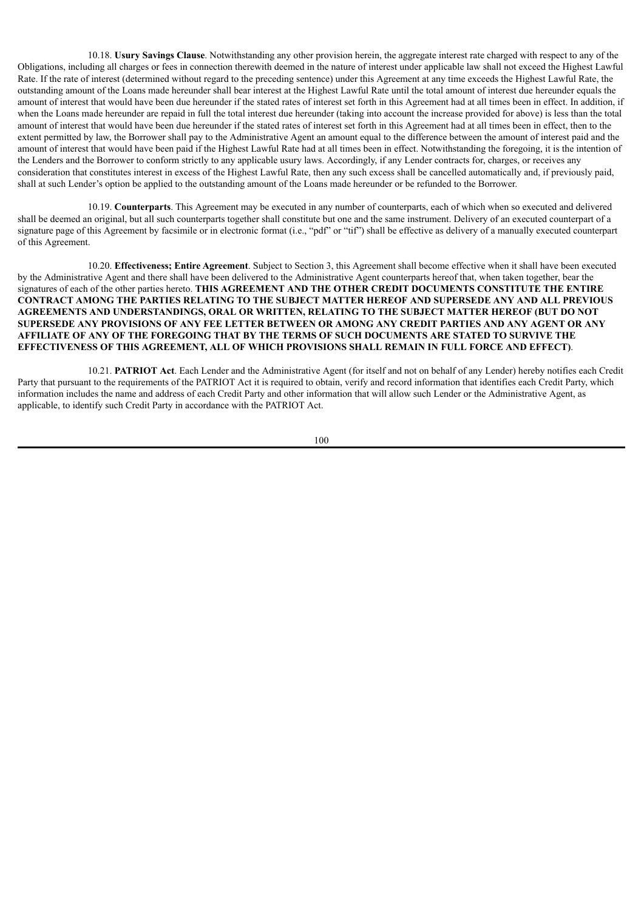10.18. **Usury Savings Clause**. Notwithstanding any other provision herein, the aggregate interest rate charged with respect to any of the Obligations, including all charges or fees in connection therewith deemed in the nature of interest under applicable law shall not exceed the Highest Lawful Rate. If the rate of interest (determined without regard to the preceding sentence) under this Agreement at any time exceeds the Highest Lawful Rate, the outstanding amount of the Loans made hereunder shall bear interest at the Highest Lawful Rate until the total amount of interest due hereunder equals the amount of interest that would have been due hereunder if the stated rates of interest set forth in this Agreement had at all times been in effect. In addition, if when the Loans made hereunder are repaid in full the total interest due hereunder (taking into account the increase provided for above) is less than the total amount of interest that would have been due hereunder if the stated rates of interest set forth in this Agreement had at all times been in effect, then to the extent permitted by law, the Borrower shall pay to the Administrative Agent an amount equal to the difference between the amount of interest paid and the amount of interest that would have been paid if the Highest Lawful Rate had at all times been in effect. Notwithstanding the foregoing, it is the intention of the Lenders and the Borrower to conform strictly to any applicable usury laws. Accordingly, if any Lender contracts for, charges, or receives any consideration that constitutes interest in excess of the Highest Lawful Rate, then any such excess shall be cancelled automatically and, if previously paid, shall at such Lender's option be applied to the outstanding amount of the Loans made hereunder or be refunded to the Borrower.

10.19. **Counterparts**. This Agreement may be executed in any number of counterparts, each of which when so executed and delivered shall be deemed an original, but all such counterparts together shall constitute but one and the same instrument. Delivery of an executed counterpart of a signature page of this Agreement by facsimile or in electronic format (i.e., "pdf" or "tif") shall be effective as delivery of a manually executed counterpart of this Agreement.

10.20. **Effectiveness; Entire Agreement**. Subject to Section 3, this Agreement shall become effective when it shall have been executed by the Administrative Agent and there shall have been delivered to the Administrative Agent counterparts hereof that, when taken together, bear the signatures of each of the other parties hereto. **THIS AGREEMENT AND THE OTHER CREDIT DOCUMENTS CONSTITUTE THE ENTIRE CONTRACT AMONG THE PARTIES RELATING TO THE SUBJECT MATTER HEREOF AND SUPERSEDE ANY AND ALL PREVIOUS AGREEMENTS AND UNDERSTANDINGS, ORAL OR WRITTEN, RELATING TO THE SUBJECT MATTER HEREOF (BUT DO NOT** SUPERSEDE ANY PROVISIONS OF ANY FEE LETTER BETWEEN OR AMONG ANY CREDIT PARTIES AND ANY AGENT OR ANY **AFFILIATE OF ANY OF THE FOREGOING THAT BY THE TERMS OF SUCH DOCUMENTS ARE STATED TO SURVIVE THE EFFECTIVENESS OF THIS AGREEMENT, ALL OF WHICH PROVISIONS SHALL REMAIN IN FULL FORCE AND EFFECT)**.

10.21. **PATRIOT Act**. Each Lender and the Administrative Agent (for itself and not on behalf of any Lender) hereby notifies each Credit Party that pursuant to the requirements of the PATRIOT Act it is required to obtain, verify and record information that identifies each Credit Party, which information includes the name and address of each Credit Party and other information that will allow such Lender or the Administrative Agent, as applicable, to identify such Credit Party in accordance with the PATRIOT Act.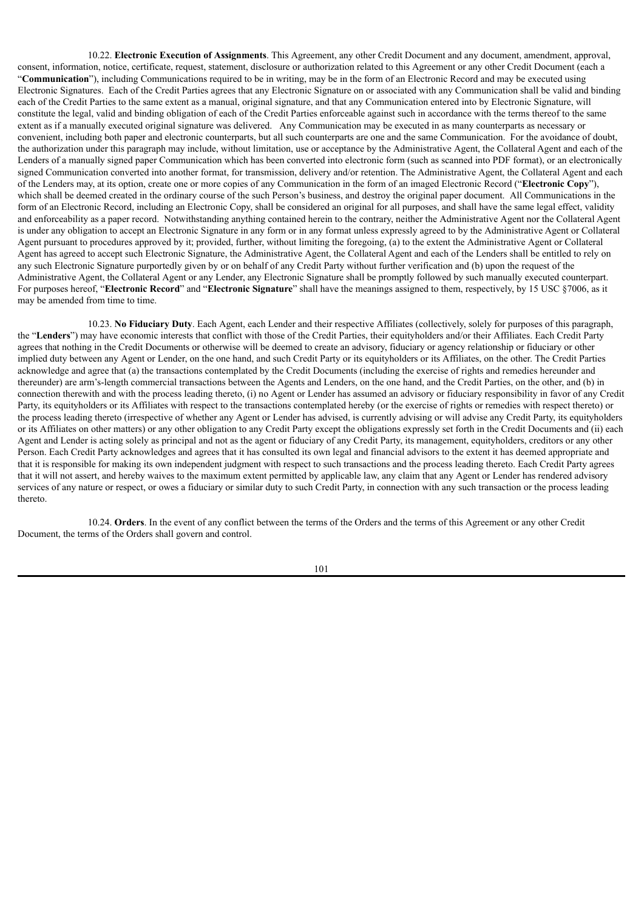10.22. **Electronic Execution of Assignments**. This Agreement, any other Credit Document and any document, amendment, approval, consent, information, notice, certificate, request, statement, disclosure or authorization related to this Agreement or any other Credit Document (each a "**Communication**"), including Communications required to be in writing, may be in the form of an Electronic Record and may be executed using Electronic Signatures. Each of the Credit Parties agrees that any Electronic Signature on or associated with any Communication shall be valid and binding each of the Credit Parties to the same extent as a manual, original signature, and that any Communication entered into by Electronic Signature, will constitute the legal, valid and binding obligation of each of the Credit Parties enforceable against such in accordance with the terms thereof to the same extent as if a manually executed original signature was delivered. Any Communication may be executed in as many counterparts as necessary or convenient, including both paper and electronic counterparts, but all such counterparts are one and the same Communication. For the avoidance of doubt, the authorization under this paragraph may include, without limitation, use or acceptance by the Administrative Agent, the Collateral Agent and each of the Lenders of a manually signed paper Communication which has been converted into electronic form (such as scanned into PDF format), or an electronically signed Communication converted into another format, for transmission, delivery and/or retention. The Administrative Agent, the Collateral Agent and each of the Lenders may, at its option, create one or more copies of any Communication in the form of an imaged Electronic Record ("**Electronic Copy**"), which shall be deemed created in the ordinary course of the such Person's business, and destroy the original paper document. All Communications in the form of an Electronic Record, including an Electronic Copy, shall be considered an original for all purposes, and shall have the same legal effect, validity and enforceability as a paper record. Notwithstanding anything contained herein to the contrary, neither the Administrative Agent nor the Collateral Agent is under any obligation to accept an Electronic Signature in any form or in any format unless expressly agreed to by the Administrative Agent or Collateral Agent pursuant to procedures approved by it; provided, further, without limiting the foregoing, (a) to the extent the Administrative Agent or Collateral Agent has agreed to accept such Electronic Signature, the Administrative Agent, the Collateral Agent and each of the Lenders shall be entitled to rely on any such Electronic Signature purportedly given by or on behalf of any Credit Party without further verification and (b) upon the request of the Administrative Agent, the Collateral Agent or any Lender, any Electronic Signature shall be promptly followed by such manually executed counterpart. For purposes hereof, "**Electronic Record**" and "**Electronic Signature**" shall have the meanings assigned to them, respectively, by 15 USC §7006, as it may be amended from time to time.

10.23. **No Fiduciary Duty**. Each Agent, each Lender and their respective Affiliates (collectively, solely for purposes of this paragraph, the "**Lenders**") may have economic interests that conflict with those of the Credit Parties, their equityholders and/or their Affiliates. Each Credit Party agrees that nothing in the Credit Documents or otherwise will be deemed to create an advisory, fiduciary or agency relationship or fiduciary or other implied duty between any Agent or Lender, on the one hand, and such Credit Party or its equityholders or its Affiliates, on the other. The Credit Parties acknowledge and agree that (a) the transactions contemplated by the Credit Documents (including the exercise of rights and remedies hereunder and thereunder) are arm's-length commercial transactions between the Agents and Lenders, on the one hand, and the Credit Parties, on the other, and (b) in connection therewith and with the process leading thereto, (i) no Agent or Lender has assumed an advisory or fiduciary responsibility in favor of any Credit Party, its equityholders or its Affiliates with respect to the transactions contemplated hereby (or the exercise of rights or remedies with respect thereto) or the process leading thereto (irrespective of whether any Agent or Lender has advised, is currently advising or will advise any Credit Party, its equityholders or its Affiliates on other matters) or any other obligation to any Credit Party except the obligations expressly set forth in the Credit Documents and (ii) each Agent and Lender is acting solely as principal and not as the agent or fiduciary of any Credit Party, its management, equityholders, creditors or any other Person. Each Credit Party acknowledges and agrees that it has consulted its own legal and financial advisors to the extent it has deemed appropriate and that it is responsible for making its own independent judgment with respect to such transactions and the process leading thereto. Each Credit Party agrees that it will not assert, and hereby waives to the maximum extent permitted by applicable law, any claim that any Agent or Lender has rendered advisory services of any nature or respect, or owes a fiduciary or similar duty to such Credit Party, in connection with any such transaction or the process leading thereto.

10.24. **Orders**. In the event of any conflict between the terms of the Orders and the terms of this Agreement or any other Credit Document, the terms of the Orders shall govern and control.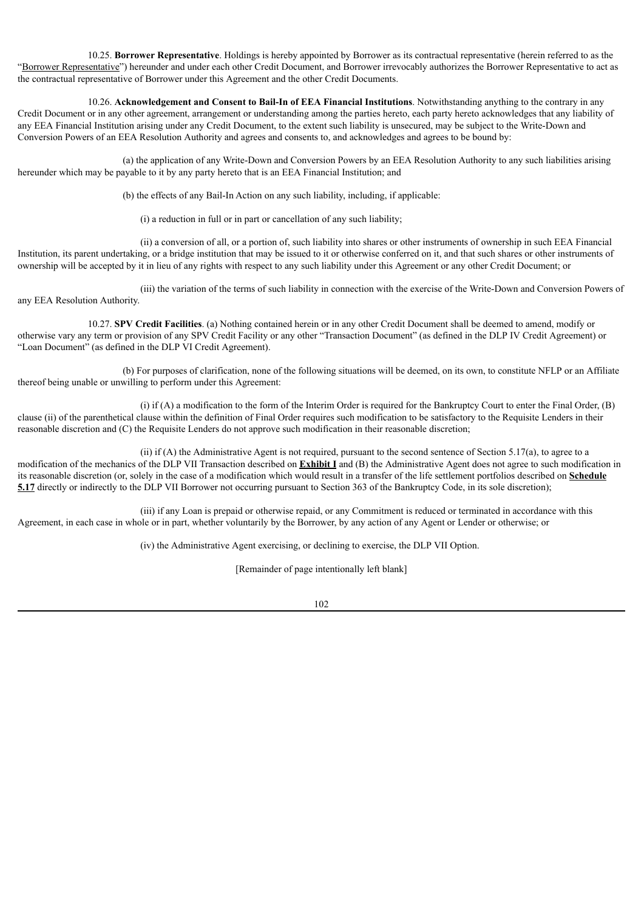10.25. **Borrower Representative**. Holdings is hereby appointed by Borrower as its contractual representative (herein referred to as the "Borrower Representative") hereunder and under each other Credit Document, and Borrower irrevocably authorizes the Borrower Representative to act as the contractual representative of Borrower under this Agreement and the other Credit Documents.

10.26. **Acknowledgement and Consent to Bail-In of EEA Financial Institutions**. Notwithstanding anything to the contrary in any Credit Document or in any other agreement, arrangement or understanding among the parties hereto, each party hereto acknowledges that any liability of any EEA Financial Institution arising under any Credit Document, to the extent such liability is unsecured, may be subject to the Write-Down and Conversion Powers of an EEA Resolution Authority and agrees and consents to, and acknowledges and agrees to be bound by:

(a) the application of any Write-Down and Conversion Powers by an EEA Resolution Authority to any such liabilities arising hereunder which may be payable to it by any party hereto that is an EEA Financial Institution; and

(b) the effects of any Bail-In Action on any such liability, including, if applicable:

(i) a reduction in full or in part or cancellation of any such liability;

(ii) a conversion of all, or a portion of, such liability into shares or other instruments of ownership in such EEA Financial Institution, its parent undertaking, or a bridge institution that may be issued to it or otherwise conferred on it, and that such shares or other instruments of ownership will be accepted by it in lieu of any rights with respect to any such liability under this Agreement or any other Credit Document; or

(iii) the variation of the terms of such liability in connection with the exercise of the Write-Down and Conversion Powers of any EEA Resolution Authority.

10.27. **SPV Credit Facilities**. (a) Nothing contained herein or in any other Credit Document shall be deemed to amend, modify or otherwise vary any term or provision of any SPV Credit Facility or any other "Transaction Document" (as defined in the DLP IV Credit Agreement) or "Loan Document" (as defined in the DLP VI Credit Agreement).

(b) For purposes of clarification, none of the following situations will be deemed, on its own, to constitute NFLP or an Affiliate thereof being unable or unwilling to perform under this Agreement:

(i) if (A) a modification to the form of the Interim Order is required for the Bankruptcy Court to enter the Final Order, (B) clause (ii) of the parenthetical clause within the definition of Final Order requires such modification to be satisfactory to the Requisite Lenders in their reasonable discretion and (C) the Requisite Lenders do not approve such modification in their reasonable discretion;

(ii) if (A) the Administrative Agent is not required, pursuant to the second sentence of Section 5.17(a), to agree to a modification of the mechanics of the DLP VII Transaction described on **Exhibit I** and (B) the Administrative Agent does not agree to such modification in its reasonable discretion (or, solely in the case of a modification which would result in a transfer of the life settlement portfolios described on **Schedule 5.17** directly or indirectly to the DLP VII Borrower not occurring pursuant to Section 363 of the Bankruptcy Code, in its sole discretion);

(iii) if any Loan is prepaid or otherwise repaid, or any Commitment is reduced or terminated in accordance with this Agreement, in each case in whole or in part, whether voluntarily by the Borrower, by any action of any Agent or Lender or otherwise; or

(iv) the Administrative Agent exercising, or declining to exercise, the DLP VII Option.

[Remainder of page intentionally left blank]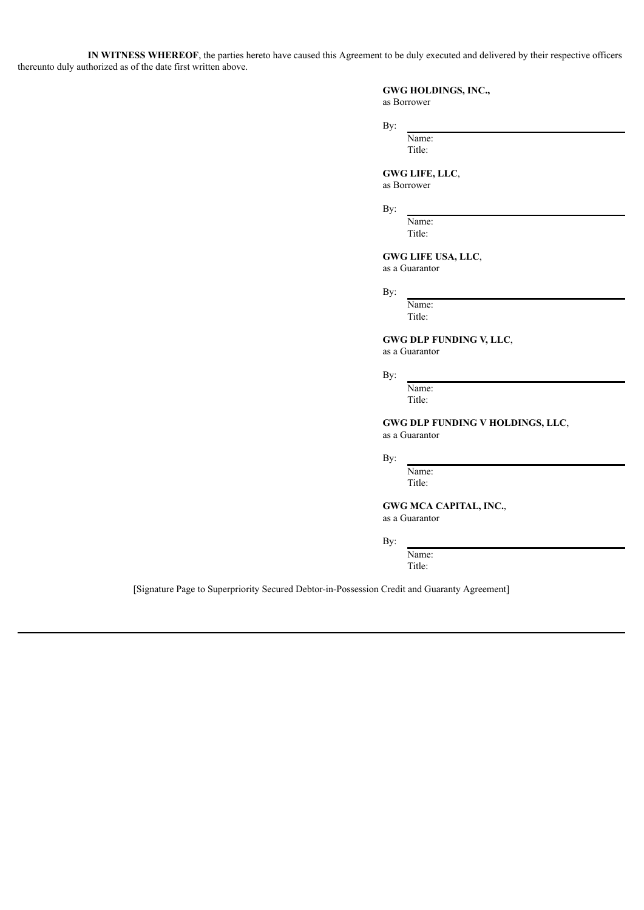**IN WITNESS WHEREOF**, the parties hereto have caused this Agreement to be duly executed and delivered by their respective officers thereunto duly authorized as of the date first written above.

#### **GWG HOLDINGS, INC.,** as Borrower

By:

Name: Title:

**GWG LIFE, LLC**, as Borrower

By:

Name: Title:

**GWG LIFE USA, LLC**,

as a Guarantor

By:

Name: Title:

**GWG DLP FUNDING V, LLC**,

as a Guarantor

By:

Name: Title:

**GWG DLP FUNDING V HOLDINGS, LLC**, as a Guarantor

By:

Name: Title:

**GWG MCA CAPITAL, INC.**, as a Guarantor

By:

Name: Title:

[Signature Page to Superpriority Secured Debtor-in-Possession Credit and Guaranty Agreement]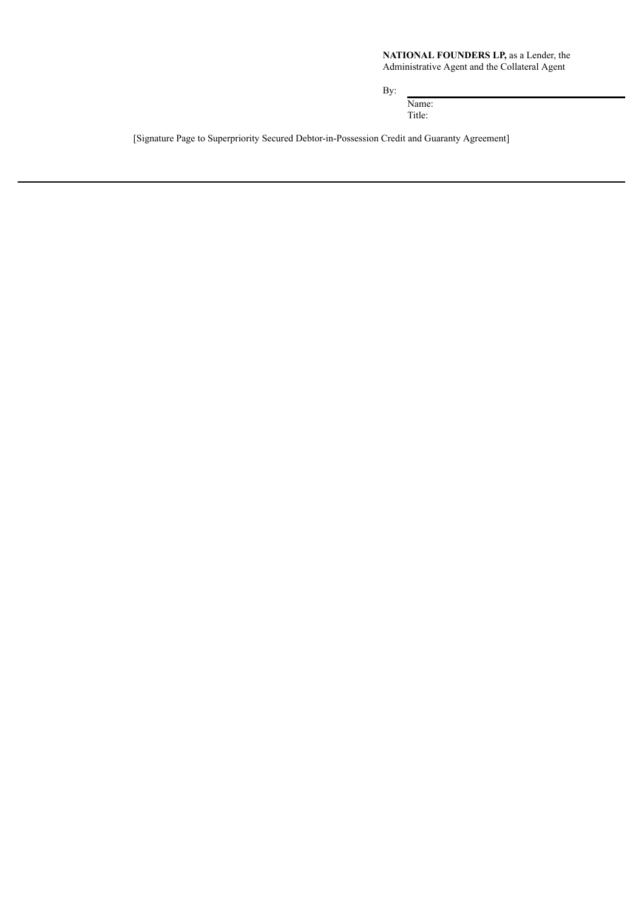# **NATIONAL FOUNDERS LP,** as a Lender, the

Administrative Agent and the Collateral Agent

By:

Name: Title:

[Signature Page to Superpriority Secured Debtor-in-Possession Credit and Guaranty Agreement]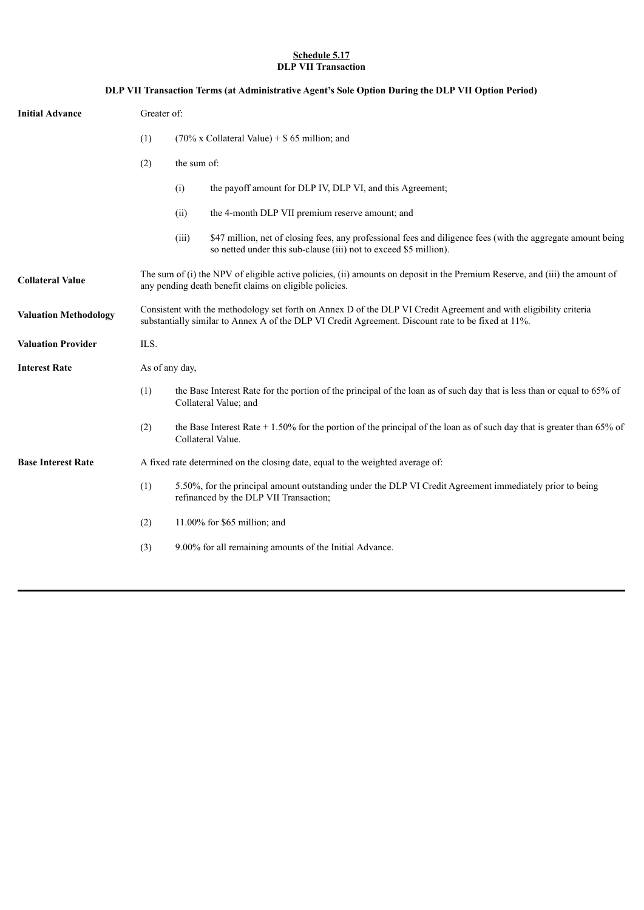## **Schedule 5.17 DLP VII Transaction**

| DLP VII Transaction Terms (at Administrative Agent's Sole Option During the DLP VII Option Period) |                                                                                                                                                                                                                         |                                                                                                                                                                                            |  |
|----------------------------------------------------------------------------------------------------|-------------------------------------------------------------------------------------------------------------------------------------------------------------------------------------------------------------------------|--------------------------------------------------------------------------------------------------------------------------------------------------------------------------------------------|--|
| <b>Initial Advance</b>                                                                             | Greater of:                                                                                                                                                                                                             |                                                                                                                                                                                            |  |
|                                                                                                    | (1)                                                                                                                                                                                                                     | $(70\% \times$ Collateral Value) + \$65 million; and                                                                                                                                       |  |
|                                                                                                    | (2)                                                                                                                                                                                                                     | the sum of:                                                                                                                                                                                |  |
|                                                                                                    |                                                                                                                                                                                                                         | (i)<br>the payoff amount for DLP IV, DLP VI, and this Agreement;                                                                                                                           |  |
|                                                                                                    |                                                                                                                                                                                                                         | the 4-month DLP VII premium reserve amount; and<br>(ii)                                                                                                                                    |  |
|                                                                                                    |                                                                                                                                                                                                                         | (iii)<br>\$47 million, net of closing fees, any professional fees and diligence fees (with the aggregate amount being<br>so netted under this sub-clause (iii) not to exceed \$5 million). |  |
| <b>Collateral Value</b>                                                                            | The sum of (i) the NPV of eligible active policies, (ii) amounts on deposit in the Premium Reserve, and (iii) the amount of<br>any pending death benefit claims on eligible policies.                                   |                                                                                                                                                                                            |  |
| <b>Valuation Methodology</b>                                                                       | Consistent with the methodology set forth on Annex D of the DLP VI Credit Agreement and with eligibility criteria<br>substantially similar to Annex A of the DLP VI Credit Agreement. Discount rate to be fixed at 11%. |                                                                                                                                                                                            |  |
| <b>Valuation Provider</b>                                                                          | ILS.                                                                                                                                                                                                                    |                                                                                                                                                                                            |  |
| <b>Interest Rate</b>                                                                               | As of any day,                                                                                                                                                                                                          |                                                                                                                                                                                            |  |
|                                                                                                    | (1)                                                                                                                                                                                                                     | the Base Interest Rate for the portion of the principal of the loan as of such day that is less than or equal to 65% of<br>Collateral Value; and                                           |  |
|                                                                                                    | (2)                                                                                                                                                                                                                     | the Base Interest Rate $+1.50\%$ for the portion of the principal of the loan as of such day that is greater than 65% of<br>Collateral Value.                                              |  |
| <b>Base Interest Rate</b>                                                                          | A fixed rate determined on the closing date, equal to the weighted average of:                                                                                                                                          |                                                                                                                                                                                            |  |
|                                                                                                    | (1)                                                                                                                                                                                                                     | 5.50%, for the principal amount outstanding under the DLP VI Credit Agreement immediately prior to being<br>refinanced by the DLP VII Transaction;                                         |  |
|                                                                                                    | (2)                                                                                                                                                                                                                     | 11.00% for $$65$ million; and                                                                                                                                                              |  |
|                                                                                                    | (3)                                                                                                                                                                                                                     | 9.00% for all remaining amounts of the Initial Advance.                                                                                                                                    |  |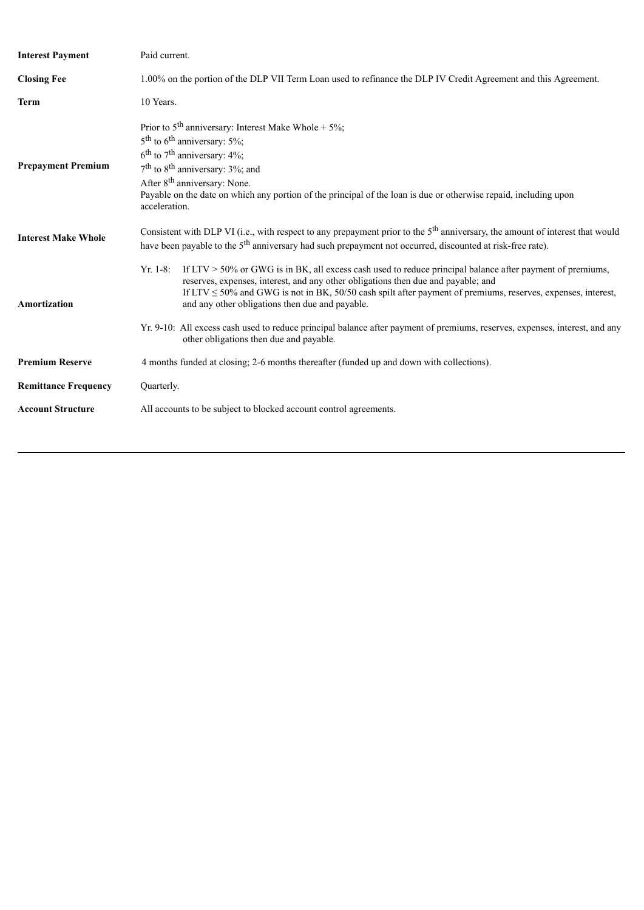| <b>Interest Payment</b>     | Paid current.                                                                                                                                                                                                                                                                                                                                                                                   |  |  |
|-----------------------------|-------------------------------------------------------------------------------------------------------------------------------------------------------------------------------------------------------------------------------------------------------------------------------------------------------------------------------------------------------------------------------------------------|--|--|
| <b>Closing Fee</b>          | 1.00% on the portion of the DLP VII Term Loan used to refinance the DLP IV Credit Agreement and this Agreement.                                                                                                                                                                                                                                                                                 |  |  |
| <b>Term</b>                 | 10 Years.                                                                                                                                                                                                                                                                                                                                                                                       |  |  |
| <b>Prepayment Premium</b>   | Prior to $5th$ anniversary: Interest Make Whole + $5\%$ ;<br>$5th$ to 6 <sup>th</sup> anniversary: 5%;<br>$6^{\text{th}}$ to $7^{\text{th}}$ anniversary: 4%;<br>$7th$ to 8 <sup>th</sup> anniversary: 3%; and<br>After 8 <sup>th</sup> anniversary: None.<br>Payable on the date on which any portion of the principal of the loan is due or otherwise repaid, including upon<br>acceleration. |  |  |
| <b>Interest Make Whole</b>  | Consistent with DLP VI (i.e., with respect to any prepayment prior to the $5th$ anniversary, the amount of interest that would<br>have been payable to the 5 <sup>th</sup> anniversary had such prepayment not occurred, discounted at risk-free rate).                                                                                                                                         |  |  |
| <b>Amortization</b>         | If $LTV > 50\%$ or GWG is in BK, all excess cash used to reduce principal balance after payment of premiums,<br>$Yr. 1-8:$<br>reserves, expenses, interest, and any other obligations then due and payable; and<br>If LTV $\leq$ 50% and GWG is not in BK, 50/50 cash spilt after payment of premiums, reserves, expenses, interest,<br>and any other obligations then due and payable.         |  |  |
|                             | Yr. 9-10: All excess cash used to reduce principal balance after payment of premiums, reserves, expenses, interest, and any<br>other obligations then due and payable.                                                                                                                                                                                                                          |  |  |
| <b>Premium Reserve</b>      | 4 months funded at closing; 2-6 months thereafter (funded up and down with collections).                                                                                                                                                                                                                                                                                                        |  |  |
| <b>Remittance Frequency</b> | Quarterly.                                                                                                                                                                                                                                                                                                                                                                                      |  |  |
| <b>Account Structure</b>    | All accounts to be subject to blocked account control agreements.                                                                                                                                                                                                                                                                                                                               |  |  |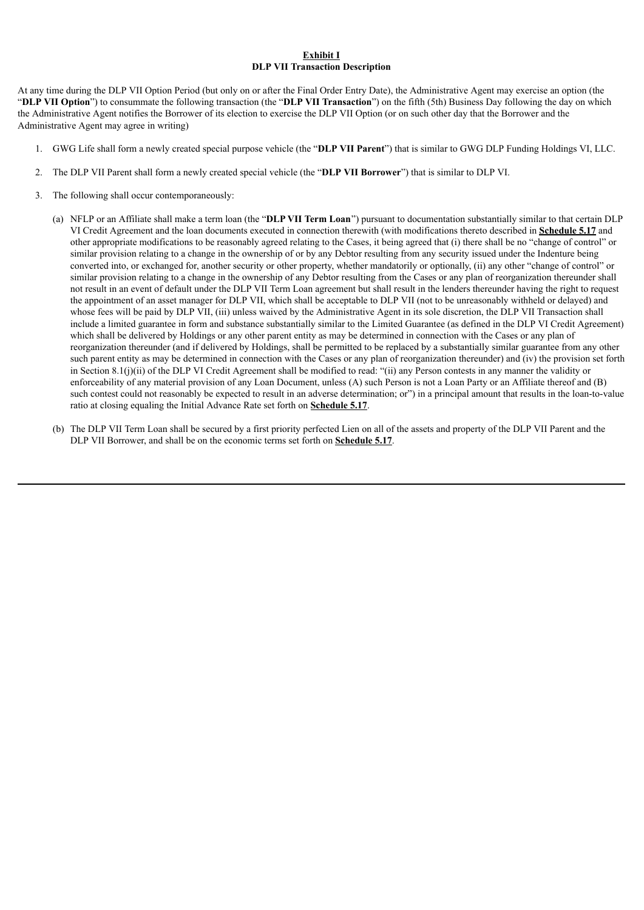## **Exhibit I DLP VII Transaction Description**

At any time during the DLP VII Option Period (but only on or after the Final Order Entry Date), the Administrative Agent may exercise an option (the "**DLP VII Option**") to consummate the following transaction (the "**DLP VII Transaction**") on the fifth (5th) Business Day following the day on which the Administrative Agent notifies the Borrower of its election to exercise the DLP VII Option (or on such other day that the Borrower and the Administrative Agent may agree in writing)

- 1. GWG Life shall form a newly created special purpose vehicle (the "**DLP VII Parent**") that is similar to GWG DLP Funding Holdings VI, LLC.
- 2. The DLP VII Parent shall form a newly created special vehicle (the "**DLP VII Borrower**") that is similar to DLP VI.
- 3. The following shall occur contemporaneously:
	- (a) NFLP or an Affiliate shall make a term loan (the "**DLP VII Term Loan**") pursuant to documentation substantially similar to that certain DLP VI Credit Agreement and the loan documents executed in connection therewith (with modifications thereto described in **Schedule 5.17** and other appropriate modifications to be reasonably agreed relating to the Cases, it being agreed that (i) there shall be no "change of control" or similar provision relating to a change in the ownership of or by any Debtor resulting from any security issued under the Indenture being converted into, or exchanged for, another security or other property, whether mandatorily or optionally, (ii) any other "change of control" or similar provision relating to a change in the ownership of any Debtor resulting from the Cases or any plan of reorganization thereunder shall not result in an event of default under the DLP VII Term Loan agreement but shall result in the lenders thereunder having the right to request the appointment of an asset manager for DLP VII, which shall be acceptable to DLP VII (not to be unreasonably withheld or delayed) and whose fees will be paid by DLP VII, (iii) unless waived by the Administrative Agent in its sole discretion, the DLP VII Transaction shall include a limited guarantee in form and substance substantially similar to the Limited Guarantee (as defined in the DLP VI Credit Agreement) which shall be delivered by Holdings or any other parent entity as may be determined in connection with the Cases or any plan of reorganization thereunder (and if delivered by Holdings, shall be permitted to be replaced by a substantially similar guarantee from any other such parent entity as may be determined in connection with the Cases or any plan of reorganization thereunder) and (iv) the provision set forth in Section 8.1(j)(ii) of the DLP VI Credit Agreement shall be modified to read: "(ii) any Person contests in any manner the validity or enforceability of any material provision of any Loan Document, unless (A) such Person is not a Loan Party or an Affiliate thereof and (B) such contest could not reasonably be expected to result in an adverse determination; or") in a principal amount that results in the loan-to-value ratio at closing equaling the Initial Advance Rate set forth on **Schedule 5.17**.
	- (b) The DLP VII Term Loan shall be secured by a first priority perfected Lien on all of the assets and property of the DLP VII Parent and the DLP VII Borrower, and shall be on the economic terms set forth on **Schedule 5.17**.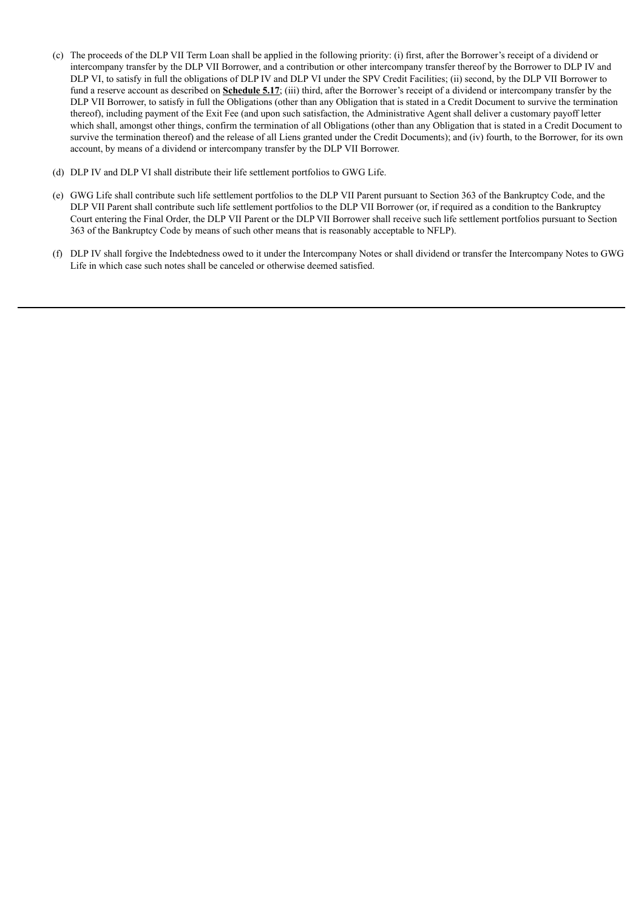- (c) The proceeds of the DLP VII Term Loan shall be applied in the following priority: (i) first, after the Borrower's receipt of a dividend or intercompany transfer by the DLP VII Borrower, and a contribution or other intercompany transfer thereof by the Borrower to DLP IV and DLP VI, to satisfy in full the obligations of DLP IV and DLP VI under the SPV Credit Facilities; (ii) second, by the DLP VII Borrower to fund a reserve account as described on **Schedule 5.17**; (iii) third, after the Borrower's receipt of a dividend or intercompany transfer by the DLP VII Borrower, to satisfy in full the Obligations (other than any Obligation that is stated in a Credit Document to survive the termination thereof), including payment of the Exit Fee (and upon such satisfaction, the Administrative Agent shall deliver a customary payoff letter which shall, amongst other things, confirm the termination of all Obligations (other than any Obligation that is stated in a Credit Document to survive the termination thereof) and the release of all Liens granted under the Credit Documents); and (iv) fourth, to the Borrower, for its own account, by means of a dividend or intercompany transfer by the DLP VII Borrower.
- (d) DLP IV and DLP VI shall distribute their life settlement portfolios to GWG Life.
- (e) GWG Life shall contribute such life settlement portfolios to the DLP VII Parent pursuant to Section 363 of the Bankruptcy Code, and the DLP VII Parent shall contribute such life settlement portfolios to the DLP VII Borrower (or, if required as a condition to the Bankruptcy Court entering the Final Order, the DLP VII Parent or the DLP VII Borrower shall receive such life settlement portfolios pursuant to Section 363 of the Bankruptcy Code by means of such other means that is reasonably acceptable to NFLP).
- (f) DLP IV shall forgive the Indebtedness owed to it under the Intercompany Notes or shall dividend or transfer the Intercompany Notes to GWG Life in which case such notes shall be canceled or otherwise deemed satisfied.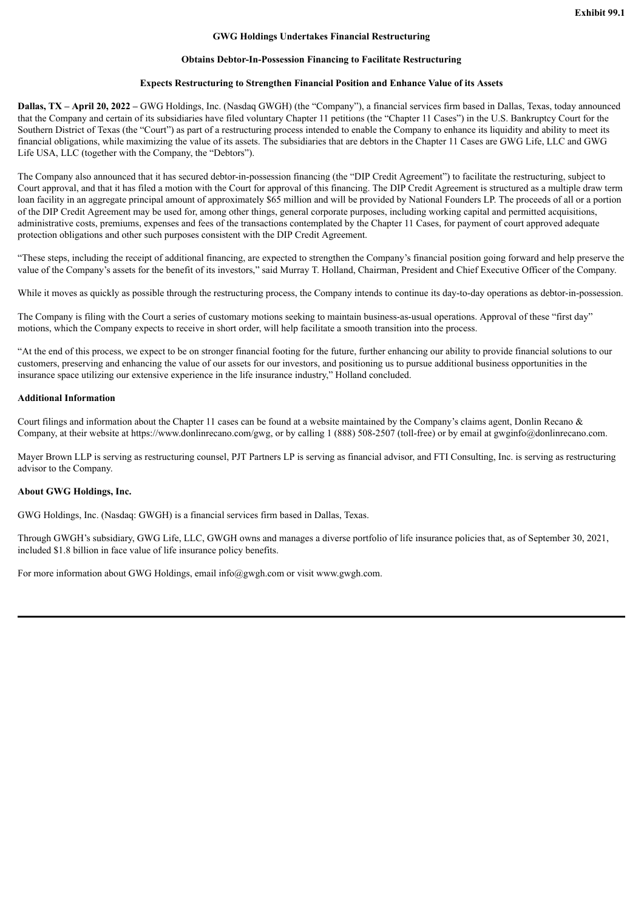#### **GWG Holdings Undertakes Financial Restructuring**

#### **Obtains Debtor-In-Possession Financing to Facilitate Restructuring**

#### **Expects Restructuring to Strengthen Financial Position and Enhance Value of its Assets**

**Dallas, TX – April 20, 2022 –** GWG Holdings, Inc. (Nasdaq GWGH) (the "Company"), a financial services firm based in Dallas, Texas, today announced that the Company and certain of its subsidiaries have filed voluntary Chapter 11 petitions (the "Chapter 11 Cases") in the U.S. Bankruptcy Court for the Southern District of Texas (the "Court") as part of a restructuring process intended to enable the Company to enhance its liquidity and ability to meet its financial obligations, while maximizing the value of its assets. The subsidiaries that are debtors in the Chapter 11 Cases are GWG Life, LLC and GWG Life USA, LLC (together with the Company, the "Debtors").

The Company also announced that it has secured debtor-in-possession financing (the "DIP Credit Agreement") to facilitate the restructuring, subject to Court approval, and that it has filed a motion with the Court for approval of this financing. The DIP Credit Agreement is structured as a multiple draw term loan facility in an aggregate principal amount of approximately \$65 million and will be provided by National Founders LP. The proceeds of all or a portion of the DIP Credit Agreement may be used for, among other things, general corporate purposes, including working capital and permitted acquisitions, administrative costs, premiums, expenses and fees of the transactions contemplated by the Chapter 11 Cases, for payment of court approved adequate protection obligations and other such purposes consistent with the DIP Credit Agreement.

"These steps, including the receipt of additional financing, are expected to strengthen the Company's financial position going forward and help preserve the value of the Company's assets for the benefit of its investors," said Murray T. Holland, Chairman, President and Chief Executive Officer of the Company.

While it moves as quickly as possible through the restructuring process, the Company intends to continue its day-to-day operations as debtor-in-possession.

The Company is filing with the Court a series of customary motions seeking to maintain business-as-usual operations. Approval of these "first day" motions, which the Company expects to receive in short order, will help facilitate a smooth transition into the process.

"At the end of this process, we expect to be on stronger financial footing for the future, further enhancing our ability to provide financial solutions to our customers, preserving and enhancing the value of our assets for our investors, and positioning us to pursue additional business opportunities in the insurance space utilizing our extensive experience in the life insurance industry," Holland concluded.

#### **Additional Information**

Court filings and information about the Chapter 11 cases can be found at a website maintained by the Company's claims agent. Donlin Recano  $\&$ Company, at their website at https://www.donlinrecano.com/gwg, or by calling 1 (888) 508-2507 (toll-free) or by email at gwginfo@donlinrecano.com.

Mayer Brown LLP is serving as restructuring counsel, PJT Partners LP is serving as financial advisor, and FTI Consulting, Inc. is serving as restructuring advisor to the Company.

### **About GWG Holdings, Inc.**

GWG Holdings, Inc. (Nasdaq: GWGH) is a financial services firm based in Dallas, Texas.

Through GWGH's subsidiary, GWG Life, LLC, GWGH owns and manages a diverse portfolio of life insurance policies that, as of September 30, 2021, included \$1.8 billion in face value of life insurance policy benefits.

For more information about GWG Holdings, email info@gwgh.com or visit www.gwgh.com.